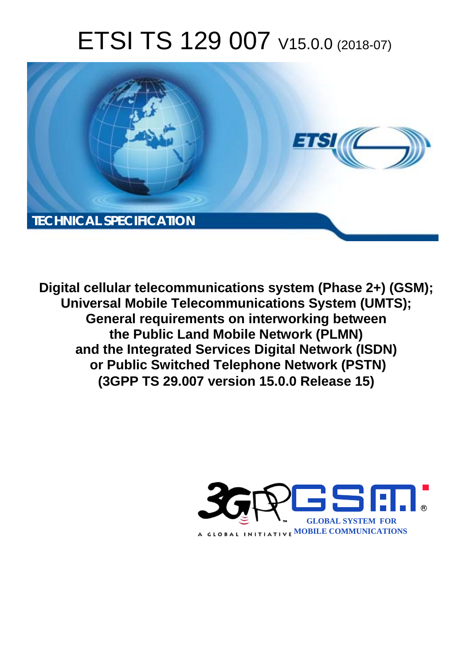# ETSI TS 129 007 V15.0.0 (2018-07)



**Digital cellular telecommunications system (Phase 2+) (GSM); Universal Mobile Telecommunications System (UMTS); General requirements on interworking between the Public Land Mobile Network (PLMN) and the Integrated Services Digital Network (ISDN) or Public Switched Telephone Network (PSTN) (3GPP TS 29.007 version 15.0.0 Release 15)** 

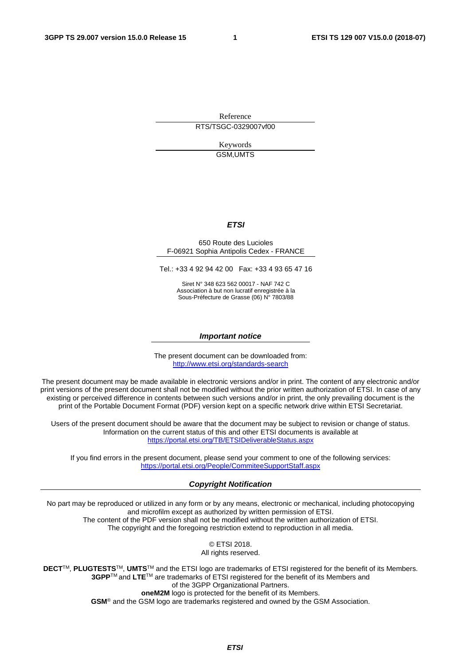Reference RTS/TSGC-0329007vf00

> Keywords GSM,UMTS

#### *ETSI*

#### 650 Route des Lucioles F-06921 Sophia Antipolis Cedex - FRANCE

Tel.: +33 4 92 94 42 00 Fax: +33 4 93 65 47 16

Siret N° 348 623 562 00017 - NAF 742 C Association à but non lucratif enregistrée à la Sous-Préfecture de Grasse (06) N° 7803/88

#### *Important notice*

The present document can be downloaded from: <http://www.etsi.org/standards-search>

The present document may be made available in electronic versions and/or in print. The content of any electronic and/or print versions of the present document shall not be modified without the prior written authorization of ETSI. In case of any existing or perceived difference in contents between such versions and/or in print, the only prevailing document is the print of the Portable Document Format (PDF) version kept on a specific network drive within ETSI Secretariat.

Users of the present document should be aware that the document may be subject to revision or change of status. Information on the current status of this and other ETSI documents is available at <https://portal.etsi.org/TB/ETSIDeliverableStatus.aspx>

If you find errors in the present document, please send your comment to one of the following services: <https://portal.etsi.org/People/CommiteeSupportStaff.aspx>

#### *Copyright Notification*

No part may be reproduced or utilized in any form or by any means, electronic or mechanical, including photocopying and microfilm except as authorized by written permission of ETSI. The content of the PDF version shall not be modified without the written authorization of ETSI. The copyright and the foregoing restriction extend to reproduction in all media.

> © ETSI 2018. All rights reserved.

**DECT**TM, **PLUGTESTS**TM, **UMTS**TM and the ETSI logo are trademarks of ETSI registered for the benefit of its Members. **3GPP**TM and **LTE**TM are trademarks of ETSI registered for the benefit of its Members and of the 3GPP Organizational Partners. **oneM2M** logo is protected for the benefit of its Members.

**GSM**® and the GSM logo are trademarks registered and owned by the GSM Association.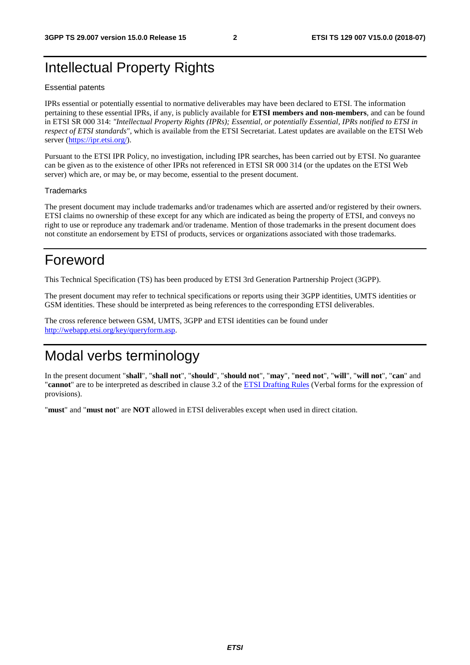# Intellectual Property Rights

#### Essential patents

IPRs essential or potentially essential to normative deliverables may have been declared to ETSI. The information pertaining to these essential IPRs, if any, is publicly available for **ETSI members and non-members**, and can be found in ETSI SR 000 314: *"Intellectual Property Rights (IPRs); Essential, or potentially Essential, IPRs notified to ETSI in respect of ETSI standards"*, which is available from the ETSI Secretariat. Latest updates are available on the ETSI Web server ([https://ipr.etsi.org/\)](https://ipr.etsi.org/).

Pursuant to the ETSI IPR Policy, no investigation, including IPR searches, has been carried out by ETSI. No guarantee can be given as to the existence of other IPRs not referenced in ETSI SR 000 314 (or the updates on the ETSI Web server) which are, or may be, or may become, essential to the present document.

#### **Trademarks**

The present document may include trademarks and/or tradenames which are asserted and/or registered by their owners. ETSI claims no ownership of these except for any which are indicated as being the property of ETSI, and conveys no right to use or reproduce any trademark and/or tradename. Mention of those trademarks in the present document does not constitute an endorsement by ETSI of products, services or organizations associated with those trademarks.

# Foreword

This Technical Specification (TS) has been produced by ETSI 3rd Generation Partnership Project (3GPP).

The present document may refer to technical specifications or reports using their 3GPP identities, UMTS identities or GSM identities. These should be interpreted as being references to the corresponding ETSI deliverables.

The cross reference between GSM, UMTS, 3GPP and ETSI identities can be found under [http://webapp.etsi.org/key/queryform.asp.](http://webapp.etsi.org/key/queryform.asp)

# Modal verbs terminology

In the present document "**shall**", "**shall not**", "**should**", "**should not**", "**may**", "**need not**", "**will**", "**will not**", "**can**" and "**cannot**" are to be interpreted as described in clause 3.2 of the [ETSI Drafting Rules](https://portal.etsi.org/Services/editHelp!/Howtostart/ETSIDraftingRules.aspx) (Verbal forms for the expression of provisions).

"**must**" and "**must not**" are **NOT** allowed in ETSI deliverables except when used in direct citation.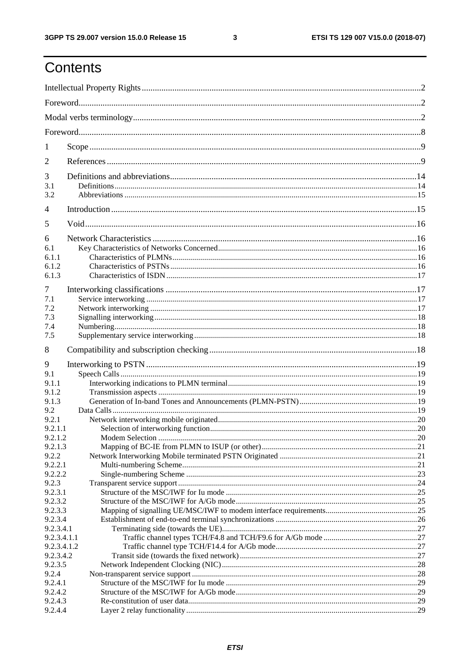$\mathbf{3}$ 

# Contents

| 1                  |  |  |  |
|--------------------|--|--|--|
| 2                  |  |  |  |
| 3                  |  |  |  |
| 3.1                |  |  |  |
| 3.2                |  |  |  |
| $\overline{4}$     |  |  |  |
| 5                  |  |  |  |
| 6                  |  |  |  |
| 6.1                |  |  |  |
| 6.1.1              |  |  |  |
| 6.1.2              |  |  |  |
| 6.1.3              |  |  |  |
| 7                  |  |  |  |
| 7.1                |  |  |  |
| 7.2                |  |  |  |
| 7.3                |  |  |  |
| 7.4                |  |  |  |
| 7.5                |  |  |  |
| 8                  |  |  |  |
| 9                  |  |  |  |
| 9.1                |  |  |  |
| 9.1.1              |  |  |  |
| 9.1.2              |  |  |  |
| 9.1.3              |  |  |  |
| 9.2                |  |  |  |
| 9.2.1              |  |  |  |
| 9.2.1.1            |  |  |  |
| 9.2.1.2            |  |  |  |
| 9.2.1.3            |  |  |  |
| 9.2.2              |  |  |  |
| 9.2.2.1            |  |  |  |
| 9.2.2.2            |  |  |  |
| 9.2.3              |  |  |  |
| 9.2.3.1            |  |  |  |
| 9.2.3.2<br>9.2.3.3 |  |  |  |
| 9.2.3.4            |  |  |  |
| 9.2.3.4.1          |  |  |  |
| 9.2.3.4.1.1        |  |  |  |
| 9.2.3.4.1.2        |  |  |  |
| 9.2.3.4.2          |  |  |  |
| 9.2.3.5            |  |  |  |
| 9.2.4              |  |  |  |
| 9.2.4.1            |  |  |  |
| 9.2.4.2            |  |  |  |
| 9.2.4.3            |  |  |  |
| 9.2.4.4            |  |  |  |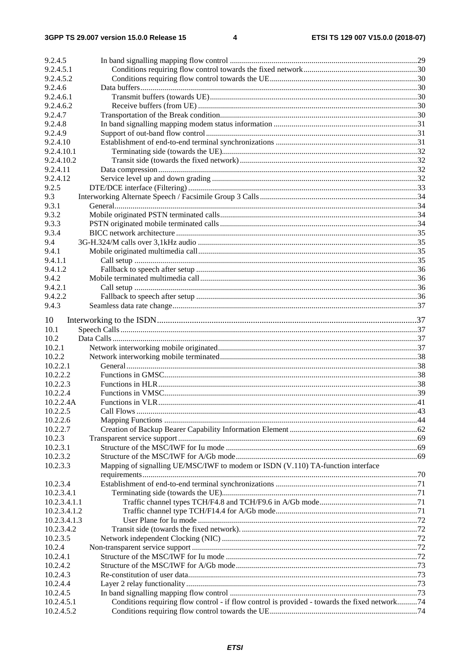| 9.2.4.5                    |                                                                                               |  |
|----------------------------|-----------------------------------------------------------------------------------------------|--|
| 9.2.4.5.1                  |                                                                                               |  |
| 9.2.4.5.2                  |                                                                                               |  |
| 9.2.4.6                    |                                                                                               |  |
| 9.2.4.6.1                  |                                                                                               |  |
| 9.2.4.6.2                  |                                                                                               |  |
| 9.2.4.7                    |                                                                                               |  |
| 9.2.4.8                    |                                                                                               |  |
| 9.2.4.9                    |                                                                                               |  |
| 9.2.4.10                   |                                                                                               |  |
| 9.2.4.10.1                 |                                                                                               |  |
| 9.2.4.10.2                 |                                                                                               |  |
| 9.2.4.11                   |                                                                                               |  |
| 9.2.4.12                   |                                                                                               |  |
| 9.2.5                      |                                                                                               |  |
| 9.3                        |                                                                                               |  |
| 9.3.1                      |                                                                                               |  |
| 9.3.2                      |                                                                                               |  |
| 9.3.3                      |                                                                                               |  |
| 9.3.4                      |                                                                                               |  |
| 9.4                        |                                                                                               |  |
| 9.4.1                      |                                                                                               |  |
| 9.4.1.1                    |                                                                                               |  |
| 9.4.1.2                    |                                                                                               |  |
| 9.4.2                      |                                                                                               |  |
| 9.4.2.1                    |                                                                                               |  |
| 9.4.2.2                    |                                                                                               |  |
| 9.4.3                      |                                                                                               |  |
|                            |                                                                                               |  |
| 10                         |                                                                                               |  |
| 10.1                       |                                                                                               |  |
| 10.2                       |                                                                                               |  |
| 10.2.1                     |                                                                                               |  |
| 10.2.2                     |                                                                                               |  |
| 10.2.2.1                   |                                                                                               |  |
| 10.2.2.2                   |                                                                                               |  |
| 10.2.2.3                   |                                                                                               |  |
| 10.2.2.4<br>10.2.2.4A      |                                                                                               |  |
|                            |                                                                                               |  |
| 10.2.2.5<br>10.2.2.6       |                                                                                               |  |
| 10.2.2.7                   |                                                                                               |  |
|                            |                                                                                               |  |
| 10.2.3                     |                                                                                               |  |
| 10.2.3.1<br>10.2.3.2       |                                                                                               |  |
|                            |                                                                                               |  |
| 10.2.3.3                   | Mapping of signalling UE/MSC/IWF to modem or ISDN (V.110) TA-function interface               |  |
|                            |                                                                                               |  |
| 10.2.3.4                   |                                                                                               |  |
| 10.2.3.4.1<br>10.2.3.4.1.1 |                                                                                               |  |
| 10.2.3.4.1.2               |                                                                                               |  |
| 10.2.3.4.1.3               |                                                                                               |  |
| 10.2.3.4.2                 |                                                                                               |  |
| 10.2.3.5                   |                                                                                               |  |
| 10.2.4                     |                                                                                               |  |
| 10.2.4.1                   |                                                                                               |  |
| 10.2.4.2                   |                                                                                               |  |
| 10.2.4.3                   |                                                                                               |  |
| 10.2.4.4                   |                                                                                               |  |
| 10.2.4.5                   |                                                                                               |  |
| 10.2.4.5.1                 | Conditions requiring flow control - if flow control is provided - towards the fixed network74 |  |
| 10.2.4.5.2                 |                                                                                               |  |
|                            |                                                                                               |  |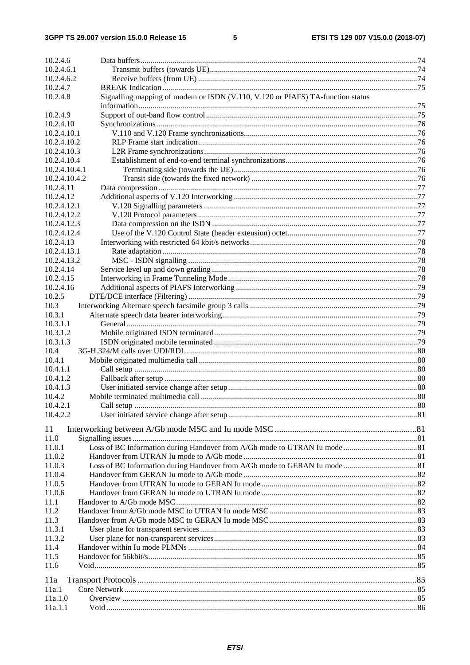| 10.2.4.6             |                                                                                |    |
|----------------------|--------------------------------------------------------------------------------|----|
| 10.2.4.6.1           |                                                                                |    |
| 10.2.4.6.2           |                                                                                |    |
| 10.2.4.7             |                                                                                |    |
| 10.2.4.8             | Signalling mapping of modem or ISDN (V.110, V.120 or PIAFS) TA-function status |    |
|                      |                                                                                |    |
| 10.2.4.9             |                                                                                |    |
| 10.2.4.10            |                                                                                |    |
| 10.2.4.10.1          |                                                                                |    |
| 10.2.4.10.2          |                                                                                |    |
| 10.2.4.10.3          |                                                                                |    |
| 10.2.4.10.4          |                                                                                |    |
| 10.2.4.10.4.1        |                                                                                |    |
| 10.2.4.10.4.2        |                                                                                |    |
| 10.2.4.11            |                                                                                |    |
| 10.2.4.12            |                                                                                |    |
| 10.2.4.12.1          |                                                                                |    |
| 10.2.4.12.2          |                                                                                |    |
| 10.2.4.12.3          |                                                                                |    |
| 10.2.4.12.4          |                                                                                |    |
| 10.2.4.13            |                                                                                |    |
| 10.2.4.13.1          |                                                                                |    |
| 10.2.4.13.2          |                                                                                |    |
| 10.2.4.14            |                                                                                |    |
| 10.2.4.15            |                                                                                |    |
| 10.2.4.16            |                                                                                |    |
| 10.2.5               |                                                                                |    |
| 10.3                 |                                                                                |    |
| 10.3.1               |                                                                                |    |
| 10.3.1.1             |                                                                                |    |
| 10.3.1.2             |                                                                                |    |
| 10.3.1.3             |                                                                                |    |
| 10.4                 |                                                                                |    |
| 10.4.1               |                                                                                |    |
| 10.4.1.1             |                                                                                |    |
| 10.4.1.2<br>10.4.1.3 |                                                                                |    |
| 10.4.2               |                                                                                |    |
| 10.4.2.1             |                                                                                | 80 |
| 10.4.2.2             |                                                                                |    |
|                      |                                                                                |    |
| 11                   |                                                                                |    |
| 11.0                 |                                                                                |    |
| 11.0.1               |                                                                                |    |
| 11.0.2               |                                                                                |    |
| 11.0.3               |                                                                                |    |
| 11.0.4               |                                                                                |    |
| 11.0.5               |                                                                                |    |
| 11.0.6               |                                                                                |    |
| 11.1                 |                                                                                |    |
| 11.2                 |                                                                                |    |
| 11.3                 |                                                                                |    |
| 11.3.1               |                                                                                |    |
| 11.3.2               |                                                                                |    |
| 11.4                 |                                                                                |    |
| 11.5                 |                                                                                |    |
| 11.6                 |                                                                                |    |
| 11a                  |                                                                                |    |
| 11a.1                |                                                                                |    |
| 11a.1.0              |                                                                                |    |
| 11a.1.1              |                                                                                |    |
|                      |                                                                                |    |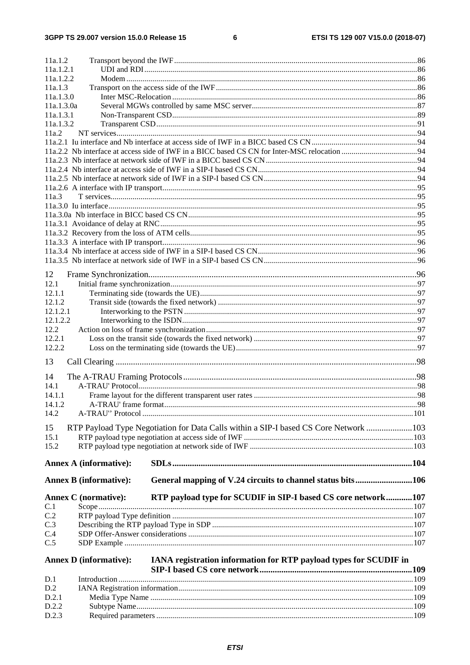| 11a.1.2                       |                                                                                      |  |
|-------------------------------|--------------------------------------------------------------------------------------|--|
| 11a.1.2.1                     |                                                                                      |  |
| 11a.1.2.2                     |                                                                                      |  |
| 11a.1.3                       |                                                                                      |  |
| 11a.1.3.0                     |                                                                                      |  |
| 11a.1.3.0a<br>11a.1.3.1       |                                                                                      |  |
| 11a.1.3.2                     |                                                                                      |  |
| 11a.2                         |                                                                                      |  |
|                               |                                                                                      |  |
|                               |                                                                                      |  |
|                               |                                                                                      |  |
|                               |                                                                                      |  |
|                               |                                                                                      |  |
|                               |                                                                                      |  |
| 11a.3                         |                                                                                      |  |
|                               |                                                                                      |  |
|                               |                                                                                      |  |
|                               |                                                                                      |  |
|                               |                                                                                      |  |
|                               |                                                                                      |  |
|                               |                                                                                      |  |
|                               |                                                                                      |  |
| 12                            |                                                                                      |  |
| 12.1                          |                                                                                      |  |
| 12.1.1<br>12.1.2              |                                                                                      |  |
| 12.1.2.1                      |                                                                                      |  |
| 12.1.2.2                      |                                                                                      |  |
| 12.2                          |                                                                                      |  |
| 12.2.1                        |                                                                                      |  |
| 12.2.2                        |                                                                                      |  |
|                               |                                                                                      |  |
| 13                            |                                                                                      |  |
| 14                            |                                                                                      |  |
| 14.1                          |                                                                                      |  |
| 14.1.1                        |                                                                                      |  |
| 14.1.2                        |                                                                                      |  |
| 14.2                          |                                                                                      |  |
| 15                            | RTP Payload Type Negotiation for Data Calls within a SIP-I based CS Core Network 103 |  |
| 15.1                          |                                                                                      |  |
| 15.2                          |                                                                                      |  |
|                               |                                                                                      |  |
| Annex A (informative):        |                                                                                      |  |
| <b>Annex B</b> (informative): | General mapping of V.24 circuits to channel status bits106                           |  |
| <b>Annex C</b> (normative):   | RTP payload type for SCUDIF in SIP-I based CS core network107                        |  |
| C.1                           |                                                                                      |  |
| C.2                           |                                                                                      |  |
| C.3                           |                                                                                      |  |
| C.4                           |                                                                                      |  |
| C.5                           |                                                                                      |  |
| <b>Annex D</b> (informative): | IANA registration information for RTP payload types for SCUDIF in                    |  |
|                               |                                                                                      |  |
| D.1                           |                                                                                      |  |
| D.2                           |                                                                                      |  |
| D.2.1                         |                                                                                      |  |
| D.2.2                         |                                                                                      |  |
| D.2.3                         |                                                                                      |  |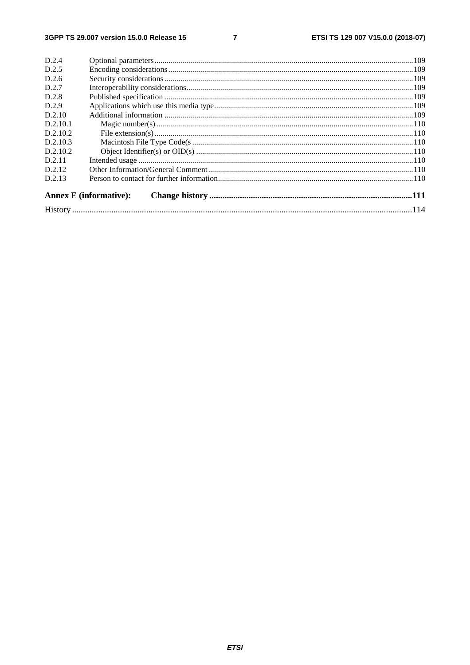$\overline{7}$ 

| D.2.4    |                               |  |
|----------|-------------------------------|--|
| D.2.5    |                               |  |
| D.2.6    |                               |  |
| D.2.7    |                               |  |
| D.2.8    |                               |  |
| D.2.9    |                               |  |
| D.2.10   |                               |  |
| D.2.10.1 |                               |  |
| D.2.10.2 |                               |  |
| D.2.10.3 |                               |  |
| D.2.10.2 |                               |  |
| D.2.11   |                               |  |
| D.2.12   |                               |  |
| D.2.13   |                               |  |
|          | <b>Annex E</b> (informative): |  |
|          |                               |  |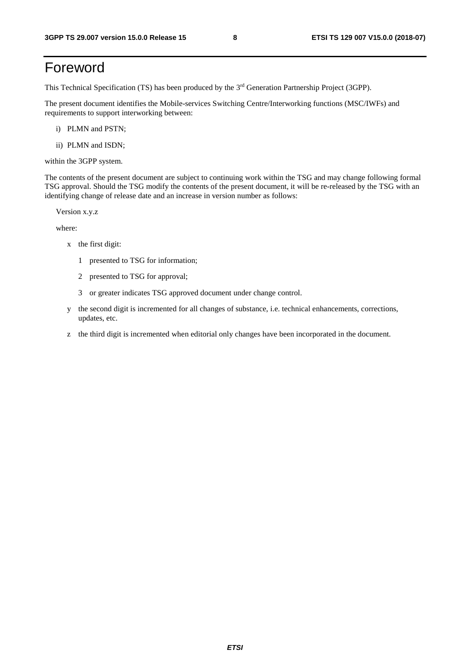# Foreword

This Technical Specification (TS) has been produced by the 3rd Generation Partnership Project (3GPP).

The present document identifies the Mobile-services Switching Centre/Interworking functions (MSC/IWFs) and requirements to support interworking between:

- i) PLMN and PSTN;
- ii) PLMN and ISDN;

within the 3GPP system.

The contents of the present document are subject to continuing work within the TSG and may change following formal TSG approval. Should the TSG modify the contents of the present document, it will be re-released by the TSG with an identifying change of release date and an increase in version number as follows:

Version x.y.z

where:

- x the first digit:
	- 1 presented to TSG for information;
	- 2 presented to TSG for approval;
	- 3 or greater indicates TSG approved document under change control.
- y the second digit is incremented for all changes of substance, i.e. technical enhancements, corrections, updates, etc.
- z the third digit is incremented when editorial only changes have been incorporated in the document.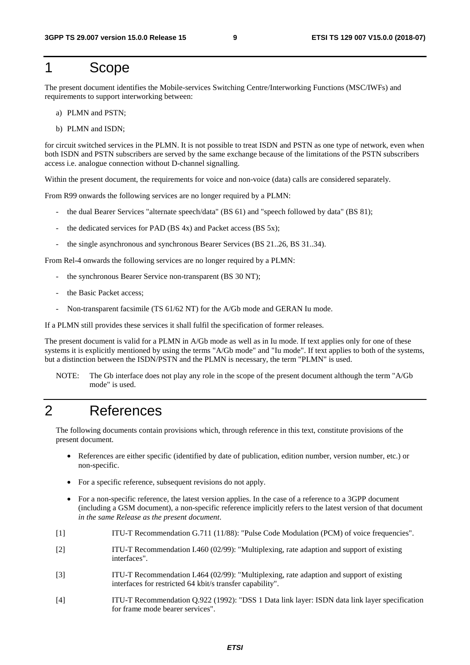# 1 Scope

The present document identifies the Mobile-services Switching Centre/Interworking Functions (MSC/IWFs) and requirements to support interworking between:

- a) PLMN and PSTN;
- b) PLMN and ISDN;

for circuit switched services in the PLMN. It is not possible to treat ISDN and PSTN as one type of network, even when both ISDN and PSTN subscribers are served by the same exchange because of the limitations of the PSTN subscribers access i.e. analogue connection without D-channel signalling.

Within the present document, the requirements for voice and non-voice (data) calls are considered separately.

From R99 onwards the following services are no longer required by a PLMN:

- the dual Bearer Services "alternate speech/data" (BS 61) and "speech followed by data" (BS 81);
- the dedicated services for PAD (BS  $4x$ ) and Packet access (BS  $5x$ );
- the single asynchronous and synchronous Bearer Services (BS 21..26, BS 31..34).

From Rel-4 onwards the following services are no longer required by a PLMN:

- the synchronous Bearer Service non-transparent (BS 30 NT);
- the Basic Packet access;
- Non-transparent facsimile (TS 61/62 NT) for the A/Gb mode and GERAN Iu mode.

If a PLMN still provides these services it shall fulfil the specification of former releases.

The present document is valid for a PLMN in A/Gb mode as well as in Iu mode. If text applies only for one of these systems it is explicitly mentioned by using the terms "A/Gb mode" and "Iu mode". If text applies to both of the systems, but a distinction between the ISDN/PSTN and the PLMN is necessary, the term "PLMN" is used.

NOTE: The Gb interface does not play any role in the scope of the present document although the term "A/Gb mode" is used.

# 2 References

The following documents contain provisions which, through reference in this text, constitute provisions of the present document.

- References are either specific (identified by date of publication, edition number, version number, etc.) or non-specific.
- For a specific reference, subsequent revisions do not apply.
- For a non-specific reference, the latest version applies. In the case of a reference to a 3GPP document (including a GSM document), a non-specific reference implicitly refers to the latest version of that document *in the same Release as the present document*.
- [1] ITU-T Recommendation G.711 (11/88): "Pulse Code Modulation (PCM) of voice frequencies".
- [2] ITU-T Recommendation I.460 (02/99): "Multiplexing, rate adaption and support of existing interfaces".
- [3] ITU-T Recommendation I.464 (02/99): "Multiplexing, rate adaption and support of existing interfaces for restricted 64 kbit/s transfer capability".
- [4] ITU-T Recommendation Q.922 (1992): "DSS 1 Data link layer: ISDN data link layer specification for frame mode bearer services".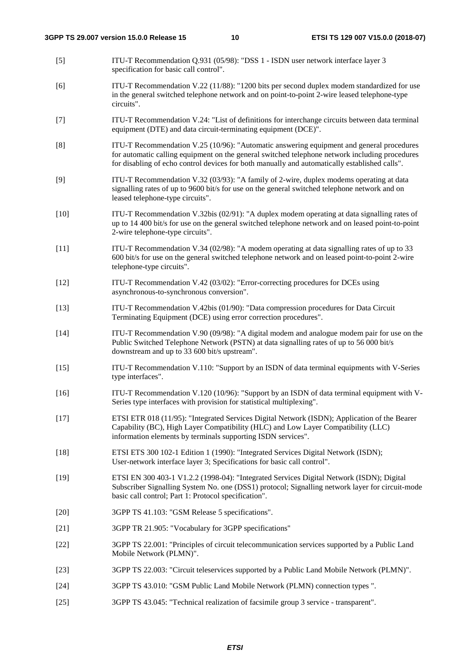- [5] ITU-T Recommendation Q.931 (05/98): "DSS 1 ISDN user network interface layer 3 specification for basic call control".
- [6] ITU-T Recommendation V.22 (11/88): "1200 bits per second duplex modem standardized for use in the general switched telephone network and on point-to-point 2-wire leased telephone-type circuits".
- [7] ITU-T Recommendation V.24: "List of definitions for interchange circuits between data terminal equipment (DTE) and data circuit-terminating equipment (DCE)".
- [8] ITU-T Recommendation V.25 (10/96): "Automatic answering equipment and general procedures for automatic calling equipment on the general switched telephone network including procedures for disabling of echo control devices for both manually and automatically established calls".
- [9] ITU-T Recommendation V.32 (03/93): "A family of 2-wire, duplex modems operating at data signalling rates of up to 9600 bit/s for use on the general switched telephone network and on leased telephone-type circuits".
- [10] ITU-T Recommendation V.32bis (02/91): "A duplex modem operating at data signalling rates of up to 14 400 bit/s for use on the general switched telephone network and on leased point-to-point 2-wire telephone-type circuits".
- [11] ITU-T Recommendation V.34 (02/98): "A modem operating at data signalling rates of up to 33 600 bit/s for use on the general switched telephone network and on leased point-to-point 2-wire telephone-type circuits".
- [12] ITU-T Recommendation V.42 (03/02): "Error-correcting procedures for DCEs using asynchronous-to-synchronous conversion".
- [13] ITU-T Recommendation V.42bis (01/90): "Data compression procedures for Data Circuit Terminating Equipment (DCE) using error correction procedures".
- [14] ITU-T Recommendation V.90 (09/98): "A digital modem and analogue modem pair for use on the Public Switched Telephone Network (PSTN) at data signalling rates of up to 56 000 bit/s downstream and up to 33 600 bit/s upstream".
- [15] ITU-T Recommendation V.110: "Support by an ISDN of data terminal equipments with V-Series type interfaces".
- [16] ITU-T Recommendation V.120 (10/96): "Support by an ISDN of data terminal equipment with V-Series type interfaces with provision for statistical multiplexing".
- [17] ETSI ETR 018 (11/95): "Integrated Services Digital Network (ISDN); Application of the Bearer Capability (BC), High Layer Compatibility (HLC) and Low Layer Compatibility (LLC) information elements by terminals supporting ISDN services".
- [18] ETSI ETS 300 102-1 Edition 1 (1990): "Integrated Services Digital Network (ISDN); User-network interface layer 3; Specifications for basic call control".
- [19] ETSI EN 300 403-1 V1.2.2 (1998-04): "Integrated Services Digital Network (ISDN); Digital Subscriber Signalling System No. one (DSS1) protocol; Signalling network layer for circuit-mode basic call control; Part 1: Protocol specification".
- [20] 3GPP TS 41.103: "GSM Release 5 specifications".
- [21] 3GPP TR 21.905: "Vocabulary for 3GPP specifications"
- [22] 3GPP TS 22.001: "Principles of circuit telecommunication services supported by a Public Land Mobile Network (PLMN)".
- [23] 3GPP TS 22.003: "Circuit teleservices supported by a Public Land Mobile Network (PLMN)".
- [24] 3GPP TS 43.010: "GSM Public Land Mobile Network (PLMN) connection types ".
- [25] 3GPP TS 43.045: "Technical realization of facsimile group 3 service transparent".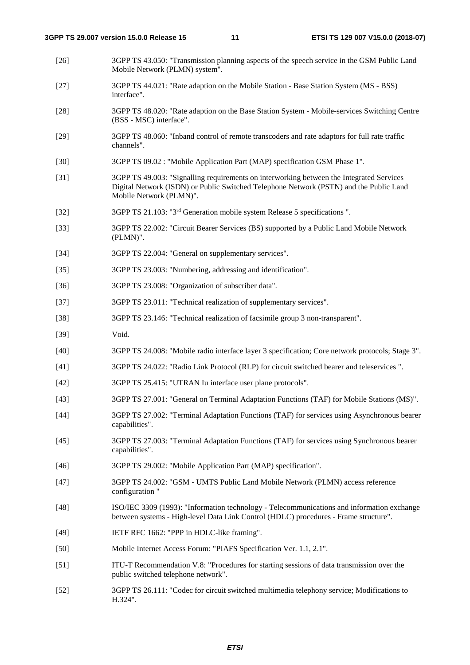- [26] 3GPP TS 43.050: "Transmission planning aspects of the speech service in the GSM Public Land Mobile Network (PLMN) system".
- [27] 3GPP TS 44.021: "Rate adaption on the Mobile Station Base Station System (MS BSS) interface".
- [28] 3GPP TS 48.020: "Rate adaption on the Base Station System Mobile-services Switching Centre (BSS - MSC) interface".
- [29] 3GPP TS 48.060: "Inband control of remote transcoders and rate adaptors for full rate traffic channels".
- [30] 3GPP TS 09.02 : "Mobile Application Part (MAP) specification GSM Phase 1".
- [31] 3GPP TS 49.003: "Signalling requirements on interworking between the Integrated Services Digital Network (ISDN) or Public Switched Telephone Network (PSTN) and the Public Land Mobile Network (PLMN)".
- [32] 3GPP TS 21.103: "3rd Generation mobile system Release 5 specifications ".
- [33] 3GPP TS 22.002: "Circuit Bearer Services (BS) supported by a Public Land Mobile Network (PLMN)".
- [34] 3GPP TS 22.004: "General on supplementary services".
- [35] 3GPP TS 23.003: "Numbering, addressing and identification".
- [36] 3GPP TS 23.008: "Organization of subscriber data".
- [37] 3GPP TS 23.011: "Technical realization of supplementary services".
- [38] 3GPP TS 23.146: "Technical realization of facsimile group 3 non-transparent".
- [39] Void.
- [40] 3GPP TS 24.008: "Mobile radio interface layer 3 specification; Core network protocols; Stage 3".
- [41] 3GPP TS 24.022: "Radio Link Protocol (RLP) for circuit switched bearer and teleservices ".
- [42] 3GPP TS 25.415: "UTRAN Iu interface user plane protocols".
- [43] 3GPP TS 27.001: "General on Terminal Adaptation Functions (TAF) for Mobile Stations (MS)".
- [44] 3GPP TS 27.002: "Terminal Adaptation Functions (TAF) for services using Asynchronous bearer capabilities".
- [45] 3GPP TS 27.003: "Terminal Adaptation Functions (TAF) for services using Synchronous bearer capabilities".
- [46] 3GPP TS 29.002: "Mobile Application Part (MAP) specification".
- [47] 3GPP TS 24.002: "GSM UMTS Public Land Mobile Network (PLMN) access reference configuration "
- [48] ISO/IEC 3309 (1993): "Information technology Telecommunications and information exchange between systems - High-level Data Link Control (HDLC) procedures - Frame structure".
- [49] IETF RFC 1662: "PPP in HDLC-like framing".
- [50] Mobile Internet Access Forum: "PIAFS Specification Ver. 1.1, 2.1".
- [51] ITU-T Recommendation V.8: "Procedures for starting sessions of data transmission over the public switched telephone network".
- [52] 3GPP TS 26.111: "Codec for circuit switched multimedia telephony service; Modifications to H.324".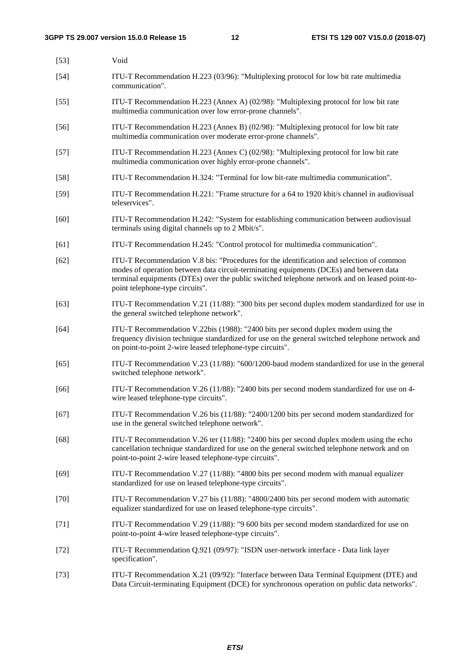| $[53]$ | Void                                                                                                                                                                                                                                                                                                                   |
|--------|------------------------------------------------------------------------------------------------------------------------------------------------------------------------------------------------------------------------------------------------------------------------------------------------------------------------|
| $[54]$ | ITU-T Recommendation H.223 (03/96): "Multiplexing protocol for low bit rate multimedia<br>communication".                                                                                                                                                                                                              |
| $[55]$ | ITU-T Recommendation H.223 (Annex A) (02/98): "Multiplexing protocol for low bit rate<br>multimedia communication over low error-prone channels".                                                                                                                                                                      |
| $[56]$ | ITU-T Recommendation H.223 (Annex B) (02/98): "Multiplexing protocol for low bit rate<br>multimedia communication over moderate error-prone channels".                                                                                                                                                                 |
| $[57]$ | ITU-T Recommendation H.223 (Annex C) (02/98): "Multiplexing protocol for low bit rate<br>multimedia communication over highly error-prone channels".                                                                                                                                                                   |
| $[58]$ | ITU-T Recommendation H.324: "Terminal for low bit-rate multimedia communication".                                                                                                                                                                                                                                      |
| $[59]$ | ITU-T Recommendation H.221: "Frame structure for a 64 to 1920 kbit/s channel in audiovisual<br>teleservices".                                                                                                                                                                                                          |
| [60]   | ITU-T Recommendation H.242: "System for establishing communication between audiovisual<br>terminals using digital channels up to 2 Mbit/s".                                                                                                                                                                            |
| [61]   | ITU-T Recommendation H.245: "Control protocol for multimedia communication".                                                                                                                                                                                                                                           |
| $[62]$ | ITU-T Recommendation V.8 bis: "Procedures for the identification and selection of common<br>modes of operation between data circuit-terminating equipments (DCEs) and between data<br>terminal equipments (DTEs) over the public switched telephone network and on leased point-to-<br>point telephone-type circuits". |
| $[63]$ | ITU-T Recommendation V.21 (11/88): "300 bits per second duplex modem standardized for use in<br>the general switched telephone network".                                                                                                                                                                               |
| $[64]$ | ITU-T Recommendation V.22bis (1988): "2400 bits per second duplex modem using the<br>frequency division technique standardized for use on the general switched telephone network and<br>on point-to-point 2-wire leased telephone-type circuits".                                                                      |
| $[65]$ | ITU-T Recommendation V.23 (11/88): "600/1200-baud modem standardized for use in the general<br>switched telephone network".                                                                                                                                                                                            |
| [66]   | ITU-T Recommendation V.26 (11/88): "2400 bits per second modem standardized for use on 4-<br>wire leased telephone-type circuits".                                                                                                                                                                                     |
| $[67]$ | ITU-T Recommendation V.26 bis (11/88): "2400/1200 bits per second modem standardized for<br>use in the general switched telephone network".                                                                                                                                                                            |
| $[68]$ | ITU-T Recommendation V.26 ter (11/88): "2400 bits per second duplex modem using the echo<br>cancellation technique standardized for use on the general switched telephone network and on<br>point-to-point 2-wire leased telephone-type circuits".                                                                     |
| $[69]$ | ITU-T Recommendation V.27 (11/88): "4800 bits per second modem with manual equalizer<br>standardized for use on leased telephone-type circuits".                                                                                                                                                                       |
| $[70]$ | ITU-T Recommendation V.27 bis (11/88): "4800/2400 bits per second modem with automatic<br>equalizer standardized for use on leased telephone-type circuits".                                                                                                                                                           |
| $[71]$ | ITU-T Recommendation V.29 (11/88): "9 600 bits per second modem standardized for use on<br>point-to-point 4-wire leased telephone-type circuits".                                                                                                                                                                      |
| $[72]$ | ITU-T Recommendation Q.921 (09/97): "ISDN user-network interface - Data link layer<br>specification".                                                                                                                                                                                                                  |
| $[73]$ | ITU-T Recommendation X.21 (09/92): "Interface between Data Terminal Equipment (DTE) and                                                                                                                                                                                                                                |

Data Circuit-terminating Equipment (DCE) for synchronous operation on public data networks".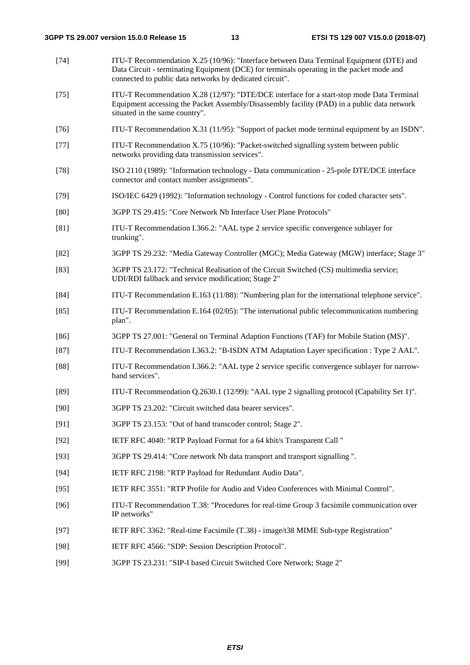- [74] ITU-T Recommendation X.25 (10/96): "Interface between Data Terminal Equipment (DTE) and Data Circuit - terminating Equipment (DCE) for terminals operating in the packet mode and connected to public data networks by dedicated circuit". [75] ITU-T Recommendation X.28 (12/97): "DTE/DCE interface for a start-stop mode Data Terminal
- Equipment accessing the Packet Assembly/Disassembly facility (PAD) in a public data network situated in the same country".
- [76] ITU-T Recommendation X.31 (11/95): "Support of packet mode terminal equipment by an ISDN".
- [77] ITU-T Recommendation X.75 (10/96): "Packet-switched signalling system between public networks providing data transmission services".
- [78] ISO 2110 (1989): "Information technology Data communication 25-pole DTE/DCE interface connector and contact number assignments".
- [79] ISO/IEC 6429 (1992): "Information technology Control functions for coded character sets".
- [80] 3GPP TS 29.415: "Core Network Nb Interface User Plane Protocols"
- [81] ITU-T Recommendation I.366.2: "AAL type 2 service specific convergence sublayer for trunking".
- [82] 3GPP TS 29.232: "Media Gateway Controller (MGC); Media Gateway (MGW) interface; Stage 3"
- [83] 3GPP TS 23.172: "Technical Realisation of the Circuit Switched (CS) multimedia service; UDI/RDI fallback and service modification; Stage 2"
- [84] ITU-T Recommendation E.163 (11/88): "Numbering plan for the international telephone service".
- [85] ITU-T Recommendation E.164 (02/05): "The international public telecommunication numbering plan".
- [86] 3GPP TS 27.001: "General on Terminal Adaption Functions (TAF) for Mobile Station (MS)".
- [87] ITU-T Recommendation I.363.2: "B-ISDN ATM Adaptation Layer specification : Type 2 AAL".
- [88] ITU-T Recommendation I.366.2: "AAL type 2 service specific convergence sublayer for narrowband services".
- [89] ITU-T Recommendation Q.2630.1 (12/99): "AAL type 2 signalling protocol (Capability Set 1)".
- [90] 3GPP TS 23.202: "Circuit switched data bearer services".
- [91] 3GPP TS 23.153: "Out of band transcoder control; Stage 2".
- [92] IETF RFC 4040: "RTP Payload Format for a 64 kbit/s Transparent Call "
- [93] 3GPP TS 29.414: "Core network Nb data transport and transport signalling ".
- [94] IETF RFC 2198: "RTP Payload for Redundant Audio Data".
- [95] IETF RFC 3551: "RTP Profile for Audio and Video Conferences with Minimal Control".
- [96] ITU-T Recommendation T.38: "Procedures for real-time Group 3 facsimile communication over IP networks"
- [97] IETF RFC 3362: "Real-time Facsimile (T.38) image/t38 MIME Sub-type Registration"
- [98] IETF RFC 4566: "SDP: Session Description Protocol".
- [99] 3GPP TS 23.231: "SIP-I based Circuit Switched Core Network; Stage 2"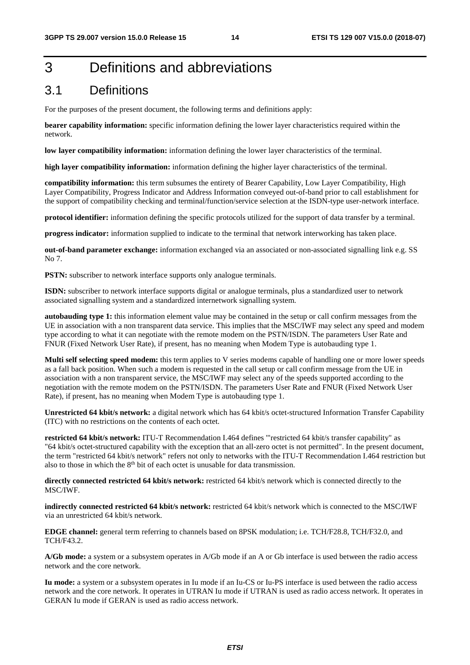# 3 Definitions and abbreviations

# 3.1 Definitions

For the purposes of the present document, the following terms and definitions apply:

**bearer capability information:** specific information defining the lower layer characteristics required within the network.

**low layer compatibility information:** information defining the lower layer characteristics of the terminal.

**high layer compatibility information:** information defining the higher layer characteristics of the terminal.

**compatibility information:** this term subsumes the entirety of Bearer Capability, Low Layer Compatibility, High Layer Compatibility, Progress Indicator and Address Information conveyed out-of-band prior to call establishment for the support of compatibility checking and terminal/function/service selection at the ISDN-type user-network interface.

**protocol identifier:** information defining the specific protocols utilized for the support of data transfer by a terminal.

**progress indicator:** information supplied to indicate to the terminal that network interworking has taken place.

**out-of-band parameter exchange:** information exchanged via an associated or non-associated signalling link e.g. SS No 7.

**PSTN:** subscriber to network interface supports only analogue terminals.

**ISDN:** subscriber to network interface supports digital or analogue terminals, plus a standardized user to network associated signalling system and a standardized internetwork signalling system.

**autobauding type 1:** this information element value may be contained in the setup or call confirm messages from the UE in association with a non transparent data service. This implies that the MSC/IWF may select any speed and modem type according to what it can negotiate with the remote modem on the PSTN/ISDN. The parameters User Rate and FNUR (Fixed Network User Rate), if present, has no meaning when Modem Type is autobauding type 1.

**Multi self selecting speed modem:** this term applies to V series modems capable of handling one or more lower speeds as a fall back position. When such a modem is requested in the call setup or call confirm message from the UE in association with a non transparent service, the MSC/IWF may select any of the speeds supported according to the negotiation with the remote modem on the PSTN/ISDN. The parameters User Rate and FNUR (Fixed Network User Rate), if present, has no meaning when Modem Type is autobauding type 1.

**Unrestricted 64 kbit/s network:** a digital network which has 64 kbit/s octet-structured Information Transfer Capability (ITC) with no restrictions on the contents of each octet.

**restricted 64 kbit/s network:** ITU-T Recommendation I.464 defines '"restricted 64 kbit/s transfer capability" as "64 kbit/s octet-structured capability with the exception that an all-zero octet is not permitted". In the present document, the term "restricted 64 kbit/s network" refers not only to networks with the ITU-T Recommendation I.464 restriction but also to those in which the 8<sup>th</sup> bit of each octet is unusable for data transmission.

**directly connected restricted 64 kbit/s network:** restricted 64 kbit/s network which is connected directly to the MSC/IWF.

**indirectly connected restricted 64 kbit/s network:** restricted 64 kbit/s network which is connected to the MSC/IWF via an unrestricted 64 kbit/s network.

**EDGE channel:** general term referring to channels based on 8PSK modulation; i.e. TCH/F28.8, TCH/F32.0, and TCH/F43.2.

**A/Gb mode:** a system or a subsystem operates in A/Gb mode if an A or Gb interface is used between the radio access network and the core network.

**Iu mode:** a system or a subsystem operates in Iu mode if an Iu-CS or Iu-PS interface is used between the radio access network and the core network. It operates in UTRAN Iu mode if UTRAN is used as radio access network. It operates in GERAN Iu mode if GERAN is used as radio access network.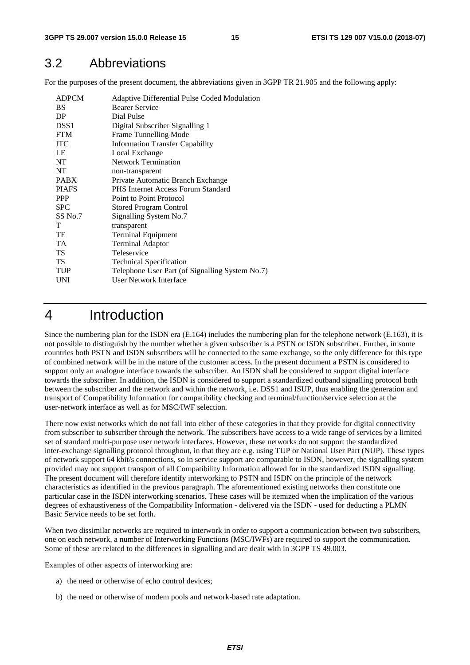# 3.2 Abbreviations

For the purposes of the present document, the abbreviations given in 3GPP TR 21.905 and the following apply:

| <b>BS</b><br><b>Bearer Service</b><br>Dial Pulse<br>DP<br>DSS <sub>1</sub><br>Digital Subscriber Signalling 1 |
|---------------------------------------------------------------------------------------------------------------|
|                                                                                                               |
|                                                                                                               |
|                                                                                                               |
| <b>FTM</b><br>Frame Tunnelling Mode                                                                           |
| <b>ITC</b><br><b>Information Transfer Capability</b>                                                          |
| LE<br>Local Exchange                                                                                          |
| NT.<br><b>Network Termination</b>                                                                             |
| NT<br>non-transparent                                                                                         |
| <b>PABX</b><br>Private Automatic Branch Exchange                                                              |
| <b>PIAFS</b><br><b>PHS</b> Internet Access Forum Standard                                                     |
| <b>PPP</b><br>Point to Point Protocol                                                                         |
| <b>SPC</b><br><b>Stored Program Control</b>                                                                   |
| SS No.7<br>Signalling System No.7                                                                             |
| T<br>transparent                                                                                              |
| TE<br>Terminal Equipment                                                                                      |
| <b>TA</b><br><b>Terminal Adaptor</b>                                                                          |
| <b>TS</b><br>Teleservice                                                                                      |
| TS<br><b>Technical Specification</b>                                                                          |
| <b>TUP</b><br>Telephone User Part (of Signalling System No.7)                                                 |
| <b>User Network Interface</b><br>UNI                                                                          |

# 4 Introduction

Since the numbering plan for the ISDN era (E.164) includes the numbering plan for the telephone network (E.163), it is not possible to distinguish by the number whether a given subscriber is a PSTN or ISDN subscriber. Further, in some countries both PSTN and ISDN subscribers will be connected to the same exchange, so the only difference for this type of combined network will be in the nature of the customer access. In the present document a PSTN is considered to support only an analogue interface towards the subscriber. An ISDN shall be considered to support digital interface towards the subscriber. In addition, the ISDN is considered to support a standardized outband signalling protocol both between the subscriber and the network and within the network, i.e. DSS1 and ISUP, thus enabling the generation and transport of Compatibility Information for compatibility checking and terminal/function/service selection at the user-network interface as well as for MSC/IWF selection.

There now exist networks which do not fall into either of these categories in that they provide for digital connectivity from subscriber to subscriber through the network. The subscribers have access to a wide range of services by a limited set of standard multi-purpose user network interfaces. However, these networks do not support the standardized inter-exchange signalling protocol throughout, in that they are e.g. using TUP or National User Part (NUP). These types of network support 64 kbit/s connections, so in service support are comparable to ISDN, however, the signalling system provided may not support transport of all Compatibility Information allowed for in the standardized ISDN signalling. The present document will therefore identify interworking to PSTN and ISDN on the principle of the network characteristics as identified in the previous paragraph. The aforementioned existing networks then constitute one particular case in the ISDN interworking scenarios. These cases will be itemized when the implication of the various degrees of exhaustiveness of the Compatibility Information - delivered via the ISDN - used for deducting a PLMN Basic Service needs to be set forth.

When two dissimilar networks are required to interwork in order to support a communication between two subscribers, one on each network, a number of Interworking Functions (MSC/IWFs) are required to support the communication. Some of these are related to the differences in signalling and are dealt with in 3GPP TS 49.003.

Examples of other aspects of interworking are:

- a) the need or otherwise of echo control devices;
- b) the need or otherwise of modem pools and network-based rate adaptation.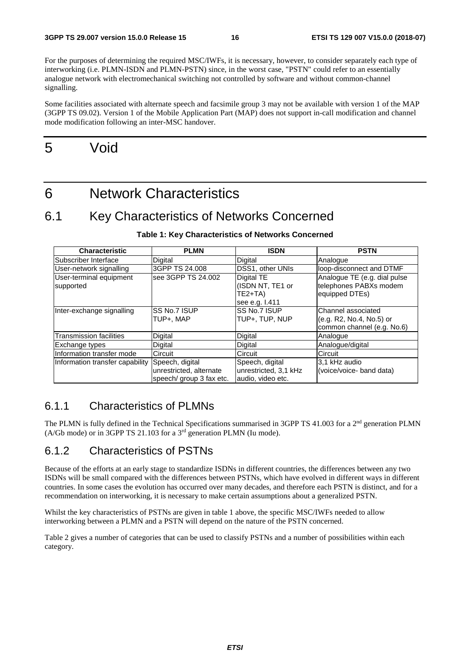For the purposes of determining the required MSC/IWFs, it is necessary, however, to consider separately each type of interworking (i.e. PLMN-ISDN and PLMN-PSTN) since, in the worst case, "PSTN" could refer to an essentially analogue network with electromechanical switching not controlled by software and without common-channel signalling.

Some facilities associated with alternate speech and facsimile group 3 may not be available with version 1 of the MAP (3GPP TS 09.02). Version 1 of the Mobile Application Part (MAP) does not support in-call modification and channel mode modification following an inter-MSC handover.

# 5 Void

6 Network Characteristics

# 6.1 Key Characteristics of Networks Concerned

| <b>Characteristic</b>                | <b>PLMN</b>                                                            | <b>ISDN</b>                                                   | <b>PSTN</b>                                                                   |
|--------------------------------------|------------------------------------------------------------------------|---------------------------------------------------------------|-------------------------------------------------------------------------------|
| lSubscriber Interface                | Digital                                                                | Digital                                                       | Analogue                                                                      |
| User-network signalling              | 3GPP TS 24.008                                                         | DSS1, other UNIs                                              | loop-disconnect and DTMF                                                      |
| User-terminal equipment<br>supported | see 3GPP TS 24.002                                                     | Digital TE<br>(ISDN NT, TE1 or<br>$TE2+TA$<br>see e.g. I.411  | Analogue TE (e.g. dial pulse<br>telephones PABXs modem<br>equipped DTEs)      |
| Inter-exchange signalling            | <b>ISS No.7 ISUP</b><br>TUP+. MAP                                      | SS No.7 ISUP<br>TUP+. TUP. NUP                                | lChannel associated<br>(e.g. R2, No.4, No.5) or<br>common channel (e.g. No.6) |
| Transmission facilities              | Digital                                                                | Digital                                                       | Analogue                                                                      |
| Exchange types                       | Digital                                                                | Digital                                                       | Analogue/digital                                                              |
| Information transfer mode            | Circuit                                                                | Circuit                                                       | Circuit                                                                       |
| Information transfer capability      | Speech, digital<br>unrestricted, alternate<br>speech/ group 3 fax etc. | Speech, digital<br>unrestricted, 3,1 kHz<br>audio, video etc. | 3.1 kHz audio<br>(voice/voice- band data)                                     |

#### **Table 1: Key Characteristics of Networks Concerned**

### 6.1.1 Characteristics of PLMNs

The PLMN is fully defined in the Technical Specifications summarised in 3GPP TS 41.003 for a 2<sup>nd</sup> generation PLMN (A/Gb mode) or in 3GPP TS 21.103 for a  $3<sup>rd</sup>$  generation PLMN (Iu mode).

### 6.1.2 Characteristics of PSTNs

Because of the efforts at an early stage to standardize ISDNs in different countries, the differences between any two ISDNs will be small compared with the differences between PSTNs, which have evolved in different ways in different countries. In some cases the evolution has occurred over many decades, and therefore each PSTN is distinct, and for a recommendation on interworking, it is necessary to make certain assumptions about a generalized PSTN.

Whilst the key characteristics of PSTNs are given in table 1 above, the specific MSC/IWFs needed to allow interworking between a PLMN and a PSTN will depend on the nature of the PSTN concerned.

Table 2 gives a number of categories that can be used to classify PSTNs and a number of possibilities within each category.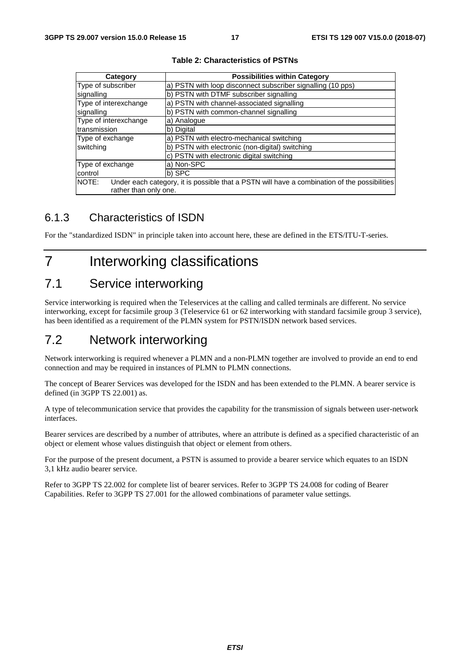| Category              | <b>Possibilities within Category</b>                                                         |  |
|-----------------------|----------------------------------------------------------------------------------------------|--|
| Type of subscriber    | a) PSTN with loop disconnect subscriber signalling (10 pps)                                  |  |
| signalling            | b) PSTN with DTMF subscriber signalling                                                      |  |
| Type of interexchange | a) PSTN with channel-associated signalling                                                   |  |
| signalling            | b) PSTN with common-channel signalling                                                       |  |
| Type of interexchange | a) Analogue                                                                                  |  |
| transmission          | b) Digital                                                                                   |  |
| Type of exchange      | a) PSTN with electro-mechanical switching                                                    |  |
| switching             | b) PSTN with electronic (non-digital) switching                                              |  |
|                       | c) PSTN with electronic digital switching                                                    |  |
| Type of exchange      | a) Non-SPC                                                                                   |  |
| control               | b) SPC                                                                                       |  |
| NOTE:                 | Under each category, it is possible that a PSTN will have a combination of the possibilities |  |
| rather than only one. |                                                                                              |  |

**Table 2: Characteristics of PSTNs** 

# 6.1.3 Characteristics of ISDN

For the "standardized ISDN" in principle taken into account here, these are defined in the ETS/ITU-T-series.

# 7 Interworking classifications

# 7.1 Service interworking

Service interworking is required when the Teleservices at the calling and called terminals are different. No service interworking, except for facsimile group 3 (Teleservice 61 or 62 interworking with standard facsimile group 3 service), has been identified as a requirement of the PLMN system for PSTN/ISDN network based services.

# 7.2 Network interworking

Network interworking is required whenever a PLMN and a non-PLMN together are involved to provide an end to end connection and may be required in instances of PLMN to PLMN connections.

The concept of Bearer Services was developed for the ISDN and has been extended to the PLMN. A bearer service is defined (in 3GPP TS 22.001) as.

A type of telecommunication service that provides the capability for the transmission of signals between user-network interfaces.

Bearer services are described by a number of attributes, where an attribute is defined as a specified characteristic of an object or element whose values distinguish that object or element from others.

For the purpose of the present document, a PSTN is assumed to provide a bearer service which equates to an ISDN 3,1 kHz audio bearer service.

Refer to 3GPP TS 22.002 for complete list of bearer services. Refer to 3GPP TS 24.008 for coding of Bearer Capabilities. Refer to 3GPP TS 27.001 for the allowed combinations of parameter value settings.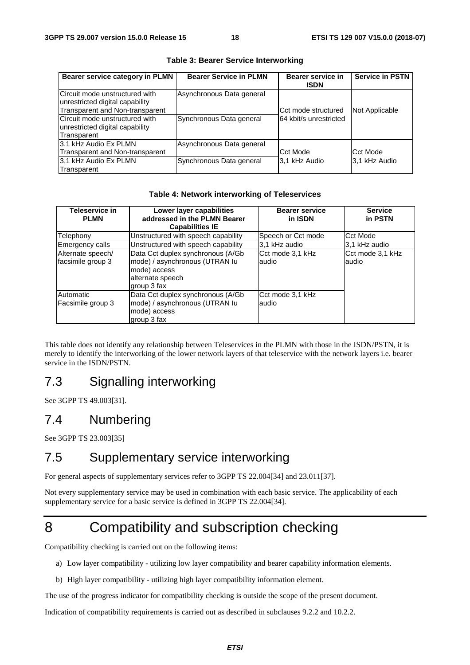| Bearer service category in PLMN                                   | <b>Bearer Service in PLMN</b> | Bearer service in<br><b>ISDN</b> | <b>Service in PSTN</b> |
|-------------------------------------------------------------------|-------------------------------|----------------------------------|------------------------|
| Circuit mode unstructured with<br>unrestricted digital capability | Asynchronous Data general     |                                  |                        |
| Transparent and Non-transparent                                   |                               | Cct mode structured              | Not Applicable         |
| Circuit mode unstructured with                                    | Synchronous Data general      | 164 kbit/s unrestricted          |                        |
| unrestricted digital capability                                   |                               |                                  |                        |
| Transparent                                                       |                               |                                  |                        |
| 3,1 kHz Audio Ex PLMN                                             | Asynchronous Data general     |                                  |                        |
| Transparent and Non-transparent                                   |                               | Cct Mode                         | Cct Mode               |
| 3,1 kHz Audio Ex PLMN                                             | Synchronous Data general      | 3.1 kHz Audio                    | 3.1 kHz Audio          |
| Transparent                                                       |                               |                                  |                        |

**Table 3: Bearer Service Interworking** 

#### **Table 4: Network interworking of Teleservices**

| Teleservice in<br><b>PLMN</b>          | Lower layer capabilities<br>addressed in the PLMN Bearer<br><b>Capabilities IE</b>                                     | <b>Bearer service</b><br>in ISDN | <b>Service</b><br>in PSTN  |
|----------------------------------------|------------------------------------------------------------------------------------------------------------------------|----------------------------------|----------------------------|
| Telephony                              | Unstructured with speech capability                                                                                    | Speech or Cct mode               | Cct Mode                   |
| Emergency calls                        | Unstructured with speech capability                                                                                    | 3.1 kHz audio                    | 3.1 kHz audio              |
| Alternate speech/<br>facsimile group 3 | Data Cct duplex synchronous (A/Gb<br>mode) / asynchronous (UTRAN lu<br>mode) access<br>alternate speech<br>group 3 fax | Cct mode 3,1 kHz<br>audio        | Cct mode 3,1 kHz<br>laudio |
| Automatic<br>Facsimile group 3         | Data Cct duplex synchronous (A/Gb)<br>mode) / asynchronous (UTRAN lu<br>mode) access<br>group 3 fax                    | Cct mode 3,1 kHz<br>audio        |                            |

This table does not identify any relationship between Teleservices in the PLMN with those in the ISDN/PSTN, it is merely to identify the interworking of the lower network layers of that teleservice with the network layers i.e. bearer service in the ISDN/PSTN.

# 7.3 Signalling interworking

See 3GPP TS 49.003[31].

# 7.4 Numbering

See 3GPP TS 23.003[35]

# 7.5 Supplementary service interworking

For general aspects of supplementary services refer to 3GPP TS 22.004[34] and 23.011[37].

Not every supplementary service may be used in combination with each basic service. The applicability of each supplementary service for a basic service is defined in 3GPP TS 22.004[34].

# 8 Compatibility and subscription checking

Compatibility checking is carried out on the following items:

- a) Low layer compatibility utilizing low layer compatibility and bearer capability information elements.
- b) High layer compatibility utilizing high layer compatibility information element.

The use of the progress indicator for compatibility checking is outside the scope of the present document.

Indication of compatibility requirements is carried out as described in subclauses 9.2.2 and 10.2.2.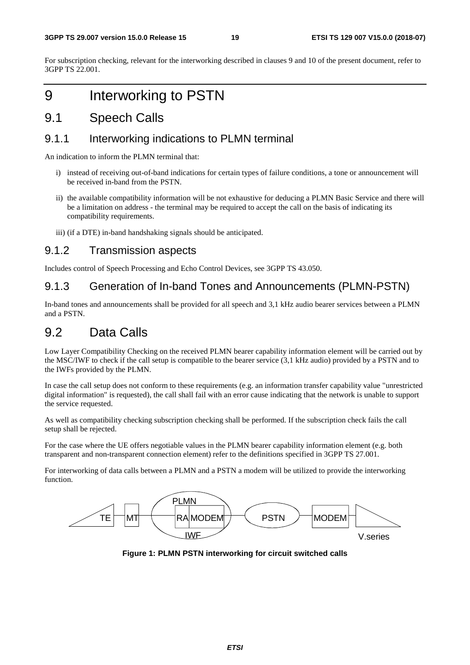For subscription checking, relevant for the interworking described in clauses 9 and 10 of the present document, refer to 3GPP TS 22.001.

# 9 Interworking to PSTN

# 9.1 Speech Calls

### 9.1.1 Interworking indications to PLMN terminal

An indication to inform the PLMN terminal that:

- i) instead of receiving out-of-band indications for certain types of failure conditions, a tone or announcement will be received in-band from the PSTN.
- ii) the available compatibility information will be not exhaustive for deducing a PLMN Basic Service and there will be a limitation on address - the terminal may be required to accept the call on the basis of indicating its compatibility requirements.
- iii) (if a DTE) in-band handshaking signals should be anticipated.

### 9.1.2 Transmission aspects

Includes control of Speech Processing and Echo Control Devices, see 3GPP TS 43.050.

### 9.1.3 Generation of In-band Tones and Announcements (PLMN-PSTN)

In-band tones and announcements shall be provided for all speech and 3,1 kHz audio bearer services between a PLMN and a PSTN.

# 9.2 Data Calls

Low Layer Compatibility Checking on the received PLMN bearer capability information element will be carried out by the MSC/IWF to check if the call setup is compatible to the bearer service (3,1 kHz audio) provided by a PSTN and to the IWFs provided by the PLMN.

In case the call setup does not conform to these requirements (e.g. an information transfer capability value "unrestricted digital information" is requested), the call shall fail with an error cause indicating that the network is unable to support the service requested.

As well as compatibility checking subscription checking shall be performed. If the subscription check fails the call setup shall be rejected.

For the case where the UE offers negotiable values in the PLMN bearer capability information element (e.g. both transparent and non-transparent connection element) refer to the definitions specified in 3GPP TS 27.001.

For interworking of data calls between a PLMN and a PSTN a modem will be utilized to provide the interworking function.



**Figure 1: PLMN PSTN interworking for circuit switched calls**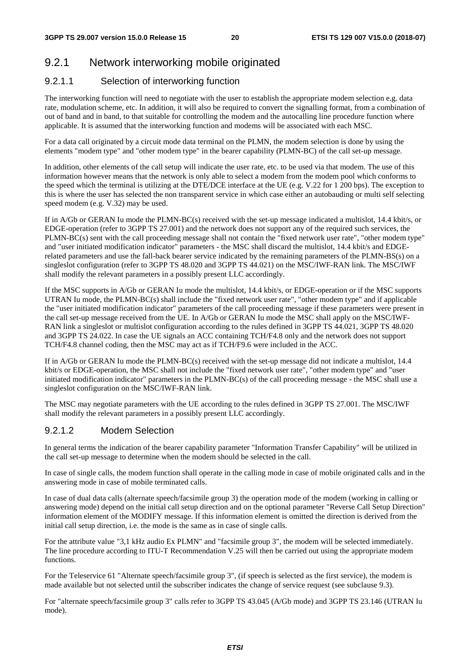# 9.2.1 Network interworking mobile originated

### 9.2.1.1 Selection of interworking function

The interworking function will need to negotiate with the user to establish the appropriate modem selection e.g. data rate, modulation scheme, etc. In addition, it will also be required to convert the signalling format, from a combination of out of band and in band, to that suitable for controlling the modem and the autocalling line procedure function where applicable. It is assumed that the interworking function and modems will be associated with each MSC.

For a data call originated by a circuit mode data terminal on the PLMN, the modem selection is done by using the elements "modem type" and "other modem type" in the bearer capability (PLMN-BC) of the call set-up message.

In addition, other elements of the call setup will indicate the user rate, etc. to be used via that modem. The use of this information however means that the network is only able to select a modem from the modem pool which conforms to the speed which the terminal is utilizing at the DTE/DCE interface at the UE (e.g. V.22 for 1 200 bps). The exception to this is where the user has selected the non transparent service in which case either an autobauding or multi self selecting speed modem (e.g. V.32) may be used.

If in A/Gb or GERAN Iu mode the PLMN-BC(s) received with the set-up message indicated a multislot, 14.4 kbit/s, or EDGE-operation (refer to 3GPP TS 27.001) and the network does not support any of the required such services, the PLMN-BC(s) sent with the call proceeding message shall not contain the "fixed network user rate", "other modem type" and "user initiated modification indicator" parameters - the MSC shall discard the multislot, 14.4 kbit/s and EDGErelated parameters and use the fall-back bearer service indicated by the remaining parameters of the PLMN-BS(s) on a singleslot configuration (refer to 3GPP TS 48.020 and 3GPP TS 44.021) on the MSC/IWF-RAN link. The MSC/IWF shall modify the relevant parameters in a possibly present LLC accordingly.

If the MSC supports in A/Gb or GERAN Iu mode the multislot, 14.4 kbit/s, or EDGE-operation or if the MSC supports UTRAN Iu mode, the PLMN-BC(s) shall include the "fixed network user rate", "other modem type" and if applicable the "user initiated modification indicator" parameters of the call proceeding message if these parameters were present in the call set-up message received from the UE. In A/Gb or GERAN Iu mode the MSC shall apply on the MSC/IWF-RAN link a singleslot or multislot configuration according to the rules defined in 3GPP TS 44.021, 3GPP TS 48.020 and 3GPP TS 24.022. In case the UE signals an ACC containing TCH/F4.8 only and the network does not support TCH/F4.8 channel coding, then the MSC may act as if TCH/F9.6 were included in the ACC.

If in A/Gb or GERAN Iu mode the PLMN-BC(s) received with the set-up message did not indicate a multislot, 14.4 kbit/s or EDGE-operation, the MSC shall not include the "fixed network user rate", "other modem type" and "user initiated modification indicator" parameters in the PLMN-BC(s) of the call proceeding message - the MSC shall use a singleslot configuration on the MSC/IWF-RAN link.

The MSC may negotiate parameters with the UE according to the rules defined in 3GPP TS 27.001. The MSC/IWF shall modify the relevant parameters in a possibly present LLC accordingly.

#### 9.2.1.2 Modem Selection

In general terms the indication of the bearer capability parameter "Information Transfer Capability" will be utilized in the call set-up message to determine when the modem should be selected in the call.

In case of single calls, the modem function shall operate in the calling mode in case of mobile originated calls and in the answering mode in case of mobile terminated calls.

In case of dual data calls (alternate speech/facsimile group 3) the operation mode of the modem (working in calling or answering mode) depend on the initial call setup direction and on the optional parameter "Reverse Call Setup Direction" information element of the MODIFY message. If this information element is omitted the direction is derived from the initial call setup direction, i.e. the mode is the same as in case of single calls.

For the attribute value "3,1 kHz audio Ex PLMN" and "facsimile group 3", the modem will be selected immediately. The line procedure according to ITU-T Recommendation V.25 will then be carried out using the appropriate modem functions.

For the Teleservice 61 "Alternate speech/facsimile group 3", (if speech is selected as the first service), the modem is made available but not selected until the subscriber indicates the change of service request (see subclause 9.3).

For "alternate speech/facsimile group 3" calls refer to 3GPP TS 43.045 (A/Gb mode) and 3GPP TS 23.146 (UTRAN Iu mode).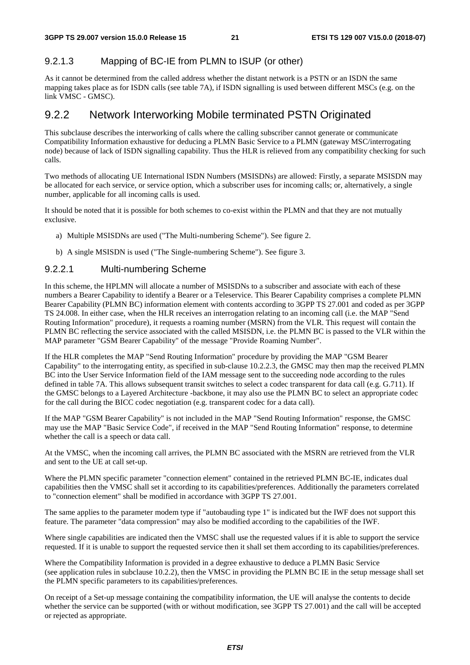### 9.2.1.3 Mapping of BC-IE from PLMN to ISUP (or other)

As it cannot be determined from the called address whether the distant network is a PSTN or an ISDN the same mapping takes place as for ISDN calls (see table 7A), if ISDN signalling is used between different MSCs (e.g. on the link VMSC - GMSC).

### 9.2.2 Network Interworking Mobile terminated PSTN Originated

This subclause describes the interworking of calls where the calling subscriber cannot generate or communicate Compatibility Information exhaustive for deducing a PLMN Basic Service to a PLMN (gateway MSC/interrogating node) because of lack of ISDN signalling capability. Thus the HLR is relieved from any compatibility checking for such calls.

Two methods of allocating UE International ISDN Numbers (MSISDNs) are allowed: Firstly, a separate MSISDN may be allocated for each service, or service option, which a subscriber uses for incoming calls; or, alternatively, a single number, applicable for all incoming calls is used.

It should be noted that it is possible for both schemes to co-exist within the PLMN and that they are not mutually exclusive.

- a) Multiple MSISDNs are used ("The Multi-numbering Scheme"). See figure 2.
- b) A single MSISDN is used ("The Single-numbering Scheme"). See figure 3.

#### 9.2.2.1 Multi-numbering Scheme

In this scheme, the HPLMN will allocate a number of MSISDNs to a subscriber and associate with each of these numbers a Bearer Capability to identify a Bearer or a Teleservice. This Bearer Capability comprises a complete PLMN Bearer Capability (PLMN BC) information element with contents according to 3GPP TS 27.001 and coded as per 3GPP TS 24.008. In either case, when the HLR receives an interrogation relating to an incoming call (i.e. the MAP "Send Routing Information" procedure), it requests a roaming number (MSRN) from the VLR. This request will contain the PLMN BC reflecting the service associated with the called MSISDN, i.e. the PLMN BC is passed to the VLR within the MAP parameter "GSM Bearer Capability" of the message "Provide Roaming Number".

If the HLR completes the MAP "Send Routing Information" procedure by providing the MAP "GSM Bearer Capability" to the interrogating entity, as specified in sub-clause 10.2.2.3, the GMSC may then map the received PLMN BC into the User Service Information field of the IAM message sent to the succeeding node according to the rules defined in table 7A. This allows subsequent transit switches to select a codec transparent for data call (e.g. G.711). If the GMSC belongs to a Layered Architecture -backbone, it may also use the PLMN BC to select an appropriate codec for the call during the BICC codec negotiation (e.g. transparent codec for a data call).

If the MAP "GSM Bearer Capability" is not included in the MAP "Send Routing Information" response, the GMSC may use the MAP "Basic Service Code", if received in the MAP "Send Routing Information" response, to determine whether the call is a speech or data call.

At the VMSC, when the incoming call arrives, the PLMN BC associated with the MSRN are retrieved from the VLR and sent to the UE at call set-up.

Where the PLMN specific parameter "connection element" contained in the retrieved PLMN BC-IE, indicates dual capabilities then the VMSC shall set it according to its capabilities/preferences. Additionally the parameters correlated to "connection element" shall be modified in accordance with 3GPP TS 27.001.

The same applies to the parameter modem type if "autobauding type 1" is indicated but the IWF does not support this feature. The parameter "data compression" may also be modified according to the capabilities of the IWF.

Where single capabilities are indicated then the VMSC shall use the requested values if it is able to support the service requested. If it is unable to support the requested service then it shall set them according to its capabilities/preferences.

Where the Compatibility Information is provided in a degree exhaustive to deduce a PLMN Basic Service (see application rules in subclause 10.2.2), then the VMSC in providing the PLMN BC IE in the setup message shall set the PLMN specific parameters to its capabilities/preferences.

On receipt of a Set-up message containing the compatibility information, the UE will analyse the contents to decide whether the service can be supported (with or without modification, see 3GPP TS 27.001) and the call will be accepted or rejected as appropriate.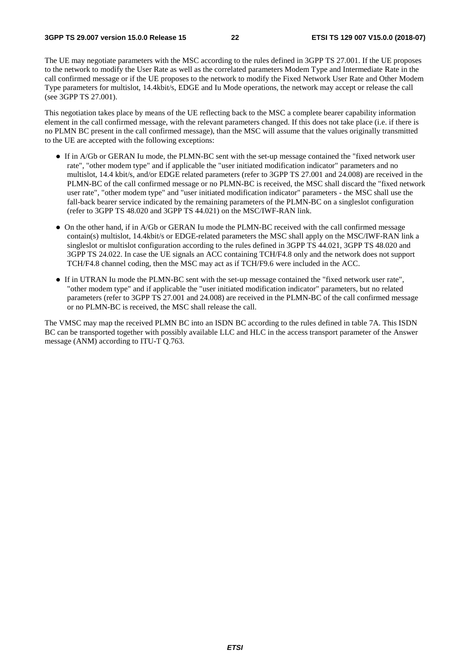The UE may negotiate parameters with the MSC according to the rules defined in 3GPP TS 27.001. If the UE proposes to the network to modify the User Rate as well as the correlated parameters Modem Type and Intermediate Rate in the call confirmed message or if the UE proposes to the network to modify the Fixed Network User Rate and Other Modem Type parameters for multislot, 14.4kbit/s, EDGE and Iu Mode operations, the network may accept or release the call (see 3GPP TS 27.001).

This negotiation takes place by means of the UE reflecting back to the MSC a complete bearer capability information element in the call confirmed message, with the relevant parameters changed. If this does not take place (i.e. if there is no PLMN BC present in the call confirmed message), than the MSC will assume that the values originally transmitted to the UE are accepted with the following exceptions:

- If in A/Gb or GERAN Iu mode, the PLMN-BC sent with the set-up message contained the "fixed network user rate", "other modem type" and if applicable the "user initiated modification indicator" parameters and no multislot, 14.4 kbit/s, and/or EDGE related parameters (refer to 3GPP TS 27.001 and 24.008) are received in the PLMN-BC of the call confirmed message or no PLMN-BC is received, the MSC shall discard the "fixed network user rate", "other modem type" and "user initiated modification indicator" parameters - the MSC shall use the fall-back bearer service indicated by the remaining parameters of the PLMN-BC on a singleslot configuration (refer to 3GPP TS 48.020 and 3GPP TS 44.021) on the MSC/IWF-RAN link.
- On the other hand, if in A/Gb or GERAN Iu mode the PLMN-BC received with the call confirmed message contain(s) multislot, 14.4kbit/s or EDGE-related parameters the MSC shall apply on the MSC/IWF-RAN link a singleslot or multislot configuration according to the rules defined in 3GPP TS 44.021, 3GPP TS 48.020 and 3GPP TS 24.022. In case the UE signals an ACC containing TCH/F4.8 only and the network does not support TCH/F4.8 channel coding, then the MSC may act as if TCH/F9.6 were included in the ACC.
- If in UTRAN Iu mode the PLMN-BC sent with the set-up message contained the "fixed network user rate", "other modem type" and if applicable the "user initiated modification indicator" parameters, but no related parameters (refer to 3GPP TS 27.001 and 24.008) are received in the PLMN-BC of the call confirmed message or no PLMN-BC is received, the MSC shall release the call.

The VMSC may map the received PLMN BC into an ISDN BC according to the rules defined in table 7A. This ISDN BC can be transported together with possibly available LLC and HLC in the access transport parameter of the Answer message (ANM) according to ITU-T Q.763.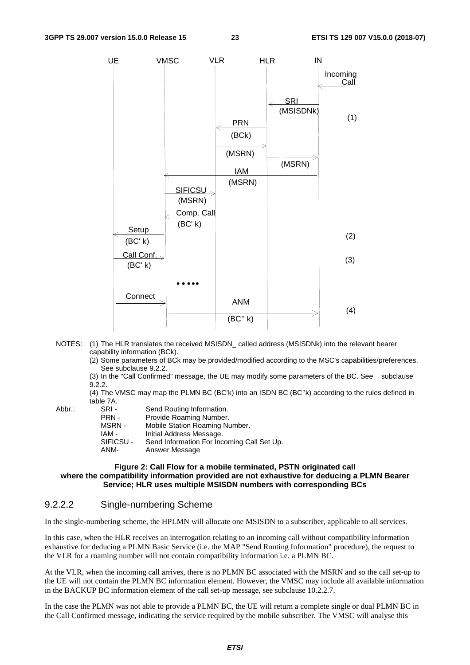

- NOTES: (1) The HLR translates the received MSISDN\_ called address (MSISDNk) into the relevant bearer capability information (BCk).
	- (2) Some parameters of BCk may be provided/modified according to the MSC's capabilities/preferences. See subclause 9.2.2.
	- (3) In the "Call Confirmed" message, the UE may modify some parameters of the BC. See subclause 9.2.2.
	- (4) The VMSC may map the PLMN BC (BC'k) into an ISDN BC (BC''k) according to the rules defined in table 7A.<br>SRI-
- 
- Abbr.: SRI Send Routing Information.<br>PRN Provide Roaming Number. Provide Roaming Number. MSRN - Mobile Station Roaming Number. IAM - Initial Address Message.<br>SIFICSU - Send Information For Ind SIFICSU - Send Information For Incoming Call Set Up.<br>ANM- Answer Message Answer Message

#### **Figure 2: Call Flow for a mobile terminated, PSTN originated call where the compatibility information provided are not exhaustive for deducing a PLMN Bearer Service; HLR uses multiple MSISDN numbers with corresponding BCs**

#### 9.2.2.2 Single-numbering Scheme

In the single-numbering scheme, the HPLMN will allocate one MSISDN to a subscriber, applicable to all services.

In this case, when the HLR receives an interrogation relating to an incoming call without compatibility information exhaustive for deducing a PLMN Basic Service (i.e. the MAP "Send Routing Information" procedure), the request to the VLR for a roaming number will not contain compatibility information i.e. a PLMN BC.

At the VLR, when the incoming call arrives, there is no PLMN BC associated with the MSRN and so the call set-up to the UE will not contain the PLMN BC information element. However, the VMSC may include all available information in the BACKUP BC information element of the call set-up message, see subclause 10.2.2.7.

In the case the PLMN was not able to provide a PLMN BC, the UE will return a complete single or dual PLMN BC in the Call Confirmed message, indicating the service required by the mobile subscriber. The VMSC will analyse this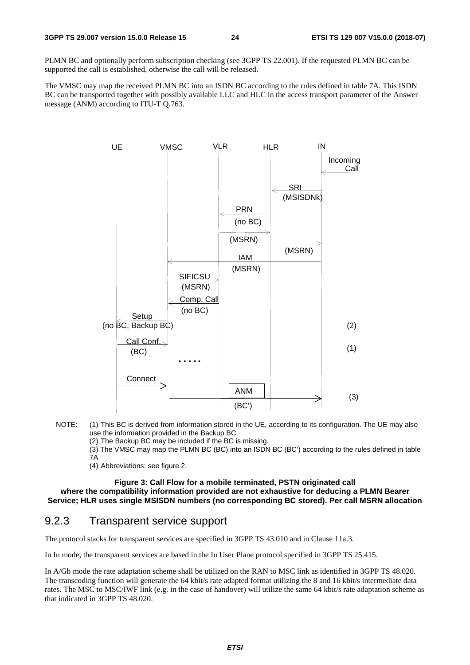PLMN BC and optionally perform subscription checking (see 3GPP TS 22.001). If the requested PLMN BC can be supported the call is established, otherwise the call will be released.

The VMSC may map the received PLMN BC into an ISDN BC according to the rules defined in table 7A. This ISDN BC can be transported together with possibly available LLC and HLC in the access transport parameter of the Answer message (ANM) according to ITU-T Q.763.



- NOTE: (1) This BC is derived from information stored in the UE, according to its configuration. The UE may also use the information provided in the Backup BC.
	- (2) The Backup BC may be included if the BC is missing.
	- (3) The VMSC may map the PLMN BC (BC) into an ISDN BC (BC') according to the rules defined in table 7A
	- (4) Abbreviations: see figure 2.

**Figure 3: Call Flow for a mobile terminated, PSTN originated call where the compatibility information provided are not exhaustive for deducing a PLMN Bearer Service; HLR uses single MSISDN numbers (no corresponding BC stored). Per call MSRN allocation** 

### 9.2.3 Transparent service support

The protocol stacks for transparent services are specified in 3GPP TS 43.010 and in Clause 11a.3.

In Iu mode, the transparent services are based in the Iu User Plane protocol specified in 3GPP TS 25.415.

In A/Gb mode the rate adaptation scheme shall be utilized on the RAN to MSC link as identified in 3GPP TS 48.020. The transcoding function will generate the 64 kbit/s rate adapted format utilizing the 8 and 16 kbit/s intermediate data rates. The MSC to MSC/IWF link (e.g. in the case of handover) will utilize the same 64 kbit/s rate adaptation scheme as that indicated in 3GPP TS 48.020.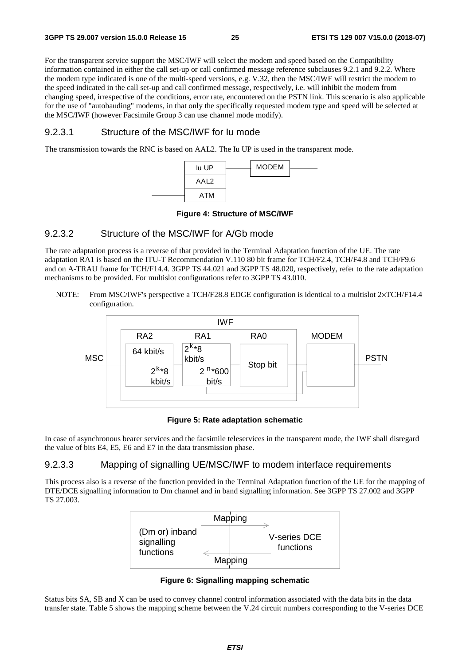For the transparent service support the MSC/IWF will select the modem and speed based on the Compatibility information contained in either the call set-up or call confirmed message reference subclauses 9.2.1 and 9.2.2. Where the modem type indicated is one of the multi-speed versions, e.g. V.32, then the MSC/IWF will restrict the modem to the speed indicated in the call set-up and call confirmed message, respectively, i.e. will inhibit the modem from changing speed, irrespective of the conditions, error rate, encountered on the PSTN link. This scenario is also applicable for the use of "autobauding" modems, in that only the specifically requested modem type and speed will be selected at the MSC/IWF (however Facsimile Group 3 can use channel mode modify).

#### 9.2.3.1 Structure of the MSC/IWF for Iu mode

The transmission towards the RNC is based on AAL2. The Iu UP is used in the transparent mode.



#### **Figure 4: Structure of MSC/IWF**

#### 9.2.3.2 Structure of the MSC/IWF for A/Gb mode

The rate adaptation process is a reverse of that provided in the Terminal Adaptation function of the UE. The rate adaptation RA1 is based on the ITU-T Recommendation V.110 80 bit frame for TCH/F2.4, TCH/F4.8 and TCH/F9.6 and on A-TRAU frame for TCH/F14.4. 3GPP TS 44.021 and 3GPP TS 48.020, respectively, refer to the rate adaptation mechanisms to be provided. For multislot configurations refer to 3GPP TS 43.010.

NOTE: From MSC/IWF's perspective a TCH/F28.8 EDGE configuration is identical to a multislot 2×TCH/F14.4 configuration.



#### **Figure 5: Rate adaptation schematic**

In case of asynchronous bearer services and the facsimile teleservices in the transparent mode, the IWF shall disregard the value of bits E4, E5, E6 and E7 in the data transmission phase.

#### 9.2.3.3 Mapping of signalling UE/MSC/IWF to modem interface requirements

This process also is a reverse of the function provided in the Terminal Adaptation function of the UE for the mapping of DTE/DCE signalling information to Dm channel and in band signalling information. See 3GPP TS 27.002 and 3GPP TS 27.003.



**Figure 6: Signalling mapping schematic** 

Status bits SA, SB and X can be used to convey channel control information associated with the data bits in the data transfer state. Table 5 shows the mapping scheme between the V.24 circuit numbers corresponding to the V-series DCE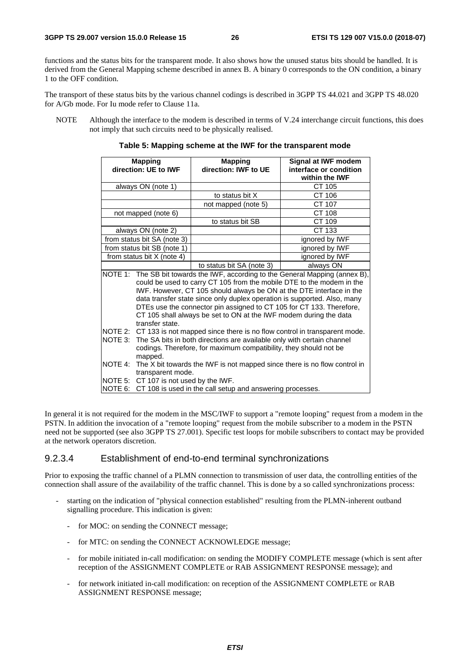functions and the status bits for the transparent mode. It also shows how the unused status bits should be handled. It is derived from the General Mapping scheme described in annex B. A binary 0 corresponds to the ON condition, a binary 1 to the OFF condition.

The transport of these status bits by the various channel codings is described in 3GPP TS 44.021 and 3GPP TS 48.020 for A/Gb mode. For Iu mode refer to Clause 11a.

NOTE Although the interface to the modem is described in terms of V.24 interchange circuit functions, this does not imply that such circuits need to be physically realised.

| <b>Mapping</b><br>direction: UE to IWF |                                                                                                                                                                                                                                                                                                                                                                                                                                                                              | <b>Mapping</b><br>direction: IWF to UE | Signal at IWF modem<br>interface or condition |
|----------------------------------------|------------------------------------------------------------------------------------------------------------------------------------------------------------------------------------------------------------------------------------------------------------------------------------------------------------------------------------------------------------------------------------------------------------------------------------------------------------------------------|----------------------------------------|-----------------------------------------------|
|                                        |                                                                                                                                                                                                                                                                                                                                                                                                                                                                              |                                        | within the <b>IWF</b>                         |
|                                        | always ON (note 1)                                                                                                                                                                                                                                                                                                                                                                                                                                                           |                                        | CT 105                                        |
|                                        |                                                                                                                                                                                                                                                                                                                                                                                                                                                                              | to status bit X                        | CT 106                                        |
|                                        |                                                                                                                                                                                                                                                                                                                                                                                                                                                                              | not mapped (note 5)                    | CT 107                                        |
|                                        | not mapped (note 6)                                                                                                                                                                                                                                                                                                                                                                                                                                                          |                                        | CT 108                                        |
|                                        |                                                                                                                                                                                                                                                                                                                                                                                                                                                                              | to status bit SB                       | CT 109                                        |
|                                        | always ON (note 2)                                                                                                                                                                                                                                                                                                                                                                                                                                                           |                                        | CT 133                                        |
|                                        | from status bit SA (note 3)                                                                                                                                                                                                                                                                                                                                                                                                                                                  |                                        | ignored by IWF                                |
|                                        | from status bit SB (note 1)                                                                                                                                                                                                                                                                                                                                                                                                                                                  |                                        | ignored by IWF                                |
|                                        | from status bit X (note 4)                                                                                                                                                                                                                                                                                                                                                                                                                                                   |                                        | ignored by IWF                                |
|                                        |                                                                                                                                                                                                                                                                                                                                                                                                                                                                              | to status bit SA (note 3)              | always ON                                     |
|                                        | NOTE 1: The SB bit towards the IWF, according to the General Mapping (annex B),<br>could be used to carry CT 105 from the mobile DTE to the modem in the<br>IWF. However, CT 105 should always be ON at the DTE interface in the<br>data transfer state since only duplex operation is supported. Also, many<br>DTEs use the connector pin assigned to CT 105 for CT 133. Therefore,<br>CT 105 shall always be set to ON at the IWF modem during the data<br>transfer state. |                                        |                                               |
| NOTE 4:                                | NOTE 2: CT 133 is not mapped since there is no flow control in transparent mode.<br>NOTE 3: The SA bits in both directions are available only with certain channel<br>codings. Therefore, for maximum compatibility, they should not be<br>mapped.<br>The X bit towards the IWF is not mapped since there is no flow control in                                                                                                                                              |                                        |                                               |
| NOTE 6:                                | transparent mode.<br>NOTE 5: CT 107 is not used by the IWF.<br>CT 108 is used in the call setup and answering processes.                                                                                                                                                                                                                                                                                                                                                     |                                        |                                               |

**Table 5: Mapping scheme at the IWF for the transparent mode** 

In general it is not required for the modem in the MSC/IWF to support a "remote looping" request from a modem in the PSTN. In addition the invocation of a "remote looping" request from the mobile subscriber to a modem in the PSTN need not be supported (see also 3GPP TS 27.001). Specific test loops for mobile subscribers to contact may be provided at the network operators discretion.

#### 9.2.3.4 Establishment of end-to-end terminal synchronizations

Prior to exposing the traffic channel of a PLMN connection to transmission of user data, the controlling entities of the connection shall assure of the availability of the traffic channel. This is done by a so called synchronizations process:

- starting on the indication of "physical connection established" resulting from the PLMN-inherent outband signalling procedure. This indication is given:
	- for MOC: on sending the CONNECT message;
	- for MTC: on sending the CONNECT ACKNOWLEDGE message;
	- for mobile initiated in-call modification: on sending the MODIFY COMPLETE message (which is sent after reception of the ASSIGNMENT COMPLETE or RAB ASSIGNMENT RESPONSE message); and
	- for network initiated in-call modification: on reception of the ASSIGNMENT COMPLETE or RAB ASSIGNMENT RESPONSE message;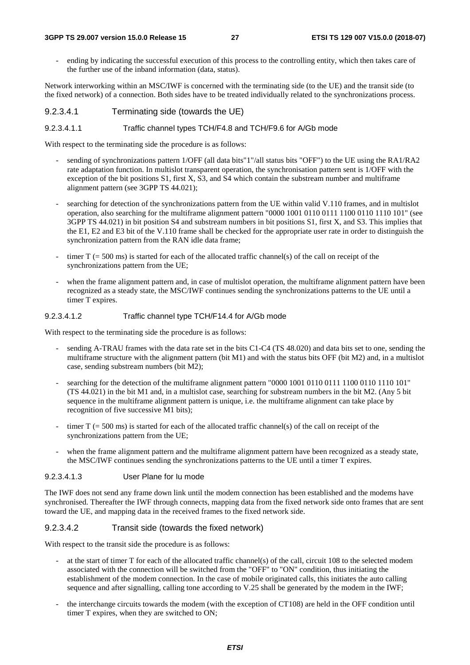#### **3GPP TS 29.007 version 15.0.0 Release 15 27 ETSI TS 129 007 V15.0.0 (2018-07)**

- ending by indicating the successful execution of this process to the controlling entity, which then takes care of the further use of the inband information (data, status).

Network interworking within an MSC/IWF is concerned with the terminating side (to the UE) and the transit side (to the fixed network) of a connection. Both sides have to be treated individually related to the synchronizations process.

### 9.2.3.4.1 Terminating side (towards the UE)

#### 9.2.3.4.1.1 Traffic channel types TCH/F4.8 and TCH/F9.6 for A/Gb mode

With respect to the terminating side the procedure is as follows:

- sending of synchronizations pattern 1/OFF (all data bits"1"/all status bits "OFF") to the UE using the RA1/RA2 rate adaptation function. In multislot transparent operation, the synchronisation pattern sent is 1/OFF with the exception of the bit positions  $S1$ , first X,  $S3$ , and  $S4$  which contain the substream number and multiframe alignment pattern (see 3GPP TS 44.021);
- searching for detection of the synchronizations pattern from the UE within valid V.110 frames, and in multislot operation, also searching for the multiframe alignment pattern "0000 1001 0110 0111 1100 0110 1110 101" (see 3GPP TS 44.021) in bit position S4 and substream numbers in bit positions S1, first X, and S3. This implies that the E1, E2 and E3 bit of the V.110 frame shall be checked for the appropriate user rate in order to distinguish the synchronization pattern from the RAN idle data frame;
- timer  $T$  (= 500 ms) is started for each of the allocated traffic channel(s) of the call on receipt of the synchronizations pattern from the UE;
- when the frame alignment pattern and, in case of multislot operation, the multiframe alignment pattern have been recognized as a steady state, the MSC/IWF continues sending the synchronizations patterns to the UE until a timer T expires.

### 9.2.3.4.1.2 Traffic channel type TCH/F14.4 for A/Gb mode

With respect to the terminating side the procedure is as follows:

- sending A-TRAU frames with the data rate set in the bits C1-C4 (TS 48.020) and data bits set to one, sending the multiframe structure with the alignment pattern (bit M1) and with the status bits OFF (bit M2) and, in a multislot case, sending substream numbers (bit M2);
- searching for the detection of the multiframe alignment pattern "0000 1001 0110 0111 1100 0110 1110 101" (TS 44.021) in the bit M1 and, in a multislot case, searching for substream numbers in the bit M2. (Any 5 bit sequence in the multiframe alignment pattern is unique, i.e. the multiframe alignment can take place by recognition of five successive M1 bits);
- timer  $T$  (= 500 ms) is started for each of the allocated traffic channel(s) of the call on receipt of the synchronizations pattern from the UE;
- when the frame alignment pattern and the multiframe alignment pattern have been recognized as a steady state, the MSC/IWF continues sending the synchronizations patterns to the UE until a timer T expires.

### 9.2.3.4.1.3 User Plane for Iu mode

The IWF does not send any frame down link until the modem connection has been established and the modems have synchronised. Thereafter the IWF through connects, mapping data from the fixed network side onto frames that are sent toward the UE, and mapping data in the received frames to the fixed network side.

### 9.2.3.4.2 Transit side (towards the fixed network)

With respect to the transit side the procedure is as follows:

- at the start of timer T for each of the allocated traffic channel(s) of the call, circuit 108 to the selected modem associated with the connection will be switched from the "OFF" to "ON" condition, thus initiating the establishment of the modem connection. In the case of mobile originated calls, this initiates the auto calling sequence and after signalling, calling tone according to V.25 shall be generated by the modem in the IWF;
- the interchange circuits towards the modem (with the exception of CT108) are held in the OFF condition until timer T expires, when they are switched to ON;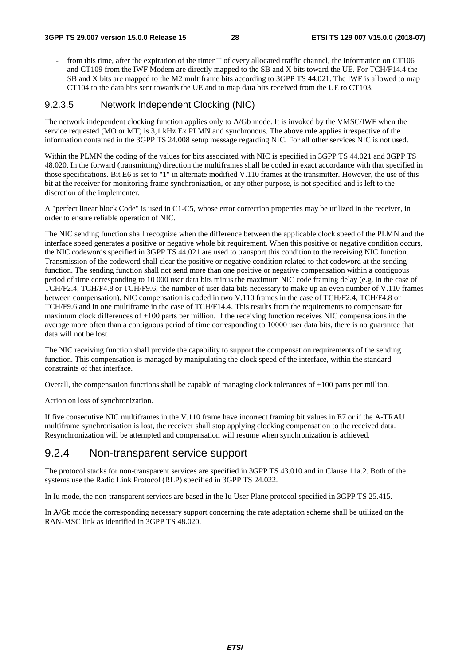from this time, after the expiration of the timer T of every allocated traffic channel, the information on CT106 and CT109 from the IWF Modem are directly mapped to the SB and X bits toward the UE. For TCH/F14.4 the SB and X bits are mapped to the M2 multiframe bits according to 3GPP TS 44.021. The IWF is allowed to map CT104 to the data bits sent towards the UE and to map data bits received from the UE to CT103.

#### 9.2.3.5 Network Independent Clocking (NIC)

The network independent clocking function applies only to A/Gb mode. It is invoked by the VMSC/IWF when the service requested (MO or MT) is 3,1 kHz Ex PLMN and synchronous. The above rule applies irrespective of the information contained in the 3GPP TS 24.008 setup message regarding NIC. For all other services NIC is not used.

Within the PLMN the coding of the values for bits associated with NIC is specified in 3GPP TS 44.021 and 3GPP TS 48.020. In the forward (transmitting) direction the multiframes shall be coded in exact accordance with that specified in those specifications. Bit E6 is set to "1" in alternate modified V.110 frames at the transmitter. However, the use of this bit at the receiver for monitoring frame synchronization, or any other purpose, is not specified and is left to the discretion of the implementer.

A "perfect linear block Code" is used in C1-C5, whose error correction properties may be utilized in the receiver, in order to ensure reliable operation of NIC.

The NIC sending function shall recognize when the difference between the applicable clock speed of the PLMN and the interface speed generates a positive or negative whole bit requirement. When this positive or negative condition occurs, the NIC codewords specified in 3GPP TS 44.021 are used to transport this condition to the receiving NIC function. Transmission of the codeword shall clear the positive or negative condition related to that codeword at the sending function. The sending function shall not send more than one positive or negative compensation within a contiguous period of time corresponding to 10 000 user data bits minus the maximum NIC code framing delay (e.g. in the case of TCH/F2.4, TCH/F4.8 or TCH/F9.6, the number of user data bits necessary to make up an even number of V.110 frames between compensation). NIC compensation is coded in two V.110 frames in the case of TCH/F2.4, TCH/F4.8 or TCH/F9.6 and in one multiframe in the case of TCH/F14.4. This results from the requirements to compensate for maximum clock differences of  $\pm 100$  parts per million. If the receiving function receives NIC compensations in the average more often than a contiguous period of time corresponding to 10000 user data bits, there is no guarantee that data will not be lost.

The NIC receiving function shall provide the capability to support the compensation requirements of the sending function. This compensation is managed by manipulating the clock speed of the interface, within the standard constraints of that interface.

Overall, the compensation functions shall be capable of managing clock tolerances of  $\pm 100$  parts per million.

Action on loss of synchronization.

If five consecutive NIC multiframes in the V.110 frame have incorrect framing bit values in E7 or if the A-TRAU multiframe synchronisation is lost, the receiver shall stop applying clocking compensation to the received data. Resynchronization will be attempted and compensation will resume when synchronization is achieved.

### 9.2.4 Non-transparent service support

The protocol stacks for non-transparent services are specified in 3GPP TS 43.010 and in Clause 11a.2. Both of the systems use the Radio Link Protocol (RLP) specified in 3GPP TS 24.022.

In Iu mode, the non-transparent services are based in the Iu User Plane protocol specified in 3GPP TS 25.415.

In A/Gb mode the corresponding necessary support concerning the rate adaptation scheme shall be utilized on the RAN-MSC link as identified in 3GPP TS 48.020.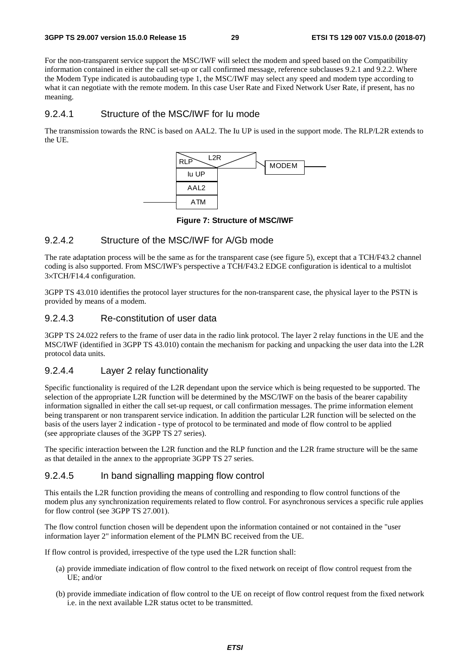For the non-transparent service support the MSC/IWF will select the modem and speed based on the Compatibility information contained in either the call set-up or call confirmed message, reference subclauses 9.2.1 and 9.2.2. Where the Modem Type indicated is autobauding type 1, the MSC/IWF may select any speed and modem type according to what it can negotiate with the remote modem. In this case User Rate and Fixed Network User Rate, if present, has no meaning.

#### 9.2.4.1 Structure of the MSC/IWF for Iu mode

The transmission towards the RNC is based on AAL2. The Iu UP is used in the support mode. The RLP/L2R extends to the UE.



**Figure 7: Structure of MSC/IWF** 

#### 9.2.4.2 Structure of the MSC/IWF for A/Gb mode

The rate adaptation process will be the same as for the transparent case (see figure 5), except that a TCH/F43.2 channel coding is also supported. From MSC/IWF's perspective a TCH/F43.2 EDGE configuration is identical to a multislot 3×TCH/F14.4 configuration.

3GPP TS 43.010 identifies the protocol layer structures for the non-transparent case, the physical layer to the PSTN is provided by means of a modem.

### 9.2.4.3 Re-constitution of user data

3GPP TS 24.022 refers to the frame of user data in the radio link protocol. The layer 2 relay functions in the UE and the MSC/IWF (identified in 3GPP TS 43.010) contain the mechanism for packing and unpacking the user data into the L2R protocol data units.

#### 9.2.4.4 Layer 2 relay functionality

Specific functionality is required of the L2R dependant upon the service which is being requested to be supported. The selection of the appropriate L2R function will be determined by the MSC/IWF on the basis of the bearer capability information signalled in either the call set-up request, or call confirmation messages. The prime information element being transparent or non transparent service indication. In addition the particular L2R function will be selected on the basis of the users layer 2 indication - type of protocol to be terminated and mode of flow control to be applied (see appropriate clauses of the 3GPP TS 27 series).

The specific interaction between the L2R function and the RLP function and the L2R frame structure will be the same as that detailed in the annex to the appropriate 3GPP TS 27 series.

#### 9.2.4.5 In band signalling mapping flow control

This entails the L2R function providing the means of controlling and responding to flow control functions of the modem plus any synchronization requirements related to flow control. For asynchronous services a specific rule applies for flow control (see 3GPP TS 27.001).

The flow control function chosen will be dependent upon the information contained or not contained in the "user information layer 2" information element of the PLMN BC received from the UE.

If flow control is provided, irrespective of the type used the L2R function shall:

- (a) provide immediate indication of flow control to the fixed network on receipt of flow control request from the UE; and/or
- (b) provide immediate indication of flow control to the UE on receipt of flow control request from the fixed network i.e. in the next available L2R status octet to be transmitted.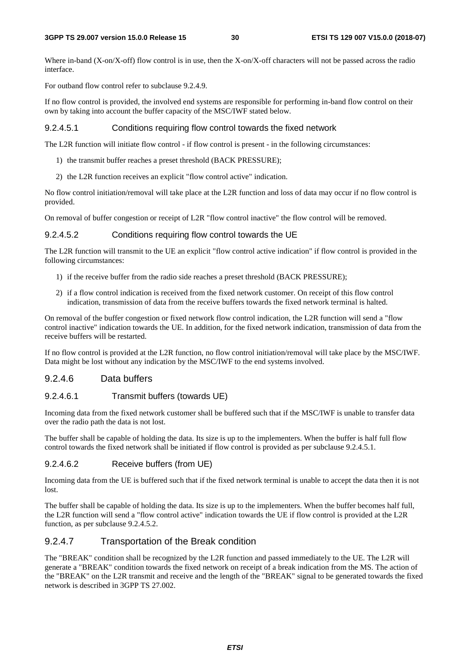Where in-band (X-on/X-off) flow control is in use, then the X-on/X-off characters will not be passed across the radio interface.

For outband flow control refer to subclause 9.2.4.9.

If no flow control is provided, the involved end systems are responsible for performing in-band flow control on their own by taking into account the buffer capacity of the MSC/IWF stated below.

#### 9.2.4.5.1 Conditions requiring flow control towards the fixed network

The L2R function will initiate flow control - if flow control is present - in the following circumstances:

- 1) the transmit buffer reaches a preset threshold (BACK PRESSURE);
- 2) the L2R function receives an explicit "flow control active" indication.

No flow control initiation/removal will take place at the L2R function and loss of data may occur if no flow control is provided.

On removal of buffer congestion or receipt of L2R "flow control inactive" the flow control will be removed.

#### 9.2.4.5.2 Conditions requiring flow control towards the UE

The L2R function will transmit to the UE an explicit "flow control active indication" if flow control is provided in the following circumstances:

- 1) if the receive buffer from the radio side reaches a preset threshold (BACK PRESSURE);
- 2) if a flow control indication is received from the fixed network customer. On receipt of this flow control indication, transmission of data from the receive buffers towards the fixed network terminal is halted.

On removal of the buffer congestion or fixed network flow control indication, the L2R function will send a "flow control inactive" indication towards the UE. In addition, for the fixed network indication, transmission of data from the receive buffers will be restarted.

If no flow control is provided at the L2R function, no flow control initiation/removal will take place by the MSC/IWF. Data might be lost without any indication by the MSC/IWF to the end systems involved.

#### 9.2.4.6 Data buffers

#### 9.2.4.6.1 Transmit buffers (towards UE)

Incoming data from the fixed network customer shall be buffered such that if the MSC/IWF is unable to transfer data over the radio path the data is not lost.

The buffer shall be capable of holding the data. Its size is up to the implementers. When the buffer is half full flow control towards the fixed network shall be initiated if flow control is provided as per subclause 9.2.4.5.1.

#### 9.2.4.6.2 Receive buffers (from UE)

Incoming data from the UE is buffered such that if the fixed network terminal is unable to accept the data then it is not lost.

The buffer shall be capable of holding the data. Its size is up to the implementers. When the buffer becomes half full, the L2R function will send a "flow control active" indication towards the UE if flow control is provided at the L2R function, as per subclause 9.2.4.5.2.

#### 9.2.4.7 Transportation of the Break condition

The "BREAK" condition shall be recognized by the L2R function and passed immediately to the UE. The L2R will generate a "BREAK" condition towards the fixed network on receipt of a break indication from the MS. The action of the "BREAK" on the L2R transmit and receive and the length of the "BREAK" signal to be generated towards the fixed network is described in 3GPP TS 27.002.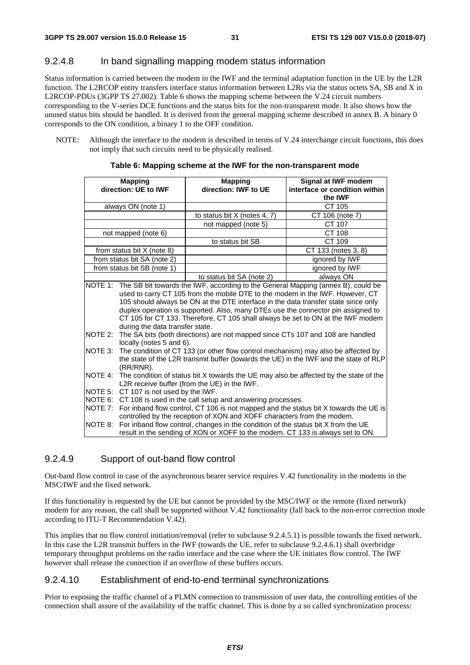### 9.2.4.8 In band signalling mapping modem status information

Status information is carried between the modem in the IWF and the terminal adaptation function in the UE by the L2R function. The L2RCOP entity transfers interface status information between L2Rs via the status octets SA, SB and X in L2RCOP-PDUs (3GPP TS 27.002). Table 6 shows the mapping scheme between the V.24 circuit numbers corresponding to the V-series DCE functions and the status bits for the non-transparent mode. It also shows how the unused status bits should be handled. It is derived from the general mapping scheme described in annex B. A binary 0 corresponds to the ON condition, a binary 1 to the OFF condition.

NOTE: Although the interface to the modem is described in terms of V.24 interchange circuit functions, this does not imply that such circuits need to be physically realised.

| Signal at IWF modem<br><b>Mapping</b><br><b>Mapping</b>                                  |                                                                                       |                                                                                  |                                                                                       |
|------------------------------------------------------------------------------------------|---------------------------------------------------------------------------------------|----------------------------------------------------------------------------------|---------------------------------------------------------------------------------------|
| direction: UE to IWF                                                                     |                                                                                       | direction: IWF to UE                                                             | interface or condition within                                                         |
|                                                                                          |                                                                                       |                                                                                  | the <b>IWF</b>                                                                        |
| always ON (note 1)                                                                       |                                                                                       |                                                                                  | CT 105                                                                                |
|                                                                                          |                                                                                       | to status bit $X$ (notes 4, 7)                                                   | CT 106 (note 7)                                                                       |
|                                                                                          |                                                                                       | not mapped (note 5)                                                              | CT 107                                                                                |
| not mapped (note 6)                                                                      |                                                                                       |                                                                                  | CT 108                                                                                |
|                                                                                          |                                                                                       | to status bit SB                                                                 | CT 109                                                                                |
| from status bit $X$ (note 8)                                                             |                                                                                       |                                                                                  | CT 133 (notes 3, 8)                                                                   |
| from status bit SA (note 2)                                                              |                                                                                       |                                                                                  | ignored by IWF                                                                        |
| from status bit SB (note 1)                                                              |                                                                                       |                                                                                  | ignored by IWF                                                                        |
|                                                                                          |                                                                                       | to status bit SA (note 2)                                                        | always ON                                                                             |
| NOTE 1: The SB bit towards the IWF, according to the General Mapping (annex B), could be |                                                                                       |                                                                                  |                                                                                       |
|                                                                                          | used to carry CT 105 from the mobile DTE to the modem in the IWF. However, CT         |                                                                                  |                                                                                       |
|                                                                                          | 105 should always be ON at the DTE interface in the data transfer state since only    |                                                                                  |                                                                                       |
|                                                                                          |                                                                                       | duplex operation is supported. Also, many DTEs use the connector pin assigned to |                                                                                       |
|                                                                                          |                                                                                       | CT 105 for CT 133. Therefore, CT 105 shall always be set to ON at the IWF modem  |                                                                                       |
|                                                                                          | during the data transfer state.                                                       |                                                                                  |                                                                                       |
| NOTE $2$ :                                                                               | The SA bits (both directions) are not mapped since CTs 107 and 108 are handled        |                                                                                  |                                                                                       |
|                                                                                          | locally (notes 5 and 6).                                                              |                                                                                  |                                                                                       |
| NOTE 3:                                                                                  | The condition of CT 133 (or other flow control mechanism) may also be affected by     |                                                                                  |                                                                                       |
|                                                                                          |                                                                                       |                                                                                  | the state of the L2R transmit buffer (towards the UE) in the IWF and the state of RLP |
|                                                                                          | $(RR/RNR)$ .                                                                          |                                                                                  |                                                                                       |
| NOTE 4:                                                                                  | The condition of status bit X towards the UE may also be affected by the state of the |                                                                                  |                                                                                       |
|                                                                                          |                                                                                       | L2R receive buffer (from the UE) in the IWF.                                     |                                                                                       |
|                                                                                          | NOTE 5: CT 107 is not used by the IWF.                                                |                                                                                  |                                                                                       |
| NOTE 6:                                                                                  | CT 108 is used in the call setup and answering processes.                             |                                                                                  |                                                                                       |
| NOTE 7:                                                                                  | For inband flow control, CT 106 is not mapped and the status bit X towards the UE is  |                                                                                  |                                                                                       |
|                                                                                          |                                                                                       | controlled by the reception of XON and XOFF characters from the modem.           |                                                                                       |
| NOTE 8:                                                                                  | For inband flow control, changes in the condition of the status bit X from the UE     |                                                                                  |                                                                                       |
|                                                                                          |                                                                                       | result in the sending of XON or XOFF to the modem. CT 133 is always set to ON.   |                                                                                       |

#### **Table 6: Mapping scheme at the IWF for the non-transparent mode**

#### 9.2.4.9 Support of out-band flow control

Out-band flow control in case of the asynchronous bearer service requires V.42 functionality in the modems in the MSC/IWF and the fixed network.

If this functionality is requested by the UE but cannot be provided by the MSC/IWF or the remote (fixed network) modem for any reason, the call shall be supported without V.42 functionality (fall back to the non-error correction mode according to ITU-T Recommendation V.42).

This implies that no flow control initiation/removal (refer to subclause 9.2.4.5.1) is possible towards the fixed network. In this case the L2R transmit buffers in the IWF (towards the UE, refer to subclause 9.2.4.6.1) shall overbridge temporary throughput problems on the radio interface and the case where the UE initiates flow control. The IWF however shall release the connection if an overflow of these buffers occurs.

#### 9.2.4.10 Establishment of end-to-end terminal synchronizations

Prior to exposing the traffic channel of a PLMN connection to transmission of user data, the controlling entities of the connection shall assure of the availability of the traffic channel. This is done by a so called synchronization process: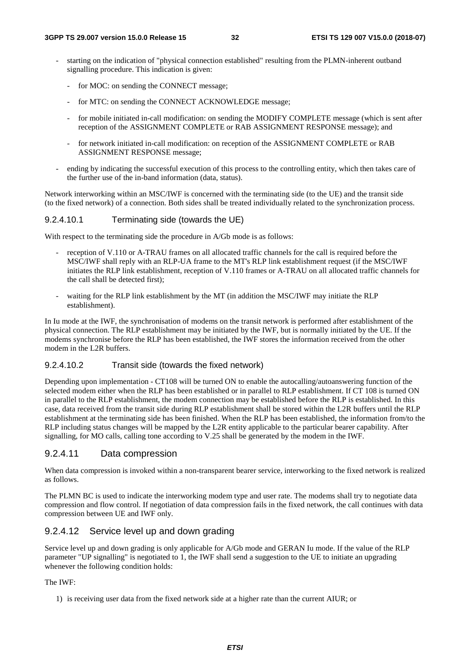- starting on the indication of "physical connection established" resulting from the PLMN-inherent outband signalling procedure. This indication is given:
	- for MOC: on sending the CONNECT message;
	- for MTC: on sending the CONNECT ACKNOWLEDGE message;
	- for mobile initiated in-call modification: on sending the MODIFY COMPLETE message (which is sent after reception of the ASSIGNMENT COMPLETE or RAB ASSIGNMENT RESPONSE message); and
	- for network initiated in-call modification: on reception of the ASSIGNMENT COMPLETE or RAB ASSIGNMENT RESPONSE message;
- ending by indicating the successful execution of this process to the controlling entity, which then takes care of the further use of the in-band information (data, status).

Network interworking within an MSC/IWF is concerned with the terminating side (to the UE) and the transit side (to the fixed network) of a connection. Both sides shall be treated individually related to the synchronization process.

#### 9.2.4.10.1 Terminating side (towards the UE)

With respect to the terminating side the procedure in A/Gb mode is as follows:

- reception of V.110 or A-TRAU frames on all allocated traffic channels for the call is required before the MSC/IWF shall reply with an RLP-UA frame to the MT's RLP link establishment request (if the MSC/IWF initiates the RLP link establishment, reception of V.110 frames or A-TRAU on all allocated traffic channels for the call shall be detected first);
- waiting for the RLP link establishment by the MT (in addition the MSC/IWF may initiate the RLP establishment).

In Iu mode at the IWF, the synchronisation of modems on the transit network is performed after establishment of the physical connection. The RLP establishment may be initiated by the IWF, but is normally initiated by the UE. If the modems synchronise before the RLP has been established, the IWF stores the information received from the other modem in the L2R buffers.

#### 9.2.4.10.2 Transit side (towards the fixed network)

Depending upon implementation - CT108 will be turned ON to enable the autocalling/autoanswering function of the selected modem either when the RLP has been established or in parallel to RLP establishment. If CT 108 is turned ON in parallel to the RLP establishment, the modem connection may be established before the RLP is established. In this case, data received from the transit side during RLP establishment shall be stored within the L2R buffers until the RLP establishment at the terminating side has been finished. When the RLP has been established, the information from/to the RLP including status changes will be mapped by the L2R entity applicable to the particular bearer capability. After signalling, for MO calls, calling tone according to V.25 shall be generated by the modem in the IWF.

#### 9.2.4.11 Data compression

When data compression is invoked within a non-transparent bearer service, interworking to the fixed network is realized as follows.

The PLMN BC is used to indicate the interworking modem type and user rate. The modems shall try to negotiate data compression and flow control. If negotiation of data compression fails in the fixed network, the call continues with data compression between UE and IWF only.

#### 9.2.4.12 Service level up and down grading

Service level up and down grading is only applicable for A/Gb mode and GERAN Iu mode. If the value of the RLP parameter "UP signalling" is negotiated to 1, the IWF shall send a suggestion to the UE to initiate an upgrading whenever the following condition holds:

#### The IWF:

1) is receiving user data from the fixed network side at a higher rate than the current AIUR; or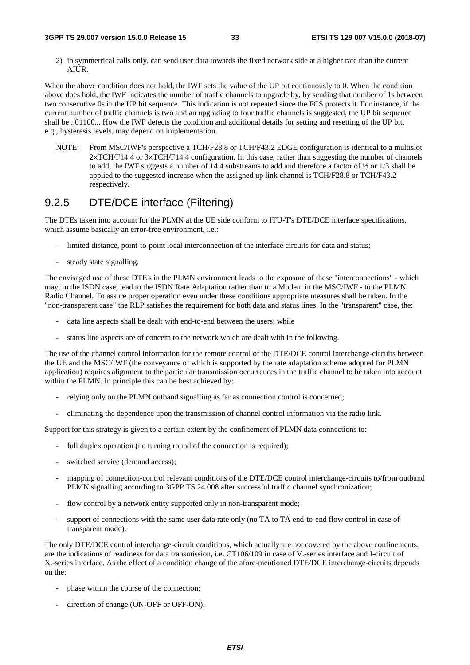2) in symmetrical calls only, can send user data towards the fixed network side at a higher rate than the current AIUR.

When the above condition does not hold, the IWF sets the value of the UP bit continuously to 0. When the condition above does hold, the IWF indicates the number of traffic channels to upgrade by, by sending that number of 1s between two consecutive 0s in the UP bit sequence. This indication is not repeated since the FCS protects it. For instance, if the current number of traffic channels is two and an upgrading to four traffic channels is suggested, the UP bit sequence shall be ..01100... How the IWF detects the condition and additional details for setting and resetting of the UP bit, e.g., hysteresis levels, may depend on implementation.

NOTE: From MSC/IWF's perspective a TCH/F28.8 or TCH/F43.2 EDGE configuration is identical to a multislot 2×TCH/F14.4 or 3×TCH/F14.4 configuration. In this case, rather than suggesting the number of channels to add, the IWF suggests a number of 14.4 substreams to add and therefore a factor of ½ or 1/3 shall be applied to the suggested increase when the assigned up link channel is TCH/F28.8 or TCH/F43.2 respectively.

# 9.2.5 DTE/DCE interface (Filtering)

The DTEs taken into account for the PLMN at the UE side conform to ITU-T's DTE/DCE interface specifications, which assume basically an error-free environment, i.e.:

- limited distance, point-to-point local interconnection of the interface circuits for data and status;
- steady state signalling.

The envisaged use of these DTE's in the PLMN environment leads to the exposure of these "interconnections" - which may, in the ISDN case, lead to the ISDN Rate Adaptation rather than to a Modem in the MSC/IWF - to the PLMN Radio Channel. To assure proper operation even under these conditions appropriate measures shall be taken. In the "non-transparent case" the RLP satisfies the requirement for both data and status lines. In the "transparent" case, the:

- data line aspects shall be dealt with end-to-end between the users; while
- status line aspects are of concern to the network which are dealt with in the following.

The use of the channel control information for the remote control of the DTE/DCE control interchange-circuits between the UE and the MSC/IWF (the conveyance of which is supported by the rate adaptation scheme adopted for PLMN application) requires alignment to the particular transmission occurrences in the traffic channel to be taken into account within the PLMN. In principle this can be best achieved by:

- relying only on the PLMN outband signalling as far as connection control is concerned;
- eliminating the dependence upon the transmission of channel control information via the radio link.

Support for this strategy is given to a certain extent by the confinement of PLMN data connections to:

- full duplex operation (no turning round of the connection is required);
- switched service (demand access);
- mapping of connection-control relevant conditions of the DTE/DCE control interchange-circuits to/from outband PLMN signalling according to 3GPP TS 24.008 after successful traffic channel synchronization;
- flow control by a network entity supported only in non-transparent mode;
- support of connections with the same user data rate only (no TA to TA end-to-end flow control in case of transparent mode).

The only DTE/DCE control interchange-circuit conditions, which actually are not covered by the above confinements, are the indications of readiness for data transmission, i.e. CT106/109 in case of V.-series interface and I-circuit of X.-series interface. As the effect of a condition change of the afore-mentioned DTE/DCE interchange-circuits depends on the:

- phase within the course of the connection;
- direction of change (ON-OFF or OFF-ON).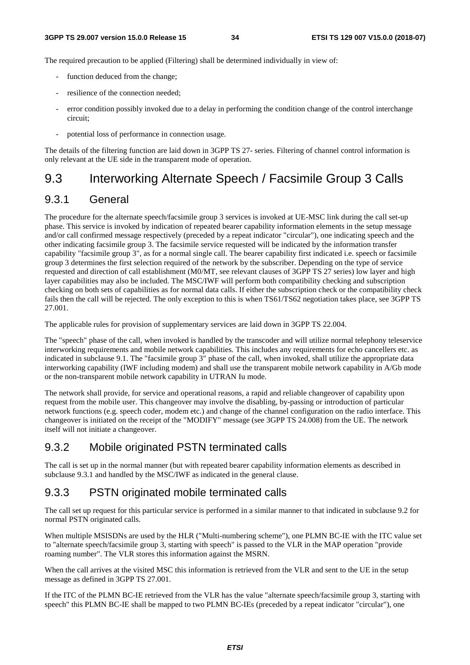The required precaution to be applied (Filtering) shall be determined individually in view of:

- function deduced from the change;
- resilience of the connection needed;
- error condition possibly invoked due to a delay in performing the condition change of the control interchange circuit;
- potential loss of performance in connection usage.

The details of the filtering function are laid down in 3GPP TS 27- series. Filtering of channel control information is only relevant at the UE side in the transparent mode of operation.

# 9.3 Interworking Alternate Speech / Facsimile Group 3 Calls

### 9.3.1 General

The procedure for the alternate speech/facsimile group 3 services is invoked at UE-MSC link during the call set-up phase. This service is invoked by indication of repeated bearer capability information elements in the setup message and/or call confirmed message respectively (preceded by a repeat indicator "circular"), one indicating speech and the other indicating facsimile group 3. The facsimile service requested will be indicated by the information transfer capability "facsimile group 3", as for a normal single call. The bearer capability first indicated i.e. speech or facsimile group 3 determines the first selection required of the network by the subscriber. Depending on the type of service requested and direction of call establishment (M0/MT, see relevant clauses of 3GPP TS 27 series) low layer and high layer capabilities may also be included. The MSC/IWF will perform both compatibility checking and subscription checking on both sets of capabilities as for normal data calls. If either the subscription check or the compatibility check fails then the call will be rejected. The only exception to this is when TS61/TS62 negotiation takes place, see 3GPP TS 27.001.

The applicable rules for provision of supplementary services are laid down in 3GPP TS 22.004.

The "speech" phase of the call, when invoked is handled by the transcoder and will utilize normal telephony teleservice interworking requirements and mobile network capabilities. This includes any requirements for echo cancellers etc. as indicated in subclause 9.1. The "facsimile group 3" phase of the call, when invoked, shall utilize the appropriate data interworking capability (IWF including modem) and shall use the transparent mobile network capability in A/Gb mode or the non-transparent mobile network capability in UTRAN Iu mode.

The network shall provide, for service and operational reasons, a rapid and reliable changeover of capability upon request from the mobile user. This changeover may involve the disabling, by-passing or introduction of particular network functions (e.g. speech coder, modem etc.) and change of the channel configuration on the radio interface. This changeover is initiated on the receipt of the "MODIFY" message (see 3GPP TS 24.008) from the UE. The network itself will not initiate a changeover.

### 9.3.2 Mobile originated PSTN terminated calls

The call is set up in the normal manner (but with repeated bearer capability information elements as described in subclause 9.3.1 and handled by the MSC/IWF as indicated in the general clause.

### 9.3.3 PSTN originated mobile terminated calls

The call set up request for this particular service is performed in a similar manner to that indicated in subclause 9.2 for normal PSTN originated calls.

When multiple MSISDNs are used by the HLR ("Multi-numbering scheme"), one PLMN BC-IE with the ITC value set to "alternate speech/facsimile group 3, starting with speech" is passed to the VLR in the MAP operation "provide roaming number". The VLR stores this information against the MSRN.

When the call arrives at the visited MSC this information is retrieved from the VLR and sent to the UE in the setup message as defined in 3GPP TS 27.001.

If the ITC of the PLMN BC-IE retrieved from the VLR has the value "alternate speech/facsimile group 3, starting with speech" this PLMN BC-IE shall be mapped to two PLMN BC-IEs (preceded by a repeat indicator "circular"), one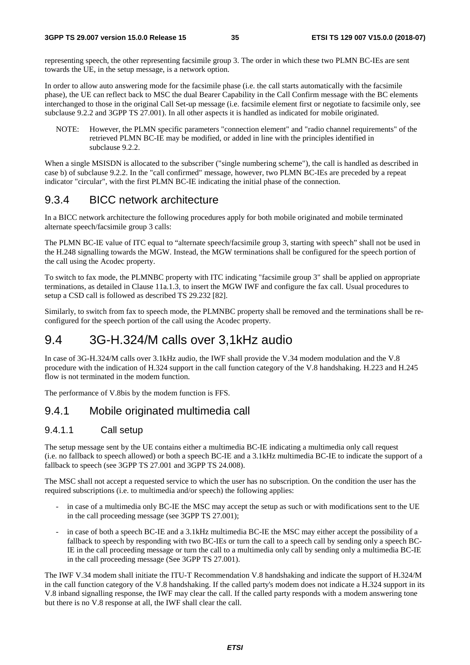representing speech, the other representing facsimile group 3. The order in which these two PLMN BC-IEs are sent towards the UE, in the setup message, is a network option.

In order to allow auto answering mode for the facsimile phase (i.e. the call starts automatically with the facsimile phase), the UE can reflect back to MSC the dual Bearer Capability in the Call Confirm message with the BC elements interchanged to those in the original Call Set-up message (i.e. facsimile element first or negotiate to facsimile only, see subclause 9.2.2 and 3GPP TS 27.001). In all other aspects it is handled as indicated for mobile originated.

NOTE: However, the PLMN specific parameters "connection element" and "radio channel requirements" of the retrieved PLMN BC-IE may be modified, or added in line with the principles identified in subclause 9.2.2.

When a single MSISDN is allocated to the subscriber ("single numbering scheme"), the call is handled as described in case b) of subclause 9.2.2. In the "call confirmed" message, however, two PLMN BC-IEs are preceded by a repeat indicator "circular", with the first PLMN BC-IE indicating the initial phase of the connection.

### 9.3.4 BICC network architecture

In a BICC network architecture the following procedures apply for both mobile originated and mobile terminated alternate speech/facsimile group 3 calls:

The PLMN BC-IE value of ITC equal to "alternate speech/facsimile group 3, starting with speech" shall not be used in the H.248 signalling towards the MGW. Instead, the MGW terminations shall be configured for the speech portion of the call using the Acodec property.

To switch to fax mode, the PLMNBC property with ITC indicating "facsimile group 3" shall be applied on appropriate terminations, as detailed in Clause 11a.1.3, to insert the MGW IWF and configure the fax call. Usual procedures to setup a CSD call is followed as described TS 29.232 [82].

Similarly, to switch from fax to speech mode, the PLMNBC property shall be removed and the terminations shall be reconfigured for the speech portion of the call using the Acodec property.

# 9.4 3G-H.324/M calls over 3,1kHz audio

In case of 3G-H.324/M calls over 3.1kHz audio, the IWF shall provide the V.34 modem modulation and the V.8 procedure with the indication of H.324 support in the call function category of the V.8 handshaking. H.223 and H.245 flow is not terminated in the modem function.

The performance of V.8bis by the modem function is FFS.

### 9.4.1 Mobile originated multimedia call

#### 9.4.1.1 Call setup

The setup message sent by the UE contains either a multimedia BC-IE indicating a multimedia only call request (i.e. no fallback to speech allowed) or both a speech BC-IE and a 3.1kHz multimedia BC-IE to indicate the support of a fallback to speech (see 3GPP TS 27.001 and 3GPP TS 24.008).

The MSC shall not accept a requested service to which the user has no subscription. On the condition the user has the required subscriptions (i.e. to multimedia and/or speech) the following applies:

- in case of a multimedia only BC-IE the MSC may accept the setup as such or with modifications sent to the UE in the call proceeding message (see 3GPP TS 27.001);
- in case of both a speech BC-IE and a 3.1kHz multimedia BC-IE the MSC may either accept the possibility of a fallback to speech by responding with two BC-IEs or turn the call to a speech call by sending only a speech BC-IE in the call proceeding message or turn the call to a multimedia only call by sending only a multimedia BC-IE in the call proceeding message (See 3GPP TS 27.001).

The IWF V.34 modem shall initiate the ITU-T Recommendation V.8 handshaking and indicate the support of H.324/M in the call function category of the V.8 handshaking. If the called party's modem does not indicate a H.324 support in its V.8 inband signalling response, the IWF may clear the call. If the called party responds with a modem answering tone but there is no V.8 response at all, the IWF shall clear the call.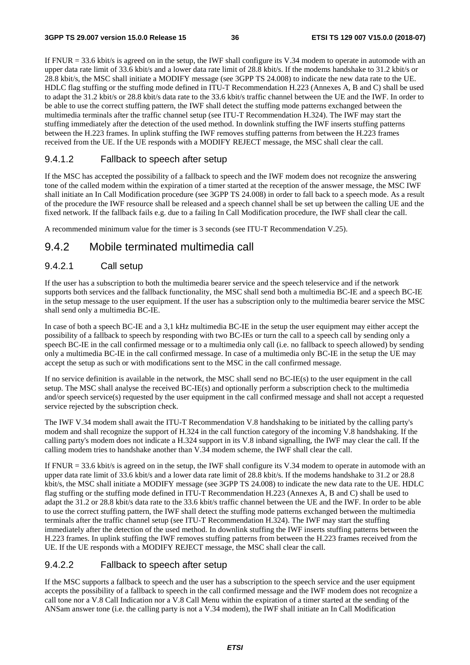If  $FNUR = 33.6$  kbit/s is agreed on in the setup, the IWF shall configure its V.34 modem to operate in automode with an upper data rate limit of 33.6 kbit/s and a lower data rate limit of 28.8 kbit/s. If the modems handshake to 31.2 kbit/s or 28.8 kbit/s, the MSC shall initiate a MODIFY message (see 3GPP TS 24.008) to indicate the new data rate to the UE. HDLC flag stuffing or the stuffing mode defined in ITU-T Recommendation H.223 (Annexes A, B and C) shall be used to adapt the 31.2 kbit/s or 28.8 kbit/s data rate to the 33.6 kbit/s traffic channel between the UE and the IWF. In order to be able to use the correct stuffing pattern, the IWF shall detect the stuffing mode patterns exchanged between the multimedia terminals after the traffic channel setup (see ITU-T Recommendation H.324). The IWF may start the stuffing immediately after the detection of the used method. In downlink stuffing the IWF inserts stuffing patterns between the H.223 frames. In uplink stuffing the IWF removes stuffing patterns from between the H.223 frames received from the UE. If the UE responds with a MODIFY REJECT message, the MSC shall clear the call.

## 9.4.1.2 Fallback to speech after setup

If the MSC has accepted the possibility of a fallback to speech and the IWF modem does not recognize the answering tone of the called modem within the expiration of a timer started at the reception of the answer message, the MSC IWF shall initiate an In Call Modification procedure (see 3GPP TS 24.008) in order to fall back to a speech mode. As a result of the procedure the IWF resource shall be released and a speech channel shall be set up between the calling UE and the fixed network. If the fallback fails e.g. due to a failing In Call Modification procedure, the IWF shall clear the call.

A recommended minimum value for the timer is 3 seconds (see ITU-T Recommendation V.25).

# 9.4.2 Mobile terminated multimedia call

## 9.4.2.1 Call setup

If the user has a subscription to both the multimedia bearer service and the speech teleservice and if the network supports both services and the fallback functionality, the MSC shall send both a multimedia BC-IE and a speech BC-IE in the setup message to the user equipment. If the user has a subscription only to the multimedia bearer service the MSC shall send only a multimedia BC-IE.

In case of both a speech BC-IE and a 3,1 kHz multimedia BC-IE in the setup the user equipment may either accept the possibility of a fallback to speech by responding with two BC-IEs or turn the call to a speech call by sending only a speech BC-IE in the call confirmed message or to a multimedia only call (i.e. no fallback to speech allowed) by sending only a multimedia BC-IE in the call confirmed message. In case of a multimedia only BC-IE in the setup the UE may accept the setup as such or with modifications sent to the MSC in the call confirmed message.

If no service definition is available in the network, the MSC shall send no  $BC-IE(s)$  to the user equipment in the call setup. The MSC shall analyse the received BC-IE(s) and optionally perform a subscription check to the multimedia and/or speech service(s) requested by the user equipment in the call confirmed message and shall not accept a requested service rejected by the subscription check.

The IWF V.34 modem shall await the ITU-T Recommendation V.8 handshaking to be initiated by the calling party's modem and shall recognize the support of H.324 in the call function category of the incoming V.8 handshaking. If the calling party's modem does not indicate a H.324 support in its V.8 inband signalling, the IWF may clear the call. If the calling modem tries to handshake another than V.34 modem scheme, the IWF shall clear the call.

If  $FNUR = 33.6$  kbit/s is agreed on in the setup, the IWF shall configure its V.34 modem to operate in automode with an upper data rate limit of 33.6 kbit/s and a lower data rate limit of 28.8 kbit/s. If the modems handshake to 31.2 or 28.8 kbit/s, the MSC shall initiate a MODIFY message (see 3GPP TS 24.008) to indicate the new data rate to the UE. HDLC flag stuffing or the stuffing mode defined in ITU-T Recommendation H.223 (Annexes A, B and C) shall be used to adapt the 31.2 or 28.8 kbit/s data rate to the 33.6 kbit/s traffic channel between the UE and the IWF. In order to be able to use the correct stuffing pattern, the IWF shall detect the stuffing mode patterns exchanged between the multimedia terminals after the traffic channel setup (see ITU-T Recommendation H.324). The IWF may start the stuffing immediately after the detection of the used method. In downlink stuffing the IWF inserts stuffing patterns between the H.223 frames. In uplink stuffing the IWF removes stuffing patterns from between the H.223 frames received from the UE. If the UE responds with a MODIFY REJECT message, the MSC shall clear the call.

## 9.4.2.2 Fallback to speech after setup

If the MSC supports a fallback to speech and the user has a subscription to the speech service and the user equipment accepts the possibility of a fallback to speech in the call confirmed message and the IWF modem does not recognize a call tone nor a V.8 Call Indication nor a V.8 Call Menu within the expiration of a timer started at the sending of the ANSam answer tone (i.e. the calling party is not a V.34 modem), the IWF shall initiate an In Call Modification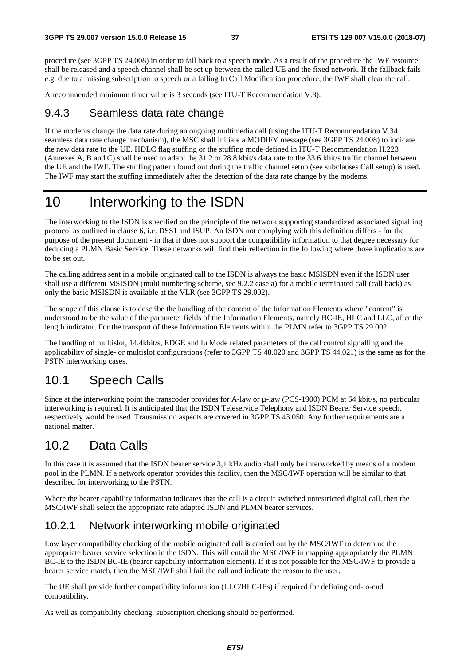procedure (see 3GPP TS 24.008) in order to fall back to a speech mode. As a result of the procedure the IWF resource shall be released and a speech channel shall be set up between the called UE and the fixed network. If the fallback fails e.g. due to a missing subscription to speech or a failing In Call Modification procedure, the IWF shall clear the call.

A recommended minimum timer value is 3 seconds (see ITU-T Recommendation V.8).

# 9.4.3 Seamless data rate change

If the modems change the data rate during an ongoing multimedia call (using the ITU-T Recommendation V.34 seamless data rate change mechanism), the MSC shall initiate a MODIFY message (see 3GPP TS 24.008) to indicate the new data rate to the UE. HDLC flag stuffing or the stuffing mode defined in ITU-T Recommendation H.223 (Annexes A, B and C) shall be used to adapt the 31.2 or 28.8 kbit/s data rate to the 33.6 kbit/s traffic channel between the UE and the IWF. The stuffing pattern found out during the traffic channel setup (see subclauses Call setup) is used. The IWF may start the stuffing immediately after the detection of the data rate change by the modems.

# 10 Interworking to the ISDN

The interworking to the ISDN is specified on the principle of the network supporting standardized associated signalling protocol as outlined in clause 6, i.e. DSS1 and ISUP. An ISDN not complying with this definition differs - for the purpose of the present document - in that it does not support the compatibility information to that degree necessary for deducing a PLMN Basic Service. These networks will find their reflection in the following where those implications are to be set out.

The calling address sent in a mobile originated call to the ISDN is always the basic MSISDN even if the ISDN user shall use a different MSISDN (multi numbering scheme, see 9.2.2 case a) for a mobile terminated call (call back) as only the basic MSISDN is available at the VLR (see 3GPP TS 29.002).

The scope of this clause is to describe the handling of the content of the Information Elements where "content" is understood to be the value of the parameter fields of the Information Elements, namely BC-IE, HLC and LLC, after the length indicator. For the transport of these Information Elements within the PLMN refer to 3GPP TS 29.002.

The handling of multislot, 14.4kbit/s, EDGE and Iu Mode related parameters of the call control signalling and the applicability of single- or multislot configurations (refer to 3GPP TS 48.020 and 3GPP TS 44.021) is the same as for the PSTN interworking cases.

# 10.1 Speech Calls

Since at the interworking point the transcoder provides for A-law or µ-law (PCS-1900) PCM at 64 kbit/s, no particular interworking is required. It is anticipated that the ISDN Teleservice Telephony and ISDN Bearer Service speech, respectively would be used. Transmission aspects are covered in 3GPP TS 43.050. Any further requirements are a national matter.

# 10.2 Data Calls

In this case it is assumed that the ISDN bearer service 3,1 kHz audio shall only be interworked by means of a modem pool in the PLMN. If a network operator provides this facility, then the MSC/IWF operation will be similar to that described for interworking to the PSTN.

Where the bearer capability information indicates that the call is a circuit switched unrestricted digital call, then the MSC/IWF shall select the appropriate rate adapted ISDN and PLMN bearer services.

# 10.2.1 Network interworking mobile originated

Low layer compatibility checking of the mobile originated call is carried out by the MSC/IWF to determine the appropriate bearer service selection in the ISDN. This will entail the MSC/IWF in mapping appropriately the PLMN BC-IE to the ISDN BC-IE (bearer capability information element). If it is not possible for the MSC/IWF to provide a bearer service match, then the MSC/IWF shall fail the call and indicate the reason to the user.

The UE shall provide further compatibility information (LLC/HLC-IEs) if required for defining end-to-end compatibility.

As well as compatibility checking, subscription checking should be performed.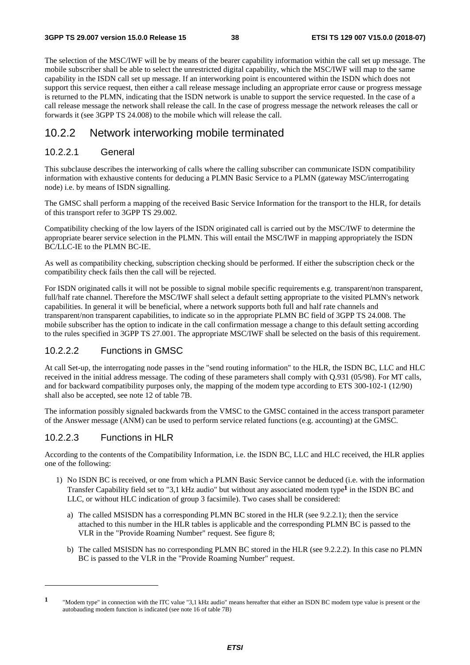The selection of the MSC/IWF will be by means of the bearer capability information within the call set up message. The mobile subscriber shall be able to select the unrestricted digital capability, which the MSC/IWF will map to the same capability in the ISDN call set up message. If an interworking point is encountered within the ISDN which does not support this service request, then either a call release message including an appropriate error cause or progress message is returned to the PLMN, indicating that the ISDN network is unable to support the service requested. In the case of a call release message the network shall release the call. In the case of progress message the network releases the call or forwards it (see 3GPP TS 24.008) to the mobile which will release the call.

# 10.2.2 Network interworking mobile terminated

## 10.2.2.1 General

This subclause describes the interworking of calls where the calling subscriber can communicate ISDN compatibility information with exhaustive contents for deducing a PLMN Basic Service to a PLMN (gateway MSC/interrogating node) i.e. by means of ISDN signalling.

The GMSC shall perform a mapping of the received Basic Service Information for the transport to the HLR, for details of this transport refer to 3GPP TS 29.002.

Compatibility checking of the low layers of the ISDN originated call is carried out by the MSC/IWF to determine the appropriate bearer service selection in the PLMN. This will entail the MSC/IWF in mapping appropriately the ISDN BC/LLC-IE to the PLMN BC-IE.

As well as compatibility checking, subscription checking should be performed. If either the subscription check or the compatibility check fails then the call will be rejected.

For ISDN originated calls it will not be possible to signal mobile specific requirements e.g. transparent/non transparent, full/half rate channel. Therefore the MSC/IWF shall select a default setting appropriate to the visited PLMN's network capabilities. In general it will be beneficial, where a network supports both full and half rate channels and transparent/non transparent capabilities, to indicate so in the appropriate PLMN BC field of 3GPP TS 24.008. The mobile subscriber has the option to indicate in the call confirmation message a change to this default setting according to the rules specified in 3GPP TS 27.001. The appropriate MSC/IWF shall be selected on the basis of this requirement.

# 10.2.2.2 Functions in GMSC

At call Set-up, the interrogating node passes in the "send routing information" to the HLR, the ISDN BC, LLC and HLC received in the initial address message. The coding of these parameters shall comply with Q.931 (05/98). For MT calls, and for backward compatibility purposes only, the mapping of the modem type according to ETS 300-102-1 (12/90) shall also be accepted, see note 12 of table 7B.

The information possibly signaled backwards from the VMSC to the GMSC contained in the access transport parameter of the Answer message (ANM) can be used to perform service related functions (e.g. accounting) at the GMSC.

## 10.2.2.3 Functions in HLR

-

According to the contents of the Compatibility Information, i.e. the ISDN BC, LLC and HLC received, the HLR applies one of the following:

- 1) No ISDN BC is received, or one from which a PLMN Basic Service cannot be deduced (i.e. with the information Transfer Capability field set to "3,1 kHz audio" but without any associated modem type**1** in the ISDN BC and LLC, or without HLC indication of group 3 facsimile). Two cases shall be considered:
	- a) The called MSISDN has a corresponding PLMN BC stored in the HLR (see 9.2.2.1); then the service attached to this number in the HLR tables is applicable and the corresponding PLMN BC is passed to the VLR in the "Provide Roaming Number" request. See figure 8;
	- b) The called MSISDN has no corresponding PLMN BC stored in the HLR (see 9.2.2.2). In this case no PLMN BC is passed to the VLR in the "Provide Roaming Number" request.

**<sup>1</sup>** "Modem type" in connection with the ITC value "3,1 kHz audio" means hereafter that either an ISDN BC modem type value is present or the autobauding modem function is indicated (see note 16 of table 7B)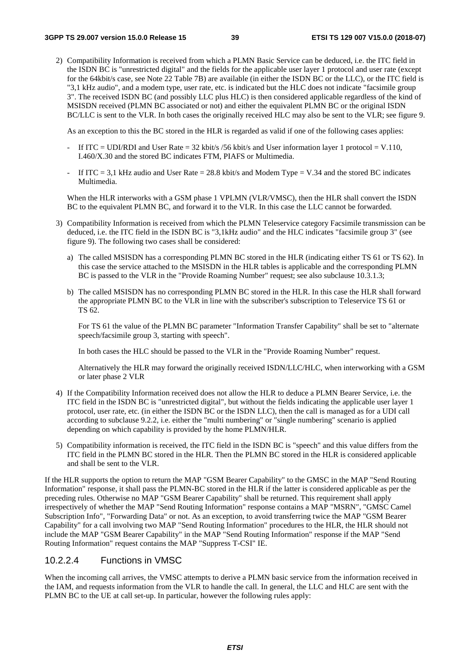2) Compatibility Information is received from which a PLMN Basic Service can be deduced, i.e. the ITC field in the ISDN BC is "unrestricted digital" and the fields for the applicable user layer 1 protocol and user rate (except for the 64kbit/s case, see Note 22 Table 7B) are available (in either the ISDN BC or the LLC), or the ITC field is "3,1 kHz audio", and a modem type, user rate, etc. is indicated but the HLC does not indicate "facsimile group 3". The received ISDN BC (and possibly LLC plus HLC) is then considered applicable regardless of the kind of MSISDN received (PLMN BC associated or not) and either the equivalent PLMN BC or the original ISDN BC/LLC is sent to the VLR. In both cases the originally received HLC may also be sent to the VLR; see figure 9.

As an exception to this the BC stored in the HLR is regarded as valid if one of the following cases applies:

- If ITC = UDI/RDI and User Rate = 32 kbit/s /56 kbit/s and User information layer 1 protocol = V.110, I.460/X.30 and the stored BC indicates FTM, PIAFS or Multimedia.
- If ITC = 3,1 kHz audio and User Rate = 28.8 kbit/s and Modem Type = V.34 and the stored BC indicates Multimedia.

 When the HLR interworks with a GSM phase 1 VPLMN (VLR/VMSC), then the HLR shall convert the ISDN BC to the equivalent PLMN BC, and forward it to the VLR. In this case the LLC cannot be forwarded.

- 3) Compatibility Information is received from which the PLMN Teleservice category Facsimile transmission can be deduced, i.e. the ITC field in the ISDN BC is "3,1kHz audio" and the HLC indicates "facsimile group 3" (see figure 9). The following two cases shall be considered:
	- a) The called MSISDN has a corresponding PLMN BC stored in the HLR (indicating either TS 61 or TS 62). In this case the service attached to the MSISDN in the HLR tables is applicable and the corresponding PLMN BC is passed to the VLR in the "Provide Roaming Number" request; see also subclause 10.3.1.3;
	- b) The called MSISDN has no corresponding PLMN BC stored in the HLR. In this case the HLR shall forward the appropriate PLMN BC to the VLR in line with the subscriber's subscription to Teleservice TS 61 or TS 62.

 For TS 61 the value of the PLMN BC parameter "Information Transfer Capability" shall be set to "alternate speech/facsimile group 3, starting with speech".

In both cases the HLC should be passed to the VLR in the "Provide Roaming Number" request.

 Alternatively the HLR may forward the originally received ISDN/LLC/HLC, when interworking with a GSM or later phase 2 VLR

- 4) If the Compatibility Information received does not allow the HLR to deduce a PLMN Bearer Service, i.e. the ITC field in the ISDN BC is "unrestricted digital", but without the fields indicating the applicable user layer 1 protocol, user rate, etc. (in either the ISDN BC or the ISDN LLC), then the call is managed as for a UDI call according to subclause 9.2.2, i.e. either the "multi numbering" or "single numbering" scenario is applied depending on which capability is provided by the home PLMN/HLR.
- 5) Compatibility information is received, the ITC field in the ISDN BC is "speech" and this value differs from the ITC field in the PLMN BC stored in the HLR. Then the PLMN BC stored in the HLR is considered applicable and shall be sent to the VLR.

If the HLR supports the option to return the MAP "GSM Bearer Capability" to the GMSC in the MAP "Send Routing Information" response, it shall pass the PLMN-BC stored in the HLR if the latter is considered applicable as per the preceding rules. Otherwise no MAP "GSM Bearer Capability" shall be returned. This requirement shall apply irrespectively of whether the MAP "Send Routing Information" response contains a MAP "MSRN", "GMSC Camel Subscription Info", "Forwarding Data" or not. As an exception, to avoid transferring twice the MAP "GSM Bearer Capability" for a call involving two MAP "Send Routing Information" procedures to the HLR, the HLR should not include the MAP "GSM Bearer Capability" in the MAP "Send Routing Information" response if the MAP "Send Routing Information" request contains the MAP "Suppress T-CSI" IE.

## 10.2.2.4 Functions in VMSC

When the incoming call arrives, the VMSC attempts to derive a PLMN basic service from the information received in the IAM, and requests information from the VLR to handle the call. In general, the LLC and HLC are sent with the PLMN BC to the UE at call set-up. In particular, however the following rules apply: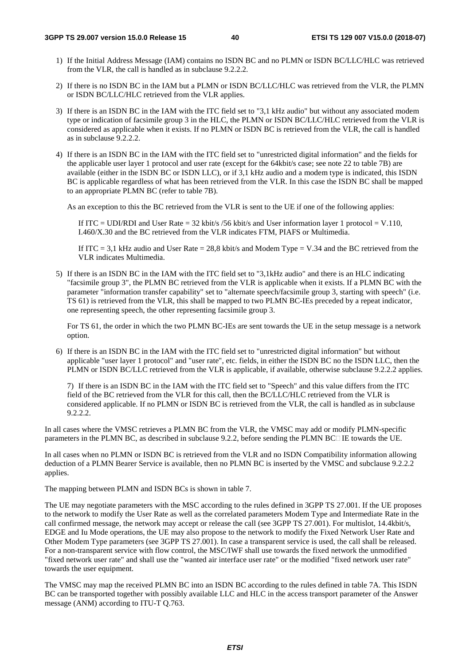- 1) If the Initial Address Message (IAM) contains no ISDN BC and no PLMN or ISDN BC/LLC/HLC was retrieved from the VLR, the call is handled as in subclause 9.2.2.2.
- 2) If there is no ISDN BC in the IAM but a PLMN or ISDN BC/LLC/HLC was retrieved from the VLR, the PLMN or ISDN BC/LLC/HLC retrieved from the VLR applies.
- 3) If there is an ISDN BC in the IAM with the ITC field set to "3,1 kHz audio" but without any associated modem type or indication of facsimile group 3 in the HLC, the PLMN or ISDN BC/LLC/HLC retrieved from the VLR is considered as applicable when it exists. If no PLMN or ISDN BC is retrieved from the VLR, the call is handled as in subclause 9.2.2.2.
- 4) If there is an ISDN BC in the IAM with the ITC field set to "unrestricted digital information" and the fields for the applicable user layer 1 protocol and user rate (except for the 64kbit/s case; see note 22 to table 7B) are available (either in the ISDN BC or ISDN LLC), or if 3,1 kHz audio and a modem type is indicated, this ISDN BC is applicable regardless of what has been retrieved from the VLR. In this case the ISDN BC shall be mapped to an appropriate PLMN BC (refer to table 7B).

As an exception to this the BC retrieved from the VLR is sent to the UE if one of the following applies:

If ITC = UDI/RDI and User Rate = 32 kbit/s /56 kbit/s and User information layer 1 protocol = V.110, I.460/X.30 and the BC retrieved from the VLR indicates FTM, PIAFS or Multimedia.

If ITC = 3,1 kHz audio and User Rate = 28,8 kbit/s and Modem Type = V.34 and the BC retrieved from the VLR indicates Multimedia.

5) If there is an ISDN BC in the IAM with the ITC field set to "3,1kHz audio" and there is an HLC indicating "facsimile group 3", the PLMN BC retrieved from the VLR is applicable when it exists. If a PLMN BC with the parameter "information transfer capability" set to "alternate speech/facsimile group 3, starting with speech" (i.e. TS 61) is retrieved from the VLR, this shall be mapped to two PLMN BC-IEs preceded by a repeat indicator, one representing speech, the other representing facsimile group 3.

 For TS 61, the order in which the two PLMN BC-IEs are sent towards the UE in the setup message is a network option.

6) If there is an ISDN BC in the IAM with the ITC field set to "unrestricted digital information" but without applicable "user layer 1 protocol" and "user rate", etc. fields, in either the ISDN BC no the ISDN LLC, then the PLMN or ISDN BC/LLC retrieved from the VLR is applicable, if available, otherwise subclause 9.2.2.2 applies.

 7) If there is an ISDN BC in the IAM with the ITC field set to "Speech" and this value differs from the ITC field of the BC retrieved from the VLR for this call, then the BC/LLC/HLC retrieved from the VLR is considered applicable. If no PLMN or ISDN BC is retrieved from the VLR, the call is handled as in subclause 9.2.2.2.

In all cases where the VMSC retrieves a PLMN BC from the VLR, the VMSC may add or modify PLMN-specific parameters in the PLMN BC, as described in subclause 9.2.2, before sending the PLMN BC $\Box$ IE towards the UE.

In all cases when no PLMN or ISDN BC is retrieved from the VLR and no ISDN Compatibility information allowing deduction of a PLMN Bearer Service is available, then no PLMN BC is inserted by the VMSC and subclause 9.2.2.2 applies.

The mapping between PLMN and ISDN BCs is shown in table 7.

The UE may negotiate parameters with the MSC according to the rules defined in 3GPP TS 27.001. If the UE proposes to the network to modify the User Rate as well as the correlated parameters Modem Type and Intermediate Rate in the call confirmed message, the network may accept or release the call (see 3GPP TS 27.001). For multislot, 14.4kbit/s, EDGE and Iu Mode operations, the UE may also propose to the network to modify the Fixed Network User Rate and Other Modem Type parameters (see 3GPP TS 27.001). In case a transparent service is used, the call shall be released. For a non-transparent service with flow control, the MSC/IWF shall use towards the fixed network the unmodified "fixed network user rate" and shall use the "wanted air interface user rate" or the modified "fixed network user rate" towards the user equipment.

The VMSC may map the received PLMN BC into an ISDN BC according to the rules defined in table 7A. This ISDN BC can be transported together with possibly available LLC and HLC in the access transport parameter of the Answer message (ANM) according to ITU-T Q.763.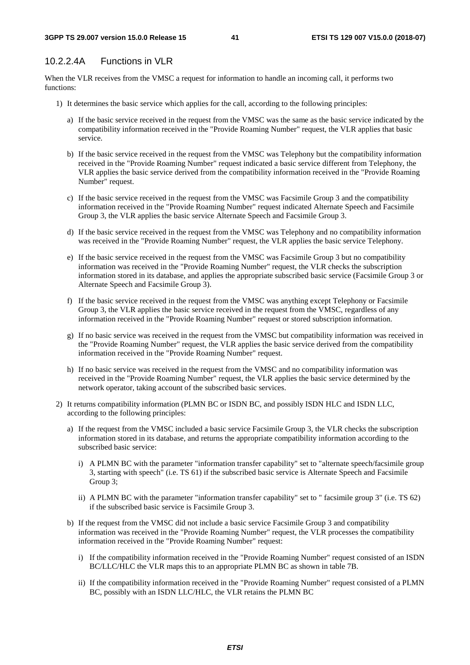# 10.2.2.4A Functions in VLR

When the VLR receives from the VMSC a request for information to handle an incoming call, it performs two functions:

- 1) It determines the basic service which applies for the call, according to the following principles:
	- a) If the basic service received in the request from the VMSC was the same as the basic service indicated by the compatibility information received in the "Provide Roaming Number" request, the VLR applies that basic service.
	- b) If the basic service received in the request from the VMSC was Telephony but the compatibility information received in the "Provide Roaming Number" request indicated a basic service different from Telephony, the VLR applies the basic service derived from the compatibility information received in the "Provide Roaming Number" request.
	- c) If the basic service received in the request from the VMSC was Facsimile Group 3 and the compatibility information received in the "Provide Roaming Number" request indicated Alternate Speech and Facsimile Group 3, the VLR applies the basic service Alternate Speech and Facsimile Group 3.
	- d) If the basic service received in the request from the VMSC was Telephony and no compatibility information was received in the "Provide Roaming Number" request, the VLR applies the basic service Telephony.
	- e) If the basic service received in the request from the VMSC was Facsimile Group 3 but no compatibility information was received in the "Provide Roaming Number" request, the VLR checks the subscription information stored in its database, and applies the appropriate subscribed basic service (Facsimile Group 3 or Alternate Speech and Facsimile Group 3).
	- f) If the basic service received in the request from the VMSC was anything except Telephony or Facsimile Group 3, the VLR applies the basic service received in the request from the VMSC, regardless of any information received in the "Provide Roaming Number" request or stored subscription information.
	- g) If no basic service was received in the request from the VMSC but compatibility information was received in the "Provide Roaming Number" request, the VLR applies the basic service derived from the compatibility information received in the "Provide Roaming Number" request.
	- h) If no basic service was received in the request from the VMSC and no compatibility information was received in the "Provide Roaming Number" request, the VLR applies the basic service determined by the network operator, taking account of the subscribed basic services.
- 2) It returns compatibility information (PLMN BC or ISDN BC, and possibly ISDN HLC and ISDN LLC, according to the following principles:
	- a) If the request from the VMSC included a basic service Facsimile Group 3, the VLR checks the subscription information stored in its database, and returns the appropriate compatibility information according to the subscribed basic service:
		- i) A PLMN BC with the parameter "information transfer capability" set to "alternate speech/facsimile group 3, starting with speech" (i.e. TS 61) if the subscribed basic service is Alternate Speech and Facsimile Group 3;
		- ii) A PLMN BC with the parameter "information transfer capability" set to " facsimile group 3" (i.e. TS 62) if the subscribed basic service is Facsimile Group 3.
	- b) If the request from the VMSC did not include a basic service Facsimile Group 3 and compatibility information was received in the "Provide Roaming Number" request, the VLR processes the compatibility information received in the "Provide Roaming Number" request:
		- i) If the compatibility information received in the "Provide Roaming Number" request consisted of an ISDN BC/LLC/HLC the VLR maps this to an appropriate PLMN BC as shown in table 7B.
		- ii) If the compatibility information received in the "Provide Roaming Number" request consisted of a PLMN BC, possibly with an ISDN LLC/HLC, the VLR retains the PLMN BC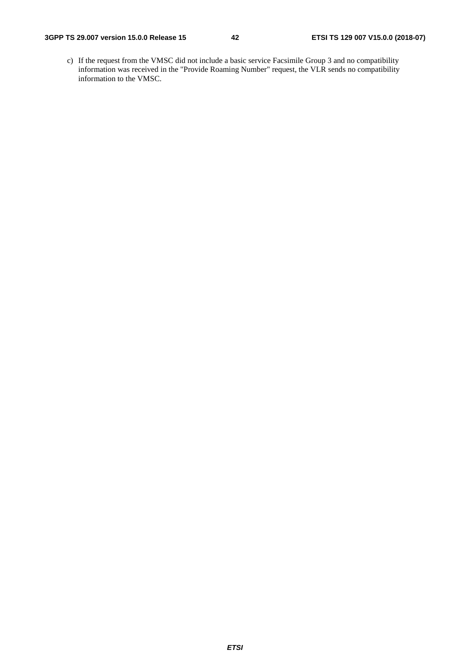c) If the request from the VMSC did not include a basic service Facsimile Group 3 and no compatibility information was received in the "Provide Roaming Number" request, the VLR sends no compatibility information to the VMSC.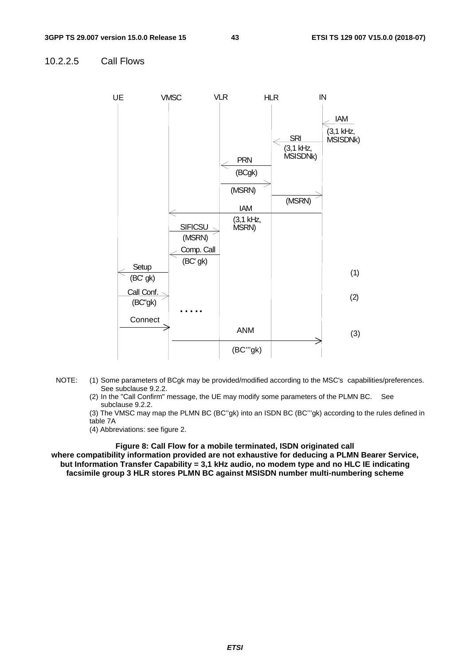## 10.2.2.5 Call Flows



- NOTE: (1) Some parameters of BCgk may be provided/modified according to the MSC's capabilities/preferences. See subclause 9.2.2.
	- (2) In the "Call Confirm" message, the UE may modify some parameters of the PLMN BC. See subclause 9.2.2.

(3) The VMSC may map the PLMN BC (BC''gk) into an ISDN BC (BC'''gk) according to the rules defined in table 7A

(4) Abbreviations: see figure 2.

**Figure 8: Call Flow for a mobile terminated, ISDN originated call where compatibility information provided are not exhaustive for deducing a PLMN Bearer Service, but Information Transfer Capability = 3,1 kHz audio, no modem type and no HLC IE indicating facsimile group 3 HLR stores PLMN BC against MSISDN number multi-numbering scheme**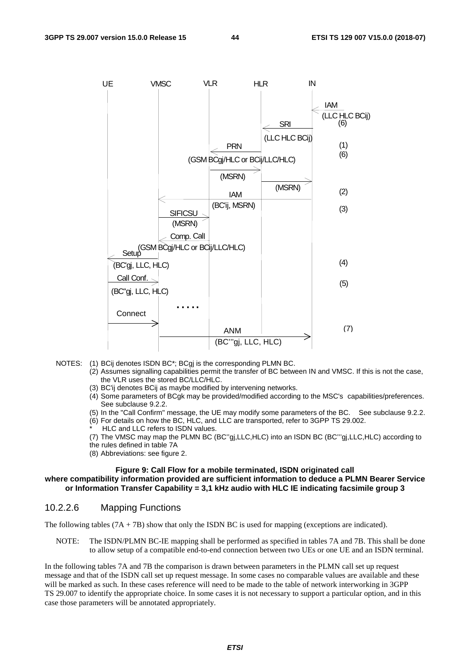

- NOTES: (1) BCij denotes ISDN BC\*; BCgj is the corresponding PLMN BC.
	- (2) Assumes signalling capabilities permit the transfer of BC between IN and VMSC. If this is not the case, the VLR uses the stored BC/LLC/HLC.
	- (3) BC'ij denotes BCij as maybe modified by intervening networks.
	- (4) Some parameters of BCgk may be provided/modified according to the MSC's capabilities/preferences. See subclause 9.2.2.
	- (5) In the "Call Confirm" message, the UE may modify some parameters of the BC. See subclause 9.2.2. (6) For details on how the BC, HLC, and LLC are transported, refer to 3GPP TS 29.002.
	- HLC and LLC refers to ISDN values.
	- (7) The VMSC may map the PLMN BC (BC''gj,LLC,HLC) into an ISDN BC (BC'''gj,LLC,HLC) according to the rules defined in table 7A
	- (8) Abbreviations: see figure 2.

#### **Figure 9: Call Flow for a mobile terminated, ISDN originated call where compatibility information provided are sufficient information to deduce a PLMN Bearer Service or Information Transfer Capability = 3,1 kHz audio with HLC IE indicating facsimile group 3**

#### 10.2.2.6 Mapping Functions

The following tables  $(7A + 7B)$  show that only the ISDN BC is used for mapping (exceptions are indicated).

NOTE: The ISDN/PLMN BC-IE mapping shall be performed as specified in tables 7A and 7B. This shall be done to allow setup of a compatible end-to-end connection between two UEs or one UE and an ISDN terminal.

In the following tables 7A and 7B the comparison is drawn between parameters in the PLMN call set up request message and that of the ISDN call set up request message. In some cases no comparable values are available and these will be marked as such. In these cases reference will need to be made to the table of network interworking in 3GPP TS 29.007 to identify the appropriate choice. In some cases it is not necessary to support a particular option, and in this case those parameters will be annotated appropriately.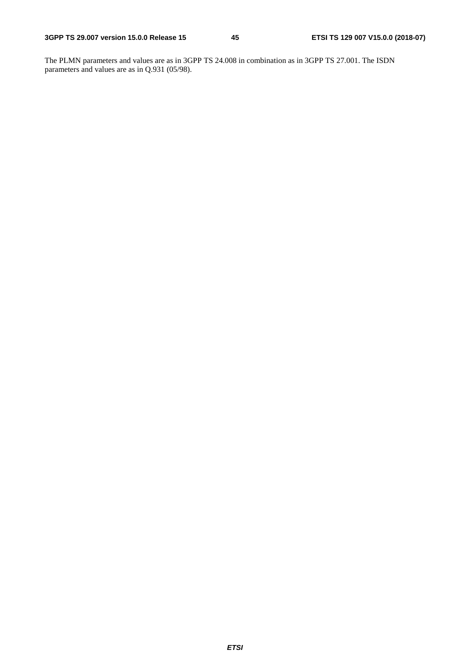The PLMN parameters and values are as in 3GPP TS 24.008 in combination as in 3GPP TS 27.001. The ISDN parameters and values are as in Q.931 (05/98).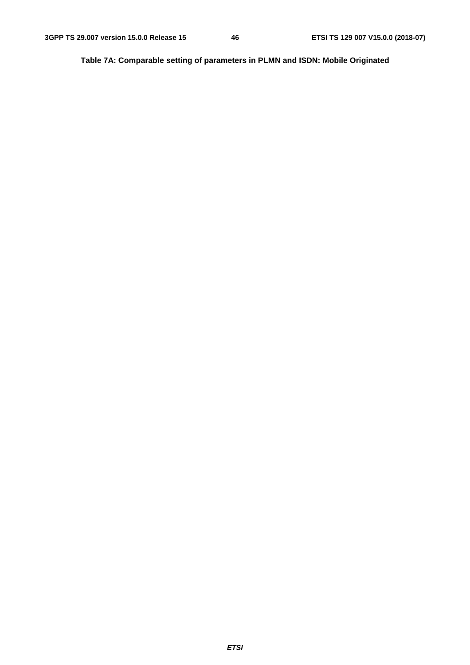**Table 7A: Comparable setting of parameters in PLMN and ISDN: Mobile Originated**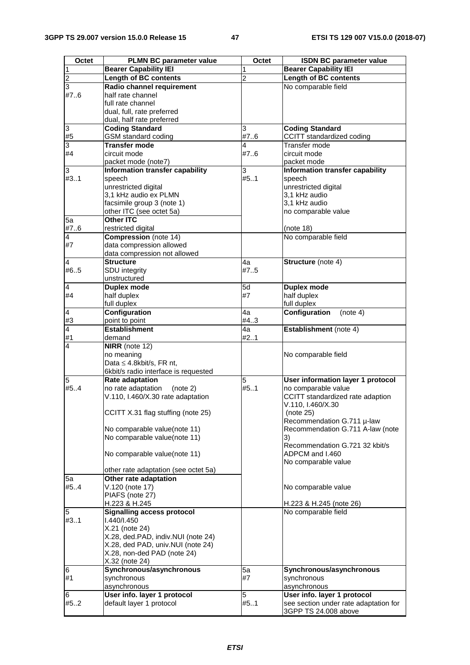| Octet                | <b>PLMN BC parameter value</b>       | Octet          | <b>ISDN BC parameter value</b>        |
|----------------------|--------------------------------------|----------------|---------------------------------------|
| $\mathbf{1}$         | <b>Bearer Capability IEI</b>         |                | <b>Bearer Capability IEI</b>          |
| $\overline{2}$       | <b>Length of BC contents</b>         | $\overline{2}$ | <b>Length of BC contents</b>          |
|                      |                                      |                |                                       |
| $\overline{3}$       | Radio channel requirement            |                | No comparable field                   |
| #76                  | half rate channel                    |                |                                       |
|                      | full rate channel                    |                |                                       |
|                      | dual, full, rate preferred           |                |                                       |
|                      | dual, half rate preferred            |                |                                       |
| $\overline{3}$       | <b>Coding Standard</b>               | 3              | <b>Coding Standard</b>                |
| #5                   | GSM standard coding                  | #76            | CCITT standardized coding             |
| 3                    | <b>Transfer mode</b>                 | 4              | Transfer mode                         |
| #4                   | circuit mode                         | #76            | circuit mode                          |
|                      | packet mode (note7)                  |                | packet mode                           |
| 3                    | Information transfer capability      | 3              | Information transfer capability       |
| #3.1                 | speech                               | #51            | speech                                |
|                      | unrestricted digital                 |                | unrestricted digital                  |
|                      | 3,1 kHz audio ex PLMN                |                | 3,1 kHz audio                         |
|                      | facsimile group 3 (note 1)           |                | 3,1 kHz audio                         |
|                      | other ITC (see octet 5a)             |                | no comparable value                   |
| 5a                   | Other ITC                            |                |                                       |
| #76                  | restricted digital                   |                | (note 18)                             |
| $\overline{4}$       | Compression (note 14)                |                | No comparable field                   |
| #7                   | data compression allowed             |                |                                       |
|                      | data compression not allowed         |                |                                       |
| $\overline{4}$       | Structure                            | 4a             | Structure (note 4)                    |
| #65                  | SDU integrity                        | #75            |                                       |
|                      | unstructured                         |                |                                       |
| $\overline{4}$       | <b>Duplex mode</b>                   | 5d             | <b>Duplex mode</b>                    |
| #4                   | half duplex                          | #7             | half duplex                           |
|                      | full duplex                          |                | full duplex                           |
|                      | Configuration                        | 4a             | Configuration<br>(note 4)             |
| $\overline{a}$<br>#3 |                                      |                |                                       |
|                      | point to point                       | #4.3           |                                       |
| $\overline{4}$       | <b>Establishment</b>                 | 4a             | Establishment (note 4)                |
| #1                   | demand                               | #21            |                                       |
| 4                    | <b>NIRR</b> (note $12$ )             |                |                                       |
|                      | no meaning                           |                | No comparable field                   |
|                      | Data $\leq$ 4.8kbit/s, FR nt,        |                |                                       |
|                      | 6kbit/s radio interface is requested |                |                                       |
| 5                    | <b>Rate adaptation</b>               | 5              | User information layer 1 protocol     |
| #5.4                 | no rate adaptation<br>(note 2)       | #51            | no comparable value                   |
|                      | V.110, I.460/X.30 rate adaptation    |                | CCITT standardized rate adaption      |
|                      |                                      |                | V.110, I.460/X.30                     |
|                      | CCITT X.31 flag stuffing (note 25)   |                | (note 25)                             |
|                      |                                      |                | Recommendation G.711 µ-law            |
|                      | No comparable value(note 11)         |                | Recommendation G.711 A-law (note      |
|                      | No comparable value(note 11)         |                | 3)                                    |
|                      |                                      |                | Recommendation G.721 32 kbit/s        |
|                      | No comparable value(note 11)         |                | ADPCM and I.460                       |
|                      |                                      |                | No comparable value                   |
|                      | other rate adaptation (see octet 5a) |                |                                       |
| 5a                   | Other rate adaptation                |                |                                       |
| #54                  | V.120 (note 17)                      |                | No comparable value                   |
|                      | PIAFS (note 27)                      |                |                                       |
|                      | H.223 & H.245                        |                | H.223 & H.245 (note 26)               |
| 5                    | <b>Signalling access protocol</b>    |                | No comparable field                   |
| #31                  | 1.440/1.450                          |                |                                       |
|                      | X.21 (note 24)                       |                |                                       |
|                      | X.28, ded.PAD, indiv.NUI (note 24)   |                |                                       |
|                      | X.28, ded PAD, univ.NUI (note 24)    |                |                                       |
|                      | X.28, non-ded PAD (note 24)          |                |                                       |
|                      | X.32 (note 24)                       |                |                                       |
| 6                    | Synchronous/asynchronous             | 5a             | Synchronous/asynchronous              |
| #1                   | synchronous                          | #7             | synchronous                           |
|                      | asynchronous                         |                | asynchronous                          |
| 6                    | User info. layer 1 protocol          | 5              | User info. layer 1 protocol           |
| #52                  | default layer 1 protocol             | #51            | see section under rate adaptation for |
|                      |                                      |                | 3GPP TS 24.008 above                  |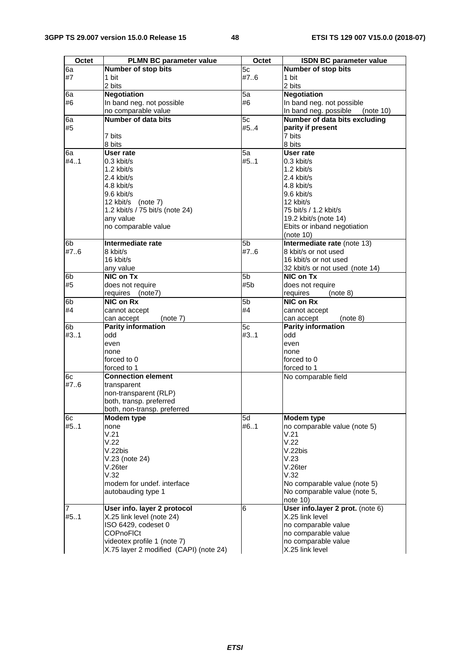| <b>Octet</b>   | <b>PLMN BC parameter value</b>         | Octet          | <b>ISDN BC parameter value</b>     |
|----------------|----------------------------------------|----------------|------------------------------------|
| 6a             | <b>Number of stop bits</b>             | 5c             | <b>Number of stop bits</b>         |
| #7             | 1 bit                                  | #7.6           | 1 bit                              |
|                | 2 bits                                 |                | 2 bits                             |
| 6a             | <b>Negotiation</b>                     | 5a             | <b>Negotiation</b>                 |
| #6             | In band neg. not possible              | #6             | In band neg. not possible          |
|                | no comparable value                    |                | In band neg. possible<br>(note 10) |
| 6a             | <b>Number of data bits</b>             | 5c             | Number of data bits excluding      |
| #5             |                                        | #54            | parity if present                  |
|                | 7 bits                                 |                | 7 bits                             |
|                | 8 bits<br>User rate                    |                | 8 bits<br>User rate                |
| l6a<br>#4.1    | 0.3 kbit/s                             | 5a<br>#51      | $0.3$ kbit/s                       |
|                | $1.2$ kbit/s                           |                | $1.2$ kbit/s                       |
|                | 2.4 kbit/s                             |                | 2.4 kbit/s                         |
|                | 4.8 kbit/s                             |                | 4.8 kbit/s                         |
|                | 9.6 kbit/s                             |                | 9.6 kbit/s                         |
|                | 12 kbit/s (note 7)                     |                | 12 kbit/s                          |
|                | 1.2 kbit/s / 75 bit/s (note 24)        |                | 75 bit/s / 1.2 kbit/s              |
|                | any value                              |                | 19.2 kbit/s (note 14)              |
|                | no comparable value                    |                | Ebits or inband negotiation        |
|                |                                        |                | (note 10)                          |
| 6 <sub>b</sub> | Intermediate rate                      | 5 <sub>b</sub> | Intermediate rate (note 13)        |
| #7.6           | 8 kbit/s                               | #7.6           | 8 kbit/s or not used               |
|                | 16 kbit/s                              |                | 16 kbit/s or not used              |
|                | any value                              |                | 32 kbit/s or not used (note 14)    |
| 6b             | NIC on Tx                              | 5 <sub>b</sub> | NIC on Tx                          |
| #5             | does not require                       | #5b            | does not require                   |
|                | requires (note7)                       |                | requires<br>(note 8)               |
| 6 <sub>b</sub> | NIC on Rx                              | 5b             | NIC on Rx                          |
| #4             | cannot accept                          | #4             | cannot accept                      |
|                | (note 7)<br>can accept                 |                | can accept<br>(note 8)             |
| 6 <sub>b</sub> | <b>Parity information</b>              | 5c             | <b>Parity information</b>          |
| #3.1           | odd                                    | #31            | odd                                |
|                | even<br>none                           |                | even<br>none                       |
|                | forced to 0                            |                | forced to 0                        |
|                | forced to 1                            |                | forced to 1                        |
| 6c             | <b>Connection element</b>              |                | No comparable field                |
| #7.6           | transparent                            |                |                                    |
|                | non-transparent (RLP)                  |                |                                    |
|                | both, transp. preferred                |                |                                    |
|                | both, non-transp. preferred            |                |                                    |
| 6c             | Modem type                             | 5d             | <b>Modem type</b>                  |
| #51            | none                                   | #61            | no comparable value (note 5)       |
|                | V.21                                   |                | V.21                               |
|                | V.22                                   |                | V.22                               |
|                | V.22bis                                |                | V.22bis                            |
|                | V.23 (note 24)                         |                | V.23                               |
|                | $V.26$ ter<br>V.32                     |                | V.26ter<br>V.32                    |
|                | modem for undef, interface             |                | No comparable value (note 5)       |
|                | autobauding type 1                     |                | No comparable value (note 5,       |
|                |                                        |                | note 10)                           |
| $\overline{7}$ | User info. layer 2 protocol            | 6              | User info.layer 2 prot. (note 6)   |
| #5.1           | X.25 link level (note 24)              |                | X.25 link level                    |
|                | ISO 6429, codeset 0                    |                | no comparable value                |
|                | <b>COPnoFICt</b>                       |                | no comparable value                |
|                | videotex profile 1 (note 7)            |                | no comparable value                |
|                | X.75 layer 2 modified (CAPI) (note 24) |                | X.25 link level                    |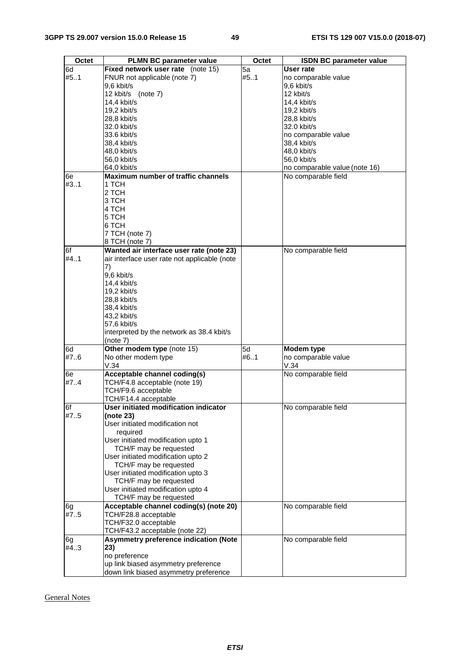| Octet | <b>PLMN BC parameter value</b>               | Octet | <b>ISDN BC parameter value</b> |
|-------|----------------------------------------------|-------|--------------------------------|
| 6d    | Fixed network user rate (note 15)            | 5a    | User rate                      |
| #51   | FNUR not applicable (note 7)                 | #51   | no comparable value            |
|       | 9,6 kbit/s                                   |       |                                |
|       | 12 kbit/s (note 7)                           |       | 9,6 kbit/s<br>12 kbit/s        |
|       | 14.4 kbit/s                                  |       |                                |
|       |                                              |       | 14,4 kbit/s                    |
|       | $19,2$ kbit/s                                |       | $19,2$ kbit/s                  |
|       | 28,8 kbit/s                                  |       | 28,8 kbit/s                    |
|       | 32.0 kbit/s                                  |       | 32.0 kbit/s                    |
|       | 33.6 kbit/s                                  |       | no comparable value            |
|       | 38,4 kbit/s                                  |       | 38,4 kbit/s                    |
|       | 48,0 kbit/s                                  |       | 48,0 kbit/s                    |
|       | 56,0 kbit/s                                  |       | 56,0 kbit/s                    |
|       | 64,0 kbit/s                                  |       | no comparable value (note 16)  |
| l6e   | Maximum number of traffic channels           |       | No comparable field            |
| #3.1  | 1 TCH                                        |       |                                |
|       | 2 TCH                                        |       |                                |
|       | 3 TCH                                        |       |                                |
|       | 4 TCH                                        |       |                                |
|       | 5 TCH                                        |       |                                |
|       | 6 TCH                                        |       |                                |
|       | 7 TCH (note 7)                               |       |                                |
|       | 8 TCH (note 7)                               |       |                                |
| 6f    | Wanted air interface user rate (note 23)     |       | No comparable field            |
| #4.1  | air interface user rate not applicable (note |       |                                |
|       | 7)                                           |       |                                |
|       | 9,6 kbit/s                                   |       |                                |
|       | 14,4 kbit/s                                  |       |                                |
|       | 19,2 kbit/s                                  |       |                                |
|       | 28,8 kbit/s                                  |       |                                |
|       | 38,4 kbit/s                                  |       |                                |
|       | 43,2 kbit/s                                  |       |                                |
|       | 57,6 kbit/s                                  |       |                                |
|       | interpreted by the network as 38.4 kbit/s    |       |                                |
|       | (note 7)                                     |       |                                |
| 6d    | Other modem type (note 15)                   | 5d    | Modem type                     |
| #76   | No other modem type                          | #61   | no comparable value            |
|       | V.34                                         |       | V.34                           |
| l6e   | <b>Acceptable channel coding(s)</b>          |       | No comparable field            |
| #74   | TCH/F4.8 acceptable (note 19)                |       |                                |
|       | TCH/F9.6 acceptable                          |       |                                |
|       | TCH/F14.4 acceptable                         |       |                                |
| 6f    | User initiated modification indicator        |       | No comparable field            |
| #75   | (note 23)                                    |       |                                |
|       | User initiated modification not              |       |                                |
|       | required                                     |       |                                |
|       | User initiated modification upto 1           |       |                                |
|       | TCH/F may be requested                       |       |                                |
|       | User initiated modification upto 2           |       |                                |
|       | TCH/F may be requested                       |       |                                |
|       | User initiated modification upto 3           |       |                                |
|       | TCH/F may be requested                       |       |                                |
|       | User initiated modification upto 4           |       |                                |
|       | TCH/F may be requested                       |       |                                |
| l6g   | Acceptable channel coding(s) (note 20)       |       | No comparable field            |
| #7.5  | TCH/F28.8 acceptable                         |       |                                |
|       | TCH/F32.0 acceptable                         |       |                                |
|       | TCH/F43.2 acceptable (note 22)               |       |                                |
| l6g   | <b>Asymmetry preference indication (Note</b> |       | No comparable field            |
| #43   | 23)                                          |       |                                |
|       | no preference                                |       |                                |
|       | up link biased asymmetry preference          |       |                                |
|       | down link biased asymmetry preference        |       |                                |

General Notes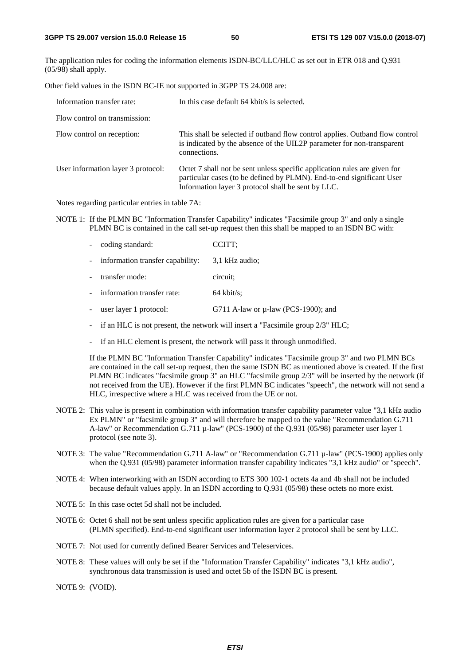The application rules for coding the information elements ISDN-BC/LLC/HLC as set out in ETR 018 and Q.931 (05/98) shall apply.

Other field values in the ISDN BC-IE not supported in 3GPP TS 24.008 are:

| Information transfer rate:         | In this case default 64 kbit/s is selected.                                                                                                                                                              |
|------------------------------------|----------------------------------------------------------------------------------------------------------------------------------------------------------------------------------------------------------|
| Flow control on transmission:      |                                                                                                                                                                                                          |
| Flow control on reception:         | This shall be selected if outband flow control applies. Outband flow control<br>is indicated by the absence of the UIL2P parameter for non-transparent<br>connections.                                   |
| User information layer 3 protocol: | Octet 7 shall not be sent unless specific application rules are given for<br>particular cases (to be defined by PLMN). End-to-end significant User<br>Information layer 3 protocol shall be sent by LLC. |

Notes regarding particular entries in table 7A:

NOTE 1: If the PLMN BC "Information Transfer Capability" indicates "Facsimile group 3" and only a single PLMN BC is contained in the call set-up request then this shall be mapped to an ISDN BC with:

|                | - coding standard:                 | CCITT:                                   |
|----------------|------------------------------------|------------------------------------------|
|                | - information transfer capability: | 3.1 kHz audio;                           |
| $\overline{a}$ | transfer mode:                     | circuit:                                 |
| 200            | information transfer rate:         | $64$ kbit/s:                             |
| 40.            | user layer 1 protocol:             | G711 A-law or $\mu$ -law (PCS-1900); and |
|                |                                    |                                          |

- if an HLC is not present, the network will insert a "Facsimile group  $2/3$ " HLC;
- if an HLC element is present, the network will pass it through unmodified.

 If the PLMN BC "Information Transfer Capability" indicates "Facsimile group 3" and two PLMN BCs are contained in the call set-up request, then the same ISDN BC as mentioned above is created. If the first PLMN BC indicates "facsimile group 3" an HLC "facsimile group 2/3" will be inserted by the network (if not received from the UE). However if the first PLMN BC indicates "speech", the network will not send a HLC, irrespective where a HLC was received from the UE or not.

- NOTE 2: This value is present in combination with information transfer capability parameter value "3,1 kHz audio Ex PLMN" or "facsimile group 3" and will therefore be mapped to the value "Recommendation G.711 A-law" or Recommendation G.711 µ-law" (PCS-1900) of the Q.931 (05/98) parameter user layer 1 protocol (see note 3).
- NOTE 3: The value "Recommendation G.711 A-law" or "Recommendation G.711  $\mu$ -law" (PCS-1900) applies only when the Q.931 (05/98) parameter information transfer capability indicates "3,1 kHz audio" or "speech".
- NOTE 4: When interworking with an ISDN according to ETS 300 102-1 octets 4a and 4b shall not be included because default values apply. In an ISDN according to Q.931 (05/98) these octets no more exist.
- NOTE 5: In this case octet 5d shall not be included.
- NOTE 6: Octet 6 shall not be sent unless specific application rules are given for a particular case (PLMN specified). End-to-end significant user information layer 2 protocol shall be sent by LLC.
- NOTE 7: Not used for currently defined Bearer Services and Teleservices.
- NOTE 8: These values will only be set if the "Information Transfer Capability" indicates "3,1 kHz audio", synchronous data transmission is used and octet 5b of the ISDN BC is present.
- NOTE 9: (VOID).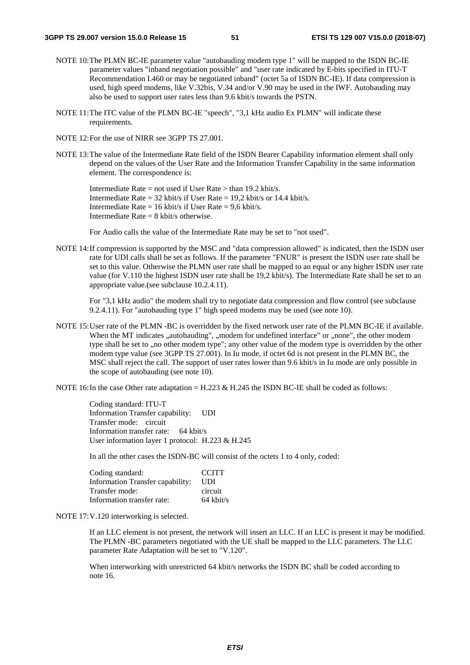- NOTE 10: The PLMN BC-IE parameter value "autobauding modem type 1" will be mapped to the ISDN BC-IE parameter values "inband negotiation possible" and "user rate indicated by E-bits specified in ITU-T Recommendation I.460 or may be negotiated inband" (octet 5a of ISDN BC-IE). If data compression is used, high speed modems, like V.32bis, V.34 and/or V.90 may be used in the IWF. Autobauding may also be used to support user rates less than 9.6 kbit/s towards the PSTN.
- NOTE 11: The ITC value of the PLMN BC-IE "speech", "3,1 kHz audio Ex PLMN" will indicate these requirements.
- NOTE 12: For the use of NIRR see 3GPP TS 27.001.
- NOTE 13: The value of the Intermediate Rate field of the ISDN Bearer Capability information element shall only depend on the values of the User Rate and the Information Transfer Capability in the same information element. The correspondence is:

Intermediate Rate = not used if User Rate > than 19.2 kbit/s. Intermediate Rate =  $32$  kbit/s if User Rate =  $19.2$  kbit/s or  $14.4$  kbit/s. Intermediate Rate = 16 kbit/s if User Rate =  $9.6$  kbit/s. Intermediate Rate  $= 8$  kbit/s otherwise.

For Audio calls the value of the Intermediate Rate may be set to "not used".

NOTE 14: If compression is supported by the MSC and "data compression allowed" is indicated, then the ISDN user rate for UDI calls shall be set as follows. If the parameter "FNUR" is present the ISDN user rate shall be set to this value. Otherwise the PLMN user rate shall be mapped to an equal or any higher ISDN user rate value (for V.110 the highest ISDN user rate shall be 19,2 kbit/s). The Intermediate Rate shall be set to an appropriate value.(see subclause 10.2.4.11).

 For "3,1 kHz audio" the modem shall try to negotiate data compression and flow control (see subclause 9.2.4.11). For "autobauding type 1" high speed modems may be used (see note 10).

NOTE 15: User rate of the PLMN -BC is overridden by the fixed network user rate of the PLMN BC-IE if available. When the MT indicates "autobauding", "modem for undefined interface" or "none", the other modem type shall be set to ,,no other modem type"; any other value of the modem type is overridden by the other modem type value (see 3GPP TS 27.001). In Iu mode, if octet 6d is not present in the PLMN BC, the MSC shall reject the call. The support of user rates lower than 9.6 kbit/s in Iu mode are only possible in the scope of autobauding (see note 10).

NOTE 16: In the case Other rate adaptation = H.223 & H.245 the ISDN BC-IE shall be coded as follows:

 Coding standard: ITU-T Information Transfer capability: UDI Transfer mode: circuit Information transfer rate: 64 kbit/s User information layer 1 protocol: H.223 & H.245

In all the other cases the ISDN-BC will consist of the octets 1 to 4 only, coded:

| Coding standard:                 | <b>CCITT</b> |
|----------------------------------|--------------|
| Information Transfer capability: | UDI.         |
| Transfer mode:                   | circuit      |
| Information transfer rate:       | $64$ kbit/s  |

#### NOTE 17: V.120 interworking is selected.

 If an LLC element is not present, the network will insert an LLC. If an LLC is present it may be modified. The PLMN -BC parameters negotiated with the UE shall be mapped to the LLC parameters. The LLC parameter Rate Adaptation will be set to "V.120".

When interworking with unrestricted 64 kbit/s networks the ISDN BC shall be coded according to note 16.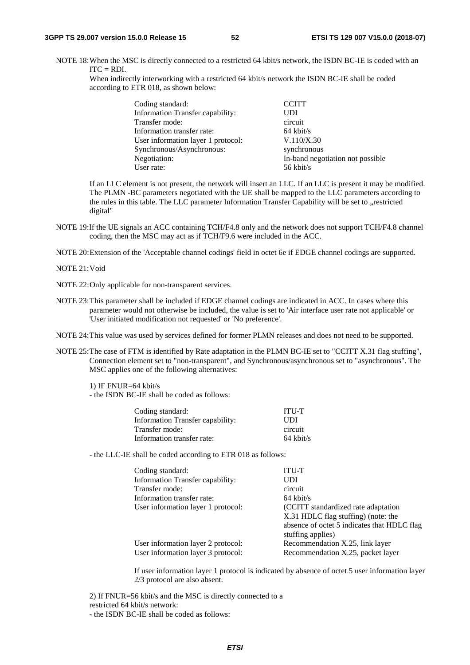NOTE 18: When the MSC is directly connected to a restricted 64 kbit/s network, the ISDN BC-IE is coded with an  $ITC = RDI$ .

When indirectly interworking with a restricted 64 kbit/s network the ISDN BC-IE shall be coded according to ETR 018, as shown below:

| Coding standard:                   | <b>CCITT</b>                     |
|------------------------------------|----------------------------------|
| Information Transfer capability:   | <b>UDI</b>                       |
| Transfer mode:                     | circuit                          |
| Information transfer rate:         | $64$ kbit/s                      |
| User information layer 1 protocol: | V.110/X.30                       |
| Synchronous/Asynchronous:          | synchronous                      |
| Negotiation:                       | In-band negotiation not possible |
| User rate:                         | 56 kbit/s                        |

 If an LLC element is not present, the network will insert an LLC. If an LLC is present it may be modified. The PLMN -BC parameters negotiated with the UE shall be mapped to the LLC parameters according to the rules in this table. The LLC parameter Information Transfer Capability will be set to "restricted digital"

NOTE 19:If the UE signals an ACC containing TCH/F4.8 only and the network does not support TCH/F4.8 channel coding, then the MSC may act as if TCH/F9.6 were included in the ACC.

NOTE 20: Extension of the 'Acceptable channel codings' field in octet 6e if EDGE channel codings are supported.

NOTE 21: Void

NOTE 22: Only applicable for non-transparent services.

NOTE 23: This parameter shall be included if EDGE channel codings are indicated in ACC. In cases where this parameter would not otherwise be included, the value is set to 'Air interface user rate not applicable' or 'User initiated modification not requested' or 'No preference'.

NOTE 24: This value was used by services defined for former PLMN releases and does not need to be supported.

NOTE 25: The case of FTM is identified by Rate adaptation in the PLMN BC-IE set to "CCITT X.31 flag stuffing", Connection element set to "non-transparent", and Synchronous/asynchronous set to "asynchronous". The MSC applies one of the following alternatives:

1) IF FNUR=64 kbit/s

- the ISDN BC-IE shall be coded as follows:

| Coding standard:                 | <b>ITU-T</b>        |
|----------------------------------|---------------------|
| Information Transfer capability: | UDI                 |
| Transfer mode:                   | circuit             |
| Information transfer rate:       | $64 \text{ kbit/s}$ |
|                                  |                     |

- the LLC-IE shall be coded according to ETR 018 as follows:

| Coding standard:                   | <b>ITU-T</b>                                |
|------------------------------------|---------------------------------------------|
| Information Transfer capability:   | <b>UDI</b>                                  |
| Transfer mode:                     | circuit                                     |
| Information transfer rate:         | $64$ kbit/s                                 |
| User information layer 1 protocol: | (CCITT standardized rate adaptation)        |
|                                    | X.31 HDLC flag stuffing) (note: the         |
|                                    | absence of octet 5 indicates that HDLC flag |
|                                    | stuffing applies)                           |
| User information layer 2 protocol: | Recommendation X.25, link layer             |
| User information layer 3 protocol: | Recommendation X.25, packet layer           |
|                                    |                                             |

If user information layer 1 protocol is indicated by absence of octet 5 user information layer 2/3 protocol are also absent.

 2) If FNUR=56 kbit/s and the MSC is directly connected to a restricted 64 kbit/s network: - the ISDN BC-IE shall be coded as follows: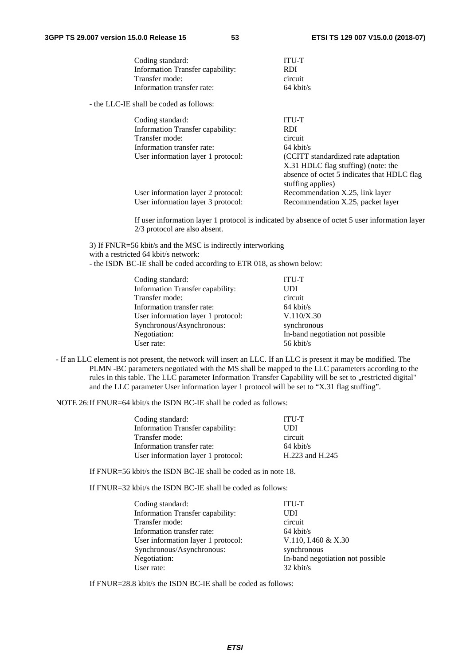| Coding standard:                        | <b>ITU-T</b>                                |
|-----------------------------------------|---------------------------------------------|
| Information Transfer capability:        | <b>RDI</b>                                  |
| Transfer mode:                          | circuit                                     |
| Information transfer rate:              | $64$ kbit/s                                 |
| - the LLC-IE shall be coded as follows: |                                             |
| Coding standard:                        | <b>ITU-T</b>                                |
| Information Transfer capability:        | <b>RDI</b>                                  |
| Transfer mode:                          | circuit                                     |
| Information transfer rate:              | $64 \text{ kbit/s}$                         |
| User information layer 1 protocol:      | (CCITT standardized rate adaptation)        |
|                                         | X.31 HDLC flag stuffing) (note: the         |
|                                         | absence of octet 5 indicates that HDLC flag |
|                                         | stuffing applies)                           |
| User information layer 2 protocol:      | Recommendation X.25, link layer             |
| User information layer 3 protocol:      | Recommendation X.25, packet layer           |

If user information layer 1 protocol is indicated by absence of octet 5 user information layer 2/3 protocol are also absent.

 3) If FNUR=56 kbit/s and the MSC is indirectly interworking with a restricted 64 kbit/s network: - the ISDN BC-IE shall be coded according to ETR 018, as shown below:

| Coding standard:                   | ITU-T                            |
|------------------------------------|----------------------------------|
| Information Transfer capability:   | <b>UDI</b>                       |
| Transfer mode:                     | circuit                          |
| Information transfer rate:         | $64$ kbit/s                      |
| User information layer 1 protocol: | V.110/X.30                       |
| Synchronous/Asynchronous:          | synchronous                      |
| Negotiation:                       | In-band negotiation not possible |
| User rate:                         | 56 kbit/s                        |

- If an LLC element is not present, the network will insert an LLC. If an LLC is present it may be modified. The PLMN -BC parameters negotiated with the MS shall be mapped to the LLC parameters according to the rules in this table. The LLC parameter Information Transfer Capability will be set to "restricted digital" and the LLC parameter User information layer 1 protocol will be set to "X.31 flag stuffing".

NOTE 26: If FNUR=64 kbit/s the ISDN BC-IE shall be coded as follows:

| Coding standard:                   | <b>ITU-T</b>        |
|------------------------------------|---------------------|
| Information Transfer capability:   | UDI                 |
| Transfer mode:                     | circuit             |
| Information transfer rate:         | $64 \text{ kbit/s}$ |
| User information layer 1 protocol: | H.223 and H.245     |

If FNUR=56 kbit/s the ISDN BC-IE shall be coded as in note 18.

If FNUR=32 kbit/s the ISDN BC-IE shall be coded as follows:

| Coding standard:                   | <b>ITU-T</b>                     |
|------------------------------------|----------------------------------|
| Information Transfer capability:   | UDI                              |
| Transfer mode:                     | circuit                          |
| Information transfer rate:         | $64$ kbit/s                      |
| User information layer 1 protocol: | V.110, I.460 & X.30              |
| Synchronous/Asynchronous:          | synchronous                      |
| Negotiation:                       | In-band negotiation not possible |
| User rate:                         | $32 \text{ kbit/s}$              |

If FNUR=28.8 kbit/s the ISDN BC-IE shall be coded as follows: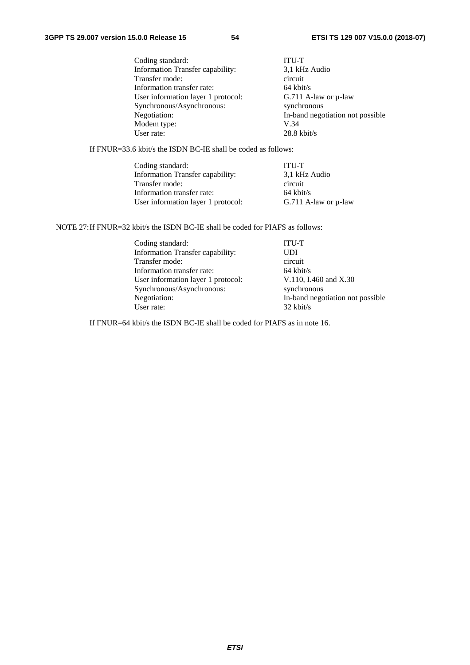| Coding standard:                   | <b>ITU-T</b>                     |
|------------------------------------|----------------------------------|
| Information Transfer capability:   | 3,1 kHz Audio                    |
| Transfer mode:                     | circuit                          |
| Information transfer rate:         | $64$ kbit/s                      |
| User information layer 1 protocol: | G.711 A-law or $\mu$ -law        |
| Synchronous/Asynchronous:          | synchronous                      |
| Negotiation:                       | In-band negotiation not possible |
| Modem type:                        | V.34                             |
| User rate:                         | $28.8$ kbit/s                    |
|                                    |                                  |

If FNUR=33.6 kbit/s the ISDN BC-IE shall be coded as follows:

| Coding standard:                   | <b>ITU-T</b>              |
|------------------------------------|---------------------------|
| Information Transfer capability:   | 3.1 kHz Audio             |
| Transfer mode:                     | circuit                   |
| Information transfer rate:         | $64 \text{ kbit/s}$       |
| User information layer 1 protocol: | G.711 A-law or $\mu$ -law |

NOTE 27: If FNUR=32 kbit/s the ISDN BC-IE shall be coded for PIAFS as follows:

| Coding standard:                   | <b>ITU-T</b>                     |
|------------------------------------|----------------------------------|
| Information Transfer capability:   | <b>UDI</b>                       |
| Transfer mode:                     | circuit                          |
| Information transfer rate:         | $64$ kbit/s                      |
| User information layer 1 protocol: | V.110, I.460 and X.30            |
| Synchronous/Asynchronous:          | synchronous                      |
| Negotiation:                       | In-band negotiation not possible |
| User rate:                         | $32$ kbit/s                      |

If FNUR=64 kbit/s the ISDN BC-IE shall be coded for PIAFS as in note 16.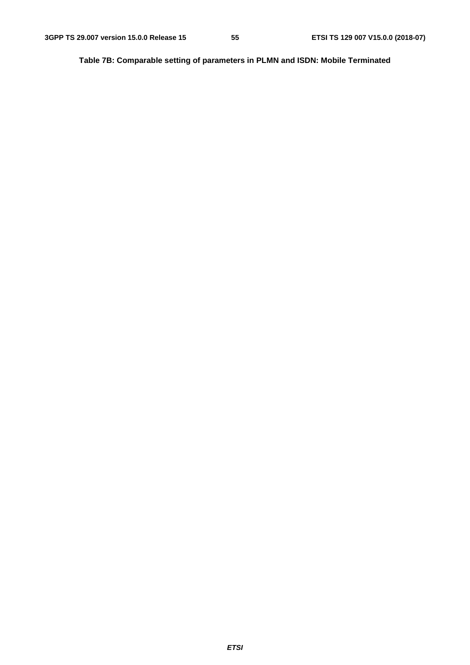**Table 7B: Comparable setting of parameters in PLMN and ISDN: Mobile Terminated**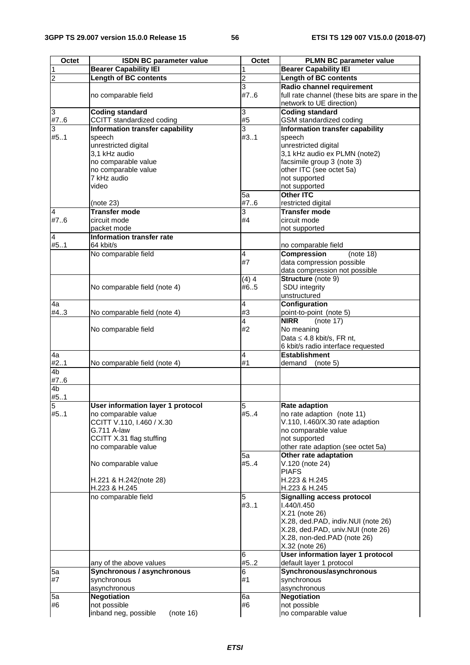| Octet                   | <b>ISDN BC parameter value</b>          | Octet          | <b>PLMN BC parameter value</b>                             |
|-------------------------|-----------------------------------------|----------------|------------------------------------------------------------|
| 1                       | <b>Bearer Capability IEI</b>            | 1              | <b>Bearer Capability IEI</b>                               |
| $\overline{\mathbf{c}}$ | <b>Length of BC contents</b>            | $\overline{c}$ | <b>Length of BC contents</b>                               |
|                         |                                         | 3              | Radio channel requirement                                  |
|                         | no comparable field                     | #7.6           | full rate channel (these bits are spare in the             |
|                         |                                         |                | network to UE direction)                                   |
| 3                       | <b>Coding standard</b>                  | 3              | <b>Coding standard</b>                                     |
| #76                     | CCITT standardized coding               | #5             | GSM standardized coding                                    |
| 3                       | Information transfer capability         | 3              | Information transfer capability                            |
| #51                     | speech                                  | #31            | speech                                                     |
|                         | unrestricted digital                    |                | unrestricted digital                                       |
|                         | 3,1 kHz audio                           |                | 3,1 kHz audio ex PLMN (note2)                              |
|                         | no comparable value                     |                | facsimile group 3 (note 3)                                 |
|                         | no comparable value                     |                | other ITC (see octet 5a)                                   |
|                         | 7 kHz audio                             |                | not supported                                              |
|                         | video                                   | 5a             | not supported<br><b>Other ITC</b>                          |
|                         |                                         | #76            |                                                            |
| $\overline{4}$          | (note 23)<br><b>Transfer mode</b>       | 3              | restricted digital<br><b>Transfer mode</b>                 |
| #7.6                    | circuit mode                            | #4             | circuit mode                                               |
|                         | packet mode                             |                | not supported                                              |
| 4                       | Information transfer rate               |                |                                                            |
| #51                     | 64 kbit/s                               |                | no comparable field                                        |
|                         | No comparable field                     | 4              | <b>Compression</b><br>(note 18)                            |
|                         |                                         | #7             | data compression possible                                  |
|                         |                                         |                | data compression not possible                              |
|                         |                                         | (4)4           | Structure (note 9)                                         |
|                         | No comparable field (note 4)            | #65            | <b>SDU</b> integrity                                       |
|                         |                                         |                | unstructured                                               |
| 4a                      |                                         | 4              | Configuration                                              |
| #4.3                    | No comparable field (note 4)            | #3             | point-to-point (note 5)                                    |
|                         |                                         | 4              | <b>NIRR</b><br>(note 17)                                   |
|                         | No comparable field                     | #2             | No meaning                                                 |
|                         |                                         |                | Data $\leq$ 4.8 kbit/s, FR nt,                             |
|                         |                                         |                | 6 kbit/s radio interface requested<br><b>Establishment</b> |
| 4a<br>#2.1              | No comparable field (note 4)            | 4<br>#1        | demand<br>(note 5)                                         |
| 4 <sub>b</sub>          |                                         |                |                                                            |
| #76                     |                                         |                |                                                            |
| 4 <sub>b</sub>          |                                         |                |                                                            |
| #51                     |                                         |                |                                                            |
| 5                       | User information layer 1 protocol       | 5              | <b>Rate adaption</b>                                       |
| #51                     | no comparable value                     | #5.4           | no rate adaption (note 11)                                 |
|                         | CCITT V.110, I.460 / X.30               |                | V.110, I.460/X.30 rate adaption                            |
|                         | G.711 A-law                             |                | no comparable value                                        |
|                         | CCITT X.31 flag stuffing                |                | not supported                                              |
|                         | no comparable value                     |                | other rate adaption (see octet 5a)                         |
|                         |                                         | 5a             | Other rate adaptation                                      |
|                         | No comparable value                     | #54            | V.120 (note 24)                                            |
|                         |                                         |                | <b>PIAFS</b>                                               |
|                         | H.221 & H.242(note 28)<br>H.223 & H.245 |                | H.223 & H.245<br>H.223 & H.245                             |
|                         | no comparable field                     | 5              | <b>Signalling access protocol</b>                          |
|                         |                                         | #3.1           | 1.440/1.450                                                |
|                         |                                         |                | X.21 (note 26)                                             |
|                         |                                         |                | X.28, ded.PAD, indiv.NUI (note 26)                         |
|                         |                                         |                | X.28, ded.PAD, univ.NUI (note 26)                          |
|                         |                                         |                | X.28, non-ded.PAD (note 26)                                |
|                         |                                         |                | X.32 (note 26)                                             |
|                         |                                         | 6              | User information layer 1 protocol                          |
|                         | any of the above values                 | #52            | default layer 1 protocol                                   |
| 5a                      | Synchronous / asynchronous              | 6              | Synchronous/asynchronous                                   |
| #7                      | synchronous                             | #1             | synchronous                                                |
|                         | asynchronous                            |                | asynchronous                                               |
| 5a                      | <b>Negotiation</b>                      | 6a             | <b>Negotiation</b>                                         |
| #6                      | not possible                            | #6             | not possible                                               |
|                         | inband neg, possible<br>(note 16)       |                | no comparable value                                        |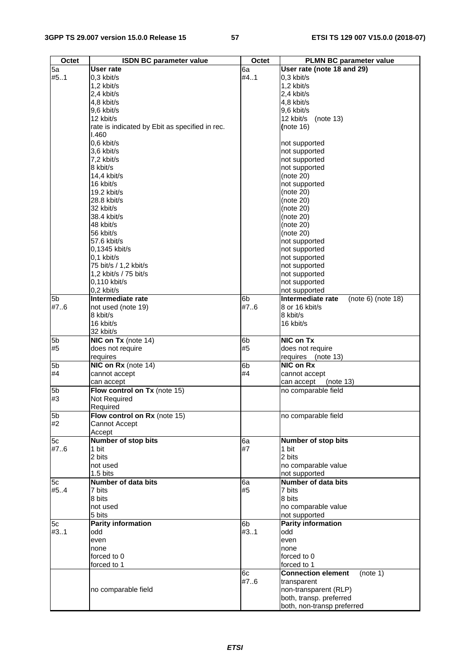| Octet          | <b>ISDN BC parameter value</b>                 | Octet          | <b>PLMN BC parameter value</b>          |
|----------------|------------------------------------------------|----------------|-----------------------------------------|
| 5a             | <b>User rate</b>                               | 6a             | User rate (note 18 and 29)              |
| #51            | 0,3 kbit/s                                     | #4.1           | 0,3 kbit/s                              |
|                | 1,2 kbit/s                                     |                | 1,2 kbit/s                              |
|                | 2,4 kbit/s                                     |                | 2,4 kbit/s                              |
|                | 4,8 kbit/s                                     |                | 4,8 kbit/s                              |
|                | 9,6 kbit/s                                     |                | 9,6 kbit/s                              |
|                | 12 kbit/s                                      |                | 12 kbit/s<br>(note 13)                  |
|                | rate is indicated by Ebit as specified in rec. |                | (note $16$ )                            |
|                | 1.460                                          |                |                                         |
|                | 0,6 kbit/s                                     |                | not supported                           |
|                | 3,6 kbit/s                                     |                | not supported                           |
|                | 7,2 kbit/s                                     |                | not supported                           |
|                | 8 kbit/s                                       |                | not supported                           |
|                | 14,4 kbit/s<br>16 kbit/s                       |                | (note 20)                               |
|                | 19.2 kbit/s                                    |                | not supported<br>(note 20)              |
|                | 28.8 kbit/s                                    |                | (note 20)                               |
|                | 32 kbit/s                                      |                | (note 20)                               |
|                | 38.4 kbit/s                                    |                | (note 20)                               |
|                | 48 kbit/s                                      |                | (note 20)                               |
|                | 56 kbit/s                                      |                | (note 20)                               |
|                | 57.6 kbit/s                                    |                | not supported                           |
|                | 0,1345 kbit/s                                  |                | not supported                           |
|                | $0.1$ kbit/s                                   |                | not supported                           |
|                | 75 bit/s / 1,2 kbit/s                          |                | not supported                           |
|                | 1,2 kbit/s / 75 bit/s                          |                | not supported                           |
|                | $0.110$ kbit/s                                 |                | not supported                           |
|                | $0.2$ kbit/s                                   |                | not supported                           |
| 5 <sub>b</sub> | Intermediate rate                              | 6 <sub>b</sub> | Intermediate rate<br>(note 6) (note 18) |
| #7.6           | not used (note 19)                             | #7.6           | 8 or 16 kbit/s<br>8 kbit/s              |
|                | 8 kbit/s<br>16 kbit/s                          |                | 16 kbit/s                               |
|                | 32 kbit/s                                      |                |                                         |
| 5b             | NIC on Tx (note 14)                            | 6b             | NIC on Tx                               |
| #5             | does not require                               | #5             | does not require                        |
|                | requires                                       |                | requires<br>(note 13)                   |
| 5 <sub>b</sub> | NIC on Rx (note 14)                            | 6b             | NIC on Rx                               |
| #4             | cannot accept                                  | #4             | cannot accept                           |
|                | can accept                                     |                | can accept<br>(note 13)                 |
| 5 <sub>b</sub> | Flow control on Tx (note 15)                   |                | no comparable field                     |
| #3             | Not Required                                   |                |                                         |
|                | Required                                       |                |                                         |
| 5 <sub>b</sub> | Flow control on Rx (note 15)                   |                | no comparable field                     |
| #2             | Cannot Accept                                  |                |                                         |
|                | Accept<br>Number of stop bits                  |                |                                         |
| 5c<br>#7.6     | 1 bit                                          | 6a<br>#7       | Number of stop bits<br>1 bit            |
|                | 2 bits                                         |                | 2 bits                                  |
|                | not used                                       |                | no comparable value                     |
|                | 1.5 bits                                       |                | not supported                           |
| 5c             | Number of data bits                            | 6a             | <b>Number of data bits</b>              |
| #54            | 7 bits                                         | #5             | 7 bits                                  |
|                | 8 bits                                         |                | 8 bits                                  |
|                | not used                                       |                | no comparable value                     |
|                | 5 bits                                         |                | not supported                           |
| 5c             | <b>Parity information</b>                      | 6b             | <b>Parity information</b>               |
| #31            | odd                                            | #3.1           | odd                                     |
|                | even                                           |                | even                                    |
|                | none                                           |                | none                                    |
|                | forced to 0                                    |                | forced to 0                             |
|                | forced to 1                                    |                | forced to 1                             |
|                |                                                | 6c             | (note 1)<br><b>Connection element</b>   |
|                | no comparable field                            | #7.6           | transparent<br>non-transparent (RLP)    |
|                |                                                |                | both, transp. preferred                 |
|                |                                                |                | both, non-transp preferred              |
|                |                                                |                |                                         |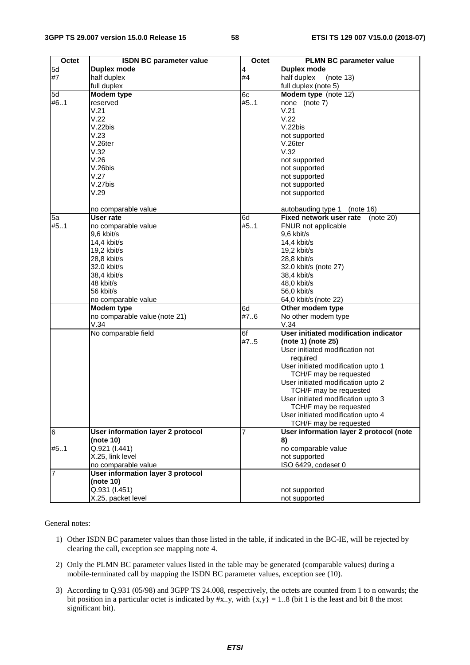| Octet          | <b>ISDN BC parameter value</b>           | Octet | <b>PLMN BC parameter value</b>                               |
|----------------|------------------------------------------|-------|--------------------------------------------------------------|
| 5d             | <b>Duplex mode</b>                       | 4     | <b>Duplex mode</b>                                           |
| #7             | half duplex                              | #4    | half duplex<br>(note 13)                                     |
|                | full duplex                              |       | full duplex (note 5)                                         |
| 5d             | Modem type                               | 6c    | Modem type (note 12)                                         |
| #61            | reserved                                 | #5.1  | none (note 7)                                                |
|                | V.21                                     |       | V.21                                                         |
|                | V.22                                     |       | V.22                                                         |
|                | V.22bis                                  |       | V.22bis                                                      |
|                | V.23                                     |       | not supported                                                |
|                | $V.26$ ter                               |       | V.26ter                                                      |
|                | V.32                                     |       | V.32                                                         |
|                | V.26                                     |       | not supported                                                |
|                | V.26bis                                  |       | not supported                                                |
|                | V.27                                     |       | not supported                                                |
|                | V.27bis                                  |       | not supported                                                |
|                | V.29                                     |       | not supported                                                |
|                |                                          |       |                                                              |
|                | no comparable value                      |       | autobauding type 1<br>(note 16)                              |
| 5a             | User rate                                | 6d    | Fixed network user rate<br>(note $20$ )                      |
| #51            | no comparable value                      | #51   | FNUR not applicable                                          |
|                | 9,6 kbit/s                               |       | 9,6 kbit/s                                                   |
|                | 14,4 kbit/s                              |       | 14,4 kbit/s                                                  |
|                | $19,2$ kbit/s                            |       | 19,2 kbit/s                                                  |
|                | 28,8 kbit/s                              |       | 28,8 kbit/s                                                  |
|                | 32.0 kbit/s                              |       | 32.0 kbit/s (note 27)                                        |
|                | 38,4 kbit/s                              |       | 38,4 kbit/s                                                  |
|                | 48 kbit/s                                |       | 48,0 kbit/s                                                  |
|                | 56 kbit/s                                |       | 56,0 kbit/s                                                  |
|                | no comparable value                      |       | 64,0 kbit/s (note 22)                                        |
|                | Modem type                               | 6d    | Other modem type                                             |
|                | no comparable value (note 21)            | #7.6  | No other modem type                                          |
|                | V.34                                     |       | V.34                                                         |
|                | No comparable field                      | 6f    | User initiated modification indicator                        |
|                |                                          | #7.5  | (note 1) (note 25)                                           |
|                |                                          |       | User initiated modification not                              |
|                |                                          |       | required                                                     |
|                |                                          |       | User initiated modification upto 1<br>TCH/F may be requested |
|                |                                          |       | User initiated modification upto 2                           |
|                |                                          |       | TCH/F may be requested                                       |
|                |                                          |       | User initiated modification upto 3                           |
|                |                                          |       | TCH/F may be requested                                       |
|                |                                          |       | User initiated modification upto 4                           |
|                |                                          |       | TCH/F may be requested                                       |
| 6              | <b>User information layer 2 protocol</b> | 7     | User information layer 2 protocol (note                      |
|                | (note 10)                                |       | 8)                                                           |
| #51            | Q.921 (I.441)                            |       | no comparable value                                          |
|                | X.25, link level                         |       | not supported                                                |
|                | no comparable value                      |       | ISO 6429, codeset 0                                          |
| $\overline{7}$ | User information layer 3 protocol        |       |                                                              |
|                | (note 10)<br>Q.931 (I.451)               |       |                                                              |
|                |                                          |       | not supported                                                |
|                | X.25, packet level                       |       | not supported                                                |

General notes:

- 1) Other ISDN BC parameter values than those listed in the table, if indicated in the BC-IE, will be rejected by clearing the call, exception see mapping note 4.
- 2) Only the PLMN BC parameter values listed in the table may be generated (comparable values) during a mobile-terminated call by mapping the ISDN BC parameter values, exception see (10).
- 3) According to Q.931 (05/98) and 3GPP TS 24.008, respectively, the octets are counted from 1 to n onwards; the bit position in a particular octet is indicated by  $\#x.$ .y, with  $\{x,y\} = 1.08$  (bit 1 is the least and bit 8 the most significant bit).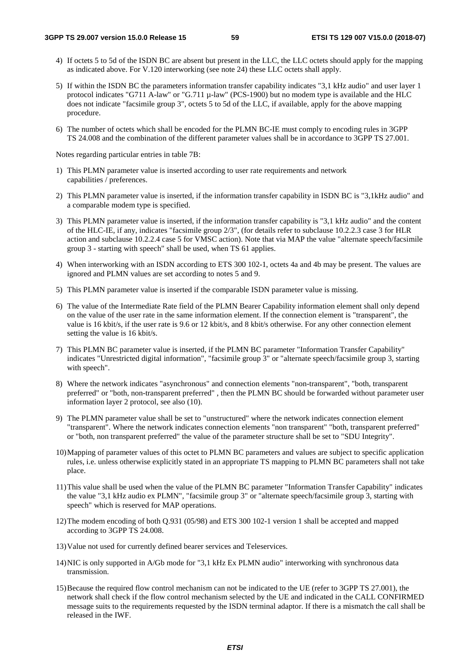- 4) If octets 5 to 5d of the ISDN BC are absent but present in the LLC, the LLC octets should apply for the mapping as indicated above. For V.120 interworking (see note 24) these LLC octets shall apply.
- 5) If within the ISDN BC the parameters information transfer capability indicates "3,1 kHz audio" and user layer 1 protocol indicates "G711 A-law" or "G.711 µ-law" (PCS-1900) but no modem type is available and the HLC does not indicate "facsimile group 3", octets 5 to 5d of the LLC, if available, apply for the above mapping procedure.
- 6) The number of octets which shall be encoded for the PLMN BC-IE must comply to encoding rules in 3GPP TS 24.008 and the combination of the different parameter values shall be in accordance to 3GPP TS 27.001.

Notes regarding particular entries in table 7B:

- 1) This PLMN parameter value is inserted according to user rate requirements and network capabilities / preferences.
- 2) This PLMN parameter value is inserted, if the information transfer capability in ISDN BC is "3,1kHz audio" and a comparable modem type is specified.
- 3) This PLMN parameter value is inserted, if the information transfer capability is "3,1 kHz audio" and the content of the HLC-IE, if any, indicates "facsimile group 2/3", (for details refer to subclause 10.2.2.3 case 3 for HLR action and subclause 10.2.2.4 case 5 for VMSC action). Note that via MAP the value "alternate speech/facsimile group 3 - starting with speech" shall be used, when TS 61 applies.
- 4) When interworking with an ISDN according to ETS 300 102-1, octets 4a and 4b may be present. The values are ignored and PLMN values are set according to notes 5 and 9.
- 5) This PLMN parameter value is inserted if the comparable ISDN parameter value is missing.
- 6) The value of the Intermediate Rate field of the PLMN Bearer Capability information element shall only depend on the value of the user rate in the same information element. If the connection element is "transparent", the value is 16 kbit/s, if the user rate is 9.6 or 12 kbit/s, and 8 kbit/s otherwise. For any other connection element setting the value is 16 kbit/s.
- 7) This PLMN BC parameter value is inserted, if the PLMN BC parameter "Information Transfer Capability" indicates "Unrestricted digital information", "facsimile group 3" or "alternate speech/facsimile group 3, starting with speech".
- 8) Where the network indicates "asynchronous" and connection elements "non-transparent", "both, transparent preferred" or "both, non-transparent preferred" , then the PLMN BC should be forwarded without parameter user information layer 2 protocol, see also (10).
- 9) The PLMN parameter value shall be set to "unstructured" where the network indicates connection element "transparent". Where the network indicates connection elements "non transparent" "both, transparent preferred" or "both, non transparent preferred" the value of the parameter structure shall be set to "SDU Integrity".
- 10) Mapping of parameter values of this octet to PLMN BC parameters and values are subject to specific application rules, i.e. unless otherwise explicitly stated in an appropriate TS mapping to PLMN BC parameters shall not take place.
- 11) This value shall be used when the value of the PLMN BC parameter "Information Transfer Capability" indicates the value "3,1 kHz audio ex PLMN", "facsimile group 3" or "alternate speech/facsimile group 3, starting with speech" which is reserved for MAP operations.
- 12) The modem encoding of both Q.931 (05/98) and ETS 300 102-1 version 1 shall be accepted and mapped according to 3GPP TS 24.008.
- 13) Value not used for currently defined bearer services and Teleservices.
- 14) NIC is only supported in A/Gb mode for "3,1 kHz Ex PLMN audio" interworking with synchronous data transmission.
- 15) Because the required flow control mechanism can not be indicated to the UE (refer to 3GPP TS 27.001), the network shall check if the flow control mechanism selected by the UE and indicated in the CALL CONFIRMED message suits to the requirements requested by the ISDN terminal adaptor. If there is a mismatch the call shall be released in the IWF.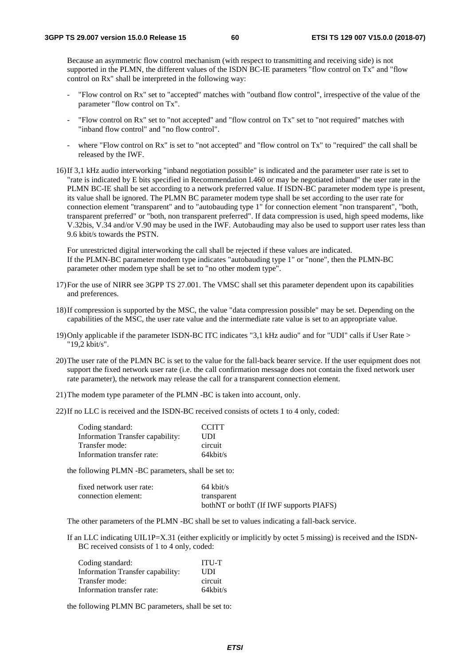Because an asymmetric flow control mechanism (with respect to transmitting and receiving side) is not supported in the PLMN, the different values of the ISDN BC-IE parameters "flow control on Tx" and "flow control on Rx" shall be interpreted in the following way:

- "Flow control on Rx" set to "accepted" matches with "outband flow control", irrespective of the value of the parameter "flow control on Tx".
- "Flow control on Rx" set to "not accepted" and "flow control on Tx" set to "not required" matches with "inband flow control" and "no flow control".
- where "Flow control on Rx" is set to "not accepted" and "flow control on Tx" to "required" the call shall be released by the IWF.
- 16) If 3,1 kHz audio interworking "inband negotiation possible" is indicated and the parameter user rate is set to "rate is indicated by E bits specified in Recommendation I.460 or may be negotiated inband" the user rate in the PLMN BC-IE shall be set according to a network preferred value. If ISDN-BC parameter modem type is present, its value shall be ignored. The PLMN BC parameter modem type shall be set according to the user rate for connection element "transparent" and to "autobauding type 1" for connection element "non transparent", "both, transparent preferred" or "both, non transparent preferred". If data compression is used, high speed modems, like V.32bis, V.34 and/or V.90 may be used in the IWF. Autobauding may also be used to support user rates less than 9.6 kbit/s towards the PSTN.

 For unrestricted digital interworking the call shall be rejected if these values are indicated. If the PLMN-BC parameter modem type indicates "autobauding type 1" or "none", then the PLMN-BC parameter other modem type shall be set to "no other modem type".

- 17) For the use of NIRR see 3GPP TS 27.001. The VMSC shall set this parameter dependent upon its capabilities and preferences.
- 18) If compression is supported by the MSC, the value "data compression possible" may be set. Depending on the capabilities of the MSC, the user rate value and the intermediate rate value is set to an appropriate value.
- 19) Only applicable if the parameter ISDN-BC ITC indicates "3,1 kHz audio" and for "UDI" calls if User Rate > "19,2 kbit/s".
- 20) The user rate of the PLMN BC is set to the value for the fall-back bearer service. If the user equipment does not support the fixed network user rate (i.e. the call confirmation message does not contain the fixed network user rate parameter), the network may release the call for a transparent connection element.
- 21) The modem type parameter of the PLMN -BC is taken into account, only.
- 22) If no LLC is received and the ISDN-BC received consists of octets 1 to 4 only, coded:

| Coding standard:                 | <b>CCITT</b> |
|----------------------------------|--------------|
| Information Transfer capability: | UDI          |
| Transfer mode:                   | circuit      |
| Information transfer rate:       | $64$ khit/s  |

the following PLMN -BC parameters, shall be set to:

| fixed network user rate: | $64 \text{ kbit/s}$                     |
|--------------------------|-----------------------------------------|
| connection element:      | transparent                             |
|                          | bothNT or bothT (If IWF supports PIAFS) |

The other parameters of the PLMN -BC shall be set to values indicating a fall-back service.

If an LLC indicating UIL1P=X.31 (either explicitly or implicitly by octet 5 missing) is received and the ISDN-BC received consists of 1 to 4 only, coded:

| Coding standard:                 | <b>ITU-T</b> |
|----------------------------------|--------------|
| Information Transfer capability: | UDI          |
| Transfer mode:                   | circuit      |
| Information transfer rate:       | $64$ khit/s  |

the following PLMN BC parameters, shall be set to: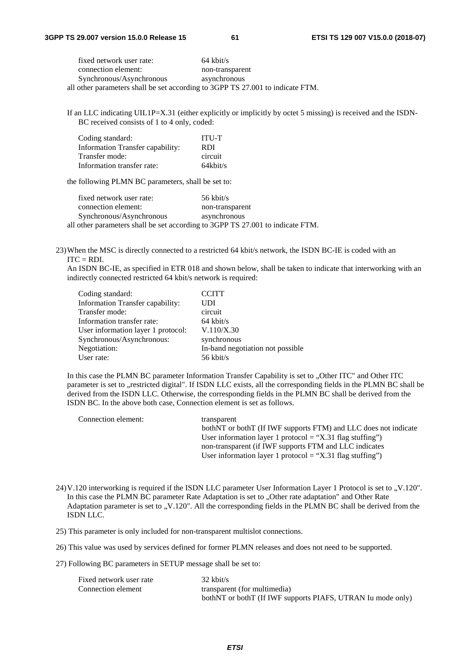| fixed network user rate:                                                       | $64 \text{ kbit/s}$ |
|--------------------------------------------------------------------------------|---------------------|
| connection element:                                                            | non-transparent     |
| Synchronous/Asynchronous                                                       | asynchronous        |
| all other parameters shall be set according to 3GPP TS 27.001 to indicate FTM. |                     |

If an LLC indicating UIL1P=X.31 (either explicitly or implicitly by octet 5 missing) is received and the ISDN-BC received consists of 1 to 4 only, coded:

| Coding standard:                 | <b>ITU-T</b> |
|----------------------------------|--------------|
| Information Transfer capability: | RDI          |
| Transfer mode:                   | circuit      |
| Information transfer rate:       | $64$ khit/s  |

the following PLMN BC parameters, shall be set to:

 fixed network user rate: 56 kbit/s connection element: non-transparent Synchronous/Asynchronous asynchronous all other parameters shall be set according to 3GPP TS 27.001 to indicate FTM.

23) When the MSC is directly connected to a restricted 64 kbit/s network, the ISDN BC-IE is coded with an  $ITC = RDI$ .

An ISDN BC-IE, as specified in ETR 018 and shown below, shall be taken to indicate that interworking with an indirectly connected restricted 64 kbit/s network is required:

| Coding standard:                   | <b>CCITT</b>                     |
|------------------------------------|----------------------------------|
| Information Transfer capability:   | UDI                              |
| Transfer mode:                     | circuit                          |
| Information transfer rate:         | $64$ kbit/s                      |
| User information layer 1 protocol: | V.110/X.30                       |
| Synchronous/Asynchronous:          | synchronous                      |
| Negotiation:                       | In-band negotiation not possible |
| User rate:                         | $56$ kbit/s                      |
|                                    |                                  |

In this case the PLMN BC parameter Information Transfer Capability is set to "Other ITC" and Other ITC parameter is set to "restricted digital". If ISDN LLC exists, all the corresponding fields in the PLMN BC shall be derived from the ISDN LLC. Otherwise, the corresponding fields in the PLMN BC shall be derived from the ISDN BC. In the above both case, Connection element is set as follows.

| Connection element: | transparent                                                       |
|---------------------|-------------------------------------------------------------------|
|                     | both NT or both T (If IWF supports FTM) and LLC does not indicate |
|                     | User information layer 1 protocol = "X.31 flag stuffing")         |
|                     | non-transparent (if IWF supports FTM and LLC indicates            |
|                     | User information layer 1 protocol = "X.31 flag stuffing")         |

- 24) V.120 interworking is required if the ISDN LLC parameter User Information Layer 1 Protocol is set to "V.120". In this case the PLMN BC parameter Rate Adaptation is set to "Other rate adaptation" and Other Rate Adaptation parameter is set to , V.120". All the corresponding fields in the PLMN BC shall be derived from the ISDN LLC.
- 25) This parameter is only included for non-transparent multislot connections.
- 26) This value was used by services defined for former PLMN releases and does not need to be supported.
- 27) Following BC parameters in SETUP message shall be set to:

| Fixed network user rate | $32 \text{ kbit/s}$                                           |
|-------------------------|---------------------------------------------------------------|
| Connection element      | transparent (for multimedia)                                  |
|                         | both NT or both T (If IWF supports PIAFS, UTRAN Iu mode only) |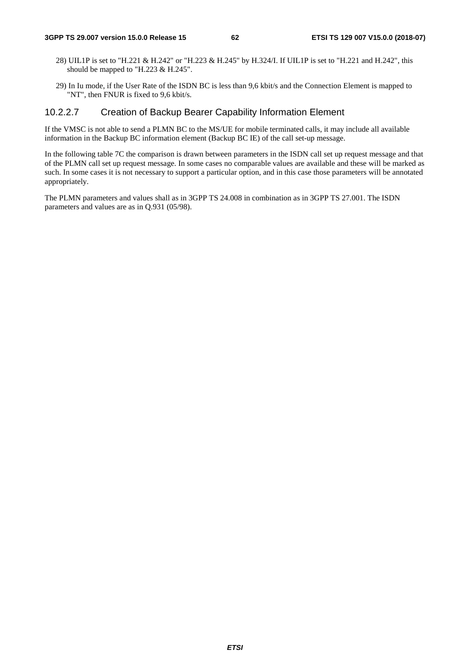- 28) UIL1P is set to "H.221 & H.242" or "H.223 & H.245" by H.324/I. If UIL1P is set to "H.221 and H.242", this should be mapped to "H.223 & H.245".
- 29) In Iu mode, if the User Rate of the ISDN BC is less than 9,6 kbit/s and the Connection Element is mapped to "NT", then FNUR is fixed to 9,6 kbit/s.

### 10.2.2.7 Creation of Backup Bearer Capability Information Element

If the VMSC is not able to send a PLMN BC to the MS/UE for mobile terminated calls, it may include all available information in the Backup BC information element (Backup BC IE) of the call set-up message.

In the following table 7C the comparison is drawn between parameters in the ISDN call set up request message and that of the PLMN call set up request message. In some cases no comparable values are available and these will be marked as such. In some cases it is not necessary to support a particular option, and in this case those parameters will be annotated appropriately.

The PLMN parameters and values shall as in 3GPP TS 24.008 in combination as in 3GPP TS 27.001. The ISDN parameters and values are as in Q.931 (05/98).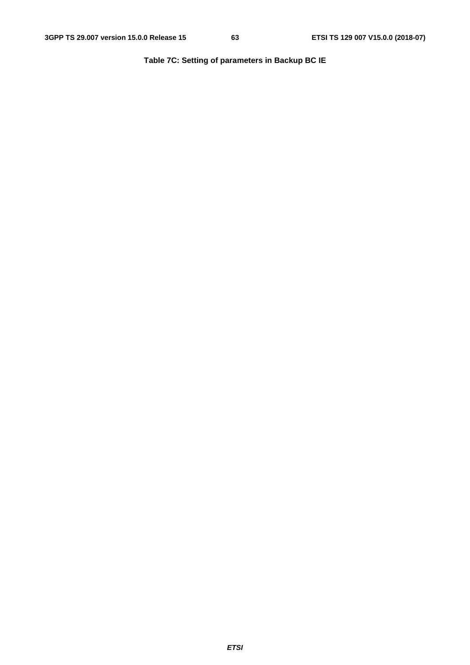**Table 7C: Setting of parameters in Backup BC IE**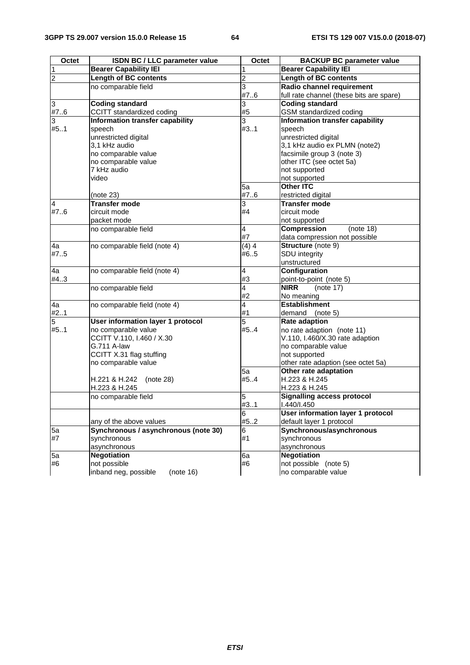| Octet          | ISDN BC / LLC parameter value            | Octet                   | <b>BACKUP BC parameter value</b>         |
|----------------|------------------------------------------|-------------------------|------------------------------------------|
| $\mathbf 1$    | <b>Bearer Capability IEI</b>             | 1                       | <b>Bearer Capability IEI</b>             |
| $\overline{c}$ | <b>Length of BC contents</b>             | 2                       | <b>Length of BC contents</b>             |
|                | no comparable field                      | 3                       | Radio channel requirement                |
|                |                                          | #76                     | full rate channel (these bits are spare) |
| 3              | <b>Coding standard</b>                   | 3                       | <b>Coding standard</b>                   |
| #7.6           | CCITT standardized coding                | #5                      | GSM standardized coding                  |
| 3              | Information transfer capability          | 3                       | Information transfer capability          |
| #51            | speech                                   | #3.1                    | speech                                   |
|                | unrestricted digital                     |                         | unrestricted digital                     |
|                | 3,1 kHz audio                            |                         | 3,1 kHz audio ex PLMN (note2)            |
|                | no comparable value                      |                         | facsimile group 3 (note 3)               |
|                | no comparable value                      |                         | other ITC (see octet 5a)                 |
|                | 7 kHz audio                              |                         | not supported                            |
|                | video                                    |                         | not supported                            |
|                |                                          | 5a                      | <b>Other ITC</b>                         |
|                | (note 23)                                | #76                     | restricted digital                       |
| 4              | <b>Transfer mode</b>                     | 3                       | <b>Transfer mode</b>                     |
| #7.6           | circuit mode                             | #4                      | circuit mode                             |
|                | packet mode                              |                         | not supported                            |
|                | no comparable field                      | $\overline{\mathbf{4}}$ | <b>Compression</b><br>(note 18)          |
|                |                                          | #7                      | data compression not possible            |
| 4a             | no comparable field (note 4)             | (4)4                    | Structure (note 9)                       |
| #75            |                                          | #65                     | SDU integrity                            |
|                |                                          |                         | unstructured                             |
| 4a             | no comparable field (note 4)             | 4                       | Configuration                            |
| #4.3           |                                          | #3                      | point-to-point (note 5)                  |
|                | no comparable field                      | 4                       | <b>NIRR</b><br>(note 17)                 |
|                |                                          | #2                      | No meaning                               |
| 4a             | no comparable field (note 4)             | 4                       | <b>Establishment</b>                     |
| #21            |                                          | #1                      | demand (note 5)                          |
| 5              | User information layer 1 protocol        | 5                       | Rate adaption                            |
| #51            | no comparable value                      | #54                     | no rate adaption (note 11)               |
|                | CCITT V.110, I.460 / X.30<br>G.711 A-law |                         | V.110, I.460/X.30 rate adaption          |
|                | CCITT X.31 flag stuffing                 |                         | no comparable value<br>not supported     |
|                | no comparable value                      |                         | other rate adaption (see octet 5a)       |
|                |                                          | 5a                      | Other rate adaptation                    |
|                | H.221 & H.242<br>(note 28)               | #54                     | H.223 & H.245                            |
|                | H.223 & H.245                            |                         | H.223 & H.245                            |
|                | no comparable field                      | 5                       | <b>Signalling access protocol</b>        |
|                |                                          | #3.1                    | I.440/I.450                              |
|                |                                          | 6                       | User information layer 1 protocol        |
|                | any of the above values                  | #52                     | default layer 1 protocol                 |
| 5a             | Synchronous / asynchronous (note 30)     | 6                       | Synchronous/asynchronous                 |
| #7             | synchronous                              | #1                      | synchronous                              |
|                | asynchronous                             |                         | asynchronous                             |
| 5a             | <b>Negotiation</b>                       | 6a                      | <b>Negotiation</b>                       |
| #6             | not possible                             | #6                      | not possible (note 5)                    |
|                | inband neg, possible<br>(note 16)        |                         | no comparable value                      |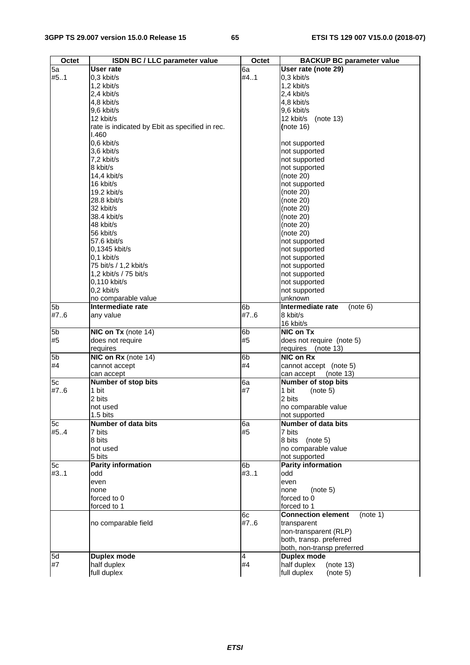| Octet          | ISDN BC / LLC parameter value                  | Octet | <b>BACKUP BC parameter value</b>      |
|----------------|------------------------------------------------|-------|---------------------------------------|
| 5a             | User rate                                      | 6а    | User rate (note 29)                   |
| #5.1           | 0.3 kbit/s                                     | #4.1  | 0,3 kbit/s                            |
|                | 1,2 kbit/s                                     |       | 1,2 kbit/s                            |
|                | 2.4 kbit/s                                     |       | 2,4 kbit/s                            |
|                | 4,8 kbit/s                                     |       | 4,8 kbit/s                            |
|                | 9,6 kbit/s                                     |       | $9,6$ kbit/s                          |
|                | 12 kbit/s                                      |       | 12 kbit/s<br>(note 13)                |
|                | rate is indicated by Ebit as specified in rec. |       | (note $16$ )                          |
|                | 1.460                                          |       |                                       |
|                | 0,6 kbit/s                                     |       | not supported                         |
|                | 3,6 kbit/s                                     |       | not supported                         |
|                | 7,2 kbit/s                                     |       | not supported                         |
|                | 8 kbit/s                                       |       | not supported                         |
|                | 14,4 kbit/s                                    |       | (note 20)                             |
|                | 16 kbit/s                                      |       | not supported                         |
|                | 19.2 kbit/s                                    |       | (note 20)                             |
|                | 28.8 kbit/s                                    |       | (note 20)                             |
|                | 32 kbit/s                                      |       | (note 20)                             |
|                | 38.4 kbit/s                                    |       | (note 20)                             |
|                | 48 kbit/s                                      |       | (note 20)                             |
|                | 56 kbit/s                                      |       | (note 20)                             |
|                | 57.6 kbit/s                                    |       |                                       |
|                |                                                |       | not supported                         |
|                | 0,1345 kbit/s<br>$0.1$ kbit/s                  |       | not supported                         |
|                |                                                |       | not supported                         |
|                | 75 bit/s / 1,2 kbit/s                          |       | not supported                         |
|                | 1,2 kbit/s / 75 bit/s                          |       | not supported                         |
|                | 0,110 kbit/s                                   |       | not supported                         |
|                | 0,2 kbit/s                                     |       | not supported                         |
|                | no comparable value                            |       | unknown                               |
| 5 <sub>b</sub> | Intermediate rate                              | 6b    | Intermediate rate<br>(note 6)         |
| #7.6           | any value                                      | #7.6  | 8 kbit/s                              |
|                |                                                |       | 16 kbit/s                             |
| 5 <sub>b</sub> | NIC on Tx (note 14)                            | 6b    | NIC on Tx                             |
| #5             | does not require                               | #5    | does not require (note 5)             |
|                | requires                                       |       | requires<br>(note 13)                 |
| 5b             | NIC on Rx (note 14)                            | 6b    | NIC on Rx                             |
| #4             | cannot accept                                  | #4    | cannot accept (note 5)                |
|                | can accept                                     |       | can accept<br>(note 13)               |
| 5c             | Number of stop bits                            | 6a    | Number of stop bits                   |
| #76            | 1 bit                                          | #7    | 1 bit<br>(note 5)                     |
|                | 2 bits                                         |       | 2 bits                                |
|                | not used                                       |       | no comparable value                   |
|                | 1.5 bits                                       |       | not supported                         |
| 5c             | Number of data bits                            | 6a    | Number of data bits                   |
| #54            | 7 bits                                         | #5    | 7 bits                                |
|                | 8 bits                                         |       | 8 bits<br>(note 5)                    |
|                | not used                                       |       | no comparable value                   |
|                | 5 bits                                         |       | not supported                         |
| 5c             | <b>Parity information</b>                      | 6b    | <b>Parity information</b>             |
| #31            | odd                                            | #31   | odd                                   |
|                | even                                           |       | even                                  |
|                | none                                           |       | none<br>(note 5)                      |
|                | forced to 0                                    |       | forced to 0                           |
|                | forced to 1                                    |       | forced to 1                           |
|                |                                                | 6c    | <b>Connection element</b><br>(note 1) |
|                | no comparable field                            | #7.6  | transparent                           |
|                |                                                |       | non-transparent (RLP)                 |
|                |                                                |       | both, transp. preferred               |
|                |                                                |       | both, non-transp preferred            |
| 5d             | <b>Duplex mode</b>                             | 4     | <b>Duplex mode</b>                    |
| #7             | half duplex                                    | #4    | half duplex<br>(note 13)              |
|                | full duplex                                    |       | full duplex<br>(note 5)               |
|                |                                                |       |                                       |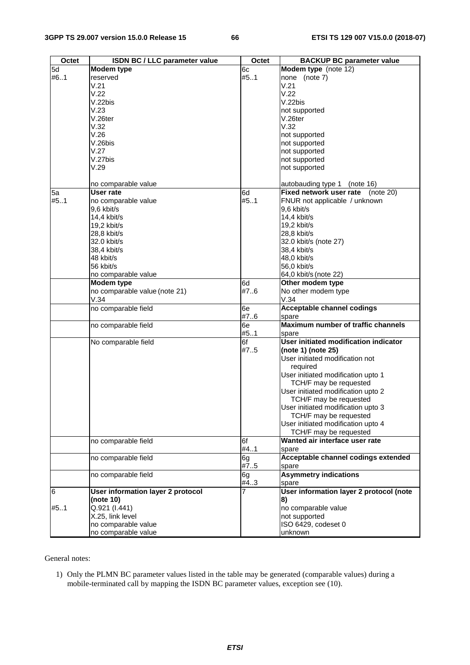| 5d<br>Modem type (note 12)<br>Modem type<br>6c<br>#61<br>#51<br>none (note 7)<br>reserved<br>V.21<br>V.21<br>V.22<br>V.22<br>V.22bis<br>V.22bis<br>V.23<br>not supported<br>$V.26$ ter<br>V.26ter<br>V.32<br>V.32<br>V.26<br>not supported<br>V.26bis<br>not supported<br>V.27<br>not supported<br>V.27bis<br>not supported<br>V.29<br>not supported<br>no comparable value<br>autobauding type 1 (note 16)<br>Fixed network user rate<br>5a<br><b>User rate</b><br>6d<br>(note 20)<br>#5.1<br>#51<br>FNUR not applicable / unknown<br>no comparable value<br>9,6 kbit/s<br>9,6 kbit/s<br>14,4 kbit/s<br>14,4 kbit/s<br>19,2 kbit/s<br>19,2 kbit/s<br>28,8 kbit/s<br>28,8 kbit/s<br>32.0 kbit/s<br>32.0 kbit/s (note 27)<br>38,4 kbit/s<br>38,4 kbit/s<br>48 kbit/s<br>48,0 kbit/s<br>56 kbit/s<br>56,0 kbit/s<br>no comparable value<br>64,0 kbit/s (note 22)<br>Modem type<br>Other modem type<br>6d<br>no comparable value (note 21)<br>#76<br>No other modem type<br>V.34<br>V.34<br><b>Acceptable channel codings</b><br>no comparable field<br>6e<br>#7.6<br>spare<br>Maximum number of traffic channels<br>no comparable field<br>6e<br>#51<br>spare<br>6f<br>User initiated modification indicator<br>No comparable field<br>(note 1) (note 25)<br>#7.5<br>User initiated modification not<br>required<br>User initiated modification upto 1<br>TCH/F may be requested<br>User initiated modification upto 2<br>TCH/F may be requested<br>User initiated modification upto 3<br>TCH/F may be requested<br>User initiated modification upto 4<br>TCH/F may be requested<br>Wanted air interface user rate<br>6f<br>no comparable field<br>#4.1<br>spare<br>Acceptable channel codings extended<br>no comparable field<br>6g<br>#75<br>spare<br><b>Asymmetry indications</b><br>no comparable field<br>6g<br>#43<br>spare<br>User information layer 2 protocol (note<br>User information layer 2 protocol<br>(note 10)<br>8)<br>Q.921 (I.441)<br>no comparable value<br>X.25, link level<br>not supported<br>no comparable value<br>ISO 6429, codeset 0<br>no comparable value<br>unknown | Octet | <b>ISDN BC / LLC parameter value</b> | Octet | <b>BACKUP BC parameter value</b> |
|-------------------------------------------------------------------------------------------------------------------------------------------------------------------------------------------------------------------------------------------------------------------------------------------------------------------------------------------------------------------------------------------------------------------------------------------------------------------------------------------------------------------------------------------------------------------------------------------------------------------------------------------------------------------------------------------------------------------------------------------------------------------------------------------------------------------------------------------------------------------------------------------------------------------------------------------------------------------------------------------------------------------------------------------------------------------------------------------------------------------------------------------------------------------------------------------------------------------------------------------------------------------------------------------------------------------------------------------------------------------------------------------------------------------------------------------------------------------------------------------------------------------------------------------------------------------------------------------------------------------------------------------------------------------------------------------------------------------------------------------------------------------------------------------------------------------------------------------------------------------------------------------------------------------------------------------------------------------------------------------------------------------------------------------------------------------------------------------------|-------|--------------------------------------|-------|----------------------------------|
|                                                                                                                                                                                                                                                                                                                                                                                                                                                                                                                                                                                                                                                                                                                                                                                                                                                                                                                                                                                                                                                                                                                                                                                                                                                                                                                                                                                                                                                                                                                                                                                                                                                                                                                                                                                                                                                                                                                                                                                                                                                                                                 |       |                                      |       |                                  |
|                                                                                                                                                                                                                                                                                                                                                                                                                                                                                                                                                                                                                                                                                                                                                                                                                                                                                                                                                                                                                                                                                                                                                                                                                                                                                                                                                                                                                                                                                                                                                                                                                                                                                                                                                                                                                                                                                                                                                                                                                                                                                                 |       |                                      |       |                                  |
|                                                                                                                                                                                                                                                                                                                                                                                                                                                                                                                                                                                                                                                                                                                                                                                                                                                                                                                                                                                                                                                                                                                                                                                                                                                                                                                                                                                                                                                                                                                                                                                                                                                                                                                                                                                                                                                                                                                                                                                                                                                                                                 |       |                                      |       |                                  |
|                                                                                                                                                                                                                                                                                                                                                                                                                                                                                                                                                                                                                                                                                                                                                                                                                                                                                                                                                                                                                                                                                                                                                                                                                                                                                                                                                                                                                                                                                                                                                                                                                                                                                                                                                                                                                                                                                                                                                                                                                                                                                                 |       |                                      |       |                                  |
|                                                                                                                                                                                                                                                                                                                                                                                                                                                                                                                                                                                                                                                                                                                                                                                                                                                                                                                                                                                                                                                                                                                                                                                                                                                                                                                                                                                                                                                                                                                                                                                                                                                                                                                                                                                                                                                                                                                                                                                                                                                                                                 |       |                                      |       |                                  |
|                                                                                                                                                                                                                                                                                                                                                                                                                                                                                                                                                                                                                                                                                                                                                                                                                                                                                                                                                                                                                                                                                                                                                                                                                                                                                                                                                                                                                                                                                                                                                                                                                                                                                                                                                                                                                                                                                                                                                                                                                                                                                                 |       |                                      |       |                                  |
|                                                                                                                                                                                                                                                                                                                                                                                                                                                                                                                                                                                                                                                                                                                                                                                                                                                                                                                                                                                                                                                                                                                                                                                                                                                                                                                                                                                                                                                                                                                                                                                                                                                                                                                                                                                                                                                                                                                                                                                                                                                                                                 |       |                                      |       |                                  |
|                                                                                                                                                                                                                                                                                                                                                                                                                                                                                                                                                                                                                                                                                                                                                                                                                                                                                                                                                                                                                                                                                                                                                                                                                                                                                                                                                                                                                                                                                                                                                                                                                                                                                                                                                                                                                                                                                                                                                                                                                                                                                                 |       |                                      |       |                                  |
|                                                                                                                                                                                                                                                                                                                                                                                                                                                                                                                                                                                                                                                                                                                                                                                                                                                                                                                                                                                                                                                                                                                                                                                                                                                                                                                                                                                                                                                                                                                                                                                                                                                                                                                                                                                                                                                                                                                                                                                                                                                                                                 |       |                                      |       |                                  |
|                                                                                                                                                                                                                                                                                                                                                                                                                                                                                                                                                                                                                                                                                                                                                                                                                                                                                                                                                                                                                                                                                                                                                                                                                                                                                                                                                                                                                                                                                                                                                                                                                                                                                                                                                                                                                                                                                                                                                                                                                                                                                                 |       |                                      |       |                                  |
|                                                                                                                                                                                                                                                                                                                                                                                                                                                                                                                                                                                                                                                                                                                                                                                                                                                                                                                                                                                                                                                                                                                                                                                                                                                                                                                                                                                                                                                                                                                                                                                                                                                                                                                                                                                                                                                                                                                                                                                                                                                                                                 |       |                                      |       |                                  |
|                                                                                                                                                                                                                                                                                                                                                                                                                                                                                                                                                                                                                                                                                                                                                                                                                                                                                                                                                                                                                                                                                                                                                                                                                                                                                                                                                                                                                                                                                                                                                                                                                                                                                                                                                                                                                                                                                                                                                                                                                                                                                                 |       |                                      |       |                                  |
|                                                                                                                                                                                                                                                                                                                                                                                                                                                                                                                                                                                                                                                                                                                                                                                                                                                                                                                                                                                                                                                                                                                                                                                                                                                                                                                                                                                                                                                                                                                                                                                                                                                                                                                                                                                                                                                                                                                                                                                                                                                                                                 |       |                                      |       |                                  |
|                                                                                                                                                                                                                                                                                                                                                                                                                                                                                                                                                                                                                                                                                                                                                                                                                                                                                                                                                                                                                                                                                                                                                                                                                                                                                                                                                                                                                                                                                                                                                                                                                                                                                                                                                                                                                                                                                                                                                                                                                                                                                                 |       |                                      |       |                                  |
|                                                                                                                                                                                                                                                                                                                                                                                                                                                                                                                                                                                                                                                                                                                                                                                                                                                                                                                                                                                                                                                                                                                                                                                                                                                                                                                                                                                                                                                                                                                                                                                                                                                                                                                                                                                                                                                                                                                                                                                                                                                                                                 |       |                                      |       |                                  |
|                                                                                                                                                                                                                                                                                                                                                                                                                                                                                                                                                                                                                                                                                                                                                                                                                                                                                                                                                                                                                                                                                                                                                                                                                                                                                                                                                                                                                                                                                                                                                                                                                                                                                                                                                                                                                                                                                                                                                                                                                                                                                                 |       |                                      |       |                                  |
|                                                                                                                                                                                                                                                                                                                                                                                                                                                                                                                                                                                                                                                                                                                                                                                                                                                                                                                                                                                                                                                                                                                                                                                                                                                                                                                                                                                                                                                                                                                                                                                                                                                                                                                                                                                                                                                                                                                                                                                                                                                                                                 |       |                                      |       |                                  |
|                                                                                                                                                                                                                                                                                                                                                                                                                                                                                                                                                                                                                                                                                                                                                                                                                                                                                                                                                                                                                                                                                                                                                                                                                                                                                                                                                                                                                                                                                                                                                                                                                                                                                                                                                                                                                                                                                                                                                                                                                                                                                                 |       |                                      |       |                                  |
|                                                                                                                                                                                                                                                                                                                                                                                                                                                                                                                                                                                                                                                                                                                                                                                                                                                                                                                                                                                                                                                                                                                                                                                                                                                                                                                                                                                                                                                                                                                                                                                                                                                                                                                                                                                                                                                                                                                                                                                                                                                                                                 |       |                                      |       |                                  |
|                                                                                                                                                                                                                                                                                                                                                                                                                                                                                                                                                                                                                                                                                                                                                                                                                                                                                                                                                                                                                                                                                                                                                                                                                                                                                                                                                                                                                                                                                                                                                                                                                                                                                                                                                                                                                                                                                                                                                                                                                                                                                                 |       |                                      |       |                                  |
|                                                                                                                                                                                                                                                                                                                                                                                                                                                                                                                                                                                                                                                                                                                                                                                                                                                                                                                                                                                                                                                                                                                                                                                                                                                                                                                                                                                                                                                                                                                                                                                                                                                                                                                                                                                                                                                                                                                                                                                                                                                                                                 |       |                                      |       |                                  |
|                                                                                                                                                                                                                                                                                                                                                                                                                                                                                                                                                                                                                                                                                                                                                                                                                                                                                                                                                                                                                                                                                                                                                                                                                                                                                                                                                                                                                                                                                                                                                                                                                                                                                                                                                                                                                                                                                                                                                                                                                                                                                                 |       |                                      |       |                                  |
|                                                                                                                                                                                                                                                                                                                                                                                                                                                                                                                                                                                                                                                                                                                                                                                                                                                                                                                                                                                                                                                                                                                                                                                                                                                                                                                                                                                                                                                                                                                                                                                                                                                                                                                                                                                                                                                                                                                                                                                                                                                                                                 |       |                                      |       |                                  |
|                                                                                                                                                                                                                                                                                                                                                                                                                                                                                                                                                                                                                                                                                                                                                                                                                                                                                                                                                                                                                                                                                                                                                                                                                                                                                                                                                                                                                                                                                                                                                                                                                                                                                                                                                                                                                                                                                                                                                                                                                                                                                                 |       |                                      |       |                                  |
|                                                                                                                                                                                                                                                                                                                                                                                                                                                                                                                                                                                                                                                                                                                                                                                                                                                                                                                                                                                                                                                                                                                                                                                                                                                                                                                                                                                                                                                                                                                                                                                                                                                                                                                                                                                                                                                                                                                                                                                                                                                                                                 |       |                                      |       |                                  |
|                                                                                                                                                                                                                                                                                                                                                                                                                                                                                                                                                                                                                                                                                                                                                                                                                                                                                                                                                                                                                                                                                                                                                                                                                                                                                                                                                                                                                                                                                                                                                                                                                                                                                                                                                                                                                                                                                                                                                                                                                                                                                                 |       |                                      |       |                                  |
|                                                                                                                                                                                                                                                                                                                                                                                                                                                                                                                                                                                                                                                                                                                                                                                                                                                                                                                                                                                                                                                                                                                                                                                                                                                                                                                                                                                                                                                                                                                                                                                                                                                                                                                                                                                                                                                                                                                                                                                                                                                                                                 |       |                                      |       |                                  |
|                                                                                                                                                                                                                                                                                                                                                                                                                                                                                                                                                                                                                                                                                                                                                                                                                                                                                                                                                                                                                                                                                                                                                                                                                                                                                                                                                                                                                                                                                                                                                                                                                                                                                                                                                                                                                                                                                                                                                                                                                                                                                                 |       |                                      |       |                                  |
|                                                                                                                                                                                                                                                                                                                                                                                                                                                                                                                                                                                                                                                                                                                                                                                                                                                                                                                                                                                                                                                                                                                                                                                                                                                                                                                                                                                                                                                                                                                                                                                                                                                                                                                                                                                                                                                                                                                                                                                                                                                                                                 |       |                                      |       |                                  |
|                                                                                                                                                                                                                                                                                                                                                                                                                                                                                                                                                                                                                                                                                                                                                                                                                                                                                                                                                                                                                                                                                                                                                                                                                                                                                                                                                                                                                                                                                                                                                                                                                                                                                                                                                                                                                                                                                                                                                                                                                                                                                                 |       |                                      |       |                                  |
|                                                                                                                                                                                                                                                                                                                                                                                                                                                                                                                                                                                                                                                                                                                                                                                                                                                                                                                                                                                                                                                                                                                                                                                                                                                                                                                                                                                                                                                                                                                                                                                                                                                                                                                                                                                                                                                                                                                                                                                                                                                                                                 |       |                                      |       |                                  |
|                                                                                                                                                                                                                                                                                                                                                                                                                                                                                                                                                                                                                                                                                                                                                                                                                                                                                                                                                                                                                                                                                                                                                                                                                                                                                                                                                                                                                                                                                                                                                                                                                                                                                                                                                                                                                                                                                                                                                                                                                                                                                                 |       |                                      |       |                                  |
|                                                                                                                                                                                                                                                                                                                                                                                                                                                                                                                                                                                                                                                                                                                                                                                                                                                                                                                                                                                                                                                                                                                                                                                                                                                                                                                                                                                                                                                                                                                                                                                                                                                                                                                                                                                                                                                                                                                                                                                                                                                                                                 |       |                                      |       |                                  |
|                                                                                                                                                                                                                                                                                                                                                                                                                                                                                                                                                                                                                                                                                                                                                                                                                                                                                                                                                                                                                                                                                                                                                                                                                                                                                                                                                                                                                                                                                                                                                                                                                                                                                                                                                                                                                                                                                                                                                                                                                                                                                                 |       |                                      |       |                                  |
|                                                                                                                                                                                                                                                                                                                                                                                                                                                                                                                                                                                                                                                                                                                                                                                                                                                                                                                                                                                                                                                                                                                                                                                                                                                                                                                                                                                                                                                                                                                                                                                                                                                                                                                                                                                                                                                                                                                                                                                                                                                                                                 |       |                                      |       |                                  |
|                                                                                                                                                                                                                                                                                                                                                                                                                                                                                                                                                                                                                                                                                                                                                                                                                                                                                                                                                                                                                                                                                                                                                                                                                                                                                                                                                                                                                                                                                                                                                                                                                                                                                                                                                                                                                                                                                                                                                                                                                                                                                                 |       |                                      |       |                                  |
|                                                                                                                                                                                                                                                                                                                                                                                                                                                                                                                                                                                                                                                                                                                                                                                                                                                                                                                                                                                                                                                                                                                                                                                                                                                                                                                                                                                                                                                                                                                                                                                                                                                                                                                                                                                                                                                                                                                                                                                                                                                                                                 |       |                                      |       |                                  |
|                                                                                                                                                                                                                                                                                                                                                                                                                                                                                                                                                                                                                                                                                                                                                                                                                                                                                                                                                                                                                                                                                                                                                                                                                                                                                                                                                                                                                                                                                                                                                                                                                                                                                                                                                                                                                                                                                                                                                                                                                                                                                                 |       |                                      |       |                                  |
|                                                                                                                                                                                                                                                                                                                                                                                                                                                                                                                                                                                                                                                                                                                                                                                                                                                                                                                                                                                                                                                                                                                                                                                                                                                                                                                                                                                                                                                                                                                                                                                                                                                                                                                                                                                                                                                                                                                                                                                                                                                                                                 |       |                                      |       |                                  |
|                                                                                                                                                                                                                                                                                                                                                                                                                                                                                                                                                                                                                                                                                                                                                                                                                                                                                                                                                                                                                                                                                                                                                                                                                                                                                                                                                                                                                                                                                                                                                                                                                                                                                                                                                                                                                                                                                                                                                                                                                                                                                                 |       |                                      |       |                                  |
|                                                                                                                                                                                                                                                                                                                                                                                                                                                                                                                                                                                                                                                                                                                                                                                                                                                                                                                                                                                                                                                                                                                                                                                                                                                                                                                                                                                                                                                                                                                                                                                                                                                                                                                                                                                                                                                                                                                                                                                                                                                                                                 |       |                                      |       |                                  |
|                                                                                                                                                                                                                                                                                                                                                                                                                                                                                                                                                                                                                                                                                                                                                                                                                                                                                                                                                                                                                                                                                                                                                                                                                                                                                                                                                                                                                                                                                                                                                                                                                                                                                                                                                                                                                                                                                                                                                                                                                                                                                                 |       |                                      |       |                                  |
|                                                                                                                                                                                                                                                                                                                                                                                                                                                                                                                                                                                                                                                                                                                                                                                                                                                                                                                                                                                                                                                                                                                                                                                                                                                                                                                                                                                                                                                                                                                                                                                                                                                                                                                                                                                                                                                                                                                                                                                                                                                                                                 |       |                                      |       |                                  |
|                                                                                                                                                                                                                                                                                                                                                                                                                                                                                                                                                                                                                                                                                                                                                                                                                                                                                                                                                                                                                                                                                                                                                                                                                                                                                                                                                                                                                                                                                                                                                                                                                                                                                                                                                                                                                                                                                                                                                                                                                                                                                                 |       |                                      |       |                                  |
|                                                                                                                                                                                                                                                                                                                                                                                                                                                                                                                                                                                                                                                                                                                                                                                                                                                                                                                                                                                                                                                                                                                                                                                                                                                                                                                                                                                                                                                                                                                                                                                                                                                                                                                                                                                                                                                                                                                                                                                                                                                                                                 |       |                                      |       |                                  |
|                                                                                                                                                                                                                                                                                                                                                                                                                                                                                                                                                                                                                                                                                                                                                                                                                                                                                                                                                                                                                                                                                                                                                                                                                                                                                                                                                                                                                                                                                                                                                                                                                                                                                                                                                                                                                                                                                                                                                                                                                                                                                                 |       |                                      |       |                                  |
|                                                                                                                                                                                                                                                                                                                                                                                                                                                                                                                                                                                                                                                                                                                                                                                                                                                                                                                                                                                                                                                                                                                                                                                                                                                                                                                                                                                                                                                                                                                                                                                                                                                                                                                                                                                                                                                                                                                                                                                                                                                                                                 |       |                                      |       |                                  |
|                                                                                                                                                                                                                                                                                                                                                                                                                                                                                                                                                                                                                                                                                                                                                                                                                                                                                                                                                                                                                                                                                                                                                                                                                                                                                                                                                                                                                                                                                                                                                                                                                                                                                                                                                                                                                                                                                                                                                                                                                                                                                                 |       |                                      |       |                                  |
|                                                                                                                                                                                                                                                                                                                                                                                                                                                                                                                                                                                                                                                                                                                                                                                                                                                                                                                                                                                                                                                                                                                                                                                                                                                                                                                                                                                                                                                                                                                                                                                                                                                                                                                                                                                                                                                                                                                                                                                                                                                                                                 |       |                                      |       |                                  |
|                                                                                                                                                                                                                                                                                                                                                                                                                                                                                                                                                                                                                                                                                                                                                                                                                                                                                                                                                                                                                                                                                                                                                                                                                                                                                                                                                                                                                                                                                                                                                                                                                                                                                                                                                                                                                                                                                                                                                                                                                                                                                                 |       |                                      |       |                                  |
|                                                                                                                                                                                                                                                                                                                                                                                                                                                                                                                                                                                                                                                                                                                                                                                                                                                                                                                                                                                                                                                                                                                                                                                                                                                                                                                                                                                                                                                                                                                                                                                                                                                                                                                                                                                                                                                                                                                                                                                                                                                                                                 |       |                                      |       |                                  |
|                                                                                                                                                                                                                                                                                                                                                                                                                                                                                                                                                                                                                                                                                                                                                                                                                                                                                                                                                                                                                                                                                                                                                                                                                                                                                                                                                                                                                                                                                                                                                                                                                                                                                                                                                                                                                                                                                                                                                                                                                                                                                                 | 6     |                                      |       |                                  |
|                                                                                                                                                                                                                                                                                                                                                                                                                                                                                                                                                                                                                                                                                                                                                                                                                                                                                                                                                                                                                                                                                                                                                                                                                                                                                                                                                                                                                                                                                                                                                                                                                                                                                                                                                                                                                                                                                                                                                                                                                                                                                                 |       |                                      |       |                                  |
|                                                                                                                                                                                                                                                                                                                                                                                                                                                                                                                                                                                                                                                                                                                                                                                                                                                                                                                                                                                                                                                                                                                                                                                                                                                                                                                                                                                                                                                                                                                                                                                                                                                                                                                                                                                                                                                                                                                                                                                                                                                                                                 | #51   |                                      |       |                                  |
|                                                                                                                                                                                                                                                                                                                                                                                                                                                                                                                                                                                                                                                                                                                                                                                                                                                                                                                                                                                                                                                                                                                                                                                                                                                                                                                                                                                                                                                                                                                                                                                                                                                                                                                                                                                                                                                                                                                                                                                                                                                                                                 |       |                                      |       |                                  |
|                                                                                                                                                                                                                                                                                                                                                                                                                                                                                                                                                                                                                                                                                                                                                                                                                                                                                                                                                                                                                                                                                                                                                                                                                                                                                                                                                                                                                                                                                                                                                                                                                                                                                                                                                                                                                                                                                                                                                                                                                                                                                                 |       |                                      |       |                                  |
|                                                                                                                                                                                                                                                                                                                                                                                                                                                                                                                                                                                                                                                                                                                                                                                                                                                                                                                                                                                                                                                                                                                                                                                                                                                                                                                                                                                                                                                                                                                                                                                                                                                                                                                                                                                                                                                                                                                                                                                                                                                                                                 |       |                                      |       |                                  |

General notes:

1) Only the PLMN BC parameter values listed in the table may be generated (comparable values) during a mobile-terminated call by mapping the ISDN BC parameter values, exception see (10).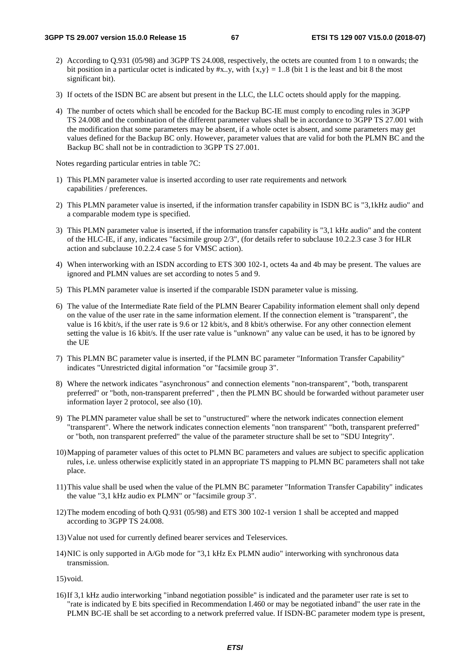- 2) According to Q.931 (05/98) and 3GPP TS 24.008, respectively, the octets are counted from 1 to n onwards; the bit position in a particular octet is indicated by #x..y, with  $\{x,y\} = 1.08$  (bit 1 is the least and bit 8 the most significant bit).
- 3) If octets of the ISDN BC are absent but present in the LLC, the LLC octets should apply for the mapping.
- 4) The number of octets which shall be encoded for the Backup BC-IE must comply to encoding rules in 3GPP TS 24.008 and the combination of the different parameter values shall be in accordance to 3GPP TS 27.001 with the modification that some parameters may be absent, if a whole octet is absent, and some parameters may get values defined for the Backup BC only. However, parameter values that are valid for both the PLMN BC and the Backup BC shall not be in contradiction to 3GPP TS 27.001.

Notes regarding particular entries in table 7C:

- 1) This PLMN parameter value is inserted according to user rate requirements and network capabilities / preferences.
- 2) This PLMN parameter value is inserted, if the information transfer capability in ISDN BC is "3,1kHz audio" and a comparable modem type is specified.
- 3) This PLMN parameter value is inserted, if the information transfer capability is "3,1 kHz audio" and the content of the HLC-IE, if any, indicates "facsimile group 2/3", (for details refer to subclause 10.2.2.3 case 3 for HLR action and subclause 10.2.2.4 case 5 for VMSC action).
- 4) When interworking with an ISDN according to ETS 300 102-1, octets 4a and 4b may be present. The values are ignored and PLMN values are set according to notes 5 and 9.
- 5) This PLMN parameter value is inserted if the comparable ISDN parameter value is missing.
- 6) The value of the Intermediate Rate field of the PLMN Bearer Capability information element shall only depend on the value of the user rate in the same information element. If the connection element is "transparent", the value is 16 kbit/s, if the user rate is 9.6 or 12 kbit/s, and 8 kbit/s otherwise. For any other connection element setting the value is 16 kbit/s. If the user rate value is "unknown" any value can be used, it has to be ignored by the UE
- 7) This PLMN BC parameter value is inserted, if the PLMN BC parameter "Information Transfer Capability" indicates "Unrestricted digital information "or "facsimile group 3".
- 8) Where the network indicates "asynchronous" and connection elements "non-transparent", "both, transparent preferred" or "both, non-transparent preferred" , then the PLMN BC should be forwarded without parameter user information layer 2 protocol, see also (10).
- 9) The PLMN parameter value shall be set to "unstructured" where the network indicates connection element "transparent". Where the network indicates connection elements "non transparent" "both, transparent preferred" or "both, non transparent preferred" the value of the parameter structure shall be set to "SDU Integrity".
- 10) Mapping of parameter values of this octet to PLMN BC parameters and values are subject to specific application rules, i.e. unless otherwise explicitly stated in an appropriate TS mapping to PLMN BC parameters shall not take place.
- 11) This value shall be used when the value of the PLMN BC parameter "Information Transfer Capability" indicates the value "3,1 kHz audio ex PLMN" or "facsimile group 3".
- 12) The modem encoding of both Q.931 (05/98) and ETS 300 102-1 version 1 shall be accepted and mapped according to 3GPP TS 24.008.
- 13) Value not used for currently defined bearer services and Teleservices.
- 14) NIC is only supported in A/Gb mode for "3,1 kHz Ex PLMN audio" interworking with synchronous data transmission.

15) void.

16) If 3,1 kHz audio interworking "inband negotiation possible" is indicated and the parameter user rate is set to "rate is indicated by E bits specified in Recommendation I.460 or may be negotiated inband" the user rate in the PLMN BC-IE shall be set according to a network preferred value. If ISDN-BC parameter modem type is present,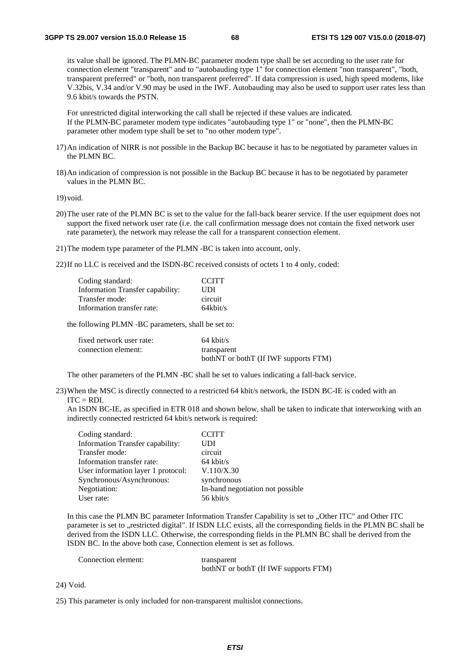its value shall be ignored. The PLMN-BC parameter modem type shall be set according to the user rate for connection element "transparent" and to "autobauding type 1" for connection element "non transparent", "both, transparent preferred" or "both, non transparent preferred". If data compression is used, high speed modems, like V.32bis, V.34 and/or V.90 may be used in the IWF. Autobauding may also be used to support user rates less than 9.6 kbit/s towards the PSTN.

 For unrestricted digital interworking the call shall be rejected if these values are indicated. If the PLMN-BC parameter modem type indicates "autobauding type 1" or "none", then the PLMN-BC parameter other modem type shall be set to "no other modem type".

- 17) An indication of NIRR is not possible in the Backup BC because it has to be negotiated by parameter values in the PLMN BC.
- 18) An indication of compression is not possible in the Backup BC because it has to be negotiated by parameter values in the PLMN BC.

19) void.

- 20) The user rate of the PLMN BC is set to the value for the fall-back bearer service. If the user equipment does not support the fixed network user rate (i.e. the call confirmation message does not contain the fixed network user rate parameter), the network may release the call for a transparent connection element.
- 21) The modem type parameter of the PLMN -BC is taken into account, only.

22) If no LLC is received and the ISDN-BC received consists of octets 1 to 4 only, coded:

| Coding standard:                 | <b>CCITT</b> |
|----------------------------------|--------------|
| Information Transfer capability: | UDI          |
| Transfer mode:                   | circuit      |
| Information transfer rate:       | $64$ kbit/s  |
|                                  |              |

the following PLMN -BC parameters, shall be set to:

| fixed network user rate: | $64$ kbit/s                           |
|--------------------------|---------------------------------------|
| connection element:      | transparent                           |
|                          | bothNT or bothT (If IWF supports FTM) |

The other parameters of the PLMN -BC shall be set to values indicating a fall-back service.

23) When the MSC is directly connected to a restricted 64 kbit/s network, the ISDN BC-IE is coded with an  $ITC = RDI$ .

An ISDN BC-IE, as specified in ETR 018 and shown below, shall be taken to indicate that interworking with an indirectly connected restricted 64 kbit/s network is required:

| Coding standard:                   | <b>CCITT</b>                     |
|------------------------------------|----------------------------------|
| Information Transfer capability:   | UDI                              |
| Transfer mode:                     | circuit                          |
| Information transfer rate:         | $64$ kbit/s                      |
| User information layer 1 protocol: | V.110/X.30                       |
| Synchronous/Asynchronous:          | synchronous                      |
| Negotiation:                       | In-band negotiation not possible |
| User rate:                         | 56 kbit/s                        |
|                                    |                                  |

In this case the PLMN BC parameter Information Transfer Capability is set to "Other ITC" and Other ITC parameter is set to ..restricted digital". If ISDN LLC exists, all the corresponding fields in the PLMN BC shall be derived from the ISDN LLC. Otherwise, the corresponding fields in the PLMN BC shall be derived from the ISDN BC. In the above both case, Connection element is set as follows.

| Connection element: | transparent                           |
|---------------------|---------------------------------------|
|                     | bothNT or bothT (If IWF supports FTM) |

24) Void.

25) This parameter is only included for non-transparent multislot connections.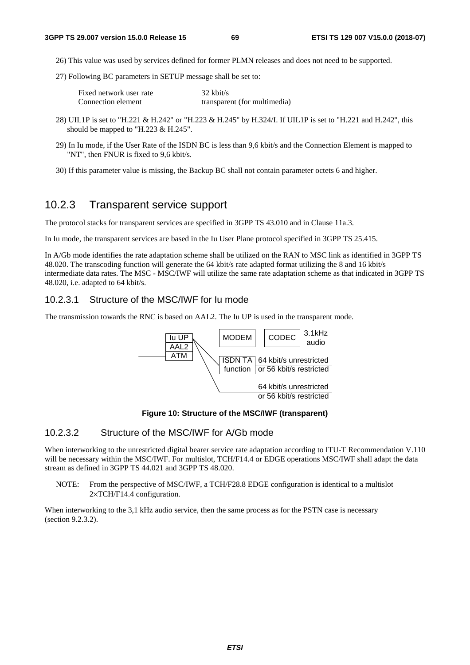- 26) This value was used by services defined for former PLMN releases and does not need to be supported.
- 27) Following BC parameters in SETUP message shall be set to:

| Fixed network user rate | $32 \text{ kbit/s}$          |
|-------------------------|------------------------------|
| Connection element      | transparent (for multimedia) |

- 28) UIL1P is set to "H.221 & H.242" or "H.223 & H.245" by H.324/I. If UIL1P is set to "H.221 and H.242", this should be mapped to "H.223 & H.245".
- 29) In Iu mode, if the User Rate of the ISDN BC is less than 9,6 kbit/s and the Connection Element is mapped to "NT", then FNUR is fixed to 9,6 kbit/s.
- 30) If this parameter value is missing, the Backup BC shall not contain parameter octets 6 and higher.

# 10.2.3 Transparent service support

The protocol stacks for transparent services are specified in 3GPP TS 43.010 and in Clause 11a.3.

In Iu mode, the transparent services are based in the Iu User Plane protocol specified in 3GPP TS 25.415.

In A/Gb mode identifies the rate adaptation scheme shall be utilized on the RAN to MSC link as identified in 3GPP TS 48.020. The transcoding function will generate the 64 kbit/s rate adapted format utilizing the 8 and 16 kbit/s intermediate data rates. The MSC - MSC/IWF will utilize the same rate adaptation scheme as that indicated in 3GPP TS 48.020, i.e. adapted to 64 kbit/s.

# 10.2.3.1 Structure of the MSC/IWF for Iu mode

The transmission towards the RNC is based on AAL2. The Iu UP is used in the transparent mode.



#### **Figure 10: Structure of the MSC/IWF (transparent)**

## 10.2.3.2 Structure of the MSC/IWF for A/Gb mode

When interworking to the unrestricted digital bearer service rate adaptation according to ITU-T Recommendation V.110 will be necessary within the MSC/IWF. For multislot, TCH/F14.4 or EDGE operations MSC/IWF shall adapt the data stream as defined in 3GPP TS 44.021 and 3GPP TS 48.020.

NOTE: From the perspective of MSC/IWF, a TCH/F28.8 EDGE configuration is identical to a multislot 2×TCH/F14.4 configuration.

When interworking to the 3.1 kHz audio service, then the same process as for the PSTN case is necessary (section 9.2.3.2).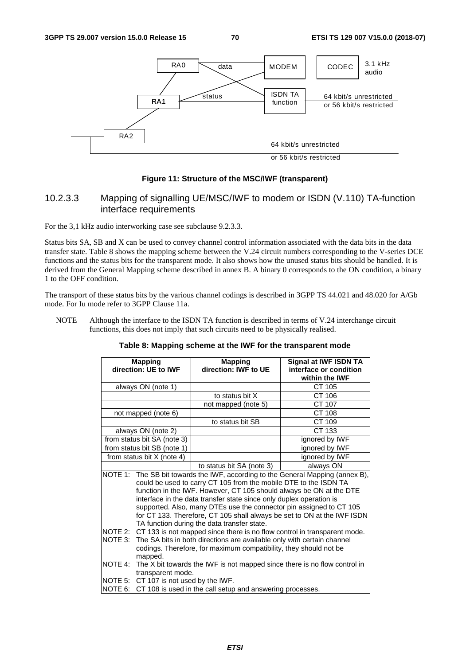

#### **Figure 11: Structure of the MSC/IWF (transparent)**

# 10.2.3.3 Mapping of signalling UE/MSC/IWF to modem or ISDN (V.110) TA-function interface requirements

For the 3,1 kHz audio interworking case see subclause 9.2.3.3.

Status bits SA, SB and X can be used to convey channel control information associated with the data bits in the data transfer state. Table 8 shows the mapping scheme between the V.24 circuit numbers corresponding to the V-series DCE functions and the status bits for the transparent mode. It also shows how the unused status bits should be handled. It is derived from the General Mapping scheme described in annex B. A binary 0 corresponds to the ON condition, a binary 1 to the OFF condition.

The transport of these status bits by the various channel codings is described in 3GPP TS 44.021 and 48.020 for A/Gb mode. For Iu mode refer to 3GPP Clause 11a.

NOTE Although the interface to the ISDN TA function is described in terms of V.24 interchange circuit functions, this does not imply that such circuits need to be physically realised.

| <b>Mapping</b><br>direction: UE to IWF                                                                                                                                                                                                                                                                                                                                                                                                                                                             |                                                                                                                                                                                                                                                                                                                         | <b>Mapping</b><br>direction: IWF to UE                            | Signal at IWF ISDN TA<br>interface or condition<br>within the <b>IWF</b> |
|----------------------------------------------------------------------------------------------------------------------------------------------------------------------------------------------------------------------------------------------------------------------------------------------------------------------------------------------------------------------------------------------------------------------------------------------------------------------------------------------------|-------------------------------------------------------------------------------------------------------------------------------------------------------------------------------------------------------------------------------------------------------------------------------------------------------------------------|-------------------------------------------------------------------|--------------------------------------------------------------------------|
| always ON (note 1)                                                                                                                                                                                                                                                                                                                                                                                                                                                                                 |                                                                                                                                                                                                                                                                                                                         |                                                                   | CT 105                                                                   |
|                                                                                                                                                                                                                                                                                                                                                                                                                                                                                                    |                                                                                                                                                                                                                                                                                                                         | to status bit X                                                   | CT 106                                                                   |
|                                                                                                                                                                                                                                                                                                                                                                                                                                                                                                    |                                                                                                                                                                                                                                                                                                                         | not mapped (note 5)                                               | CT 107                                                                   |
| not mapped (note 6)                                                                                                                                                                                                                                                                                                                                                                                                                                                                                |                                                                                                                                                                                                                                                                                                                         |                                                                   | CT 108                                                                   |
|                                                                                                                                                                                                                                                                                                                                                                                                                                                                                                    |                                                                                                                                                                                                                                                                                                                         | to status bit SB                                                  | CT 109                                                                   |
| always ON (note 2)                                                                                                                                                                                                                                                                                                                                                                                                                                                                                 |                                                                                                                                                                                                                                                                                                                         |                                                                   | CT 133                                                                   |
| from status bit SA (note 3)                                                                                                                                                                                                                                                                                                                                                                                                                                                                        |                                                                                                                                                                                                                                                                                                                         |                                                                   | ignored by IWF                                                           |
| from status bit SB (note 1)                                                                                                                                                                                                                                                                                                                                                                                                                                                                        |                                                                                                                                                                                                                                                                                                                         |                                                                   | ignored by IWF                                                           |
| from status bit $X$ (note 4)                                                                                                                                                                                                                                                                                                                                                                                                                                                                       |                                                                                                                                                                                                                                                                                                                         |                                                                   | ignored by IWF                                                           |
|                                                                                                                                                                                                                                                                                                                                                                                                                                                                                                    |                                                                                                                                                                                                                                                                                                                         | to status bit SA (note 3)                                         | always ON                                                                |
| NOTE 1: The SB bit towards the IWF, according to the General Mapping (annex B),<br>could be used to carry CT 105 from the mobile DTE to the ISDN TA<br>function in the IWF. However, CT 105 should always be ON at the DTE<br>interface in the data transfer state since only duplex operation is<br>supported. Also, many DTEs use the connector pin assigned to CT 105<br>for CT 133. Therefore, CT 105 shall always be set to ON at the IWF ISDN<br>TA function during the data transfer state. |                                                                                                                                                                                                                                                                                                                         |                                                                   |                                                                          |
| NOTE 3:                                                                                                                                                                                                                                                                                                                                                                                                                                                                                            | NOTE 2: CT 133 is not mapped since there is no flow control in transparent mode.<br>The SA bits in both directions are available only with certain channel<br>codings. Therefore, for maximum compatibility, they should not be<br>mapped.<br>The X bit towards the IWF is not mapped since there is no flow control in |                                                                   |                                                                          |
| NOTE 4:                                                                                                                                                                                                                                                                                                                                                                                                                                                                                            | transparent mode.<br>NOTE 5: CT 107 is not used by the IWF.                                                                                                                                                                                                                                                             | NOTE 6: CT 108 is used in the call setup and answering processes. |                                                                          |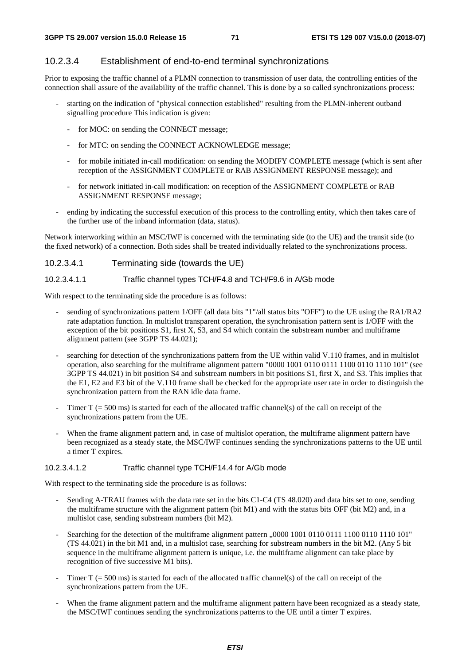## 10.2.3.4 Establishment of end-to-end terminal synchronizations

Prior to exposing the traffic channel of a PLMN connection to transmission of user data, the controlling entities of the connection shall assure of the availability of the traffic channel. This is done by a so called synchronizations process:

- starting on the indication of "physical connection established" resulting from the PLMN-inherent outband signalling procedure This indication is given:
	- for MOC: on sending the CONNECT message;
	- for MTC: on sending the CONNECT ACKNOWLEDGE message;
	- for mobile initiated in-call modification: on sending the MODIFY COMPLETE message (which is sent after reception of the ASSIGNMENT COMPLETE or RAB ASSIGNMENT RESPONSE message); and
	- for network initiated in-call modification: on reception of the ASSIGNMENT COMPLETE or RAB ASSIGNMENT RESPONSE message;
- ending by indicating the successful execution of this process to the controlling entity, which then takes care of the further use of the inband information (data, status).

Network interworking within an MSC/IWF is concerned with the terminating side (to the UE) and the transit side (to the fixed network) of a connection. Both sides shall be treated individually related to the synchronizations process.

| Terminating side (towards the UE)<br>10.2.3.4.1 |
|-------------------------------------------------|
|-------------------------------------------------|

#### 10.2.3.4.1.1 Traffic channel types TCH/F4.8 and TCH/F9.6 in A/Gb mode

With respect to the terminating side the procedure is as follows:

- sending of synchronizations pattern 1/OFF (all data bits "1"/all status bits "OFF") to the UE using the RA1/RA2 rate adaptation function. In multislot transparent operation, the synchronisation pattern sent is 1/OFF with the exception of the bit positions S1, first X, S3, and S4 which contain the substream number and multiframe alignment pattern (see 3GPP TS 44.021);
- searching for detection of the synchronizations pattern from the UE within valid V.110 frames, and in multislot operation, also searching for the multiframe alignment pattern "0000 1001 0110 0111 1100 0110 1110 101" (see 3GPP TS 44.021) in bit position S4 and substream numbers in bit positions S1, first X, and S3. This implies that the E1, E2 and E3 bit of the V.110 frame shall be checked for the appropriate user rate in order to distinguish the synchronization pattern from the RAN idle data frame.
- Timer  $T = 500$  ms) is started for each of the allocated traffic channel(s) of the call on receipt of the synchronizations pattern from the UE.
- When the frame alignment pattern and, in case of multislot operation, the multiframe alignment pattern have been recognized as a steady state, the MSC/IWF continues sending the synchronizations patterns to the UE until a timer T expires.

#### 10.2.3.4.1.2 Traffic channel type TCH/F14.4 for A/Gb mode

With respect to the terminating side the procedure is as follows:

- Sending A-TRAU frames with the data rate set in the bits C1-C4 (TS 48.020) and data bits set to one, sending the multiframe structure with the alignment pattern (bit M1) and with the status bits OFF (bit M2) and, in a multislot case, sending substream numbers (bit M2).
- Searching for the detection of the multiframe alignment pattern  $(0.0001001011001111100011101011$ (TS 44.021) in the bit M1 and, in a multislot case, searching for substream numbers in the bit M2. (Any 5 bit sequence in the multiframe alignment pattern is unique, i.e. the multiframe alignment can take place by recognition of five successive M1 bits).
- Timer T ( $= 500$  ms) is started for each of the allocated traffic channel(s) of the call on receipt of the synchronizations pattern from the UE.
- When the frame alignment pattern and the multiframe alignment pattern have been recognized as a steady state, the MSC/IWF continues sending the synchronizations patterns to the UE until a timer T expires.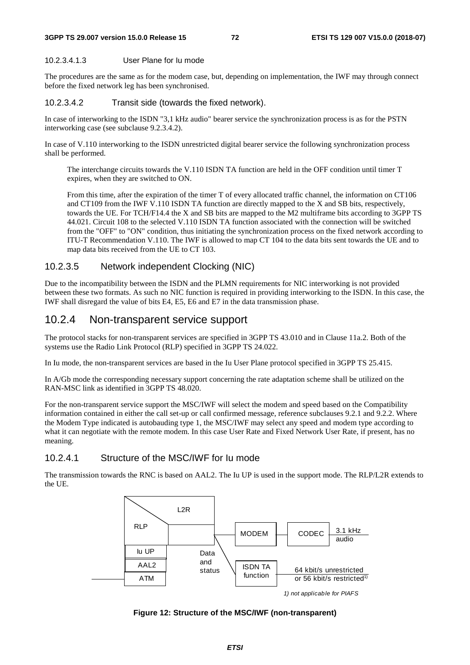#### **3GPP TS 29.007 version 15.0.0 Release 15 72 ETSI TS 129 007 V15.0.0 (2018-07)**

#### 10.2.3.4.1.3 User Plane for Iu mode

The procedures are the same as for the modem case, but, depending on implementation, the IWF may through connect before the fixed network leg has been synchronised.

### 10.2.3.4.2 Transit side (towards the fixed network).

In case of interworking to the ISDN "3,1 kHz audio" bearer service the synchronization process is as for the PSTN interworking case (see subclause 9.2.3.4.2).

In case of V.110 interworking to the ISDN unrestricted digital bearer service the following synchronization process shall be performed.

 The interchange circuits towards the V.110 ISDN TA function are held in the OFF condition until timer T expires, when they are switched to ON.

 From this time, after the expiration of the timer T of every allocated traffic channel, the information on CT106 and CT109 from the IWF V.110 ISDN TA function are directly mapped to the X and SB bits, respectively, towards the UE. For TCH/F14.4 the X and SB bits are mapped to the M2 multiframe bits according to 3GPP TS 44.021. Circuit 108 to the selected V.110 ISDN TA function associated with the connection will be switched from the "OFF" to "ON" condition, thus initiating the synchronization process on the fixed network according to ITU-T Recommendation V.110. The IWF is allowed to map CT 104 to the data bits sent towards the UE and to map data bits received from the UE to CT 103.

### 10.2.3.5 Network independent Clocking (NIC)

Due to the incompatibility between the ISDN and the PLMN requirements for NIC interworking is not provided between these two formats. As such no NIC function is required in providing interworking to the ISDN. In this case, the IWF shall disregard the value of bits E4, E5, E6 and E7 in the data transmission phase.

### 10.2.4 Non-transparent service support

The protocol stacks for non-transparent services are specified in 3GPP TS 43.010 and in Clause 11a.2. Both of the systems use the Radio Link Protocol (RLP) specified in 3GPP TS 24.022.

In Iu mode, the non-transparent services are based in the Iu User Plane protocol specified in 3GPP TS 25.415.

In A/Gb mode the corresponding necessary support concerning the rate adaptation scheme shall be utilized on the RAN-MSC link as identified in 3GPP TS 48.020.

For the non-transparent service support the MSC/IWF will select the modem and speed based on the Compatibility information contained in either the call set-up or call confirmed message, reference subclauses 9.2.1 and 9.2.2. Where the Modem Type indicated is autobauding type 1, the MSC/IWF may select any speed and modem type according to what it can negotiate with the remote modem. In this case User Rate and Fixed Network User Rate, if present, has no meaning.

### 10.2.4.1 Structure of the MSC/IWF for Iu mode

The transmission towards the RNC is based on AAL2. The Iu UP is used in the support mode. The RLP/L2R extends to the UE.



**Figure 12: Structure of the MSC/IWF (non-transparent)**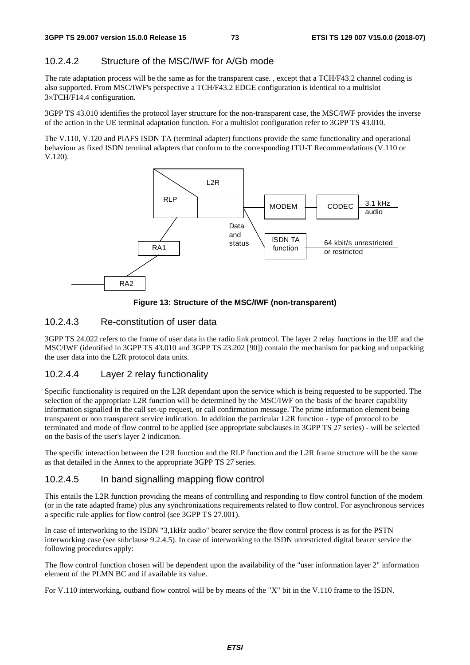### 10.2.4.2 Structure of the MSC/IWF for A/Gb mode

The rate adaptation process will be the same as for the transparent case. , except that a TCH/F43.2 channel coding is also supported. From MSC/IWF's perspective a TCH/F43.2 EDGE configuration is identical to a multislot 3×TCH/F14.4 configuration.

3GPP TS 43.010 identifies the protocol layer structure for the non-transparent case, the MSC/IWF provides the inverse of the action in the UE terminal adaptation function. For a multislot configuration refer to 3GPP TS 43.010.

The V.110, V.120 and PIAFS ISDN TA (terminal adapter) functions provide the same functionality and operational behaviour as fixed ISDN terminal adapters that conform to the corresponding ITU-T Recommendations (V.110 or V.120).



**Figure 13: Structure of the MSC/IWF (non-transparent)** 

### 10.2.4.3 Re-constitution of user data

3GPP TS 24.022 refers to the frame of user data in the radio link protocol. The layer 2 relay functions in the UE and the MSC/IWF (identified in 3GPP TS 43.010 and 3GPP TS 23.202 [90]) contain the mechanism for packing and unpacking the user data into the L2R protocol data units.

### 10.2.4.4 Layer 2 relay functionality

Specific functionality is required on the L2R dependant upon the service which is being requested to be supported. The selection of the appropriate L2R function will be determined by the MSC/IWF on the basis of the bearer capability information signalled in the call set-up request, or call confirmation message. The prime information element being transparent or non transparent service indication. In addition the particular L2R function - type of protocol to be terminated and mode of flow control to be applied (see appropriate subclauses in 3GPP TS 27 series) - will be selected on the basis of the user's layer 2 indication.

The specific interaction between the L2R function and the RLP function and the L2R frame structure will be the same as that detailed in the Annex to the appropriate 3GPP TS 27 series.

### 10.2.4.5 In band signalling mapping flow control

This entails the L2R function providing the means of controlling and responding to flow control function of the modem (or in the rate adapted frame) plus any synchronizations requirements related to flow control. For asynchronous services a specific rule applies for flow control (see 3GPP TS 27.001).

In case of interworking to the ISDN "3,1kHz audio" bearer service the flow control process is as for the PSTN interworking case (see subclause 9.2.4.5). In case of interworking to the ISDN unrestricted digital bearer service the following procedures apply:

The flow control function chosen will be dependent upon the availability of the "user information layer 2" information element of the PLMN BC and if available its value.

For V.110 interworking, outband flow control will be by means of the "X" bit in the V.110 frame to the ISDN.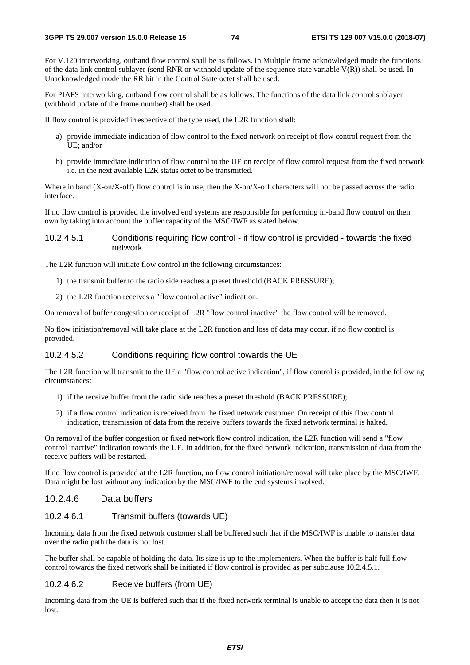For V.120 interworking, outband flow control shall be as follows. In Multiple frame acknowledged mode the functions of the data link control sublayer (send RNR or withhold update of the sequence state variable  $V(R)$ ) shall be used. In Unacknowledged mode the RR bit in the Control State octet shall be used.

For PIAFS interworking, outband flow control shall be as follows. The functions of the data link control sublayer (withhold update of the frame number) shall be used.

If flow control is provided irrespective of the type used, the L2R function shall:

- a) provide immediate indication of flow control to the fixed network on receipt of flow control request from the UE; and/or
- b) provide immediate indication of flow control to the UE on receipt of flow control request from the fixed network i.e. in the next available L2R status octet to be transmitted.

Where in band (X-on/X-off) flow control is in use, then the X-on/X-off characters will not be passed across the radio interface.

If no flow control is provided the involved end systems are responsible for performing in-band flow control on their own by taking into account the buffer capacity of the MSC/IWF as stated below.

### 10.2.4.5.1 Conditions requiring flow control - if flow control is provided - towards the fixed network

The L2R function will initiate flow control in the following circumstances:

- 1) the transmit buffer to the radio side reaches a preset threshold (BACK PRESSURE);
- 2) the L2R function receives a "flow control active" indication.

On removal of buffer congestion or receipt of L2R "flow control inactive" the flow control will be removed.

No flow initiation/removal will take place at the L2R function and loss of data may occur, if no flow control is provided.

### 10.2.4.5.2 Conditions requiring flow control towards the UE

The L2R function will transmit to the UE a "flow control active indication", if flow control is provided, in the following circumstances:

- 1) if the receive buffer from the radio side reaches a preset threshold (BACK PRESSURE);
- 2) if a flow control indication is received from the fixed network customer. On receipt of this flow control indication, transmission of data from the receive buffers towards the fixed network terminal is halted.

On removal of the buffer congestion or fixed network flow control indication, the L2R function will send a "flow control inactive" indication towards the UE. In addition, for the fixed network indication, transmission of data from the receive buffers will be restarted.

If no flow control is provided at the L2R function, no flow control initiation/removal will take place by the MSC/IWF. Data might be lost without any indication by the MSC/IWF to the end systems involved.

### 10.2.4.6 Data buffers

### 10.2.4.6.1 Transmit buffers (towards UE)

Incoming data from the fixed network customer shall be buffered such that if the MSC/IWF is unable to transfer data over the radio path the data is not lost.

The buffer shall be capable of holding the data. Its size is up to the implementers. When the buffer is half full flow control towards the fixed network shall be initiated if flow control is provided as per subclause 10.2.4.5.1.

#### 10.2.4.6.2 Receive buffers (from UE)

Incoming data from the UE is buffered such that if the fixed network terminal is unable to accept the data then it is not lost.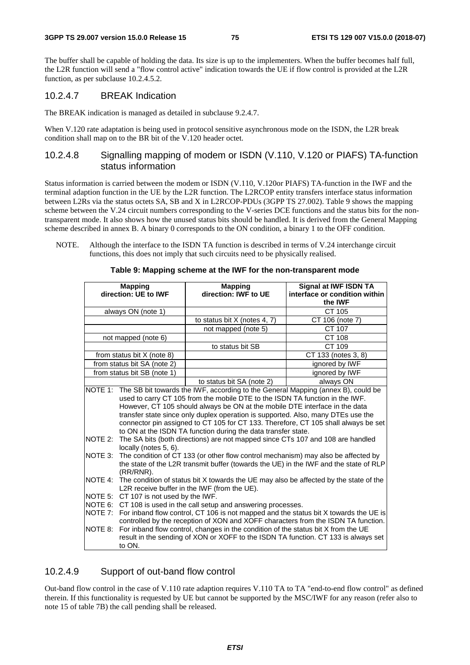The buffer shall be capable of holding the data. Its size is up to the implementers. When the buffer becomes half full, the L2R function will send a "flow control active" indication towards the UE if flow control is provided at the L2R function, as per subclause 10.2.4.5.2.

### 10.2.4.7 BREAK Indication

The BREAK indication is managed as detailed in subclause 9.2.4.7.

When V.120 rate adaptation is being used in protocol sensitive asynchronous mode on the ISDN, the L2R break condition shall map on to the BR bit of the V.120 header octet.

### 10.2.4.8 Signalling mapping of modem or ISDN (V.110, V.120 or PIAFS) TA-function status information

Status information is carried between the modem or ISDN (V.110, V.120or PIAFS) TA-function in the IWF and the terminal adaption function in the UE by the L2R function. The L2RCOP entity transfers interface status information between L2Rs via the status octets SA, SB and X in L2RCOP-PDUs (3GPP TS 27.002). Table 9 shows the mapping scheme between the V.24 circuit numbers corresponding to the V-series DCE functions and the status bits for the nontransparent mode. It also shows how the unused status bits should be handled. It is derived from the General Mapping scheme described in annex B. A binary 0 corresponds to the ON condition, a binary 1 to the OFF condition.

NOTE. Although the interface to the ISDN TA function is described in terms of V.24 interchange circuit functions, this does not imply that such circuits need to be physically realised.

|         | <b>Mapping</b>                                                                       | <b>Mapping</b>                                                                        | Signal at IWF ISDN TA                                                                 |  |  |  |  |  |
|---------|--------------------------------------------------------------------------------------|---------------------------------------------------------------------------------------|---------------------------------------------------------------------------------------|--|--|--|--|--|
|         | direction: UE to IWF                                                                 | direction: IWF to UE                                                                  | interface or condition within                                                         |  |  |  |  |  |
|         |                                                                                      |                                                                                       | the <b>IWF</b>                                                                        |  |  |  |  |  |
|         | always ON (note 1)                                                                   |                                                                                       | CT 105                                                                                |  |  |  |  |  |
|         |                                                                                      | to status bit X (notes 4, 7)                                                          | CT 106 (note 7)                                                                       |  |  |  |  |  |
|         |                                                                                      | not mapped (note 5)                                                                   | CT 107                                                                                |  |  |  |  |  |
|         | not mapped (note 6)                                                                  |                                                                                       | CT 108                                                                                |  |  |  |  |  |
|         |                                                                                      | to status bit SB                                                                      | CT 109                                                                                |  |  |  |  |  |
|         | from status bit $X$ (note 8)                                                         |                                                                                       | CT 133 (notes 3, 8)                                                                   |  |  |  |  |  |
|         | from status bit SA (note 2)                                                          |                                                                                       | ignored by IWF                                                                        |  |  |  |  |  |
|         | from status bit SB (note 1)                                                          |                                                                                       | ignored by IWF                                                                        |  |  |  |  |  |
|         |                                                                                      | to status bit SA (note 2)                                                             | always ON                                                                             |  |  |  |  |  |
| NOTE 1: |                                                                                      | The SB bit towards the IWF, according to the General Mapping (annex B), could be      |                                                                                       |  |  |  |  |  |
|         |                                                                                      | used to carry CT 105 from the mobile DTE to the ISDN TA function in the IWF.          |                                                                                       |  |  |  |  |  |
|         |                                                                                      | However, CT 105 should always be ON at the mobile DTE interface in the data           |                                                                                       |  |  |  |  |  |
|         |                                                                                      | transfer state since only duplex operation is supported. Also, many DTEs use the      |                                                                                       |  |  |  |  |  |
|         |                                                                                      |                                                                                       | connector pin assigned to CT 105 for CT 133. Therefore, CT 105 shall always be set    |  |  |  |  |  |
|         |                                                                                      | to ON at the ISDN TA function during the data transfer state.                         |                                                                                       |  |  |  |  |  |
| NOTE 2: |                                                                                      | The SA bits (both directions) are not mapped since CTs 107 and 108 are handled        |                                                                                       |  |  |  |  |  |
|         | locally (notes 5, 6).                                                                |                                                                                       |                                                                                       |  |  |  |  |  |
| NOTE 3: |                                                                                      | The condition of CT 133 (or other flow control mechanism) may also be affected by     |                                                                                       |  |  |  |  |  |
|         |                                                                                      |                                                                                       | the state of the L2R transmit buffer (towards the UE) in the IWF and the state of RLP |  |  |  |  |  |
|         | $(RR/RNR)$ .                                                                         |                                                                                       |                                                                                       |  |  |  |  |  |
| NOTE 4: |                                                                                      | The condition of status bit X towards the UE may also be affected by the state of the |                                                                                       |  |  |  |  |  |
|         | L2R receive buffer in the IWF (from the UE).                                         |                                                                                       |                                                                                       |  |  |  |  |  |
|         | NOTE 5: CT 107 is not used by the IWF.                                               |                                                                                       |                                                                                       |  |  |  |  |  |
| NOTE 6: | CT 108 is used in the call setup and answering processes.                            |                                                                                       |                                                                                       |  |  |  |  |  |
| NOTE 7: | For inband flow control, CT 106 is not mapped and the status bit X towards the UE is |                                                                                       |                                                                                       |  |  |  |  |  |
|         | controlled by the reception of XON and XOFF characters from the ISDN TA function.    |                                                                                       |                                                                                       |  |  |  |  |  |
| NOTE 8: |                                                                                      | For inband flow control, changes in the condition of the status bit X from the UE     |                                                                                       |  |  |  |  |  |
|         |                                                                                      | result in the sending of XON or XOFF to the ISDN TA function. CT 133 is always set    |                                                                                       |  |  |  |  |  |
|         | to ON.                                                                               |                                                                                       |                                                                                       |  |  |  |  |  |

|  | Table 9: Mapping scheme at the IWF for the non-transparent mode |  |  |  |
|--|-----------------------------------------------------------------|--|--|--|
|--|-----------------------------------------------------------------|--|--|--|

### 10.2.4.9 Support of out-band flow control

Out-band flow control in the case of V.110 rate adaption requires V.110 TA to TA "end-to-end flow control" as defined therein. If this functionality is requested by UE but cannot be supported by the MSC/IWF for any reason (refer also to note 15 of table 7B) the call pending shall be released.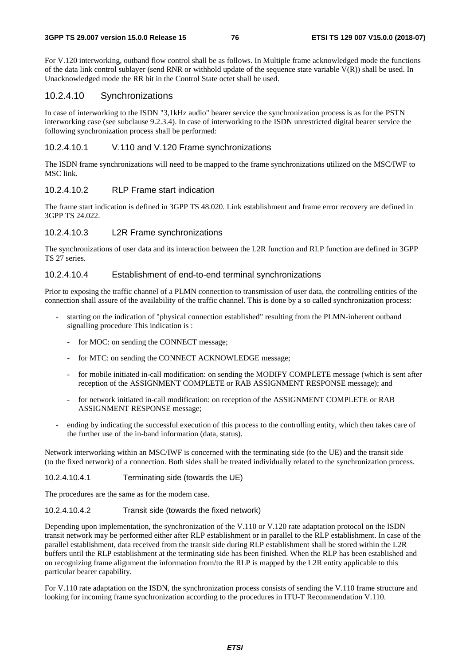For V.120 interworking, outband flow control shall be as follows. In Multiple frame acknowledged mode the functions of the data link control sublayer (send RNR or withhold update of the sequence state variable  $V(R)$ ) shall be used. In Unacknowledged mode the RR bit in the Control State octet shall be used.

### 10.2.4.10 Synchronizations

In case of interworking to the ISDN "3,1kHz audio" bearer service the synchronization process is as for the PSTN interworking case (see subclause 9.2.3.4). In case of interworking to the ISDN unrestricted digital bearer service the following synchronization process shall be performed:

### 10.2.4.10.1 V.110 and V.120 Frame synchronizations

The ISDN frame synchronizations will need to be mapped to the frame synchronizations utilized on the MSC/IWF to MSC link.

### 10.2.4.10.2 RLP Frame start indication

The frame start indication is defined in 3GPP TS 48.020. Link establishment and frame error recovery are defined in 3GPP TS 24.022

### 10.2.4.10.3 L2R Frame synchronizations

The synchronizations of user data and its interaction between the L2R function and RLP function are defined in 3GPP TS 27 series.

### 10.2.4.10.4 Establishment of end-to-end terminal synchronizations

Prior to exposing the traffic channel of a PLMN connection to transmission of user data, the controlling entities of the connection shall assure of the availability of the traffic channel. This is done by a so called synchronization process:

- starting on the indication of "physical connection established" resulting from the PLMN-inherent outband signalling procedure This indication is :
	- for MOC: on sending the CONNECT message;
	- for MTC: on sending the CONNECT ACKNOWLEDGE message;
	- for mobile initiated in-call modification: on sending the MODIFY COMPLETE message (which is sent after reception of the ASSIGNMENT COMPLETE or RAB ASSIGNMENT RESPONSE message); and
	- for network initiated in-call modification: on reception of the ASSIGNMENT COMPLETE or RAB ASSIGNMENT RESPONSE message;
- ending by indicating the successful execution of this process to the controlling entity, which then takes care of the further use of the in-band information (data, status).

Network interworking within an MSC/IWF is concerned with the terminating side (to the UE) and the transit side (to the fixed network) of a connection. Both sides shall be treated individually related to the synchronization process.

10.2.4.10.4.1 Terminating side (towards the UE)

The procedures are the same as for the modem case.

10.2.4.10.4.2 Transit side (towards the fixed network)

Depending upon implementation, the synchronization of the V.110 or V.120 rate adaptation protocol on the ISDN transit network may be performed either after RLP establishment or in parallel to the RLP establishment. In case of the parallel establishment, data received from the transit side during RLP establishment shall be stored within the L2R buffers until the RLP establishment at the terminating side has been finished. When the RLP has been established and on recognizing frame alignment the information from/to the RLP is mapped by the L2R entity applicable to this particular bearer capability.

For V.110 rate adaptation on the ISDN, the synchronization process consists of sending the V.110 frame structure and looking for incoming frame synchronization according to the procedures in ITU-T Recommendation V.110.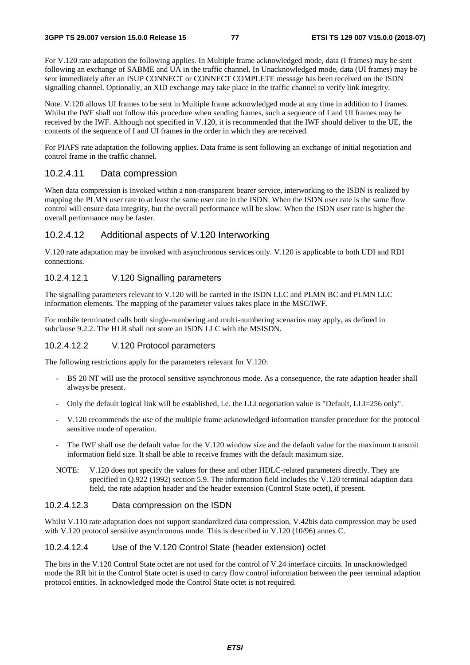For V.120 rate adaptation the following applies. In Multiple frame acknowledged mode, data (I frames) may be sent following an exchange of SABME and UA in the traffic channel. In Unacknowledged mode, data (UI frames) may be sent immediately after an ISUP CONNECT or CONNECT COMPLETE message has been received on the ISDN signalling channel. Optionally, an XID exchange may take place in the traffic channel to verify link integrity.

Note. V.120 allows UI frames to be sent in Multiple frame acknowledged mode at any time in addition to I frames. Whilst the IWF shall not follow this procedure when sending frames, such a sequence of I and UI frames may be received by the IWF. Although not specified in V.120, it is recommended that the IWF should deliver to the UE, the contents of the sequence of I and UI frames in the order in which they are received.

For PIAFS rate adaptation the following applies. Data frame is sent following an exchange of initial negotiation and control frame in the traffic channel.

### 10.2.4.11 Data compression

When data compression is invoked within a non-transparent bearer service, interworking to the ISDN is realized by mapping the PLMN user rate to at least the same user rate in the ISDN. When the ISDN user rate is the same flow control will ensure data integrity, but the overall performance will be slow. When the ISDN user rate is higher the overall performance may be faster.

### 10.2.4.12 Additional aspects of V.120 Interworking

V.120 rate adaptation may be invoked with asynchronous services only. V.120 is applicable to both UDI and RDI connections.

### 10.2.4.12.1 V.120 Signalling parameters

The signalling parameters relevant to V.120 will be carried in the ISDN LLC and PLMN BC and PLMN LLC information elements. The mapping of the parameter values takes place in the MSC/IWF.

For mobile terminated calls both single-numbering and multi-numbering scenarios may apply, as defined in subclause 9.2.2. The HLR shall not store an ISDN LLC with the MSISDN.

### 10.2.4.12.2 V.120 Protocol parameters

The following restrictions apply for the parameters relevant for V.120:

- BS 20 NT will use the protocol sensitive asynchronous mode. As a consequence, the rate adaption header shall always be present.
- Only the default logical link will be established, i.e. the LLI negotiation value is "Default, LLI=256 only".
- V.120 recommends the use of the multiple frame acknowledged information transfer procedure for the protocol sensitive mode of operation.
- The IWF shall use the default value for the V.120 window size and the default value for the maximum transmit information field size. It shall be able to receive frames with the default maximum size.
- NOTE: V.120 does not specify the values for these and other HDLC-related parameters directly. They are specified in Q.922 (1992) section 5.9. The information field includes the V.120 terminal adaption data field, the rate adaption header and the header extension (Control State octet), if present.

### 10.2.4.12.3 Data compression on the ISDN

Whilst V.110 rate adaptation does not support standardized data compression, V.42bis data compression may be used with V.120 protocol sensitive asynchronous mode. This is described in V.120 (10/96) annex C.

### 10.2.4.12.4 Use of the V.120 Control State (header extension) octet

The bits in the V.120 Control State octet are not used for the control of V.24 interface circuits. In unacknowledged mode the RR bit in the Control State octet is used to carry flow control information between the peer terminal adaption protocol entities. In acknowledged mode the Control State octet is not required.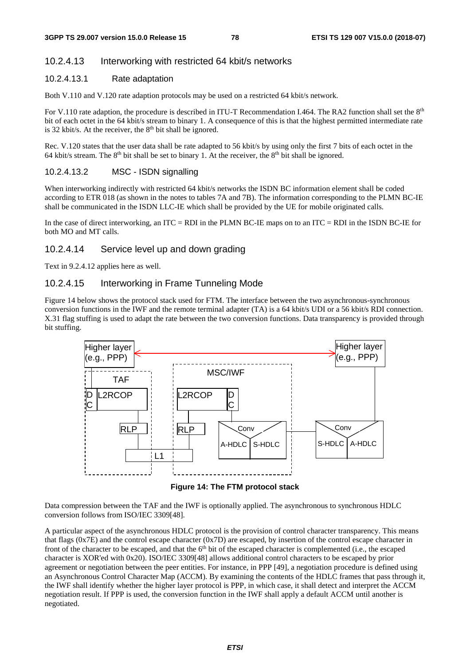### 10.2.4.13 Interworking with restricted 64 kbit/s networks

### 10.2.4.13.1 Rate adaptation

Both V.110 and V.120 rate adaption protocols may be used on a restricted 64 kbit/s network.

For V.110 rate adaption, the procedure is described in ITU-T Recommendation I.464. The RA2 function shall set the 8<sup>th</sup> bit of each octet in the 64 kbit/s stream to binary 1. A consequence of this is that the highest permitted intermediate rate is 32 kbit/s. At the receiver, the  $8<sup>th</sup>$  bit shall be ignored.

Rec. V.120 states that the user data shall be rate adapted to 56 kbit/s by using only the first 7 bits of each octet in the 64 kbit/s stream. The 8<sup>th</sup> bit shall be set to binary 1. At the receiver, the 8<sup>th</sup> bit shall be ignored.

### 10.2.4.13.2 MSC - ISDN signalling

When interworking indirectly with restricted 64 kbit/s networks the ISDN BC information element shall be coded according to ETR 018 (as shown in the notes to tables 7A and 7B). The information corresponding to the PLMN BC-IE shall be communicated in the ISDN LLC-IE which shall be provided by the UE for mobile originated calls.

In the case of direct interworking, an ITC = RDI in the PLMN BC-IE maps on to an ITC = RDI in the ISDN BC-IE for both MO and MT calls.

### 10.2.4.14 Service level up and down grading

Text in 9.2.4.12 applies here as well.

### 10.2.4.15 Interworking in Frame Tunneling Mode

Figure 14 below shows the protocol stack used for FTM. The interface between the two asynchronous-synchronous conversion functions in the IWF and the remote terminal adapter (TA) is a 64 kbit/s UDI or a 56 kbit/s RDI connection. X.31 flag stuffing is used to adapt the rate between the two conversion functions. Data transparency is provided through bit stuffing.



**Figure 14: The FTM protocol stack** 

Data compression between the TAF and the IWF is optionally applied. The asynchronous to synchronous HDLC conversion follows from ISO/IEC 3309[48].

A particular aspect of the asynchronous HDLC protocol is the provision of control character transparency. This means that flags (0x7E) and the control escape character (0x7D) are escaped, by insertion of the control escape character in front of the character to be escaped, and that the  $6<sup>th</sup>$  bit of the escaped character is complemented (i.e., the escaped character is XOR'ed with 0x20). ISO/IEC 3309[48] allows additional control characters to be escaped by prior agreement or negotiation between the peer entities. For instance, in PPP [49], a negotiation procedure is defined using an Asynchronous Control Character Map (ACCM). By examining the contents of the HDLC frames that pass through it, the IWF shall identify whether the higher layer protocol is PPP, in which case, it shall detect and interpret the ACCM negotiation result. If PPP is used, the conversion function in the IWF shall apply a default ACCM until another is negotiated.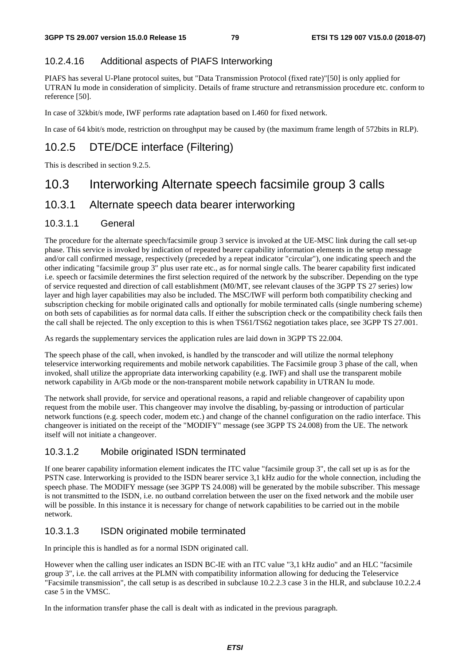### 10.2.4.16 Additional aspects of PIAFS Interworking

PIAFS has several U-Plane protocol suites, but "Data Transmission Protocol (fixed rate)"[50] is only applied for UTRAN Iu mode in consideration of simplicity. Details of frame structure and retransmission procedure etc. conform to reference [50].

In case of 32kbit/s mode, IWF performs rate adaptation based on I.460 for fixed network.

In case of 64 kbit/s mode, restriction on throughput may be caused by (the maximum frame length of 572bits in RLP).

# 10.2.5 DTE/DCE interface (Filtering)

This is described in section 9.2.5.

# 10.3 Interworking Alternate speech facsimile group 3 calls

# 10.3.1 Alternate speech data bearer interworking

### 10.3.1.1 General

The procedure for the alternate speech/facsimile group 3 service is invoked at the UE-MSC link during the call set-up phase. This service is invoked by indication of repeated bearer capability information elements in the setup message and/or call confirmed message, respectively (preceded by a repeat indicator "circular"), one indicating speech and the other indicating "facsimile group 3" plus user rate etc., as for normal single calls. The bearer capability first indicated i.e. speech or facsimile determines the first selection required of the network by the subscriber. Depending on the type of service requested and direction of call establishment (M0/MT, see relevant clauses of the 3GPP TS 27 series) low layer and high layer capabilities may also be included. The MSC/IWF will perform both compatibility checking and subscription checking for mobile originated calls and optionally for mobile terminated calls (single numbering scheme) on both sets of capabilities as for normal data calls. If either the subscription check or the compatibility check fails then the call shall be rejected. The only exception to this is when TS61/TS62 negotiation takes place, see 3GPP TS 27.001.

As regards the supplementary services the application rules are laid down in 3GPP TS 22.004.

The speech phase of the call, when invoked, is handled by the transcoder and will utilize the normal telephony teleservice interworking requirements and mobile network capabilities. The Facsimile group 3 phase of the call, when invoked, shall utilize the appropriate data interworking capability (e.g. IWF) and shall use the transparent mobile network capability in A/Gb mode or the non-transparent mobile network capability in UTRAN Iu mode.

The network shall provide, for service and operational reasons, a rapid and reliable changeover of capability upon request from the mobile user. This changeover may involve the disabling, by-passing or introduction of particular network functions (e.g. speech coder, modem etc.) and change of the channel configuration on the radio interface. This changeover is initiated on the receipt of the "MODIFY" message (see 3GPP TS 24.008) from the UE. The network itself will not initiate a changeover.

### 10.3.1.2 Mobile originated ISDN terminated

If one bearer capability information element indicates the ITC value "facsimile group 3", the call set up is as for the PSTN case. Interworking is provided to the ISDN bearer service 3,1 kHz audio for the whole connection, including the speech phase. The MODIFY message (see 3GPP TS 24.008) will be generated by the mobile subscriber. This message is not transmitted to the ISDN, i.e. no outband correlation between the user on the fixed network and the mobile user will be possible. In this instance it is necessary for change of network capabilities to be carried out in the mobile network.

### 10.3.1.3 ISDN originated mobile terminated

In principle this is handled as for a normal ISDN originated call.

However when the calling user indicates an ISDN BC-IE with an ITC value "3,1 kHz audio" and an HLC "facsimile group 3", i.e. the call arrives at the PLMN with compatibility information allowing for deducing the Teleservice "Facsimile transmission", the call setup is as described in subclause 10.2.2.3 case 3 in the HLR, and subclause 10.2.2.4 case 5 in the VMSC.

In the information transfer phase the call is dealt with as indicated in the previous paragraph.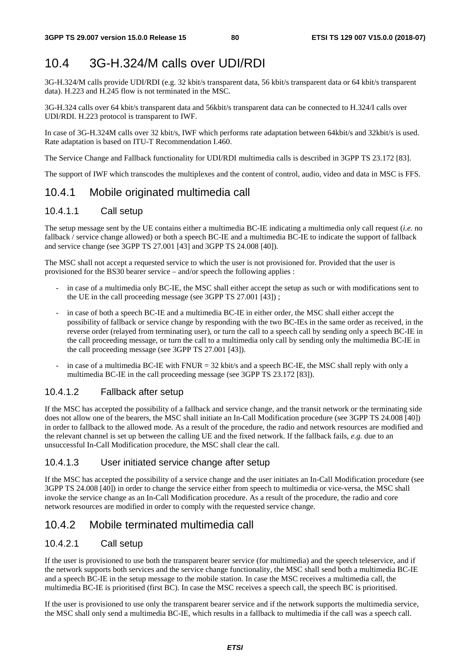# 10.4 3G-H.324/M calls over UDI/RDI

3G-H.324/M calls provide UDI/RDI (e.g. 32 kbit/s transparent data, 56 kbit/s transparent data or 64 kbit/s transparent data). H.223 and H.245 flow is not terminated in the MSC.

3G-H.324 calls over 64 kbit/s transparent data and 56kbit/s transparent data can be connected to H.324/I calls over UDI/RDI. H.223 protocol is transparent to IWF.

In case of 3G-H.324M calls over 32 kbit/s, IWF which performs rate adaptation between 64kbit/s and 32kbit/s is used. Rate adaptation is based on ITU-T Recommendation I.460.

The Service Change and Fallback functionality for UDI/RDI multimedia calls is described in 3GPP TS 23.172 [83].

The support of IWF which transcodes the multiplexes and the content of control, audio, video and data in MSC is FFS.

### 10.4.1 Mobile originated multimedia call

### 10.4.1.1 Call setup

The setup message sent by the UE contains either a multimedia BC-IE indicating a multimedia only call request (*i.e.* no fallback / service change allowed) or both a speech BC-IE and a multimedia BC-IE to indicate the support of fallback and service change (see 3GPP TS 27.001 [43] and 3GPP TS 24.008 [40]).

The MSC shall not accept a requested service to which the user is not provisioned for. Provided that the user is provisioned for the BS30 bearer service – and/or speech the following applies :

- in case of a multimedia only BC-IE, the MSC shall either accept the setup as such or with modifications sent to the UE in the call proceeding message (see 3GPP TS 27.001 [43]) ;
- in case of both a speech BC-IE and a multimedia BC-IE in either order, the MSC shall either accept the possibility of fallback or service change by responding with the two BC-IEs in the same order as received, in the reverse order (relayed from terminating user), or turn the call to a speech call by sending only a speech BC-IE in the call proceeding message, or turn the call to a multimedia only call by sending only the multimedia BC-IE in the call proceeding message (see 3GPP TS 27.001 [43]).
- in case of a multimedia BC-IE with  $FNUR = 32$  kbit/s and a speech BC-IE, the MSC shall reply with only a multimedia BC-IE in the call proceeding message (see 3GPP TS 23.172 [83]).

### 10.4.1.2 Fallback after setup

If the MSC has accepted the possibility of a fallback and service change, and the transit network or the terminating side does not allow one of the bearers, the MSC shall initiate an In-Call Modification procedure (see 3GPP TS 24.008 [40]) in order to fallback to the allowed mode. As a result of the procedure, the radio and network resources are modified and the relevant channel is set up between the calling UE and the fixed network. If the fallback fails, *e.g.* due to an unsuccessful In-Call Modification procedure, the MSC shall clear the call.

### 10.4.1.3 User initiated service change after setup

If the MSC has accepted the possibility of a service change and the user initiates an In-Call Modification procedure (see 3GPP TS 24.008 [40]) in order to change the service either from speech to multimedia or vice-versa, the MSC shall invoke the service change as an In-Call Modification procedure. As a result of the procedure, the radio and core network resources are modified in order to comply with the requested service change.

### 10.4.2 Mobile terminated multimedia call

### 10.4.2.1 Call setup

If the user is provisioned to use both the transparent bearer service (for multimedia) and the speech teleservice, and if the network supports both services and the service change functionality, the MSC shall send both a multimedia BC-IE and a speech BC-IE in the setup message to the mobile station. In case the MSC receives a multimedia call, the multimedia BC-IE is prioritised (first BC). In case the MSC receives a speech call, the speech BC is prioritised.

If the user is provisioned to use only the transparent bearer service and if the network supports the multimedia service, the MSC shall only send a multimedia BC-IE, which results in a fallback to multimedia if the call was a speech call.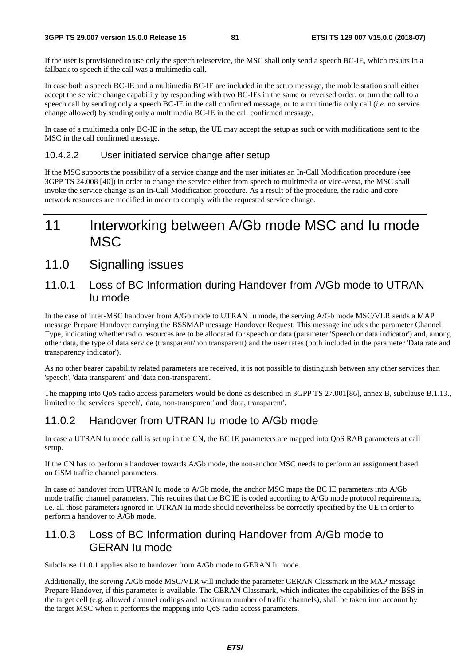If the user is provisioned to use only the speech teleservice, the MSC shall only send a speech BC-IE, which results in a fallback to speech if the call was a multimedia call.

In case both a speech BC-IE and a multimedia BC-IE are included in the setup message, the mobile station shall either accept the service change capability by responding with two BC-IEs in the same or reversed order, or turn the call to a speech call by sending only a speech BC-IE in the call confirmed message, or to a multimedia only call (*i.e.* no service change allowed) by sending only a multimedia BC-IE in the call confirmed message.

In case of a multimedia only BC-IE in the setup, the UE may accept the setup as such or with modifications sent to the MSC in the call confirmed message.

### 10.4.2.2 User initiated service change after setup

If the MSC supports the possibility of a service change and the user initiates an In-Call Modification procedure (see 3GPP TS 24.008 [40]) in order to change the service either from speech to multimedia or vice-versa, the MSC shall invoke the service change as an In-Call Modification procedure. As a result of the procedure, the radio and core network resources are modified in order to comply with the requested service change.

# 11 Interworking between A/Gb mode MSC and Iu mode MSC

# 11.0 Signalling issues

### 11.0.1 Loss of BC Information during Handover from A/Gb mode to UTRAN Iu mode

In the case of inter-MSC handover from A/Gb mode to UTRAN Iu mode, the serving A/Gb mode MSC/VLR sends a MAP message Prepare Handover carrying the BSSMAP message Handover Request. This message includes the parameter Channel Type, indicating whether radio resources are to be allocated for speech or data (parameter 'Speech or data indicator') and, among other data, the type of data service (transparent/non transparent) and the user rates (both included in the parameter 'Data rate and transparency indicator').

As no other bearer capability related parameters are received, it is not possible to distinguish between any other services than 'speech', 'data transparent' and 'data non-transparent'.

The mapping into QoS radio access parameters would be done as described in 3GPP TS 27.001[86], annex B, subclause B.1.13., limited to the services 'speech', 'data, non-transparent' and 'data, transparent'.

### 11.0.2 Handover from UTRAN Iu mode to A/Gb mode

In case a UTRAN Iu mode call is set up in the CN, the BC IE parameters are mapped into QoS RAB parameters at call setup.

If the CN has to perform a handover towards A/Gb mode, the non-anchor MSC needs to perform an assignment based on GSM traffic channel parameters.

In case of handover from UTRAN Iu mode to A/Gb mode, the anchor MSC maps the BC IE parameters into A/Gb mode traffic channel parameters. This requires that the BC IE is coded according to A/Gb mode protocol requirements, i.e. all those parameters ignored in UTRAN Iu mode should nevertheless be correctly specified by the UE in order to perform a handover to A/Gb mode.

# 11.0.3 Loss of BC Information during Handover from A/Gb mode to GERAN Iu mode

Subclause 11.0.1 applies also to handover from A/Gb mode to GERAN Iu mode.

Additionally, the serving A/Gb mode MSC/VLR will include the parameter GERAN Classmark in the MAP message Prepare Handover, if this parameter is available. The GERAN Classmark, which indicates the capabilities of the BSS in the target cell (e.g. allowed channel codings and maximum number of traffic channels), shall be taken into account by the target MSC when it performs the mapping into QoS radio access parameters.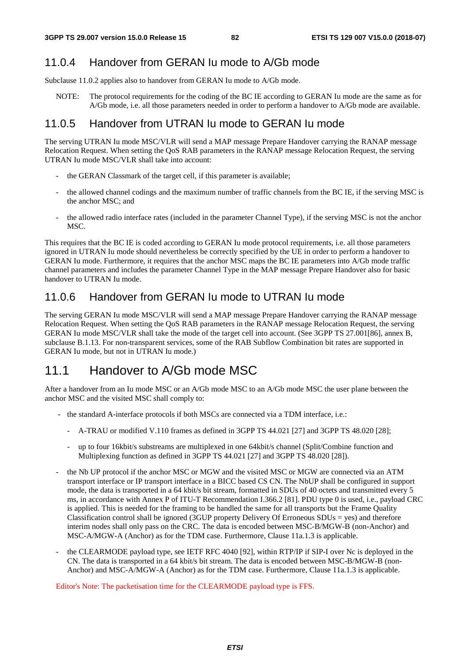# 11.0.4 Handover from GERAN Iu mode to A/Gb mode

Subclause 11.0.2 applies also to handover from GERAN Iu mode to A/Gb mode.

NOTE: The protocol requirements for the coding of the BC IE according to GERAN Iu mode are the same as for A/Gb mode, i.e. all those parameters needed in order to perform a handover to A/Gb mode are available.

# 11.0.5 Handover from UTRAN Iu mode to GERAN Iu mode

The serving UTRAN Iu mode MSC/VLR will send a MAP message Prepare Handover carrying the RANAP message Relocation Request. When setting the QoS RAB parameters in the RANAP message Relocation Request, the serving UTRAN Iu mode MSC/VLR shall take into account:

- the GERAN Classmark of the target cell, if this parameter is available;
- the allowed channel codings and the maximum number of traffic channels from the BC IE, if the serving MSC is the anchor MSC; and
- the allowed radio interface rates (included in the parameter Channel Type), if the serving MSC is not the anchor MSC.

This requires that the BC IE is coded according to GERAN Iu mode protocol requirements, i.e. all those parameters ignored in UTRAN Iu mode should nevertheless be correctly specified by the UE in order to perform a handover to GERAN Iu mode. Furthermore, it requires that the anchor MSC maps the BC IE parameters into A/Gb mode traffic channel parameters and includes the parameter Channel Type in the MAP message Prepare Handover also for basic handover to UTRAN Iu mode.

# 11.0.6 Handover from GERAN Iu mode to UTRAN Iu mode

The serving GERAN Iu mode MSC/VLR will send a MAP message Prepare Handover carrying the RANAP message Relocation Request. When setting the QoS RAB parameters in the RANAP message Relocation Request, the serving GERAN Iu mode MSC/VLR shall take the mode of the target cell into account. (See 3GPP TS 27.001[86], annex B, subclause B.1.13. For non-transparent services, some of the RAB Subflow Combination bit rates are supported in GERAN Iu mode, but not in UTRAN Iu mode.)

# 11.1 Handover to A/Gb mode MSC

After a handover from an Iu mode MSC or an A/Gb mode MSC to an A/Gb mode MSC the user plane between the anchor MSC and the visited MSC shall comply to:

- the standard A-interface protocols if both MSCs are connected via a TDM interface, i.e.:
	- A-TRAU or modified V.110 frames as defined in 3GPP TS 44.021 [27] and 3GPP TS 48.020 [28];
	- up to four 16kbit/s substreams are multiplexed in one 64kbit/s channel (Split/Combine function and Multiplexing function as defined in 3GPP TS 44.021 [27] and 3GPP TS 48.020 [28]).
- the Nb UP protocol if the anchor MSC or MGW and the visited MSC or MGW are connected via an ATM transport interface or IP transport interface in a BICC based CS CN. The NbUP shall be configured in support mode, the data is transported in a 64 kbit/s bit stream, formatted in SDUs of 40 octets and transmitted every 5 ms, in accordance with Annex P of ITU-T Recommendation I.366.2 [81]. PDU type 0 is used, i.e., payload CRC is applied. This is needed for the framing to be handled the same for all transports but the Frame Quality Classification control shall be ignored (3GUP property Delivery Of Erroneous SDUs = yes) and therefore interim nodes shall only pass on the CRC. The data is encoded between MSC-B/MGW-B (non-Anchor) and MSC-A/MGW-A (Anchor) as for the TDM case. Furthermore, Clause 11a.1.3 is applicable.
- the CLEARMODE payload type, see IETF RFC 4040 [92], within RTP/IP if SIP-I over Nc is deployed in the CN. The data is transported in a 64 kbit/s bit stream. The data is encoded between MSC-B/MGW-B (non-Anchor) and MSC-A/MGW-A (Anchor) as for the TDM case. Furthermore, Clause 11a.1.3 is applicable.

Editor's Note: The packetisation time for the CLEARMODE payload type is FFS.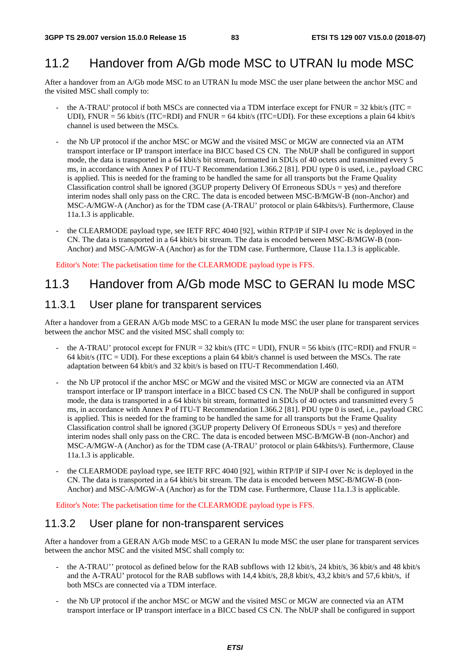# 11.2 Handover from A/Gb mode MSC to UTRAN Iu mode MSC

After a handover from an A/Gb mode MSC to an UTRAN Iu mode MSC the user plane between the anchor MSC and the visited MSC shall comply to:

- the A-TRAU' protocol if both MSCs are connected via a TDM interface except for  $\text{FWUR} = 32 \text{ kbit/s}$  (ITC = UDI), FNUR = 56 kbit/s (ITC=RDI) and FNUR = 64 kbit/s (ITC=UDI). For these exceptions a plain 64 kbit/s channel is used between the MSCs.
- the Nb UP protocol if the anchor MSC or MGW and the visited MSC or MGW are connected via an ATM transport interface or IP transport interface ina BICC based CS CN. The NbUP shall be configured in support mode, the data is transported in a 64 kbit/s bit stream, formatted in SDUs of 40 octets and transmitted every 5 ms, in accordance with Annex P of ITU-T Recommendation I.366.2 [81]. PDU type 0 is used, i.e., payload CRC is applied. This is needed for the framing to be handled the same for all transports but the Frame Quality Classification control shall be ignored (3GUP property Delivery Of Erroneous SDUs = yes) and therefore interim nodes shall only pass on the CRC. The data is encoded between MSC-B/MGW-B (non-Anchor) and MSC-A/MGW-A (Anchor) as for the TDM case (A-TRAU' protocol or plain 64kbits/s). Furthermore, Clause 11a.1.3 is applicable.
- the CLEARMODE payload type, see IETF RFC 4040 [92], within RTP/IP if SIP-I over Nc is deployed in the CN. The data is transported in a 64 kbit/s bit stream. The data is encoded between MSC-B/MGW-B (non-Anchor) and MSC-A/MGW-A (Anchor) as for the TDM case. Furthermore, Clause 11a.1.3 is applicable.

Editor's Note: The packetisation time for the CLEARMODE payload type is FFS.

# 11.3 Handover from A/Gb mode MSC to GERAN Iu mode MSC

### 11.3.1 User plane for transparent services

After a handover from a GERAN A/Gb mode MSC to a GERAN Iu mode MSC the user plane for transparent services between the anchor MSC and the visited MSC shall comply to:

- the A-TRAU' protocol except for FNUR =  $32$  kbit/s (ITC = UDI), FNUR =  $56$  kbit/s (ITC=RDI) and FNUR = 64 kbit/s (ITC = UDI). For these exceptions a plain 64 kbit/s channel is used between the MSCs. The rate adaptation between 64 kbit/s and 32 kbit/s is based on ITU-T Recommendation I.460.
- the Nb UP protocol if the anchor MSC or MGW and the visited MSC or MGW are connected via an ATM transport interface or IP transport interface in a BICC based CS CN. The NbUP shall be configured in support mode, the data is transported in a 64 kbit/s bit stream, formatted in SDUs of 40 octets and transmitted every 5 ms, in accordance with Annex P of ITU-T Recommendation I.366.2 [81]. PDU type 0 is used, i.e., payload CRC is applied. This is needed for the framing to be handled the same for all transports but the Frame Quality Classification control shall be ignored (3GUP property Delivery Of Erroneous SDUs = yes) and therefore interim nodes shall only pass on the CRC. The data is encoded between MSC-B/MGW-B (non-Anchor) and MSC-A/MGW-A (Anchor) as for the TDM case (A-TRAU' protocol or plain 64kbits/s). Furthermore, Clause 11a.1.3 is applicable.
- the CLEARMODE payload type, see IETF RFC 4040 [92], within RTP/IP if SIP-I over Nc is deployed in the CN. The data is transported in a 64 kbit/s bit stream. The data is encoded between MSC-B/MGW-B (non-Anchor) and MSC-A/MGW-A (Anchor) as for the TDM case. Furthermore, Clause 11a.1.3 is applicable.

Editor's Note: The packetisation time for the CLEARMODE payload type is FFS.

### 11.3.2 User plane for non-transparent services

After a handover from a GERAN A/Gb mode MSC to a GERAN Iu mode MSC the user plane for transparent services between the anchor MSC and the visited MSC shall comply to:

- the A-TRAU'' protocol as defined below for the RAB subflows with 12 kbit/s, 24 kbit/s, 36 kbit/s and 48 kbit/s and the A-TRAU' protocol for the RAB subflows with 14,4 kbit/s, 28,8 kbit/s, 43,2 kbit/s and 57,6 kbit/s, if both MSCs are connected via a TDM interface.
- the Nb UP protocol if the anchor MSC or MGW and the visited MSC or MGW are connected via an ATM transport interface or IP transport interface in a BICC based CS CN. The NbUP shall be configured in support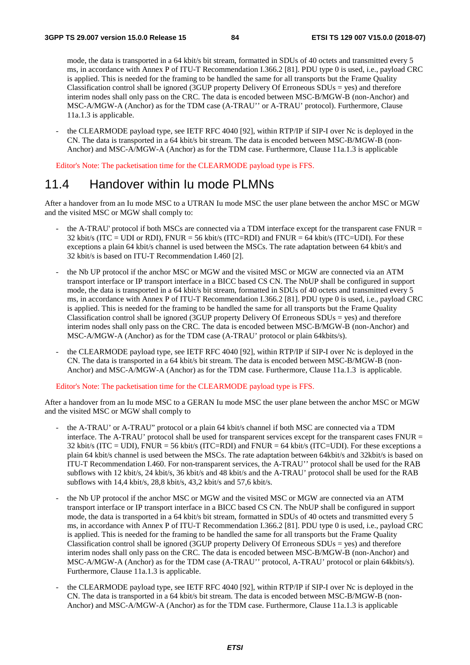mode, the data is transported in a 64 kbit/s bit stream, formatted in SDUs of 40 octets and transmitted every 5 ms, in accordance with Annex P of ITU-T Recommendation I.366.2 [81]. PDU type 0 is used, i.e., payload CRC is applied. This is needed for the framing to be handled the same for all transports but the Frame Quality Classification control shall be ignored (3GUP property Delivery Of Erroneous SDUs = yes) and therefore interim nodes shall only pass on the CRC. The data is encoded between MSC-B/MGW-B (non-Anchor) and MSC-A/MGW-A (Anchor) as for the TDM case (A-TRAU'' or A-TRAU' protocol). Furthermore, Clause 11a.1.3 is applicable.

the CLEARMODE payload type, see IETF RFC 4040 [92], within RTP/IP if SIP-I over Nc is deployed in the CN. The data is transported in a 64 kbit/s bit stream. The data is encoded between MSC-B/MGW-B (non-Anchor) and MSC-A/MGW-A (Anchor) as for the TDM case. Furthermore, Clause 11a.1.3 is applicable

Editor's Note: The packetisation time for the CLEARMODE payload type is FFS.

# 11.4 Handover within Iu mode PLMNs

After a handover from an Iu mode MSC to a UTRAN Iu mode MSC the user plane between the anchor MSC or MGW and the visited MSC or MGW shall comply to:

- the A-TRAU' protocol if both MSCs are connected via a TDM interface except for the transparent case FNUR = 32 kbit/s (ITC = UDI or RDI), FNUR = 56 kbit/s (ITC=RDI) and FNUR =  $64$  kbit/s (ITC=UDI). For these exceptions a plain 64 kbit/s channel is used between the MSCs. The rate adaptation between 64 kbit/s and 32 kbit/s is based on ITU-T Recommendation I.460 [2].
- the Nb UP protocol if the anchor MSC or MGW and the visited MSC or MGW are connected via an ATM transport interface or IP transport interface in a BICC based CS CN. The NbUP shall be configured in support mode, the data is transported in a 64 kbit/s bit stream, formatted in SDUs of 40 octets and transmitted every 5 ms, in accordance with Annex P of ITU-T Recommendation I.366.2 [81]. PDU type 0 is used, i.e., payload CRC is applied. This is needed for the framing to be handled the same for all transports but the Frame Quality Classification control shall be ignored (3GUP property Delivery Of Erroneous SDUs = yes) and therefore interim nodes shall only pass on the CRC. The data is encoded between MSC-B/MGW-B (non-Anchor) and MSC-A/MGW-A (Anchor) as for the TDM case (A-TRAU' protocol or plain 64kbits/s).
- the CLEARMODE payload type, see IETF RFC 4040 [92], within RTP/IP if SIP-I over Nc is deployed in the CN. The data is transported in a 64 kbit/s bit stream. The data is encoded between MSC-B/MGW-B (non-Anchor) and MSC-A/MGW-A (Anchor) as for the TDM case. Furthermore, Clause 11a.1.3 is applicable.

#### Editor's Note: The packetisation time for the CLEARMODE payload type is FFS.

After a handover from an Iu mode MSC to a GERAN Iu mode MSC the user plane between the anchor MSC or MGW and the visited MSC or MGW shall comply to

- the A-TRAU' or A-TRAU'' protocol or a plain 64 kbit/s channel if both MSC are connected via a TDM interface. The A-TRAU' protocol shall be used for transparent services except for the transparent cases FNUR = 32 kbit/s (ITC = UDI), FNUR = 56 kbit/s (ITC=RDI) and FNUR = 64 kbit/s (ITC=UDI). For these exceptions a plain 64 kbit/s channel is used between the MSCs. The rate adaptation between 64kbit/s and 32kbit/s is based on ITU-T Recommendation I.460. For non-transparent services, the A-TRAU'' protocol shall be used for the RAB subflows with 12 kbit/s, 24 kbit/s, 36 kbit/s and 48 kbit/s and the A-TRAU' protocol shall be used for the RAB subflows with 14,4 kbit/s, 28,8 kbit/s, 43,2 kbit/s and 57,6 kbit/s.
- the Nb UP protocol if the anchor MSC or MGW and the visited MSC or MGW are connected via an ATM transport interface or IP transport interface in a BICC based CS CN. The NbUP shall be configured in support mode, the data is transported in a 64 kbit/s bit stream, formatted in SDUs of 40 octets and transmitted every 5 ms, in accordance with Annex P of ITU-T Recommendation I.366.2 [81]. PDU type 0 is used, i.e., payload CRC is applied. This is needed for the framing to be handled the same for all transports but the Frame Quality Classification control shall be ignored (3GUP property Delivery Of Erroneous SDUs = yes) and therefore interim nodes shall only pass on the CRC. The data is encoded between MSC-B/MGW-B (non-Anchor) and MSC-A/MGW-A (Anchor) as for the TDM case (A-TRAU'' protocol, A-TRAU' protocol or plain 64kbits/s). Furthermore, Clause 11a.1.3 is applicable.
- the CLEARMODE payload type, see IETF RFC 4040 [92], within RTP/IP if SIP-I over Nc is deployed in the CN. The data is transported in a 64 kbit/s bit stream. The data is encoded between MSC-B/MGW-B (non-Anchor) and MSC-A/MGW-A (Anchor) as for the TDM case. Furthermore, Clause 11a.1.3 is applicable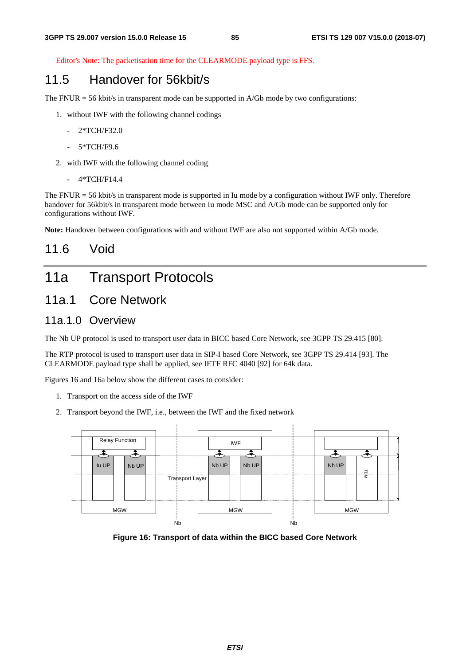Editor's Note: The packetisation time for the CLEARMODE payload type is FFS.

# 11.5 Handover for 56kbit/s

The FNUR = 56 kbit/s in transparent mode can be supported in A/Gb mode by two configurations:

- 1. without IWF with the following channel codings
	- 2\*TCH/F32.0
	- 5\*TCH/F9.6
- 2. with IWF with the following channel coding
	- 4\*TCH/F14.4

The FNUR = 56 kbit/s in transparent mode is supported in Iu mode by a configuration without IWF only. Therefore handover for 56kbit/s in transparent mode between Iu mode MSC and A/Gb mode can be supported only for configurations without IWF.

**Note:** Handover between configurations with and without IWF are also not supported within A/Gb mode.

# 11.6 Void

# 11a Transport Protocols

# 11a.1 Core Network

### 11a.1.0 Overview

The Nb UP protocol is used to transport user data in BICC based Core Network, see 3GPP TS 29.415 [80].

The RTP protocol is used to transport user data in SIP-I based Core Network, see 3GPP TS 29.414 [93]. The CLEARMODE payload type shall be applied, see IETF RFC 4040 [92] for 64k data.

Figures 16 and 16a below show the different cases to consider:

- 1. Transport on the access side of the IWF
- 2. Transport beyond the IWF, i.e., between the IWF and the fixed network



**Figure 16: Transport of data within the BICC based Core Network**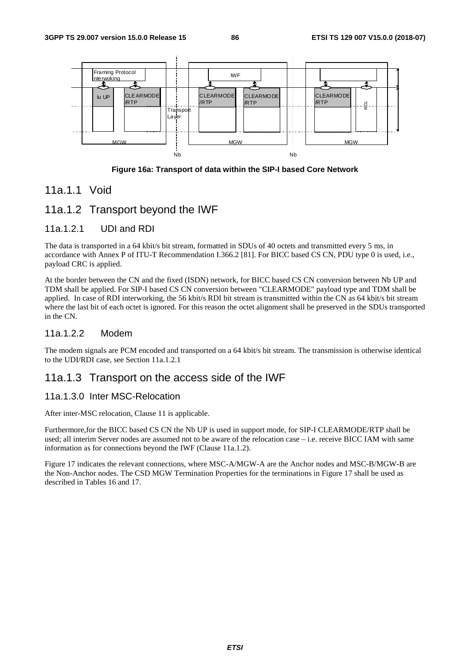

**Figure 16a: Transport of data within the SIP-I based Core Network** 

### 11a.1.1 Void

### 11a.1.2 Transport beyond the IWF

### 11a.1.2.1 UDI and RDI

The data is transported in a 64 kbit/s bit stream, formatted in SDUs of 40 octets and transmitted every 5 ms, in accordance with Annex P of ITU-T Recommendation I.366.2 [81]. For BICC based CS CN, PDU type 0 is used, i.e., payload CRC is applied.

At the border between the CN and the fixed (ISDN) network, for BICC based CS CN conversion between Nb UP and TDM shall be applied. For SIP-I based CS CN conversion between "CLEARMODE" payload type and TDM shall be applied. In case of RDI interworking, the 56 kbit/s RDI bit stream is transmitted within the CN as 64 kbit/s bit stream where the last bit of each octet is ignored. For this reason the octet alignment shall be preserved in the SDUs transported in the CN.

### 11a.1.2.2 Modem

The modem signals are PCM encoded and transported on a 64 kbit/s bit stream. The transmission is otherwise identical to the UDI/RDI case, see Section 11a.1.2.1

### 11a.1.3 Transport on the access side of the IWF

### 11a.1.3.0 Inter MSC-Relocation

After inter-MSC relocation, Clause 11 is applicable.

Furthermore,for the BICC based CS CN the Nb UP is used in support mode, for SIP-I CLEARMODE/RTP shall be used; all interim Server nodes are assumed not to be aware of the relocation case – i.e. receive BICC IAM with same information as for connections beyond the IWF (Clause 11a.1.2).

Figure 17 indicates the relevant connections, where MSC-A/MGW-A are the Anchor nodes and MSC-B/MGW-B are the Non-Anchor nodes. The CSD MGW Termination Properties for the terminations in Figure 17 shall be used as described in Tables 16 and 17.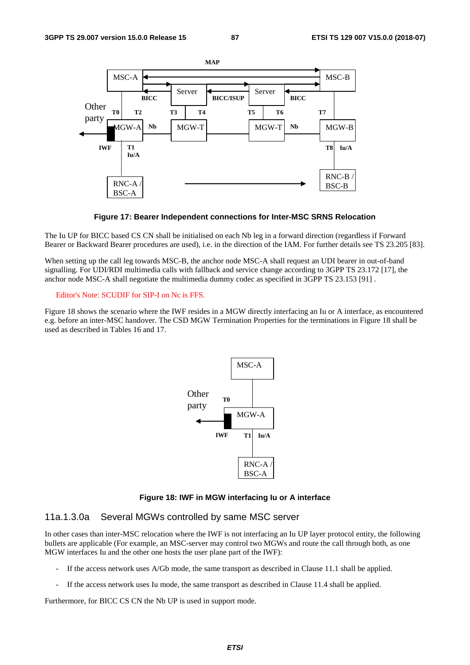

**Figure 17: Bearer Independent connections for Inter-MSC SRNS Relocation** 

The Iu UP for BICC based CS CN shall be initialised on each Nb leg in a forward direction (regardless if Forward Bearer or Backward Bearer procedures are used), i.e. in the direction of the IAM. For further details see TS 23.205 [83].

When setting up the call leg towards MSC-B, the anchor node MSC-A shall request an UDI bearer in out-of-band signalling. For UDI/RDI multimedia calls with fallback and service change according to 3GPP TS 23.172 [17], the anchor node MSC-A shall negotiate the multimedia dummy codec as specified in 3GPP TS 23.153 [91] .

#### Editor's Note: SCUDIF for SIP-I on Nc is FFS.

Figure 18 shows the scenario where the IWF resides in a MGW directly interfacing an Iu or A interface, as encountered e.g. before an inter-MSC handover. The CSD MGW Termination Properties for the terminations in Figure 18 shall be used as described in Tables 16 and 17.



**Figure 18: IWF in MGW interfacing Iu or A interface** 

### 11a.1.3.0a Several MGWs controlled by same MSC server

In other cases than inter-MSC relocation where the IWF is not interfacing an Iu UP layer protocol entity, the following bullets are applicable (For example, an MSC-server may control two MGWs and route the call through both, as one MGW interfaces Iu and the other one hosts the user plane part of the IWF):

- If the access network uses A/Gb mode, the same transport as described in Clause 11.1 shall be applied.
- If the access network uses Iu mode, the same transport as described in Clause 11.4 shall be applied.

Furthermore, for BICC CS CN the Nb UP is used in support mode.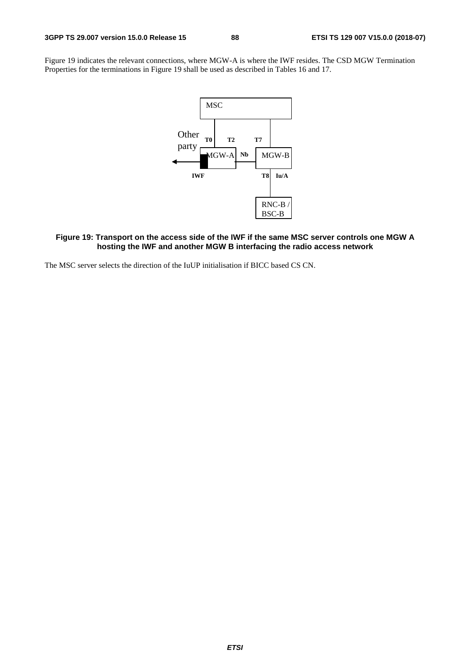Figure 19 indicates the relevant connections, where MGW-A is where the IWF resides. The CSD MGW Termination Properties for the terminations in Figure 19 shall be used as described in Tables 16 and 17.



### **Figure 19: Transport on the access side of the IWF if the same MSC server controls one MGW A hosting the IWF and another MGW B interfacing the radio access network**

The MSC server selects the direction of the IuUP initialisation if BICC based CS CN.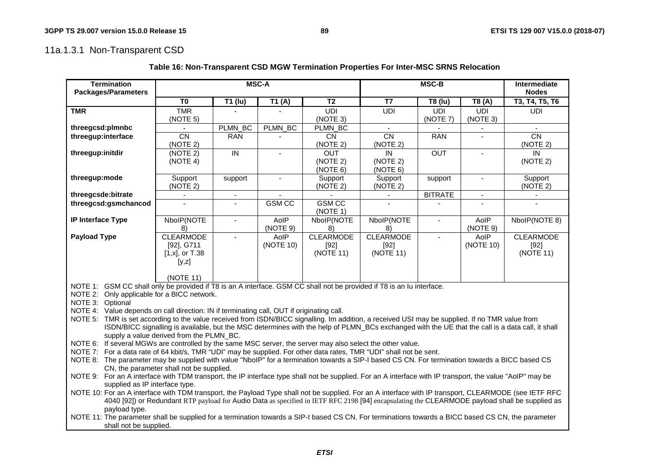# 11a.1.3.1 Non-Transparent CSD

shall not be supplied.

|                                                                                                                                                                                             | <b>MSC-A</b>                                                                                                                                     |                                |                    |                  |                          |                |                |                                                                                                                                                |  |  |
|---------------------------------------------------------------------------------------------------------------------------------------------------------------------------------------------|--------------------------------------------------------------------------------------------------------------------------------------------------|--------------------------------|--------------------|------------------|--------------------------|----------------|----------------|------------------------------------------------------------------------------------------------------------------------------------------------|--|--|
| <b>Termination</b><br><b>Packages/Parameters</b>                                                                                                                                            |                                                                                                                                                  |                                |                    |                  | <b>MSC-B</b>             |                |                | Intermediate<br><b>Nodes</b>                                                                                                                   |  |  |
|                                                                                                                                                                                             | T <sub>0</sub>                                                                                                                                   | T1 (lu)                        | $\overline{1}1(A)$ | $\overline{12}$  | $\overline{17}$          | T8 (lu)        | T8 (A)         | T3, T4, T5, T6                                                                                                                                 |  |  |
| <b>TMR</b>                                                                                                                                                                                  | <b>TMR</b>                                                                                                                                       |                                |                    | <b>UDI</b>       | <b>UDI</b>               | <b>UDI</b>     | <b>UDI</b>     | <b>UDI</b>                                                                                                                                     |  |  |
|                                                                                                                                                                                             | (NOTE 5)                                                                                                                                         |                                |                    | (NOTE 3)         |                          | (NOTE 7)       | (NOTE 3)       |                                                                                                                                                |  |  |
| threegcsd:plmnbc                                                                                                                                                                            | $\overline{a}$                                                                                                                                   | PLMN_BC                        | PLMN_BC            | PLMN_BC          | $\sim$                   |                |                |                                                                                                                                                |  |  |
| threegup:interface                                                                                                                                                                          | $\overline{CN}$                                                                                                                                  | <b>RAN</b>                     |                    | <b>CN</b>        | CN                       | <b>RAN</b>     |                | CN                                                                                                                                             |  |  |
|                                                                                                                                                                                             | (NOTE 2)                                                                                                                                         |                                |                    | (NOTE 2)         | (NOTE 2)                 |                |                | (NOTE 2)                                                                                                                                       |  |  |
| threegup:initdir                                                                                                                                                                            | (NOTE 2)                                                                                                                                         | $\overline{N}$                 | $\blacksquare$     | <b>OUT</b>       | IN                       | <b>OUT</b>     | $\sim$         | IN                                                                                                                                             |  |  |
|                                                                                                                                                                                             | (NOTE 4)                                                                                                                                         |                                |                    | (NOTE 2)         | (NOTE 2)                 |                |                | (NOTE 2)                                                                                                                                       |  |  |
|                                                                                                                                                                                             |                                                                                                                                                  |                                |                    | (NOTE 6)         | (NOTE 6)                 |                |                |                                                                                                                                                |  |  |
| threegup:mode                                                                                                                                                                               | Support                                                                                                                                          | support                        |                    | Support          | Support                  | support        | $\blacksquare$ | Support                                                                                                                                        |  |  |
|                                                                                                                                                                                             | (NOTE <sub>2</sub> )                                                                                                                             |                                |                    | (NOTE 2)         | (NOTE 2)                 |                |                | (NOTE 2)                                                                                                                                       |  |  |
| threegcsde:bitrate                                                                                                                                                                          | $\blacksquare$                                                                                                                                   | $\blacksquare$<br>$\mathbf{r}$ | <b>GSM CC</b>      | <b>GSMCC</b>     | $\overline{\phantom{a}}$ | <b>BITRATE</b> | $\blacksquare$ |                                                                                                                                                |  |  |
| threegcsd:gsmchancod                                                                                                                                                                        |                                                                                                                                                  |                                |                    | (NOTE 1)         |                          |                |                |                                                                                                                                                |  |  |
| IP Interface Type                                                                                                                                                                           | NbolP(NOTE                                                                                                                                       | $\blacksquare$                 | AoIP               | NbolP(NOTE       | NbolP(NOTE               | $\blacksquare$ | AoIP           | NbolP(NOTE 8)                                                                                                                                  |  |  |
|                                                                                                                                                                                             | 8)                                                                                                                                               |                                | (NOTE 9)           | 8)               | 8)                       |                | (NOTE 9)       |                                                                                                                                                |  |  |
| <b>Payload Type</b>                                                                                                                                                                         | <b>CLEARMODE</b>                                                                                                                                 | $\blacksquare$                 | AoIP               | <b>CLEARMODE</b> | <b>CLEARMODE</b>         | $\blacksquare$ | AoIP           | <b>CLEARMODE</b>                                                                                                                               |  |  |
|                                                                                                                                                                                             | [92], G711                                                                                                                                       |                                | (NOTE 10)          | $[92]$           | $[92]$                   |                | (NOTE 10)      | $[92]$                                                                                                                                         |  |  |
|                                                                                                                                                                                             | $[1, x]$ , or T.38                                                                                                                               |                                |                    | (NOTE 11)        | (NOTE 11)                |                |                | (NOTE 11)                                                                                                                                      |  |  |
|                                                                                                                                                                                             | [y,z]                                                                                                                                            |                                |                    |                  |                          |                |                |                                                                                                                                                |  |  |
|                                                                                                                                                                                             |                                                                                                                                                  |                                |                    |                  |                          |                |                |                                                                                                                                                |  |  |
|                                                                                                                                                                                             | (NOTE 11)                                                                                                                                        |                                |                    |                  |                          |                |                |                                                                                                                                                |  |  |
| NOTE 1: GSM CC shall only be provided if T8 is an A interface. GSM CC shall not be provided if T8 is an lu interface.<br>NOTE 2: Only applicable for a BICC network.                        |                                                                                                                                                  |                                |                    |                  |                          |                |                |                                                                                                                                                |  |  |
| NOTE 3: Optional                                                                                                                                                                            |                                                                                                                                                  |                                |                    |                  |                          |                |                |                                                                                                                                                |  |  |
| NOTE 4: Value depends on call direction: IN if terminating call, OUT if originating call.                                                                                                   |                                                                                                                                                  |                                |                    |                  |                          |                |                |                                                                                                                                                |  |  |
| NOTE 5: TMR is set according to the value received from ISDN/BICC signalling. Im addition, a received USI may be supplied. If no TMR value from                                             |                                                                                                                                                  |                                |                    |                  |                          |                |                |                                                                                                                                                |  |  |
|                                                                                                                                                                                             | ISDN/BICC signalling is available, but the MSC determines with the help of PLMN_BCs exchanged with the UE that the call is a data call, it shall |                                |                    |                  |                          |                |                |                                                                                                                                                |  |  |
|                                                                                                                                                                                             | supply a value derived from the PLMN_BC.                                                                                                         |                                |                    |                  |                          |                |                |                                                                                                                                                |  |  |
| NOTE 6: If several MGWs are controlled by the same MSC server, the server may also select the other value.                                                                                  |                                                                                                                                                  |                                |                    |                  |                          |                |                |                                                                                                                                                |  |  |
| NOTE 7: For a data rate of 64 kbit/s, TMR "UDI" may be supplied. For other data rates, TMR "UDI" shall not be sent.                                                                         |                                                                                                                                                  |                                |                    |                  |                          |                |                |                                                                                                                                                |  |  |
| NOTE 8: The parameter may be supplied with value "NbolP" for a termination towards a SIP-I based CS CN. For termination towards a BICC based CS                                             |                                                                                                                                                  |                                |                    |                  |                          |                |                |                                                                                                                                                |  |  |
|                                                                                                                                                                                             | CN, the parameter shall not be supplied.                                                                                                         |                                |                    |                  |                          |                |                |                                                                                                                                                |  |  |
| NOTE 9: For an A interface with TDM transport, the IP interface type shall not be supplied. For an A interface with IP transport, the value "AoIP" may be<br>supplied as IP interface type. |                                                                                                                                                  |                                |                    |                  |                          |                |                |                                                                                                                                                |  |  |
| NOTE 10: For an A interface with TDM transport, the Payload Type shall not be supplied. For an A interface with IP transport, CLEARMODE (see IETF RFC                                       |                                                                                                                                                  |                                |                    |                  |                          |                |                |                                                                                                                                                |  |  |
|                                                                                                                                                                                             |                                                                                                                                                  |                                |                    |                  |                          |                |                | 4040 [92]) or Redundant RTP payload for Audio Data as specified in IETF RFC 2198 [94] encapsulating the CLEARMODE payload shall be supplied as |  |  |
| payload type.                                                                                                                                                                               |                                                                                                                                                  |                                |                    |                  |                          |                |                |                                                                                                                                                |  |  |
| NOTE 11: The parameter shall be supplied for a termination towards a SIP-I based CS CN. For terminations towards a BICC based CS CN, the parameter                                          |                                                                                                                                                  |                                |                    |                  |                          |                |                |                                                                                                                                                |  |  |

**Table 16: Non-Transparent CSD MGW Termination Properties For Inter-MSC SRNS Relocation**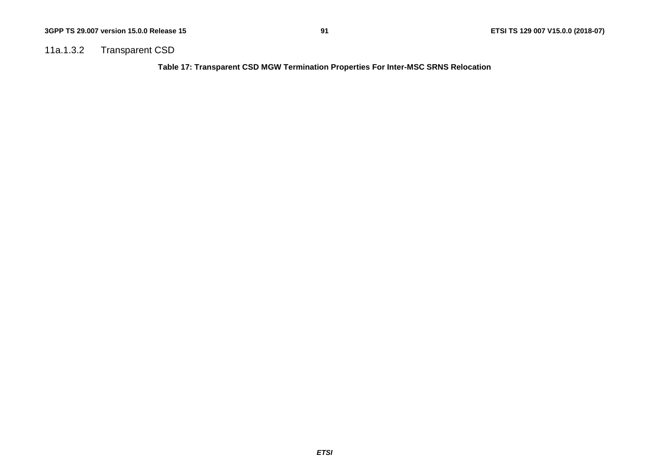### 11a.1.3.2 Transparent CSD

**Table 17: Transparent CSD MGW Termination Properties For Inter-MSC SRNS Relocation**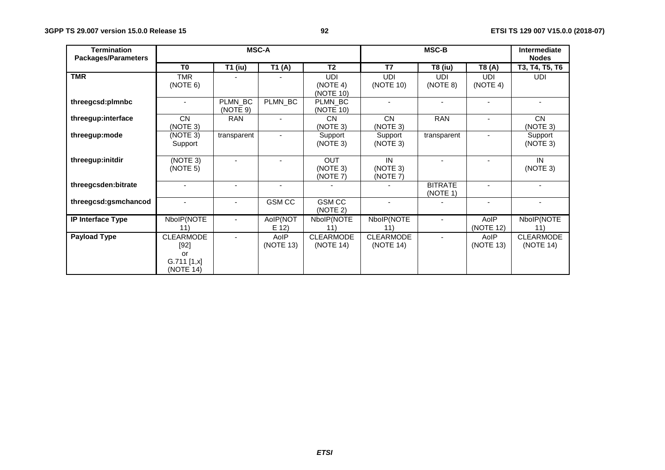| <b>Termination</b><br><b>Packages/Parameters</b> | <b>MSC-A</b>                                                   |                     |                   |                                     | MSC-B                         |                            | Intermediate<br><b>Nodes</b> |                               |
|--------------------------------------------------|----------------------------------------------------------------|---------------------|-------------------|-------------------------------------|-------------------------------|----------------------------|------------------------------|-------------------------------|
|                                                  | T <sub>0</sub>                                                 | <b>T1 (iu)</b>      | T1(A)             | T <sub>2</sub>                      | T7                            | <b>T8 (iu)</b>             | T8 (A)                       | T3, T4, T5, T6                |
| <b>TMR</b>                                       | <b>TMR</b><br>(NOTE 6)                                         |                     |                   | <b>UDI</b><br>(NOTE 4)<br>(NOTE 10) | <b>UDI</b><br>(NOTE 10)       | <b>UDI</b><br>(NOTE 8)     | <b>UDI</b><br>(NOTE 4)       | <b>UDI</b>                    |
| threegcsd:plmnbc                                 |                                                                | PLMN_BC<br>(NOTE 9) | PLMN_BC           | PLMN BC<br>(NOTE 10)                |                               |                            |                              |                               |
| threegup:interface                               | <b>CN</b><br>(NOTE 3)                                          | <b>RAN</b>          |                   | <b>CN</b><br>(NOTE 3)               | <b>CN</b><br>(NOTE 3)         | <b>RAN</b>                 | ٠                            | <b>CN</b><br>(NOTE 3)         |
| threegup:mode                                    | (NOTE 3)<br>Support                                            | transparent         |                   | Support<br>(NOTE 3)                 | Support<br>(NOTE 3)           | transparent                |                              | Support<br>(NOTE 3)           |
| threegup:initdir                                 | (NOTE 3)<br>(NOTE 5)                                           |                     |                   | <b>OUT</b><br>(NOTE 3)<br>(NOTE 7)  | IN<br>(NOTE 3)<br>(NOTE 7)    |                            |                              | IN<br>(NOTE 3)                |
| threegcsden:bitrate                              |                                                                |                     |                   |                                     |                               | <b>BITRATE</b><br>(NOTE 1) |                              |                               |
| threegcsd:gsmchancod                             |                                                                | $\blacksquare$      | <b>GSMCC</b>      | <b>GSM CC</b><br>(NOTE 2)           | $\blacksquare$                |                            | ٠                            |                               |
| IP Interface Type                                | NbolP(NOTE<br>11)                                              |                     | AoIP(NOT<br>E(12) | NbolP(NOTE<br>11)                   | NbolP(NOTE<br>11)             |                            | AoIP<br>(NOTE 12)            | NbolP(NOTE<br>11)             |
| <b>Payload Type</b>                              | <b>CLEARMODE</b><br>$[92]$<br>or<br>$G.711$ [1,x]<br>(NOTE 14) | $\blacksquare$      | AoIP<br>(NOTE 13) | <b>CLEARMODE</b><br>(NOTE 14)       | <b>CLEARMODE</b><br>(NOTE 14) |                            | AoIP<br>(NOTE 13)            | <b>CLEARMODE</b><br>(NOTE 14) |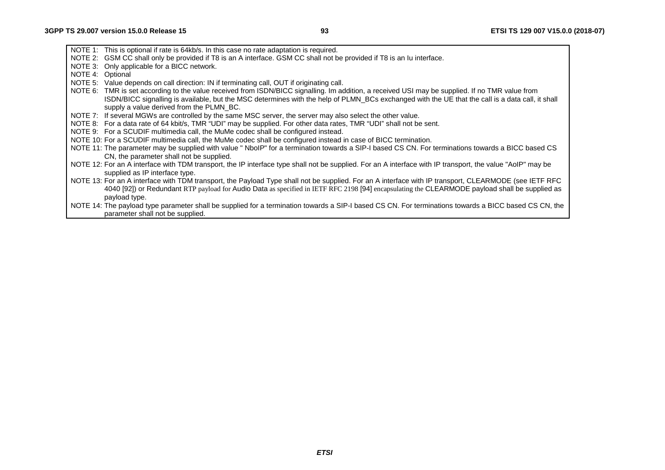- NOTE 1: This is optional if rate is 64kb/s. In this case no rate adaptation is required.
- NOTE 2: GSM CC shall only be provided if T8 is an A interface. GSM CC shall not be provided if T8 is an Iu interface.
- NOTE 3: Only applicable for a BICC network.
- NOTE 4: Optional
- NOTE 5: Value depends on call direction: IN if terminating call, OUT if originating call.
- NOTE 6: TMR is set according to the value received from ISDN/BICC signalling. Im addition, a received USI may be supplied. If no TMR value from ISDN/BICC signalling is available, but the MSC determines with the help of PLMN\_BCs exchanged with the UE that the call is a data call, it shall supply a value derived from the PLMN\_BC.
- NOTE 7: If several MGWs are controlled by the same MSC server, the server may also select the other value.
- NOTE 8: For a data rate of 64 kbit/s, TMR "UDI" may be supplied. For other data rates, TMR "UDI" shall not be sent.
- NOTE 9: For a SCUDIF multimedia call, the MuMe codec shall be configured instead.
- NOTE 10: For a SCUDIF multimedia call, the MuMe codec shall be configured instead in case of BICC termination.
- NOTE 11: The parameter may be supplied with value " NboIP" for a termination towards a SIP-I based CS CN. For terminations towards a BICC based CS CN, the parameter shall not be supplied.
- NOTE 12: For an A interface with TDM transport, the IP interface type shall not be supplied. For an A interface with IP transport, the value "AoIP" may be supplied as IP interface type.
- NOTE 13: For an A interface with TDM transport, the Payload Type shall not be supplied. For an A interface with IP transport, CLEARMODE (see IETF RFC 4040 [92]) or Redundant RTP payload for Audio Data as specified in IETF RFC 2198 [94] encapsulating the CLEARMODE payload shall be supplied as payload type.
- NOTE 14: The payload type parameter shall be supplied for a termination towards a SIP-I based CS CN. For terminations towards a BICC based CS CN, the parameter shall not be supplied.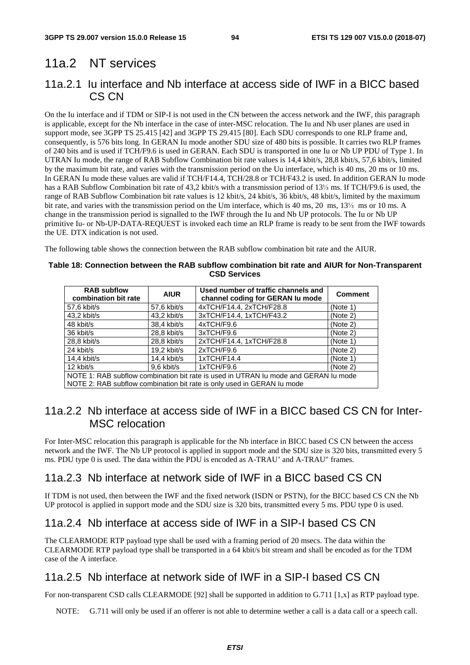# 11a.2 NT services

# 11a.2.1 Iu interface and Nb interface at access side of IWF in a BICC based CS CN

On the Iu interface and if TDM or SIP-I is not used in the CN between the access network and the IWF, this paragraph is applicable, except for the Nb interface in the case of inter-MSC relocation. The Iu and Nb user planes are used in support mode, see 3GPP TS 25.415 [42] and 3GPP TS 29.415 [80]. Each SDU corresponds to one RLP frame and, consequently, is 576 bits long. In GERAN Iu mode another SDU size of 480 bits is possible. It carries two RLP frames of 240 bits and is used if TCH/F9.6 is used in GERAN. Each SDU is transported in one Iu or Nb UP PDU of Type 1. In UTRAN Iu mode, the range of RAB Subflow Combination bit rate values is 14,4 kbit/s, 28,8 kbit/s, 57,6 kbit/s, limited by the maximum bit rate, and varies with the transmission period on the Uu interface, which is 40 ms, 20 ms or 10 ms. In GERAN Iu mode these values are valid if TCH/F14.4, TCH/28.8 or TCH/F43.2 is used. In addition GERAN Iu mode has a RAB Subflow Combination bit rate of 43,2 kbit/s with a transmission period of 13⅓ ms. If TCH/F9.6 is used, the range of RAB Subflow Combination bit rate values is 12 kbit/s, 24 kbit/s, 36 kbit/s, 48 kbit/s, limited by the maximum bit rate, and varies with the transmission period on the Um interface, which is 40 ms, 20 ms, 13⅓ ms or 10 ms. A change in the transmission period is signalled to the IWF through the Iu and Nb UP protocols. The Iu or Nb UP primitive Iu- or Nb-UP-DATA-REQUEST is invoked each time an RLP frame is ready to be sent from the IWF towards the UE. DTX indication is not used.

The following table shows the connection between the RAB subflow combination bit rate and the AIUR.

#### **Table 18: Connection between the RAB subflow combination bit rate and AIUR for Non-Transparent CSD Services**

| <b>RAB subflow</b><br>combination bit rate                                          | <b>AIUR</b>   | Used number of traffic channels and<br>channel coding for GERAN Iu mode | <b>Comment</b> |  |  |  |
|-------------------------------------------------------------------------------------|---------------|-------------------------------------------------------------------------|----------------|--|--|--|
| 57,6 kbit/s                                                                         | 57,6 kbit/s   | 4xTCH/F14.4, 2xTCH/F28.8                                                | (Note 1)       |  |  |  |
| 43,2 kbit/s                                                                         | 43,2 kbit/s   | 3xTCH/F14.4, 1xTCH/F43.2                                                | (Note 2)       |  |  |  |
| 48 kbit/s                                                                           | 38,4 kbit/s   | 4xTCH/F9.6                                                              | (Note 2)       |  |  |  |
| 36 kbit/s                                                                           | 28,8 kbit/s   | 3xTCH/F9.6                                                              | (Note 2)       |  |  |  |
| 28,8 kbit/s                                                                         | $28.8$ kbit/s | 2xTCH/F14.4, 1xTCH/F28.8                                                | (Note 1)       |  |  |  |
| 24 kbit/s                                                                           | $19.2$ kbit/s | 2xTCH/F9.6                                                              | (Note 2)       |  |  |  |
| 14,4 kbit/s                                                                         | $14,4$ kbit/s | 1xTCH/F14.4                                                             | (Note 1)       |  |  |  |
| 9,6 kbit/s<br>1xTCH/F9.6<br>12 kbit/s<br>(Note 2)                                   |               |                                                                         |                |  |  |  |
| NOTE 1: RAB subflow combination bit rate is used in UTRAN Iu mode and GERAN Iu mode |               |                                                                         |                |  |  |  |
|                                                                                     |               | NOTE 2: RAB subflow combination bit rate is only used in GERAN Iu mode  |                |  |  |  |

# 11a.2.2 Nb interface at access side of IWF in a BICC based CS CN for Inter-MSC relocation

For Inter-MSC relocation this paragraph is applicable for the Nb interface in BICC based CS CN between the access network and the IWF. The Nb UP protocol is applied in support mode and the SDU size is 320 bits, transmitted every 5 ms. PDU type 0 is used. The data within the PDU is encoded as A-TRAU' and A-TRAU" frames.

# 11a.2.3 Nb interface at network side of IWF in a BICC based CS CN

If TDM is not used, then between the IWF and the fixed network (ISDN or PSTN), for the BICC based CS CN the Nb UP protocol is applied in support mode and the SDU size is 320 bits, transmitted every 5 ms. PDU type 0 is used.

# 11a.2.4 Nb interface at access side of IWF in a SIP-I based CS CN

The CLEARMODE RTP payload type shall be used with a framing period of 20 msecs. The data within the CLEARMODE RTP payload type shall be transported in a 64 kbit/s bit stream and shall be encoded as for the TDM case of the A interface.

# 11a.2.5 Nb interface at network side of IWF in a SIP-I based CS CN

For non-transparent CSD calls CLEARMODE [92] shall be supported in addition to G.711 [1,x] as RTP payload type.

NOTE: G.711 will only be used if an offerer is not able to determine wether a call is a data call or a speech call.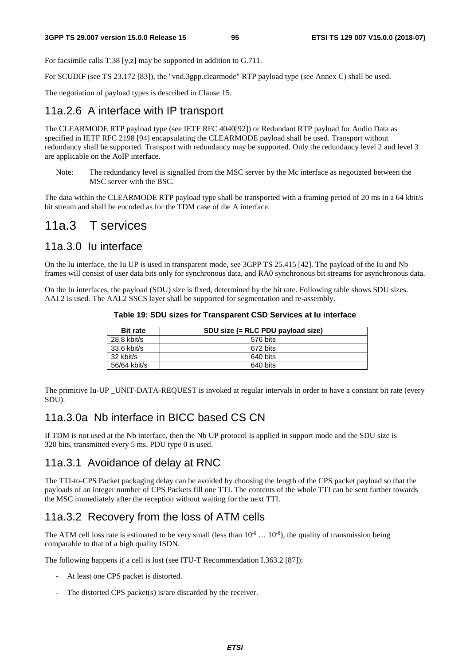For facsimile calls T.38 [y,z] may be supported in addition to G.711.

For SCUDIF (see TS 23.172 [83]), the "vnd.3gpp.clearmode" RTP payload type (see Annex C) shall be used.

The negotiation of payload types is described in Clause 15.

### 11a.2.6 A interface with IP transport

The CLEARMODE RTP payload type (see IETF RFC 4040[92]) or Redundant RTP payload for Audio Data as specified in IETF RFC 2198 [94] encapsulating the CLEARMODE payload shall be used. Transport without redundancy shall be supported. Transport with redundancy may be supported. Only the redundancy level 2 and level 3 are applicable on the AoIP interface.

Note: The redundancy level is signalled from the MSC server by the Mc interface as negotiated between the MSC server with the BSC.

The data within the CLEARMODE RTP payload type shall be transported with a framing period of 20 ms in a 64 kbit/s bit stream and shall be encoded as for the TDM case of the A interface.

# 11a.3 T services

### 11a.3.0 Iu interface

On the Iu interface, the Iu UP is used in transparent mode, see 3GPP TS 25.415 [42]. The payload of the Iu and Nb frames will consist of user data bits only for synchronous data, and RA0 synchronous bit streams for asynchronous data.

On the Iu interfaces, the payload (SDU) size is fixed, determined by the bit rate. Following table shows SDU sizes. AAL2 is used. The AAL2 SSCS layer shall be supported for segmentation and re-assembly.

| Table 19: SDU sizes for Transparent CSD Services at lu interface |  |
|------------------------------------------------------------------|--|
|------------------------------------------------------------------|--|

| <b>Bit rate</b> | SDU size (= RLC PDU payload size) |
|-----------------|-----------------------------------|
| $28.8$ kbit/s   | 576 bits                          |
| 33.6 kbit/s     | 672 bits                          |
| 32 kbit/s       | 640 bits                          |
| 56/64 kbit/s    | 640 bits                          |

The primitive Iu-UP \_UNIT-DATA-REQUEST is invoked at regular intervals in order to have a constant bit rate (every SDU).

### 11a.3.0a Nb interface in BICC based CS CN

If TDM is not used at the Nb interface, then the Nb UP protocol is applied in support mode and the SDU size is 320 bits, transmitted every 5 ms. PDU type 0 is used.

### 11a.3.1 Avoidance of delay at RNC

The TTI-to-CPS Packet packaging delay can be avoided by choosing the length of the CPS packet payload so that the payloads of an integer number of CPS Packets fill one TTI. The contents of the whole TTI can be sent further towards the MSC immediately after the reception without waiting for the next TTI.

# 11a.3.2 Recovery from the loss of ATM cells

The ATM cell loss rate is estimated to be very small (less than  $10^{-6} \dots 10^{-8}$ ), the quality of transmission being comparable to that of a high quality ISDN.

The following happens if a cell is lost (see ITU-T Recommendation I.363.2 [87]):

- At least one CPS packet is distorted.
- The distorted CPS packet(s) is/are discarded by the receiver.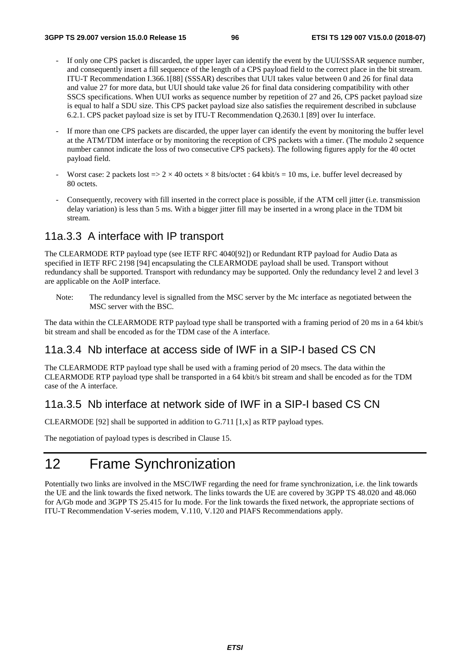- If only one CPS packet is discarded, the upper layer can identify the event by the UUI/SSSAR sequence number, and consequently insert a fill sequence of the length of a CPS payload field to the correct place in the bit stream. ITU-T Recommendation I.366.1[88] (SSSAR) describes that UUI takes value between 0 and 26 for final data and value 27 for more data, but UUI should take value 26 for final data considering compatibility with other SSCS specifications. When UUI works as sequence number by repetition of 27 and 26, CPS packet payload size is equal to half a SDU size. This CPS packet payload size also satisfies the requirement described in subclause 6.2.1. CPS packet payload size is set by ITU-T Recommendation Q.2630.1 [89] over Iu interface.
- If more than one CPS packets are discarded, the upper layer can identify the event by monitoring the buffer level at the ATM/TDM interface or by monitoring the reception of CPS packets with a timer. (The modulo 2 sequence number cannot indicate the loss of two consecutive CPS packets). The following figures apply for the 40 octet payload field.
- Worst case: 2 packets lost  $=$   $>$   $2 \times 40$  octets  $\times$  8 bits/octet : 64 kbit/s = 10 ms, i.e. buffer level decreased by 80 octets.
- Consequently, recovery with fill inserted in the correct place is possible, if the ATM cell jitter (i.e. transmission delay variation) is less than 5 ms. With a bigger jitter fill may be inserted in a wrong place in the TDM bit stream.

### 11a.3.3 A interface with IP transport

The CLEARMODE RTP payload type (see IETF RFC 4040[92]) or Redundant RTP payload for Audio Data as specified in IETF RFC 2198 [94] encapsulating the CLEARMODE payload shall be used. Transport without redundancy shall be supported. Transport with redundancy may be supported. Only the redundancy level 2 and level 3 are applicable on the AoIP interface.

Note: The redundancy level is signalled from the MSC server by the Mc interface as negotiated between the MSC server with the BSC.

The data within the CLEARMODE RTP payload type shall be transported with a framing period of 20 ms in a 64 kbit/s bit stream and shall be encoded as for the TDM case of the A interface.

# 11a.3.4 Nb interface at access side of IWF in a SIP-I based CS CN

The CLEARMODE RTP payload type shall be used with a framing period of 20 msecs. The data within the CLEARMODE RTP payload type shall be transported in a 64 kbit/s bit stream and shall be encoded as for the TDM case of the A interface.

### 11a.3.5 Nb interface at network side of IWF in a SIP-I based CS CN

CLEARMODE [92] shall be supported in addition to G.711 [1,x] as RTP payload types.

The negotiation of payload types is described in Clause 15.

# 12 Frame Synchronization

Potentially two links are involved in the MSC/IWF regarding the need for frame synchronization, i.e. the link towards the UE and the link towards the fixed network. The links towards the UE are covered by 3GPP TS 48.020 and 48.060 for A/Gb mode and 3GPP TS 25.415 for Iu mode. For the link towards the fixed network, the appropriate sections of ITU-T Recommendation V-series modem, V.110, V.120 and PIAFS Recommendations apply.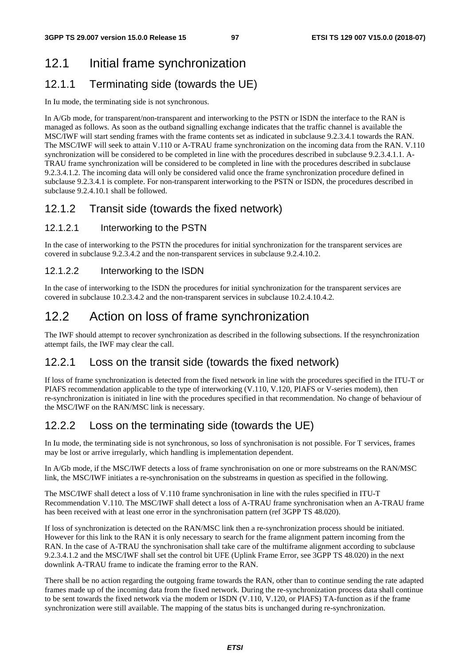# 12.1 Initial frame synchronization

# 12.1.1 Terminating side (towards the UE)

In Iu mode, the terminating side is not synchronous.

In A/Gb mode, for transparent/non-transparent and interworking to the PSTN or ISDN the interface to the RAN is managed as follows. As soon as the outband signalling exchange indicates that the traffic channel is available the MSC/IWF will start sending frames with the frame contents set as indicated in subclause 9.2.3.4.1 towards the RAN. The MSC/IWF will seek to attain V.110 or A-TRAU frame synchronization on the incoming data from the RAN. V.110 synchronization will be considered to be completed in line with the procedures described in subclause 9.2.3.4.1.1. A-TRAU frame synchronization will be considered to be completed in line with the procedures described in subclause 9.2.3.4.1.2. The incoming data will only be considered valid once the frame synchronization procedure defined in subclause 9.2.3.4.1 is complete. For non-transparent interworking to the PSTN or ISDN, the procedures described in subclause 9.2.4.10.1 shall be followed.

# 12.1.2 Transit side (towards the fixed network)

### 12.1.2.1 Interworking to the PSTN

In the case of interworking to the PSTN the procedures for initial synchronization for the transparent services are covered in subclause 9.2.3.4.2 and the non-transparent services in subclause 9.2.4.10.2.

### 12.1.2.2 Interworking to the ISDN

In the case of interworking to the ISDN the procedures for initial synchronization for the transparent services are covered in subclause 10.2.3.4.2 and the non-transparent services in subclause 10.2.4.10.4.2.

# 12.2 Action on loss of frame synchronization

The IWF should attempt to recover synchronization as described in the following subsections. If the resynchronization attempt fails, the IWF may clear the call.

# 12.2.1 Loss on the transit side (towards the fixed network)

If loss of frame synchronization is detected from the fixed network in line with the procedures specified in the ITU-T or PIAFS recommendation applicable to the type of interworking (V.110, V.120, PIAFS or V-series modem), then re-synchronization is initiated in line with the procedures specified in that recommendation. No change of behaviour of the MSC/IWF on the RAN/MSC link is necessary.

# 12.2.2 Loss on the terminating side (towards the UE)

In Iu mode, the terminating side is not synchronous, so loss of synchronisation is not possible. For T services, frames may be lost or arrive irregularly, which handling is implementation dependent.

In A/Gb mode, if the MSC/IWF detects a loss of frame synchronisation on one or more substreams on the RAN/MSC link, the MSC/IWF initiates a re-synchronisation on the substreams in question as specified in the following.

The MSC/IWF shall detect a loss of V.110 frame synchronisation in line with the rules specified in ITU-T Recommendation V.110. The MSC/IWF shall detect a loss of A-TRAU frame synchronisation when an A-TRAU frame has been received with at least one error in the synchronisation pattern (ref 3GPP TS 48.020).

If loss of synchronization is detected on the RAN/MSC link then a re-synchronization process should be initiated. However for this link to the RAN it is only necessary to search for the frame alignment pattern incoming from the RAN. In the case of A-TRAU the synchronisation shall take care of the multiframe alignment according to subclause 9.2.3.4.1.2 and the MSC/IWF shall set the control bit UFE (Uplink Frame Error, see 3GPP TS 48.020) in the next downlink A-TRAU frame to indicate the framing error to the RAN.

There shall be no action regarding the outgoing frame towards the RAN, other than to continue sending the rate adapted frames made up of the incoming data from the fixed network. During the re-synchronization process data shall continue to be sent towards the fixed network via the modem or ISDN (V.110, V.120, or PIAFS) TA-function as if the frame synchronization were still available. The mapping of the status bits is unchanged during re-synchronization.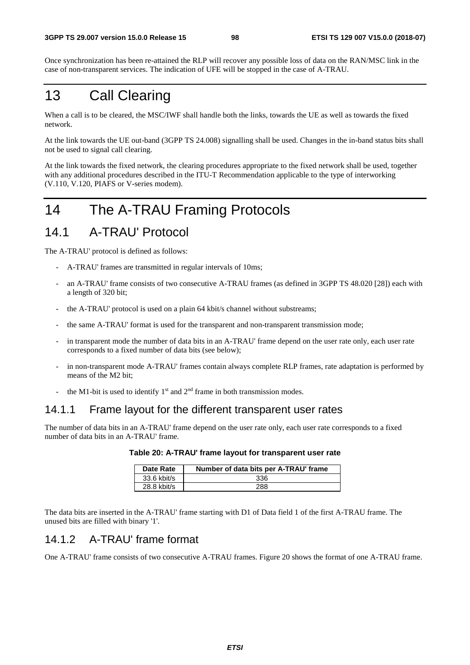Once synchronization has been re-attained the RLP will recover any possible loss of data on the RAN/MSC link in the case of non-transparent services. The indication of UFE will be stopped in the case of A-TRAU.

# 13 Call Clearing

When a call is to be cleared, the MSC/IWF shall handle both the links, towards the UE as well as towards the fixed network.

At the link towards the UE out-band (3GPP TS 24.008) signalling shall be used. Changes in the in-band status bits shall not be used to signal call clearing.

At the link towards the fixed network, the clearing procedures appropriate to the fixed network shall be used, together with any additional procedures described in the ITU-T Recommendation applicable to the type of interworking (V.110, V.120, PIAFS or V-series modem).

# 14 The A-TRAU Framing Protocols

# 14.1 A-TRAU' Protocol

The A-TRAU' protocol is defined as follows:

- A-TRAU' frames are transmitted in regular intervals of 10ms;
- an A-TRAU' frame consists of two consecutive A-TRAU frames (as defined in 3GPP TS 48.020 [28]) each with a length of 320 bit;
- the A-TRAU' protocol is used on a plain 64 kbit/s channel without substreams;
- the same A-TRAU' format is used for the transparent and non-transparent transmission mode;
- in transparent mode the number of data bits in an A-TRAU' frame depend on the user rate only, each user rate corresponds to a fixed number of data bits (see below);
- in non-transparent mode A-TRAU' frames contain always complete RLP frames, rate adaptation is performed by means of the M2 bit;
- the M1-bit is used to identify  $1<sup>st</sup>$  and  $2<sup>nd</sup>$  frame in both transmission modes.

### 14.1.1 Frame layout for the different transparent user rates

The number of data bits in an A-TRAU' frame depend on the user rate only, each user rate corresponds to a fixed number of data bits in an A-TRAU' frame.

|  | Table 20: A-TRAU' frame layout for transparent user rate |  |  |
|--|----------------------------------------------------------|--|--|
|  |                                                          |  |  |

| Date Rate     | Number of data bits per A-TRAU' frame |
|---------------|---------------------------------------|
| $33.6$ kbit/s | 336                                   |
| 28.8 kbit/s   | 288                                   |

The data bits are inserted in the A-TRAU' frame starting with D1 of Data field 1 of the first A-TRAU frame. The unused bits are filled with binary '1'.

# 14.1.2 A-TRAU' frame format

One A-TRAU' frame consists of two consecutive A-TRAU frames. Figure 20 shows the format of one A-TRAU frame.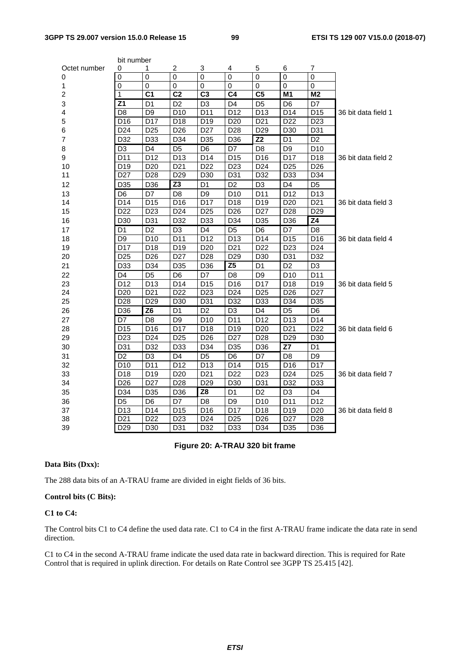|                         | bit number       |                 |                 |                 |                 |                  |                 |                  |                     |
|-------------------------|------------------|-----------------|-----------------|-----------------|-----------------|------------------|-----------------|------------------|---------------------|
| Octet number            | 0                | 1               | 2               | 3               | 4               | 5                | 6               | 7                |                     |
| 0                       | $\overline{0}$   | $\overline{0}$  | $\overline{0}$  | $\overline{0}$  | $\overline{0}$  | $\overline{0}$   | $\mathbf 0$     | $\overline{0}$   |                     |
| 1                       | $\pmb{0}$        | 0               | 0               | $\overline{0}$  | 0               | 0                | $\mathbf{0}$    | $\overline{0}$   |                     |
| $\overline{c}$          | 1                | C <sub>1</sub>  | C <sub>2</sub>  | C <sub>3</sub>  | C <sub>4</sub>  | C <sub>5</sub>   | M <sub>1</sub>  | M <sub>2</sub>   |                     |
| 3                       | Z <sub>1</sub>   | D1              | D <sub>2</sub>  | D <sub>3</sub>  | D4              | D <sub>5</sub>   | D <sub>6</sub>  | D7               |                     |
| $\overline{\mathbf{4}}$ | D <sub>8</sub>   | D <sub>9</sub>  | D <sub>10</sub> | D11             | D12             | D <sub>13</sub>  | D14             | $\overline{D15}$ | 36 bit data field 1 |
| 5                       | D <sub>16</sub>  | D17             | D18             | D19             | D <sub>20</sub> | D <sub>21</sub>  | D <sub>22</sub> | D <sub>23</sub>  |                     |
| 6                       | D24              | D25             | D <sub>26</sub> | D <sub>27</sub> | D <sub>28</sub> | D <sub>29</sub>  | D30             | D31              |                     |
| $\overline{7}$          | D32              | D33             | D34             | D35             | D36             | $\overline{Z}2$  | D <sub>1</sub>  | D <sub>2</sub>   |                     |
| 8                       | D <sub>3</sub>   | D <sub>4</sub>  | D5              | D6              | D7              | D8               | D <sub>9</sub>  | D <sub>10</sub>  |                     |
| 9                       | $\overline{D11}$ | D12             | D <sub>13</sub> | D14             | D <sub>15</sub> | $\overline{D16}$ | D17             | $\overline{D18}$ | 36 bit data field 2 |
| 10                      | D <sub>19</sub>  | D <sub>20</sub> | D <sub>21</sub> | D <sub>22</sub> | D <sub>23</sub> | D <sub>24</sub>  | D <sub>25</sub> | D <sub>26</sub>  |                     |
| 11                      | D <sub>27</sub>  | D <sub>28</sub> | D <sub>29</sub> | D30             | D31             | D32              | D33             | D34              |                     |
| 12                      | D35              | D36             | $\overline{Z}3$ | D <sub>1</sub>  | D <sub>2</sub>  | D <sub>3</sub>   | D <sub>4</sub>  | D <sub>5</sub>   |                     |
| 13                      | D <sub>6</sub>   | D7              | D <sub>8</sub>  | D <sub>9</sub>  | D <sub>10</sub> | D <sub>11</sub>  | D <sub>12</sub> | D <sub>13</sub>  |                     |
| 14                      | D14              | D <sub>15</sub> | D16             | D17             | D18             | D <sub>19</sub>  | D <sub>20</sub> | D21              | 36 bit data field 3 |
| 15                      | D <sub>22</sub>  | D <sub>23</sub> | D <sub>24</sub> | D <sub>25</sub> | D <sub>26</sub> | D <sub>27</sub>  | D <sub>28</sub> | D <sub>29</sub>  |                     |
| 16                      | D30              | D31             | D32             | D33             | D34             | D35              | D36             | Z4               |                     |
| 17                      | D <sub>1</sub>   | D <sub>2</sub>  | D <sub>3</sub>  | D4              | D <sub>5</sub>  | D <sub>6</sub>   | D7              | D <sub>8</sub>   |                     |
| 18                      | D <sub>9</sub>   | D <sub>10</sub> | D11             | D <sub>12</sub> | D <sub>13</sub> | D <sub>14</sub>  | D <sub>15</sub> | D <sub>16</sub>  | 36 bit data field 4 |
| 19                      | D17              | D <sub>18</sub> | D <sub>19</sub> | D <sub>20</sub> | D21             | D <sub>22</sub>  | D <sub>23</sub> | D <sub>24</sub>  |                     |
| 20                      | D <sub>25</sub>  | D <sub>26</sub> | D <sub>27</sub> | D28             | D <sub>29</sub> | D <sub>30</sub>  | D31             | D32              |                     |
| 21                      | D33              | D34             | D35             | D36             | $\overline{25}$ | D <sub>1</sub>   | D <sub>2</sub>  | D <sub>3</sub>   |                     |
| 22                      | D4               | D <sub>5</sub>  | D <sub>6</sub>  | D7              | D <sub>8</sub>  | D <sub>9</sub>   | D <sub>10</sub> | D11              |                     |
| 23                      | D12              | D <sub>13</sub> | D14             | D <sub>15</sub> | D <sub>16</sub> | D <sub>17</sub>  | D <sub>18</sub> | D19              | 36 bit data field 5 |
| 24                      | D <sub>20</sub>  | D <sub>21</sub> | D <sub>22</sub> | D <sub>23</sub> | D <sub>24</sub> | D <sub>25</sub>  | D <sub>26</sub> | D <sub>27</sub>  |                     |
| 25                      | D <sub>28</sub>  | D <sub>29</sub> | D <sub>30</sub> | D31             | D32             | D <sub>33</sub>  | D34             | D35              |                     |
| 26                      | D36              | $\overline{26}$ | D <sub>1</sub>  | D <sub>2</sub>  | D <sub>3</sub>  | D <sub>4</sub>   | D <sub>5</sub>  | D <sub>6</sub>   |                     |
| 27                      | $\overline{D7}$  | D <sub>8</sub>  | D9              | D <sub>10</sub> | D11             | D <sub>12</sub>  | D <sub>13</sub> | D14              |                     |
| 28                      | D <sub>15</sub>  | D16             | D17             | D <sub>18</sub> | D <sub>19</sub> | D <sub>20</sub>  | D <sub>21</sub> | D <sub>22</sub>  | 36 bit data field 6 |
| 29                      | D <sub>23</sub>  | D <sub>24</sub> | D <sub>25</sub> | D <sub>26</sub> | D <sub>27</sub> | D <sub>28</sub>  | D <sub>29</sub> | D <sub>30</sub>  |                     |
| 30                      | D31              | D32             | D33             | D34             | D35             | D36              | $\overline{Z}$  | D <sub>1</sub>   |                     |
| 31                      | D <sub>2</sub>   | D <sub>3</sub>  | D <sub>4</sub>  | D <sub>5</sub>  | D <sub>6</sub>  | D7               | D <sub>8</sub>  | D <sub>9</sub>   |                     |
| 32                      | D <sub>10</sub>  | D11             | D12             | D <sub>13</sub> | D14             | D <sub>15</sub>  | D16             | D17              |                     |
| 33                      | D18              | D19             | D <sub>20</sub> | D <sub>21</sub> | D <sub>22</sub> | D <sub>23</sub>  | D <sub>24</sub> | D <sub>25</sub>  | 36 bit data field 7 |
| 34                      | D <sub>26</sub>  | D <sub>27</sub> | D <sub>28</sub> | D <sub>29</sub> | D30             | D31              | D32             | D33              |                     |
| 35                      | D34              | D35             | D36             | $\overline{Z8}$ | D <sub>1</sub>  | D <sub>2</sub>   | D <sub>3</sub>  | D <sub>4</sub>   |                     |
| 36                      | D <sub>5</sub>   | D <sub>6</sub>  | D7              | D <sub>8</sub>  | D <sub>9</sub>  | D <sub>10</sub>  | D11             | D <sub>12</sub>  |                     |
| 37                      | D <sub>13</sub>  | D14             | D <sub>15</sub> | D16             | D17             | D18              | D <sub>19</sub> | D <sub>20</sub>  | 36 bit data field 8 |
| 38                      | D <sub>21</sub>  | D <sub>22</sub> | D <sub>23</sub> | D <sub>24</sub> | D <sub>25</sub> | D <sub>26</sub>  | D <sub>27</sub> | D28              |                     |
| 39                      | D <sub>29</sub>  | D30             | D31             | D32             | D33             | D34              | D35             | D36              |                     |

### **Figure 20: A-TRAU 320 bit frame**

#### **Data Bits (Dxx):**

The 288 data bits of an A-TRAU frame are divided in eight fields of 36 bits.

#### **Control bits (C Bits):**

#### **C1 to C4:**

The Control bits C1 to C4 define the used data rate. C1 to C4 in the first A-TRAU frame indicate the data rate in send direction.

C1 to C4 in the second A-TRAU frame indicate the used data rate in backward direction. This is required for Rate Control that is required in uplink direction. For details on Rate Control see 3GPP TS 25.415 [42].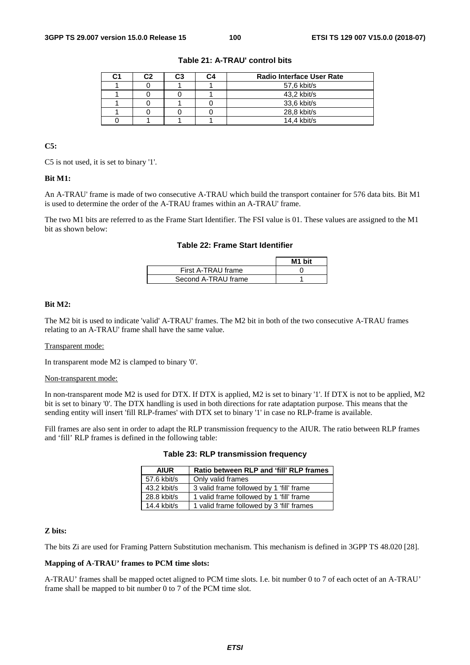| C2 | C <sub>3</sub> | C4 | <b>Radio Interface User Rate</b> |
|----|----------------|----|----------------------------------|
|    |                |    | 57,6 kbit/s                      |
|    |                |    | 43,2 kbit/s                      |
|    |                |    | 33,6 kbit/s                      |
|    |                |    | 28,8 kbit/s                      |
|    |                |    | $14.4$ kbit/s                    |

#### **Table 21: A-TRAU' control bits**

### **C5:**

C5 is not used, it is set to binary '1'.

#### **Bit M1:**

An A-TRAU' frame is made of two consecutive A-TRAU which build the transport container for 576 data bits. Bit M1 is used to determine the order of the A-TRAU frames within an A-TRAU' frame.

The two M1 bits are referred to as the Frame Start Identifier. The FSI value is 01. These values are assigned to the M1 bit as shown below:

#### **Table 22: Frame Start Identifier**

|                     | M1 bit |
|---------------------|--------|
| First A-TRAU frame  |        |
| Second A-TRAU frame |        |

#### **Bit M2:**

The M2 bit is used to indicate 'valid' A-TRAU' frames. The M2 bit in both of the two consecutive A-TRAU frames relating to an A-TRAU' frame shall have the same value.

#### Transparent mode:

In transparent mode M2 is clamped to binary '0'.

#### Non-transparent mode:

In non-transparent mode M2 is used for DTX. If DTX is applied, M2 is set to binary '1'. If DTX is not to be applied, M2 bit is set to binary '0'. The DTX handling is used in both directions for rate adaptation purpose. This means that the sending entity will insert 'fill RLP-frames' with DTX set to binary '1' in case no RLP-frame is available.

Fill frames are also sent in order to adapt the RLP transmission frequency to the AIUR. The ratio between RLP frames and 'fill' RLP frames is defined in the following table:

| <b>AIUR</b>   | Ratio between RLP and 'fill' RLP frames   |
|---------------|-------------------------------------------|
| 57.6 kbit/s   | Only valid frames                         |
| 43.2 kbit/s   | 3 valid frame followed by 1 'fill' frame  |
| 28.8 kbit/s   | 1 valid frame followed by 1 'fill' frame  |
| $14.4$ kbit/s | 1 valid frame followed by 3 'fill' frames |

#### **Table 23: RLP transmission frequency**

#### **Z bits:**

The bits Zi are used for Framing Pattern Substitution mechanism. This mechanism is defined in 3GPP TS 48.020 [28].

#### **Mapping of A-TRAU' frames to PCM time slots:**

A-TRAU' frames shall be mapped octet aligned to PCM time slots. I.e. bit number 0 to 7 of each octet of an A-TRAU' frame shall be mapped to bit number 0 to 7 of the PCM time slot.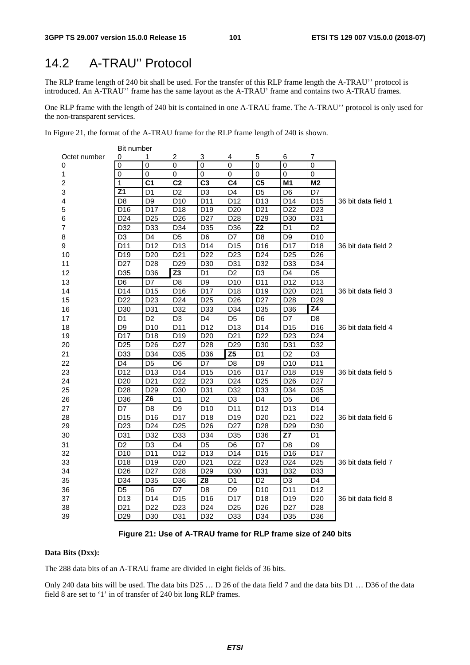# 14.2 A-TRAU'' Protocol

The RLP frame length of 240 bit shall be used. For the transfer of this RLP frame length the A-TRAU'' protocol is introduced. An A-TRAU'' frame has the same layout as the A-TRAU' frame and contains two A-TRAU frames.

One RLP frame with the length of 240 bit is contained in one A-TRAU frame. The A-TRAU'' protocol is only used for the non-transparent services.

In Figure 21, the format of the A-TRAU frame for the RLP frame length of 240 is shown.

|                | Bit number       |                 |                 |                 |                 |                 |                 |                 |                     |
|----------------|------------------|-----------------|-----------------|-----------------|-----------------|-----------------|-----------------|-----------------|---------------------|
| Octet number   | 0                | 1               | 2               | 3               | 4               | 5               | 6               | 7               |                     |
| 0              | 0                | $\overline{0}$  | $\overline{0}$  | $\overline{0}$  | $\overline{0}$  | $\mathbf 0$     | $\mathbf 0$     | 0               |                     |
| 1              | 0                | 0               | 0               | 0               | 0               | 0               | 0               | 0               |                     |
| $\overline{c}$ | 1                | C <sub>1</sub>  | C <sub>2</sub>  | C <sub>3</sub>  | C4              | C <sub>5</sub>  | M <sub>1</sub>  | M <sub>2</sub>  |                     |
| 3              | $\overline{Z1}$  | D <sub>1</sub>  | D <sub>2</sub>  | D <sub>3</sub>  | D <sub>4</sub>  | D <sub>5</sub>  | D <sub>6</sub>  | D7              |                     |
| 4              | D <sub>8</sub>   | D <sub>9</sub>  | D <sub>10</sub> | D11             | D12             | D <sub>13</sub> | D14             | D15             | 36 bit data field 1 |
| 5              | D <sub>16</sub>  | D17             | D18             | D19             | D <sub>20</sub> | D <sub>21</sub> | D <sub>22</sub> | D <sub>23</sub> |                     |
| 6              | D <sub>24</sub>  | D <sub>25</sub> | D <sub>26</sub> | D <sub>27</sub> | D <sub>28</sub> | D <sub>29</sub> | D30             | D31             |                     |
| 7              | D32              | D33             | D34             | D35             | D36             | Z <sub>2</sub>  | D <sub>1</sub>  | D <sub>2</sub>  |                     |
| 8              | D <sub>3</sub>   | D <sub>4</sub>  | D <sub>5</sub>  | D <sub>6</sub>  | D7              | D <sub>8</sub>  | D <sub>9</sub>  | D <sub>10</sub> |                     |
| 9              | D11              | D <sub>12</sub> | D <sub>13</sub> | D14             | D <sub>15</sub> | D16             | D17             | D18             | 36 bit data field 2 |
| 10             | D <sub>19</sub>  | D <sub>20</sub> | D <sub>21</sub> | D <sub>22</sub> | D <sub>23</sub> | D <sub>24</sub> | D <sub>25</sub> | D <sub>26</sub> |                     |
| 11             | D <sub>27</sub>  | D <sub>28</sub> | D <sub>29</sub> | D30             | D31             | D32             | D33             | D34             |                     |
| 12             | D35              | D <sub>36</sub> | Z <sub>3</sub>  | D <sub>1</sub>  | D <sub>2</sub>  | D <sub>3</sub>  | D <sub>4</sub>  | D <sub>5</sub>  |                     |
| 13             | D <sub>6</sub>   | D7              | D <sub>8</sub>  | D <sub>9</sub>  | D <sub>10</sub> | D11             | D <sub>12</sub> | D <sub>13</sub> |                     |
| 14             | D14              | D <sub>15</sub> | D16             | D17             | D18             | D <sub>19</sub> | D <sub>20</sub> | D <sub>21</sub> | 36 bit data field 3 |
| 15             | D <sub>22</sub>  | D <sub>23</sub> | D <sub>24</sub> | D <sub>25</sub> | D <sub>26</sub> | D <sub>27</sub> | D <sub>28</sub> | D <sub>29</sub> |                     |
| 16             | D30              | D31             | D32             | D33             | D34             | D35             | D36             | Z4              |                     |
| 17             | D1               | D <sub>2</sub>  | D <sub>3</sub>  | D <sub>4</sub>  | D <sub>5</sub>  | D <sub>6</sub>  | D7              | D <sub>8</sub>  |                     |
| 18             | D <sub>9</sub>   | D <sub>10</sub> | D11             | D12             | D <sub>13</sub> | D14             | D <sub>15</sub> | D16             | 36 bit data field 4 |
| 19             | D17              | D18             | D19             | D <sub>20</sub> | D <sub>21</sub> | D <sub>22</sub> | D <sub>23</sub> | D <sub>24</sub> |                     |
| 20             | D <sub>25</sub>  | D <sub>26</sub> | D <sub>27</sub> | D <sub>28</sub> | D <sub>29</sub> | D30             | D31             | D32             |                     |
| 21             | D33              | D34             | D35             | D36             | Z <sub>5</sub>  | D <sub>1</sub>  | D <sub>2</sub>  | D <sub>3</sub>  |                     |
| 22             | D4               | D <sub>5</sub>  | D <sub>6</sub>  | D7              | D <sub>8</sub>  | D <sub>9</sub>  | D <sub>10</sub> | D11             |                     |
| 23             | D12              | D13             | D14             | D <sub>15</sub> | D16             | D17             | D18             | D19             | 36 bit data field 5 |
| 24             | D <sub>20</sub>  | D <sub>21</sub> | D <sub>22</sub> | D <sub>23</sub> | D <sub>24</sub> | D <sub>25</sub> | D <sub>26</sub> | D <sub>27</sub> |                     |
| 25             | D <sub>28</sub>  | D <sub>29</sub> | D <sub>30</sub> | D31             | D32             | D33             | D34             | D35             |                     |
| 26             | D36              | Z <sub>6</sub>  | D <sub>1</sub>  | D <sub>2</sub>  | D <sub>3</sub>  | D <sub>4</sub>  | D <sub>5</sub>  | D <sub>6</sub>  |                     |
| 27             | D7               | D <sub>8</sub>  | D <sub>9</sub>  | D <sub>10</sub> | D11             | D12             | D <sub>13</sub> | D <sub>14</sub> |                     |
| 28             | $\overline{D15}$ | D16             | D17             | D <sub>18</sub> | D19             | D <sub>20</sub> | D <sub>21</sub> | D <sub>22</sub> | 36 bit data field 6 |
| 29             | D <sub>23</sub>  | D <sub>24</sub> | D <sub>25</sub> | D <sub>26</sub> | D <sub>27</sub> | D28             | D <sub>29</sub> | D <sub>30</sub> |                     |
| 30             | D31              | D32             | D33             | D34             | D35             | D36             | Z7              | D <sub>1</sub>  |                     |
| 31             | D <sub>2</sub>   | D <sub>3</sub>  | D4              | D <sub>5</sub>  | D <sub>6</sub>  | D7              | D <sub>8</sub>  | D9              |                     |
| 32             | D <sub>10</sub>  | D <sub>11</sub> | D <sub>12</sub> | D <sub>13</sub> | D14             | D <sub>15</sub> | D <sub>16</sub> | D17             |                     |
| 33             | D18              | D19             | D <sub>20</sub> | D <sub>21</sub> | D <sub>22</sub> | D <sub>23</sub> | D <sub>24</sub> | D <sub>25</sub> | 36 bit data field 7 |
| 34             | D <sub>26</sub>  | D <sub>27</sub> | D <sub>28</sub> | D <sub>29</sub> | D <sub>30</sub> | D31             | D32             | D33             |                     |
| 35             | D34              | D35             | D36             | Z8              | D1              | D <sub>2</sub>  | D <sub>3</sub>  | D <sub>4</sub>  |                     |
| 36             | D <sub>5</sub>   | D <sub>6</sub>  | D7              | D <sub>8</sub>  | D <sub>9</sub>  | D <sub>10</sub> | D11             | D <sub>12</sub> |                     |
| 37             | D <sub>13</sub>  | D14             | D <sub>15</sub> | D16             | D17             | D18             | D <sub>19</sub> | D <sub>20</sub> | 36 bit data field 8 |
| 38             | D <sub>21</sub>  | D <sub>22</sub> | D <sub>23</sub> | D <sub>24</sub> | D <sub>25</sub> | D <sub>26</sub> | D <sub>27</sub> | D <sub>28</sub> |                     |
| 39             | D <sub>29</sub>  | D <sub>30</sub> | D31             | D32             | D33             | D34             | D35             | D36             |                     |

#### **Figure 21: Use of A-TRAU frame for RLP frame size of 240 bits**

### **Data Bits (Dxx):**

The 288 data bits of an A-TRAU frame are divided in eight fields of 36 bits.

Only 240 data bits will be used. The data bits D25 … D 26 of the data field 7 and the data bits D1 … D36 of the data field 8 are set to '1' in of transfer of 240 bit long RLP frames.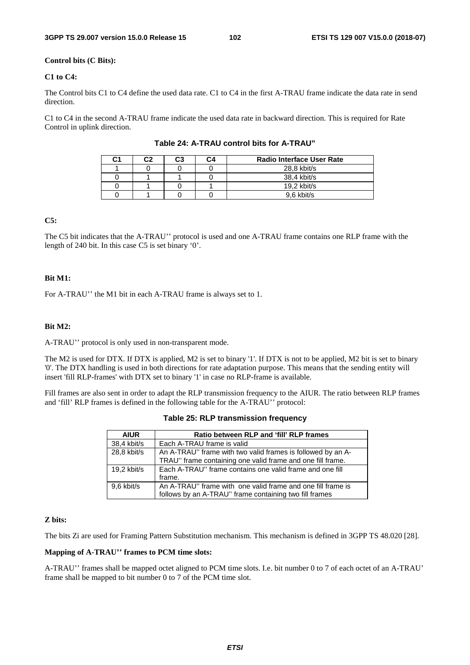#### **Control bits (C Bits):**

#### **C1 to C4:**

The Control bits C1 to C4 define the used data rate. C1 to C4 in the first A-TRAU frame indicate the data rate in send direction.

C1 to C4 in the second A-TRAU frame indicate the used data rate in backward direction. This is required for Rate Control in uplink direction.

| C1 | r, | C3 | C4 | <b>Radio Interface User Rate</b> |
|----|----|----|----|----------------------------------|
|    |    |    |    | 28,8 kbit/s                      |
|    |    |    |    | 38,4 kbit/s                      |
|    |    |    |    | $19.2$ kbit/s                    |
|    |    |    |    | 9.6 kbit/s                       |

**Table 24: A-TRAU control bits for A-TRAU"** 

### **C5:**

The C5 bit indicates that the A-TRAU'' protocol is used and one A-TRAU frame contains one RLP frame with the length of 240 bit. In this case C5 is set binary '0'.

#### **Bit M1:**

For A-TRAU'' the M1 bit in each A-TRAU frame is always set to 1.

#### **Bit M2:**

A-TRAU'' protocol is only used in non-transparent mode.

The M2 is used for DTX. If DTX is applied, M2 is set to binary '1'. If DTX is not to be applied, M2 bit is set to binary '0'. The DTX handling is used in both directions for rate adaptation purpose. This means that the sending entity will insert 'fill RLP-frames' with DTX set to binary '1' in case no RLP-frame is available.

Fill frames are also sent in order to adapt the RLP transmission frequency to the AIUR. The ratio between RLP frames and 'fill' RLP frames is defined in the following table for the A-TRAU'' protocol:

| <b>AIUR</b>   | Ratio between RLP and 'fill' RLP frames                                                                                   |
|---------------|---------------------------------------------------------------------------------------------------------------------------|
| 38,4 kbit/s   | Each A-TRAU frame is valid                                                                                                |
| 28,8 kbit/s   | An A-TRAU" frame with two valid frames is followed by an A-<br>TRAU" frame containing one valid frame and one fill frame. |
| $19.2$ kbit/s | Each A-TRAU" frame contains one valid frame and one fill<br>frame.                                                        |
| 9,6 kbit/s    | An A-TRAU" frame with one valid frame and one fill frame is<br>follows by an A-TRAU" frame containing two fill frames     |

**Table 25: RLP transmission frequency** 

### **Z bits:**

The bits Zi are used for Framing Pattern Substitution mechanism. This mechanism is defined in 3GPP TS 48.020 [28].

### **Mapping of A-TRAU'' frames to PCM time slots:**

A-TRAU'' frames shall be mapped octet aligned to PCM time slots. I.e. bit number 0 to 7 of each octet of an A-TRAU' frame shall be mapped to bit number 0 to 7 of the PCM time slot.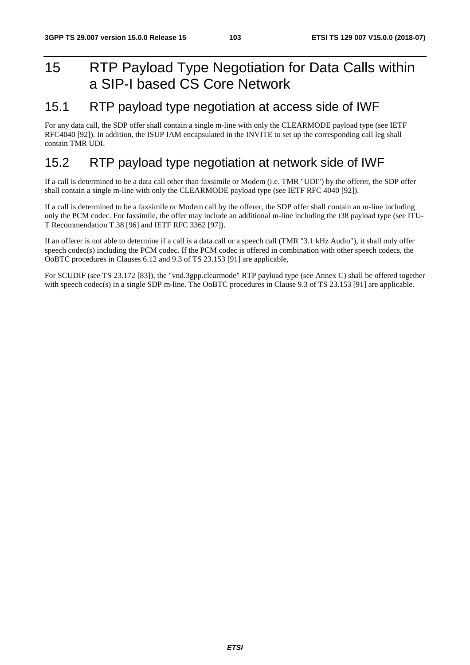# 15 RTP Payload Type Negotiation for Data Calls within a SIP-I based CS Core Network

# 15.1 RTP payload type negotiation at access side of IWF

For any data call, the SDP offer shall contain a single m-line with only the CLEARMODE payload type (see IETF RFC4040 [92]). In addition, the ISUP IAM encapsulated in the INVITE to set up the corresponding call leg shall contain TMR UDI.

# 15.2 RTP payload type negotiation at network side of IWF

If a call is determined to be a data call other than faxsimile or Modem (i.e. TMR "UDI") by the offerer, the SDP offer shall contain a single m-line with only the CLEARMODE payload type (see IETF RFC 4040 [92]).

If a call is determined to be a faxsimile or Modem call by the offerer, the SDP offer shall contain an m-line including only the PCM codec. For faxsimile, the offer may include an additional m-line including the t38 payload type (see ITU-T Recommendation T.38 [96] and IETF RFC 3362 [97]).

If an offerer is not able to determine if a call is a data call or a speech call (TMR "3.1 kHz Audio"), it shall only offer speech codec(s) including the PCM codec. If the PCM codec is offered in combination with other speech codecs, the OoBTC procedures in Clauses 6.12 and 9.3 of TS 23.153 [91] are applicable,

For SCUDIF (see TS 23.172 [83]), the "vnd.3gpp.clearmode" RTP payload type (see Annex C) shall be offered together with speech codec(s) in a single SDP m-line. The OoBTC procedures in Clause 9.3 of TS 23.153 [91] are applicable.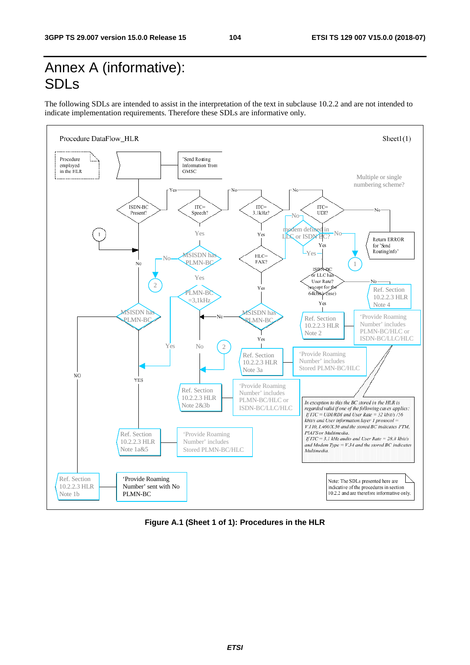# Annex A (informative): SDLs

The following SDLs are intended to assist in the interpretation of the text in subclause 10.2.2 and are not intended to indicate implementation requirements. Therefore these SDLs are informative only.



**Figure A.1 (Sheet 1 of 1): Procedures in the HLR**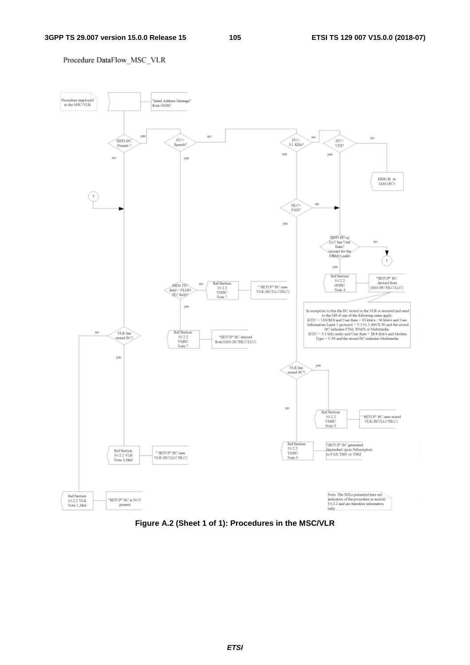#### Procedure DataFlow\_MSC\_VLR



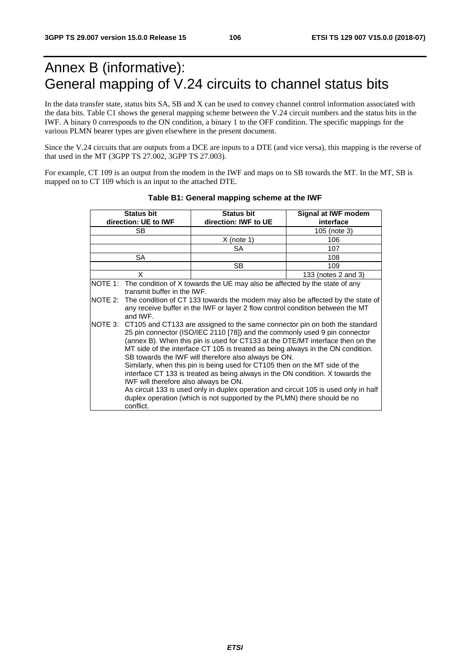# Annex B (informative): General mapping of V.24 circuits to channel status bits

In the data transfer state, status bits SA, SB and X can be used to convey channel control information associated with the data bits. Table C1 shows the general mapping scheme between the V.24 circuit numbers and the status bits in the IWF. A binary 0 corresponds to the ON condition, a binary 1 to the OFF condition. The specific mappings for the various PLMN bearer types are given elsewhere in the present document.

Since the V.24 circuits that are outputs from a DCE are inputs to a DTE (and vice versa), this mapping is the reverse of that used in the MT (3GPP TS 27.002, 3GPP TS 27.003).

For example, CT 109 is an output from the modem in the IWF and maps on to SB towards the MT. In the MT, SB is mapped on to CT 109 which is an input to the attached DTE.

| <b>Status bit</b>    | <b>Status bit</b>                                                                                                                                                                                                                                                                                                                                                                                                                                                                                                                                                                                                                                                                                                                                                    | Signal at IWF modem |  |  |  |  |  |
|----------------------|----------------------------------------------------------------------------------------------------------------------------------------------------------------------------------------------------------------------------------------------------------------------------------------------------------------------------------------------------------------------------------------------------------------------------------------------------------------------------------------------------------------------------------------------------------------------------------------------------------------------------------------------------------------------------------------------------------------------------------------------------------------------|---------------------|--|--|--|--|--|
| direction: UE to IWF | direction: IWF to UE                                                                                                                                                                                                                                                                                                                                                                                                                                                                                                                                                                                                                                                                                                                                                 | interface           |  |  |  |  |  |
| SB.                  |                                                                                                                                                                                                                                                                                                                                                                                                                                                                                                                                                                                                                                                                                                                                                                      | 105 (note 3)        |  |  |  |  |  |
|                      | X (note 1)                                                                                                                                                                                                                                                                                                                                                                                                                                                                                                                                                                                                                                                                                                                                                           | 106                 |  |  |  |  |  |
|                      | SA                                                                                                                                                                                                                                                                                                                                                                                                                                                                                                                                                                                                                                                                                                                                                                   | 107                 |  |  |  |  |  |
| SA                   |                                                                                                                                                                                                                                                                                                                                                                                                                                                                                                                                                                                                                                                                                                                                                                      | 108                 |  |  |  |  |  |
|                      | SВ                                                                                                                                                                                                                                                                                                                                                                                                                                                                                                                                                                                                                                                                                                                                                                   | 109                 |  |  |  |  |  |
| X                    |                                                                                                                                                                                                                                                                                                                                                                                                                                                                                                                                                                                                                                                                                                                                                                      | 133 (notes 2 and 3) |  |  |  |  |  |
| NOTE 1:              | The condition of X towards the UE may also be affected by the state of any<br>transmit buffer in the IWF.                                                                                                                                                                                                                                                                                                                                                                                                                                                                                                                                                                                                                                                            |                     |  |  |  |  |  |
| NOTE 2:<br>and IWF.  | The condition of CT 133 towards the modem may also be affected by the state of<br>any receive buffer in the IWF or layer 2 flow control condition between the MT                                                                                                                                                                                                                                                                                                                                                                                                                                                                                                                                                                                                     |                     |  |  |  |  |  |
| NOTE 3:<br>conflict. | CT105 and CT133 are assigned to the same connector pin on both the standard<br>25 pin connector (ISO/IEC 2110 [78]) and the commonly used 9 pin connector<br>(annex B). When this pin is used for CT133 at the DTE/MT interface then on the<br>MT side of the interface CT 105 is treated as being always in the ON condition.<br>SB towards the IWF will therefore also always be ON.<br>Similarly, when this pin is being used for CT105 then on the MT side of the<br>interface CT 133 is treated as being always in the ON condition. X towards the<br>IWF will therefore also always be ON.<br>As circuit 133 is used only in duplex operation and circuit 105 is used only in half<br>duplex operation (which is not supported by the PLMN) there should be no |                     |  |  |  |  |  |

### **Table B1: General mapping scheme at the IWF**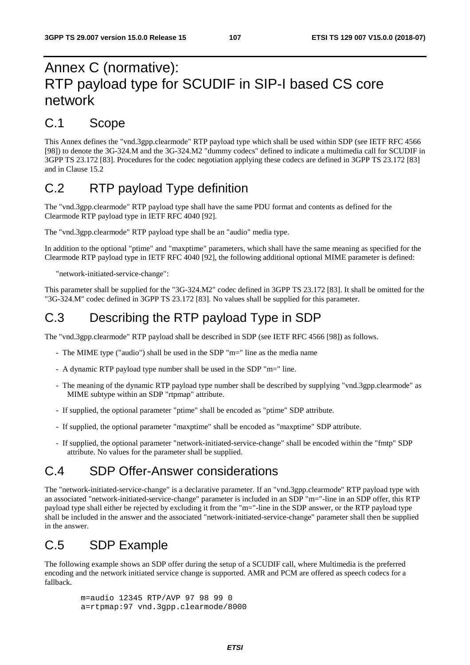# Annex C (normative): RTP payload type for SCUDIF in SIP-I based CS core network

# C.1 Scope

This Annex defines the "vnd.3gpp.clearmode" RTP payload type which shall be used within SDP (see IETF RFC 4566 [98]) to denote the 3G-324.M and the 3G-324.M2 "dummy codecs" defined to indicate a multimedia call for SCUDIF in 3GPP TS 23.172 [83]. Procedures for the codec negotiation applying these codecs are defined in 3GPP TS 23.172 [83] and in Clause 15.2

# C.2 RTP payload Type definition

The "vnd.3gpp.clearmode" RTP payload type shall have the same PDU format and contents as defined for the Clearmode RTP payload type in IETF RFC 4040 [92].

The "vnd.3gpp.clearmode" RTP payload type shall be an "audio" media type.

In addition to the optional "ptime" and "maxptime" parameters, which shall have the same meaning as specified for the Clearmode RTP payload type in IETF RFC 4040 [92], the following additional optional MIME parameter is defined:

"network-initiated-service-change":

This parameter shall be supplied for the "3G-324.M2" codec defined in 3GPP TS 23.172 [83]. It shall be omitted for the "3G-324.M" codec defined in 3GPP TS 23.172 [83]. No values shall be supplied for this parameter.

# C.3 Describing the RTP payload Type in SDP

The "vnd.3gpp.clearmode" RTP payload shall be described in SDP (see IETF RFC 4566 [98]) as follows.

- The MIME type ("audio") shall be used in the SDP "m=" line as the media name
- A dynamic RTP payload type number shall be used in the SDP "m=" line.
- The meaning of the dynamic RTP payload type number shall be described by supplying "vnd.3gpp.clearmode" as MIME subtype within an SDP "rtpmap" attribute.
- If supplied, the optional parameter "ptime" shall be encoded as "ptime" SDP attribute.
- If supplied, the optional parameter "maxptime" shall be encoded as "maxptime" SDP attribute.
- If supplied, the optional parameter "network-initiated-service-change" shall be encoded within the "fmtp" SDP attribute. No values for the parameter shall be supplied.

# C.4 SDP Offer-Answer considerations

The "network-initiated-service-change" is a declarative parameter. If an "vnd.3gpp.clearmode" RTP payload type with an associated "network-initiated-service-change" parameter is included in an SDP "m="-line in an SDP offer, this RTP payload type shall either be rejected by excluding it from the "m="-line in the SDP answer, or the RTP payload type shall be included in the answer and the associated "network-initiated-service-change" parameter shall then be supplied in the answer.

# C.5 SDP Example

The following example shows an SDP offer during the setup of a SCUDIF call, where Multimedia is the preferred encoding and the network initiated service change is supported. AMR and PCM are offered as speech codecs for a fallback.

 m=audio 12345 RTP/AVP 97 98 99 0 a=rtpmap:97 vnd.3gpp.clearmode/8000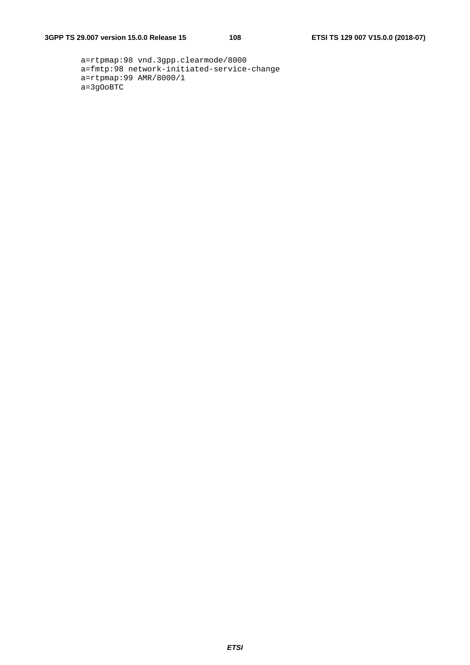```
 a=rtpmap:98 vnd.3gpp.clearmode/8000 
a=fmtp:98 network-initiated-service-change 
a=rtpmap:99 AMR/8000/1 
a=3gOoBTC
```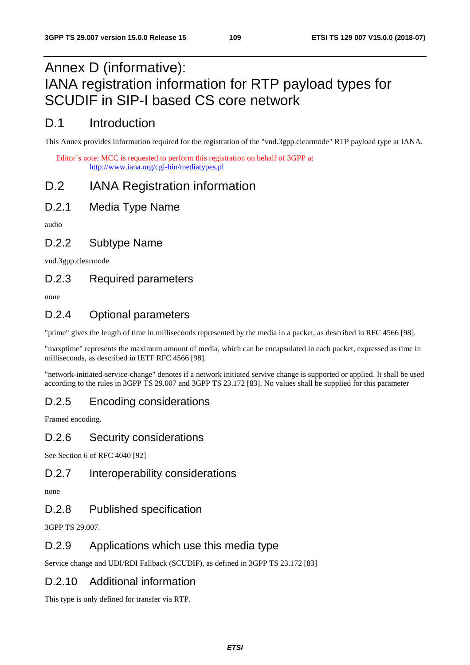# Annex D (informative): IANA registration information for RTP payload types for SCUDIF in SIP-I based CS core network

# D.1 Introduction

This Annex provides information required for the registration of the "vnd.3gpp.clearmode" RTP payload type at IANA.

Editor´s note: MCC is requested to perform this registration on behalf of 3GPP at <http://www.iana.org/cgi-bin/mediatypes.pl>

# D.2 IANA Registration information

D.2.1 Media Type Name

audio

## D.2.2 Subtype Name

vnd.3gpp.clearmode

## D.2.3 Required parameters

none

# D.2.4 Optional parameters

"ptime" gives the length of time in milliseconds represented by the media in a packet, as described in RFC 4566 [98].

"maxptime" represents the maximum amount of media, which can be encapsulated in each packet, expressed as time in milliseconds, as described in IETF RFC 4566 [98].

"network-initiated-service-change" denotes if a network initiated servive change is supported or applied. It shall be used according to the rules in 3GPP TS 29.007 and 3GPP TS 23.172 [83]. No values shall be supplied for this parameter

# D.2.5 Encoding considerations

Framed encoding.

#### D.2.6 Security considerations

See Section 6 of RFC 4040 [92]

#### D.2.7 Interoperability considerations

none

## D.2.8 Published specification

3GPP TS 29.007.

## D.2.9 Applications which use this media type

Service change and UDI/RDI Fallback (SCUDIF), as defined in 3GPP TS 23.172 [83]

#### D.2.10 Additional information

This type is only defined for transfer via RTP.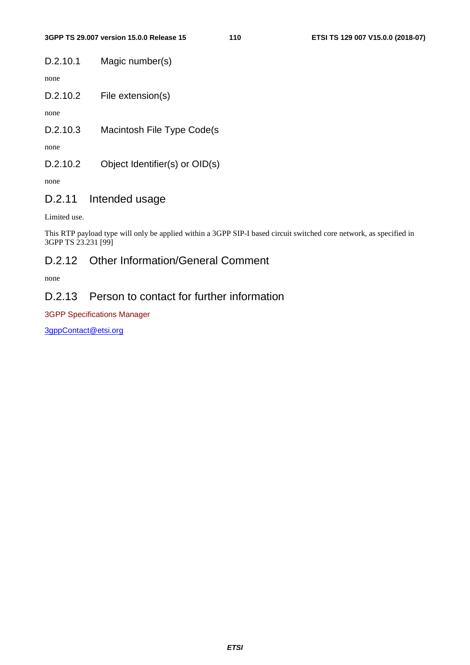D.2.10.1 Magic number(s)

none

D.2.10.2 File extension(s)

none

D.2.10.3 Macintosh File Type Code(s

none

D.2.10.2 Object Identifier(s) or OID(s)

none

#### D.2.11 Intended usage

Limited use.

This RTP payload type will only be applied within a 3GPP SIP-I based circuit switched core network, as specified in 3GPP TS 23.231 [99]

#### D.2.12 Other Information/General Comment

none

#### D.2.13 Person to contact for further information

3GPP Specifications Manager

[3gppContact@etsi.org](mailto:3gppContact@etsi.org)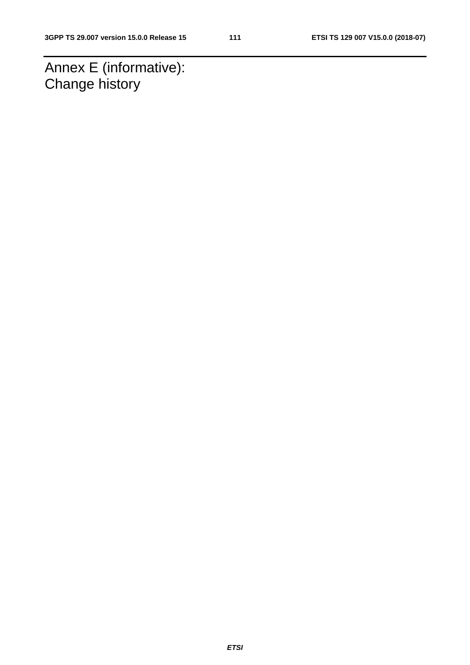Annex E (informative): Change history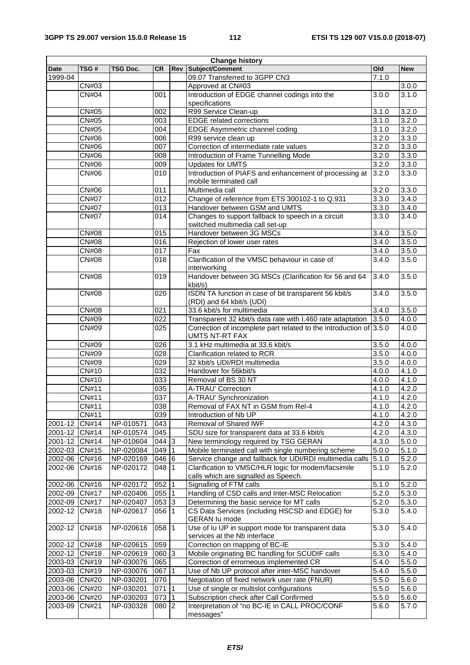| <b>Date</b>   | TSG#         | <b>TSG Doc.</b> | <b>CR</b>        |              | <b>Rev Subject/Comment</b>                                                                  | Old   |                    |
|---------------|--------------|-----------------|------------------|--------------|---------------------------------------------------------------------------------------------|-------|--------------------|
|               |              |                 |                  |              |                                                                                             |       | <b>New</b>         |
| 1999-04       |              |                 |                  |              | 09.07 Transferred to 3GPP CN3                                                               | 7.1.0 |                    |
|               | <b>CN#03</b> |                 |                  |              | Approved at CN#03                                                                           |       | 3.0.0              |
|               | <b>CN#04</b> |                 | 001              |              | Introduction of EDGE channel codings into the<br>specifications                             | 3.0.0 | 3.1.0              |
|               | CN#05        |                 | 002              |              | R99 Service Clean-up                                                                        | 3.1.0 | 3.2.0              |
|               | CN#05        |                 | 003              |              | <b>EDGE</b> related corrections                                                             | 3.1.0 | 3.2.0              |
|               | CN#05        |                 | 004              |              | EDGE Asymmetric channel coding                                                              | 3.1.0 | 3.2.0              |
|               | CN#06        |                 | 006              |              | R99 service clean up                                                                        | 3.2.0 | 3.3.0              |
|               | <b>CN#06</b> |                 | 007              |              | Correction of intermediate rate values                                                      | 3.2.0 | 3.3.0              |
|               | <b>CN#06</b> |                 | $\overline{008}$ |              | Introduction of Frame Tunnelling Mode                                                       | 3.2.0 | 3.3.0              |
|               | <b>CN#06</b> |                 | 009              |              | <b>Updates for UMTS</b>                                                                     | 3.2.0 | 3.3.0              |
|               | CN#06        |                 | 010              |              | Introduction of PIAFS and enhancement of processing at                                      | 3.2.0 | 3.3.0              |
|               |              |                 |                  |              | mobile terminated call                                                                      |       |                    |
|               | CN#06        |                 | 011              |              | Multimedia call                                                                             | 3.2.0 | 3.3.0              |
|               | <b>CN#07</b> |                 | $\overline{012}$ |              | Change of reference from ETS 300102-1 to Q.931                                              | 3.3.0 | 3.4.0              |
|               | <b>CN#07</b> |                 | 013              |              | Handover between GSM and UMTS                                                               | 3.3.0 | 3.4.0              |
|               | <b>CN#07</b> |                 | $\overline{014}$ |              | Changes to support fallback to speech in a circuit                                          | 3.3.0 | 3.4.0              |
|               |              |                 |                  |              | switched multimedia call set-up                                                             |       |                    |
|               | <b>CN#08</b> |                 | 015              |              | Handover between 3G MSCs                                                                    | 3.4.0 | 3.5.0              |
|               | <b>CN#08</b> |                 | $\overline{016}$ |              | Rejection of lower user rates                                                               | 3.4.0 | 3.5.0              |
|               | <b>CN#08</b> |                 | 017              |              | Fax                                                                                         | 3.4.0 | 3.5.0              |
|               | <b>CN#08</b> |                 | 018              |              | Clarification of the VMSC behaviour in case of<br>interworking                              | 3.4.0 | 3.5.0              |
|               | <b>CN#08</b> |                 | 019              |              | Handover between 3G MSCs (Clarification for 56 and 64<br>kbit/s)                            | 3.4.0 | 3.5.0              |
|               | <b>CN#08</b> |                 | 020              |              | ISDN TA function in case of bit transparent 56 kbit/s<br>(RDI) and 64 kbit/s (UDI)          | 3.4.0 | 3.5.0              |
|               | <b>CN#08</b> |                 | 021              |              | 33.6 kbit/s for multimedia                                                                  | 3.4.0 | 3.5.0              |
|               | CN#09        |                 | 022              |              | Transparent 32 kbit/s data rate with I.460 rate adaptation                                  | 3.5.0 | 4.0.0              |
|               | <b>CN#09</b> |                 | $\overline{025}$ |              | Correction of incomplete part related to the introduction of 3.5.0<br><b>UMTS NT-RT FAX</b> |       | 4.0.0              |
|               | CN#09        |                 | 026              |              | 3.1 kHz multimedia at 33.6 kbit/s                                                           | 3.5.0 | 4.0.0              |
|               | CN#09        |                 | $\overline{028}$ |              | Clarification related to RCR                                                                | 3.5.0 | 4.0.0              |
|               | CN#09        |                 | 029              |              | 32 kbit/s UDI/RDI multimedia                                                                | 3.5.0 | 4.0.0              |
|               | CN#10        |                 | 032              |              | Handover for 56kbit/s                                                                       | 4.0.0 | 4.1.0              |
|               | CN#10        |                 | 033              |              | Removal of BS 30 NT                                                                         | 4.0.0 | 4.1.0              |
|               | CN#11        |                 | 035              |              | A-TRAU' Correction                                                                          | 4.1.0 | 4.2.0              |
|               | CN#11        |                 | 037              |              | A-TRAU' Synchronization                                                                     | 4.1.0 | 4.2.0              |
|               | <b>CN#11</b> |                 | 038              |              | Removal of FAX NT in GSM from Rel-4                                                         | 4.1.0 | 4.2.0              |
|               | CN#11        |                 | 039              |              | Introduction of Nb UP                                                                       | 4.1.0 | 4.2.0              |
| 2001-12       | <b>CN#14</b> | NP-010571       | 043              |              | Removal of Shared IWF                                                                       | 4.2.0 | 4.3.0              |
| 2001-12 CN#14 |              | NP-010574       | 045              |              | SDU size for transparent data at 33.6 kbit/s                                                | 4.2.0 | 4.3.0              |
| 2001-12 CN#14 |              | NP-010604       | $044$ 3          |              | New terminology required by TSG GERAN                                                       | 4.3.0 | 5.0.0              |
| 2002-03 CN#15 |              | NP-020084       | 049              | $\mathbf{1}$ | Mobile terminated call with single numbering scheme                                         | 5.0.0 | 5.1.0              |
| 2002-06 CN#16 |              | NP-020169       | 046 6            |              | Service change and fallback for UDI/RDI multimedia calls                                    | 5.1.0 | $\overline{5.2.0}$ |
| 2002-06       | CN#16        | NP-020172       | 048              | $\vert$ 1    | Clarification to VMSC/HLR logic for modem/facsimile                                         | 5.1.0 | 5.2.0              |
|               |              |                 |                  |              | calls which are signalled as Speech.                                                        |       |                    |
| 2002-06 CN#16 |              | NP-020172       | 052              | 1            | Signalling of FTM calls                                                                     | 5.1.0 | 5.2.0              |
| 2002-09 CN#17 |              | NP-020406       | 055              | 1            | Handling of CSD calls and Inter-MSC Relocation                                              | 5.2.0 | 5.3.0              |
| 2002-09 CN#17 |              | NP-020407       | $053 \mid 3$     |              | Determining the basic service for MT calls                                                  | 5.2.0 | 5.3.0              |
| 2002-12       | CN#18        | NP-020617       | 056              | $\vert$ 1    | CS Data Services (including HSCSD and EDGE) for<br><b>GERAN lu mode</b>                     | 5.3.0 | 5.4.0              |
| 2002-12       | CN#18        | NP-020616       | 058              | 11           | Use of Iu UP in support mode for transparent data<br>services at the Nb interface           | 5.3.0 | 5.4.0              |
| 2002-12 CN#18 |              | NP-020615       | 059              |              | Correction on mapping of BC-IE                                                              | 5.3.0 | 5.4.0              |
| 2002-12 CN#18 |              | NP-020619       | 060 3            |              | Mobile originating BC handling for SCUDIF calls                                             | 5.3.0 | 5.4.0              |
| 2003-03 CN#19 |              | NP-030076       | 065              |              | Correction of errorneous implemented CR                                                     | 5.4.0 | 5.5.0              |
| 2003-03 CN#19 |              | NP-030076       | 067              | 1            | Use of Nb UP protocol after inter-MSC handover                                              | 5.4.0 | 5.5.0              |
| 2003-06 CN#20 |              | NP-030201       | 070              |              | Negotiation of fixed network user rate (FNUR)                                               | 5.5.0 | 5.6.0              |
| 2003-06 CN#20 |              | NP-030201       | 071              | $\mathbf 1$  | Use of single or multislot configurations                                                   | 5.5.0 | 5.6.0              |
| 2003-06 CN#20 |              | NP-030203       | 073              | $\mathbf{1}$ | Subscription check after Call Confirmed                                                     | 5.5.0 | 5.6.0              |
| 2003-09       | CN#21        | NP-030328       | 080 2            |              | Interpretation of "no BC-IE in CALL PROC/CONF<br>messages"                                  | 5.6.0 | $\overline{5.7.0}$ |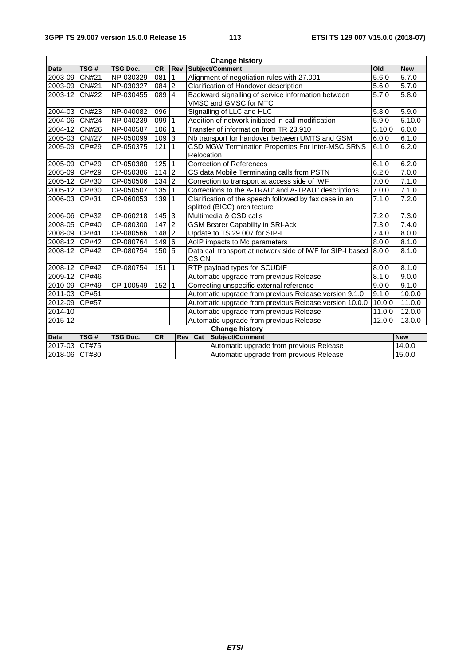| <b>Change history</b> |              |                 |           |                |                                                                                                 |                                         |        |            |
|-----------------------|--------------|-----------------|-----------|----------------|-------------------------------------------------------------------------------------------------|-----------------------------------------|--------|------------|
| <b>Date</b>           | TSG#         | <b>TSG Doc.</b> | <b>CR</b> | <b>Rev</b>     |                                                                                                 | Subject/Comment                         | Old    | <b>New</b> |
| 2003-09               | <b>CN#21</b> | NP-030329       | 081       | $\mathbf{1}$   | Alignment of negotiation rules with 27.001                                                      |                                         |        | 5.7.0      |
| 2003-09 CN#21         |              | NP-030327       | 084       | $\overline{2}$ | Clarification of Handover description                                                           |                                         |        | 5.7.0      |
| 2003-12 CN#22         |              | NP-030455       | 089       | $\overline{4}$ | Backward signalling of service information between<br>VMSC and GMSC for MTC                     |                                         |        | 5.8.0      |
| 2004-03 CN#23         |              | NP-040082       | 096       |                | Signalling of LLC and HLC                                                                       |                                         |        | 5.9.0      |
| 2004-06 CN#24         |              | NP-040239       | 099       |                | Addition of network initiated in-call modification                                              |                                         | 5.9.0  | 5.10.0     |
| 2004-12               | CN#26        | NP-040587       | 106       |                | Transfer of information from TR 23.910                                                          |                                         | 5.10.0 | 6.0.0      |
| 2005-03               | <b>CN#27</b> | NP-050099       | 109       | 3              | Nb transport for handover between UMTS and GSM                                                  |                                         | 6.0.0  | 6.1.0      |
| 2005-09 ICP#29        |              | CP-050375       | 121       | 1              | CSD MGW Termination Properties For Inter-MSC SRNS<br>Relocation                                 |                                         |        | 6.2.0      |
| 2005-09 CP#29         |              | CP-050380       | 125       | -1             | <b>Correction of References</b>                                                                 |                                         |        | 6.2.0      |
| 2005-09 CP#29         |              | CP-050386       | 114       | $\overline{2}$ | CS data Mobile Terminating calls from PSTN                                                      |                                         |        | 7.0.0      |
| 2005-12 CP#30         |              | CP-050506       | 134       | $\overline{2}$ | Correction to transport at access side of IWF                                                   |                                         |        | 7.1.0      |
| 2005-12 CP#30         |              | CP-050507       | 135       |                | Corrections to the A-TRAU' and A-TRAU" descriptions                                             |                                         | 7.0.0  | 7.1.0      |
| 2006-03 CP#31         |              | CP-060053       | 139       | 1              | Clarification of the speech followed by fax case in an<br>7.1.0<br>splitted (BICC) architecture |                                         |        | 7.2.0      |
| 2006-06 CP#32         |              | CP-060218       | 145       | 3              | Multimedia & CSD calls<br>7.2.0                                                                 |                                         |        | 7.3.0      |
| 2008-05 CP#40         |              | CP-080300       | 147       | $\overline{2}$ | <b>GSM Bearer Capability in SRI-Ack</b>                                                         |                                         | 7.3.0  | 7.4.0      |
| 2008-09 CP#41         |              | CP-080566       | 148       | 2              | Update to TS 29.007 for SIP-I                                                                   |                                         | 7.4.0  | 8.0.0      |
| 2008-12 CP#42         |              | CP-080764       | 149       | 6              | AoIP impacts to Mc parameters                                                                   |                                         | 8.0.0  | 8.1.0      |
| 2008-12               | CP#42        | CP-080754       | 150       | 5              | Data call transport at network side of IWF for SIP-I based<br>CS CN                             |                                         | 8.0.0  | 8.1.0      |
| 2008-12 CP#42         |              | CP-080754       | 151       | 1              | RTP payload types for SCUDIF                                                                    |                                         | 8.0.0  | 8.1.0      |
| 2009-12 CP#46         |              |                 |           |                | Automatic upgrade from previous Release<br>8.1.0                                                |                                         |        | 9.0.0      |
| 2010-09 CP#49         |              | CP-100549       | 152       | 1              | Correcting unspecific external reference                                                        |                                         | 9.0.0  | 9.1.0      |
| 2011-03 CP#51         |              |                 |           |                | Automatic upgrade from previous Release version 9.1.0                                           |                                         | 9.1.0  | 10.0.0     |
| 2012-09 CP#57         |              |                 |           |                | Automatic upgrade from previous Release version 10.0.0                                          |                                         | 10.0.0 | 11.0.0     |
| 2014-10               |              |                 |           |                | Automatic upgrade from previous Release                                                         |                                         | 11.0.0 | 12.0.0     |
| 2015-12               |              |                 |           |                |                                                                                                 | Automatic upgrade from previous Release | 12.0.0 | 13.0.0     |
| <b>Change history</b> |              |                 |           |                |                                                                                                 |                                         |        |            |
| <b>Date</b>           | TSG#         | <b>TSG Doc.</b> | <b>CR</b> | Rev            | Subject/Comment<br>Cat                                                                          |                                         |        | <b>New</b> |
| 2017-03               | CT#75        |                 |           |                |                                                                                                 | Automatic upgrade from previous Release |        | 14.0.0     |
| 2018-06 CT#80         |              |                 |           |                |                                                                                                 | Automatic upgrade from previous Release |        | 15.0.0     |